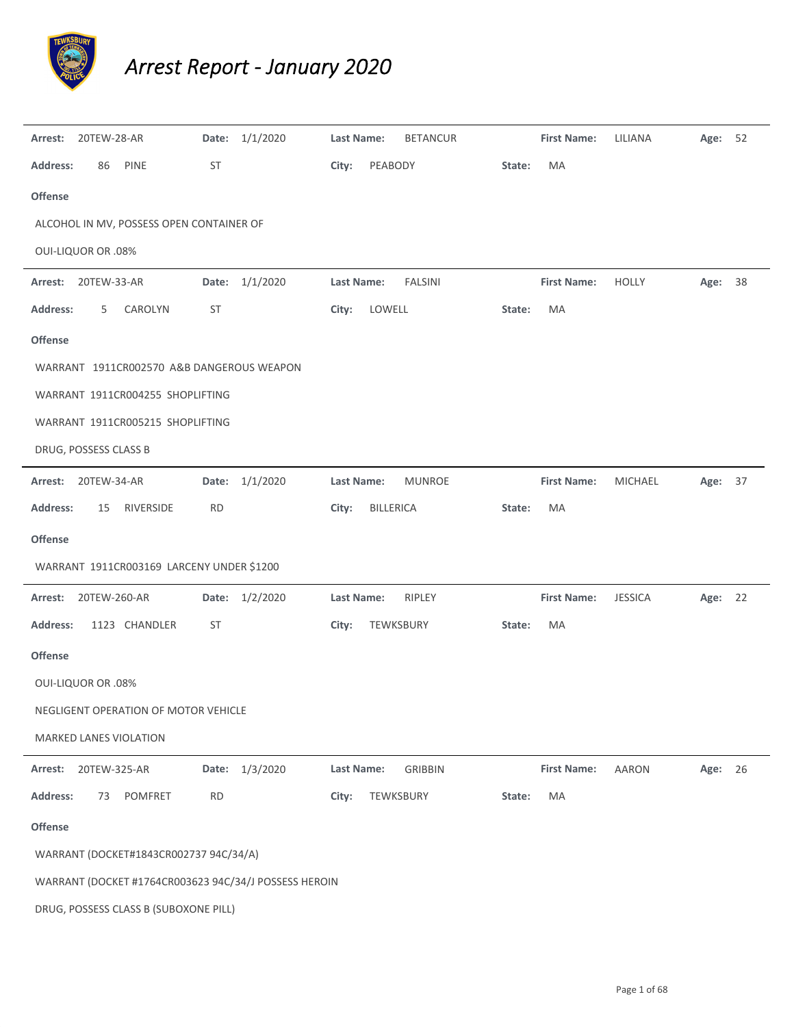

## *Arrest Report ‐ January 2020*

| Arrest:                   | 20TEW-28-AR |                                           |           | Date: 1/1/2020                                        | <b>Last Name:</b> |                  | <b>BETANCUR</b> |        | <b>First Name:</b> | LILIANA        | Age:    | 52 |
|---------------------------|-------------|-------------------------------------------|-----------|-------------------------------------------------------|-------------------|------------------|-----------------|--------|--------------------|----------------|---------|----|
| <b>Address:</b>           | 86          | PINE                                      | ST        |                                                       | City:             | PEABODY          |                 | State: | MA                 |                |         |    |
| Offense                   |             |                                           |           |                                                       |                   |                  |                 |        |                    |                |         |    |
|                           |             | ALCOHOL IN MV, POSSESS OPEN CONTAINER OF  |           |                                                       |                   |                  |                 |        |                    |                |         |    |
| <b>OUI-LIQUOR OR .08%</b> |             |                                           |           |                                                       |                   |                  |                 |        |                    |                |         |    |
| Arrest:                   | 20TEW-33-AR |                                           | Date:     | 1/1/2020                                              | <b>Last Name:</b> |                  | <b>FALSINI</b>  |        | <b>First Name:</b> | <b>HOLLY</b>   | Age:    | 38 |
| <b>Address:</b>           | 5           | CAROLYN                                   | <b>ST</b> |                                                       | City:             | LOWELL           |                 | State: | MA                 |                |         |    |
| Offense                   |             |                                           |           |                                                       |                   |                  |                 |        |                    |                |         |    |
|                           |             | WARRANT 1911CR002570 A&B DANGEROUS WEAPON |           |                                                       |                   |                  |                 |        |                    |                |         |    |
|                           |             | WARRANT 1911CR004255 SHOPLIFTING          |           |                                                       |                   |                  |                 |        |                    |                |         |    |
|                           |             | WARRANT 1911CR005215 SHOPLIFTING          |           |                                                       |                   |                  |                 |        |                    |                |         |    |
| DRUG, POSSESS CLASS B     |             |                                           |           |                                                       |                   |                  |                 |        |                    |                |         |    |
| Arrest:                   | 20TEW-34-AR |                                           |           | Date: 1/1/2020                                        | Last Name:        |                  | <b>MUNROE</b>   |        | <b>First Name:</b> | <b>MICHAEL</b> | Age:    | 37 |
| <b>Address:</b>           | 15          | RIVERSIDE                                 | <b>RD</b> |                                                       | City:             | <b>BILLERICA</b> |                 | State: | MA                 |                |         |    |
| <b>Offense</b>            |             |                                           |           |                                                       |                   |                  |                 |        |                    |                |         |    |
|                           |             | WARRANT 1911CR003169 LARCENY UNDER \$1200 |           |                                                       |                   |                  |                 |        |                    |                |         |    |
| Arrest:                   |             | 20TEW-260-AR                              |           | Date: 1/2/2020                                        | Last Name:        |                  | RIPLEY          |        | <b>First Name:</b> | <b>JESSICA</b> | Age:    | 22 |
| <b>Address:</b>           |             | 1123 CHANDLER                             | <b>ST</b> |                                                       | City:             | TEWKSBURY        |                 | State: | MA                 |                |         |    |
| Offense                   |             |                                           |           |                                                       |                   |                  |                 |        |                    |                |         |    |
| <b>OUI-LIQUOR OR .08%</b> |             |                                           |           |                                                       |                   |                  |                 |        |                    |                |         |    |
|                           |             | NEGLIGENT OPERATION OF MOTOR VEHICLE      |           |                                                       |                   |                  |                 |        |                    |                |         |    |
|                           |             | MARKED LANES VIOLATION                    |           |                                                       |                   |                  |                 |        |                    |                |         |    |
| Arrest:                   |             | 20TEW-325-AR                              |           | Date: 1/3/2020                                        | <b>Last Name:</b> |                  | <b>GRIBBIN</b>  |        | <b>First Name:</b> | <b>AARON</b>   | Age: 26 |    |
| <b>Address:</b>           | 73          | POMFRET                                   | <b>RD</b> |                                                       | City:             | TEWKSBURY        |                 | State: | MA                 |                |         |    |
| Offense                   |             |                                           |           |                                                       |                   |                  |                 |        |                    |                |         |    |
|                           |             | WARRANT (DOCKET#1843CR002737 94C/34/A)    |           |                                                       |                   |                  |                 |        |                    |                |         |    |
|                           |             |                                           |           | WARRANT (DOCKET #1764CR003623 94C/34/J POSSESS HEROIN |                   |                  |                 |        |                    |                |         |    |
|                           |             | DRUG, POSSESS CLASS B (SUBOXONE PILL)     |           |                                                       |                   |                  |                 |        |                    |                |         |    |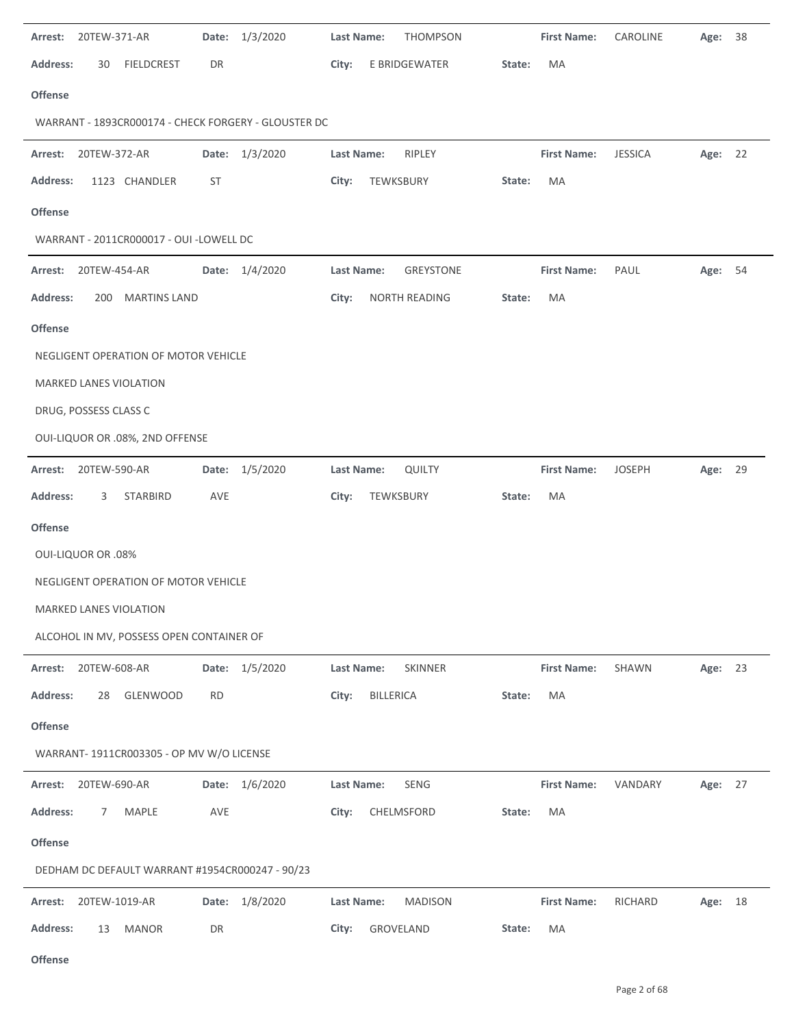| 20TEW-371-AR<br>Date: 1/3/2020<br>Arrest:            | <b>THOMPSON</b><br>Last Name:  | <b>First Name:</b> | CAROLINE<br>Age: | 38      |
|------------------------------------------------------|--------------------------------|--------------------|------------------|---------|
| <b>Address:</b><br><b>FIELDCREST</b><br>DR<br>30     | E BRIDGEWATER<br>City:         | MA<br>State:       |                  |         |
| <b>Offense</b>                                       |                                |                    |                  |         |
| WARRANT - 1893CR000174 - CHECK FORGERY - GLOUSTER DC |                                |                    |                  |         |
| 20TEW-372-AR<br>Date: 1/3/2020<br>Arrest:            | Last Name:<br>RIPLEY           | <b>First Name:</b> | <b>JESSICA</b>   | Age: 22 |
| <b>Address:</b><br>1123 CHANDLER<br>ST               | TEWKSBURY<br>City:             | MA<br>State:       |                  |         |
| <b>Offense</b>                                       |                                |                    |                  |         |
| WARRANT - 2011CR000017 - OUI -LOWELL DC              |                                |                    |                  |         |
| Date: 1/4/2020<br>20TEW-454-AR<br>Arrest:            | Last Name:<br><b>GREYSTONE</b> | <b>First Name:</b> | PAUL             | Age: 54 |
| <b>Address:</b><br>200 MARTINS LAND                  | NORTH READING<br>City:         | MA<br>State:       |                  |         |
| <b>Offense</b>                                       |                                |                    |                  |         |
| NEGLIGENT OPERATION OF MOTOR VEHICLE                 |                                |                    |                  |         |
| MARKED LANES VIOLATION                               |                                |                    |                  |         |
| DRUG, POSSESS CLASS C                                |                                |                    |                  |         |
| OUI-LIQUOR OR .08%, 2ND OFFENSE                      |                                |                    |                  |         |
| Arrest: 20TEW-590-AR<br>Date: 1/5/2020               | Last Name:<br><b>QUILTY</b>    | <b>First Name:</b> | <b>JOSEPH</b>    | Age: 29 |
| <b>Address:</b><br>STARBIRD<br>AVE<br>3              | City:<br>TEWKSBURY             | MA<br>State:       |                  |         |
| <b>Offense</b>                                       |                                |                    |                  |         |
| <b>OUI-LIQUOR OR .08%</b>                            |                                |                    |                  |         |
| NEGLIGENT OPERATION OF MOTOR VEHICLE                 |                                |                    |                  |         |
| MARKED LANES VIOLATION                               |                                |                    |                  |         |
| ALCOHOL IN MV, POSSESS OPEN CONTAINER OF             |                                |                    |                  |         |
| Date: 1/5/2020<br>Arrest: 20TEW-608-AR               | Last Name:<br>SKINNER          | <b>First Name:</b> | SHAWN            | Age: 23 |
| <b>Address:</b><br>GLENWOOD<br><b>RD</b><br>28       | <b>BILLERICA</b><br>City:      | MA<br>State:       |                  |         |
| <b>Offense</b>                                       |                                |                    |                  |         |
| WARRANT- 1911CR003305 - OP MV W/O LICENSE            |                                |                    |                  |         |
| Date: 1/6/2020<br>20TEW-690-AR<br>Arrest:            | Last Name:<br>SENG             | <b>First Name:</b> | VANDARY          | Age: 27 |
| <b>Address:</b><br>MAPLE<br>AVE<br>7                 | City:<br>CHELMSFORD            | MA<br>State:       |                  |         |
| <b>Offense</b>                                       |                                |                    |                  |         |
| DEDHAM DC DEFAULT WARRANT #1954CR000247 - 90/23      |                                |                    |                  |         |
| Date: 1/8/2020<br>Arrest: 20TEW-1019-AR              | Last Name:<br><b>MADISON</b>   | <b>First Name:</b> | RICHARD          | Age: 18 |
| <b>Address:</b><br>DR<br>13<br><b>MANOR</b>          | GROVELAND<br>City:             | MA<br>State:       |                  |         |
|                                                      |                                |                    |                  |         |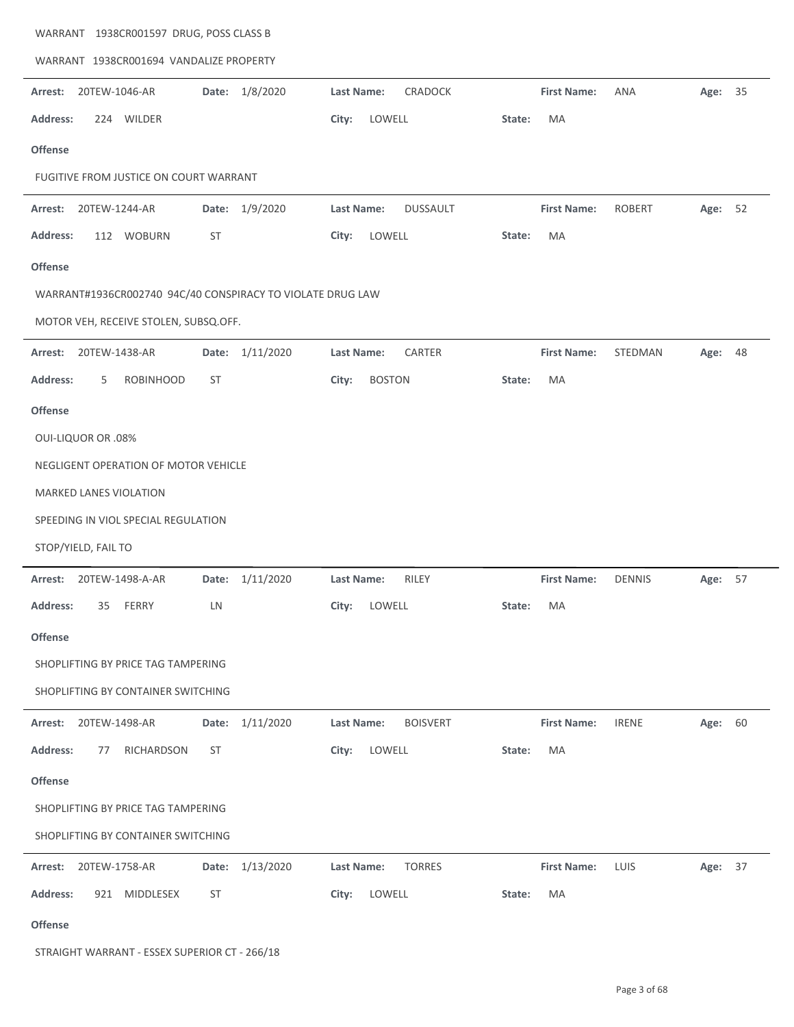| WARRANT 1938CR001694 VANDALIZE PROPERTY                    |                    |                                      |        |                    |               |         |    |  |  |  |  |
|------------------------------------------------------------|--------------------|--------------------------------------|--------|--------------------|---------------|---------|----|--|--|--|--|
| Arrest:<br>20TEW-1046-AR                                   | 1/8/2020<br>Date:  | <b>Last Name:</b><br>CRADOCK         |        | <b>First Name:</b> | <b>ANA</b>    | Age:    | 35 |  |  |  |  |
| <b>Address:</b><br>224 WILDER                              |                    | LOWELL<br>City:                      | State: | MA                 |               |         |    |  |  |  |  |
| <b>Offense</b>                                             |                    |                                      |        |                    |               |         |    |  |  |  |  |
| FUGITIVE FROM JUSTICE ON COURT WARRANT                     |                    |                                      |        |                    |               |         |    |  |  |  |  |
| 20TEW-1244-AR<br>Arrest:                                   | 1/9/2020<br>Date:  | <b>Last Name:</b><br><b>DUSSAULT</b> |        | <b>First Name:</b> | <b>ROBERT</b> | Age: 52 |    |  |  |  |  |
| <b>Address:</b><br>112 WOBURN                              | ST                 | LOWELL<br>City:                      | State: | MA                 |               |         |    |  |  |  |  |
| <b>Offense</b>                                             |                    |                                      |        |                    |               |         |    |  |  |  |  |
| WARRANT#1936CR002740 94C/40 CONSPIRACY TO VIOLATE DRUG LAW |                    |                                      |        |                    |               |         |    |  |  |  |  |
| MOTOR VEH, RECEIVE STOLEN, SUBSQ.OFF.                      |                    |                                      |        |                    |               |         |    |  |  |  |  |
| Arrest:<br>20TEW-1438-AR                                   | 1/11/2020<br>Date: | CARTER<br>Last Name:                 |        | <b>First Name:</b> | STEDMAN       | Age:    | 48 |  |  |  |  |
| <b>Address:</b><br><b>ROBINHOOD</b><br>5                   | <b>ST</b>          | <b>BOSTON</b><br>City:               | State: | MA                 |               |         |    |  |  |  |  |
| <b>Offense</b>                                             |                    |                                      |        |                    |               |         |    |  |  |  |  |
| <b>OUI-LIQUOR OR .08%</b>                                  |                    |                                      |        |                    |               |         |    |  |  |  |  |
| NEGLIGENT OPERATION OF MOTOR VEHICLE                       |                    |                                      |        |                    |               |         |    |  |  |  |  |
| MARKED LANES VIOLATION                                     |                    |                                      |        |                    |               |         |    |  |  |  |  |
| SPEEDING IN VIOL SPECIAL REGULATION                        |                    |                                      |        |                    |               |         |    |  |  |  |  |
| STOP/YIELD, FAIL TO                                        |                    |                                      |        |                    |               |         |    |  |  |  |  |
| 20TEW-1498-A-AR<br>Arrest:                                 | 1/11/2020<br>Date: | <b>Last Name:</b><br>RILEY           |        | <b>First Name:</b> | <b>DENNIS</b> | Age: 57 |    |  |  |  |  |
| 35<br><b>FERRY</b><br><b>Address:</b>                      | LN                 | LOWELL<br>City:                      | State: | MA                 |               |         |    |  |  |  |  |
| <b>Offense</b>                                             |                    |                                      |        |                    |               |         |    |  |  |  |  |
| SHOPLIFTING BY PRICE TAG TAMPERING                         |                    |                                      |        |                    |               |         |    |  |  |  |  |
| SHOPLIFTING BY CONTAINER SWITCHING                         |                    |                                      |        |                    |               |         |    |  |  |  |  |
| 20TEW-1498-AR<br>Arrest:                                   | 1/11/2020<br>Date: | <b>Last Name:</b><br><b>BOISVERT</b> |        | <b>First Name:</b> | <b>IRENE</b>  | Age: 60 |    |  |  |  |  |
| <b>Address:</b><br>RICHARDSON<br>77                        | <b>ST</b>          | LOWELL<br>City:                      | State: | MA                 |               |         |    |  |  |  |  |
| <b>Offense</b>                                             |                    |                                      |        |                    |               |         |    |  |  |  |  |
| SHOPLIFTING BY PRICE TAG TAMPERING                         |                    |                                      |        |                    |               |         |    |  |  |  |  |
| SHOPLIFTING BY CONTAINER SWITCHING                         |                    |                                      |        |                    |               |         |    |  |  |  |  |
| 20TEW-1758-AR<br>Arrest:                                   | Date: 1/13/2020    | Last Name:<br><b>TORRES</b>          |        | <b>First Name:</b> | LUIS          | Age: 37 |    |  |  |  |  |
| MIDDLESEX<br><b>Address:</b><br>921                        | <b>ST</b>          | LOWELL<br>City:                      | State: | MA                 |               |         |    |  |  |  |  |
| <b>Offense</b>                                             |                    |                                      |        |                    |               |         |    |  |  |  |  |
| STRAIGHT WARRANT - ESSEX SUPERIOR CT - 266/18              |                    |                                      |        |                    |               |         |    |  |  |  |  |

WARRANT 1938CR001597 DRUG, POSS CLASS B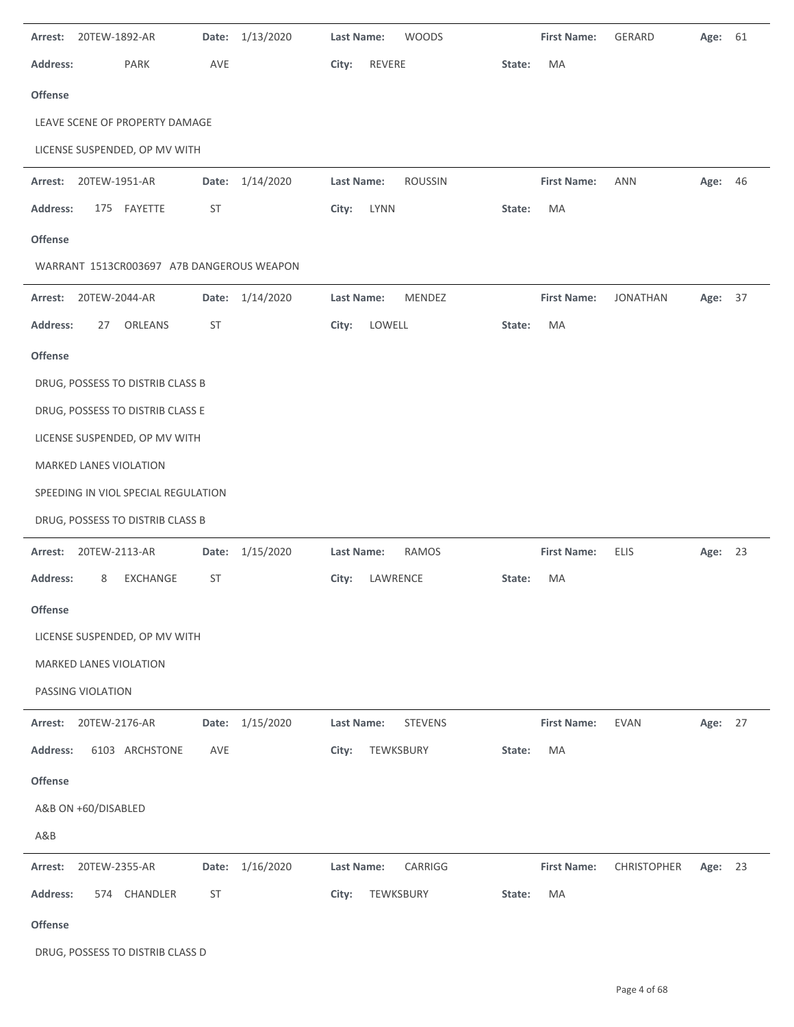| Arrest:         | 20TEW-1892-AR                             |           | Date: 1/13/2020 | <b>Last Name:</b><br><b>WOODS</b> |        | <b>First Name:</b> | GERARD          | Age: 61 |  |
|-----------------|-------------------------------------------|-----------|-----------------|-----------------------------------|--------|--------------------|-----------------|---------|--|
| <b>Address:</b> | PARK                                      | AVE       |                 | City:<br>REVERE                   | State: | MA                 |                 |         |  |
| <b>Offense</b>  |                                           |           |                 |                                   |        |                    |                 |         |  |
|                 | LEAVE SCENE OF PROPERTY DAMAGE            |           |                 |                                   |        |                    |                 |         |  |
|                 | LICENSE SUSPENDED, OP MV WITH             |           |                 |                                   |        |                    |                 |         |  |
| Arrest:         | 20TEW-1951-AR                             | Date:     | 1/14/2020       | Last Name:<br><b>ROUSSIN</b>      |        | <b>First Name:</b> | <b>ANN</b>      | Age: 46 |  |
| <b>Address:</b> | 175 FAYETTE                               | ST        |                 | City:<br><b>LYNN</b>              | State: | MA                 |                 |         |  |
| Offense         |                                           |           |                 |                                   |        |                    |                 |         |  |
|                 | WARRANT 1513CR003697 A7B DANGEROUS WEAPON |           |                 |                                   |        |                    |                 |         |  |
| Arrest:         | 20TEW-2044-AR                             |           | Date: 1/14/2020 | Last Name:<br>MENDEZ              |        | <b>First Name:</b> | <b>JONATHAN</b> | Age: 37 |  |
| <b>Address:</b> | 27<br>ORLEANS                             | ST        |                 | LOWELL<br>City:                   | State: | MA                 |                 |         |  |
| Offense         |                                           |           |                 |                                   |        |                    |                 |         |  |
|                 | DRUG, POSSESS TO DISTRIB CLASS B          |           |                 |                                   |        |                    |                 |         |  |
|                 | DRUG, POSSESS TO DISTRIB CLASS E          |           |                 |                                   |        |                    |                 |         |  |
|                 | LICENSE SUSPENDED, OP MV WITH             |           |                 |                                   |        |                    |                 |         |  |
|                 | MARKED LANES VIOLATION                    |           |                 |                                   |        |                    |                 |         |  |
|                 | SPEEDING IN VIOL SPECIAL REGULATION       |           |                 |                                   |        |                    |                 |         |  |
|                 | DRUG, POSSESS TO DISTRIB CLASS B          |           |                 |                                   |        |                    |                 |         |  |
| Arrest:         | 20TEW-2113-AR                             | Date:     | 1/15/2020       | <b>RAMOS</b><br>Last Name:        |        | <b>First Name:</b> | <b>ELIS</b>     | Age: 23 |  |
| <b>Address:</b> | EXCHANGE<br>8                             | ST        |                 | LAWRENCE<br>City:                 | State: | MA                 |                 |         |  |
| Offense         |                                           |           |                 |                                   |        |                    |                 |         |  |
|                 | LICENSE SUSPENDED, OP MV WITH             |           |                 |                                   |        |                    |                 |         |  |
|                 | MARKED LANES VIOLATION                    |           |                 |                                   |        |                    |                 |         |  |
|                 | PASSING VIOLATION                         |           |                 |                                   |        |                    |                 |         |  |
| Arrest:         | 20TEW-2176-AR                             |           | Date: 1/15/2020 | Last Name:<br><b>STEVENS</b>      |        | <b>First Name:</b> | <b>EVAN</b>     | Age: 27 |  |
| <b>Address:</b> | 6103 ARCHSTONE                            | AVE       |                 | City:<br>TEWKSBURY                | State: | MA                 |                 |         |  |
| Offense         |                                           |           |                 |                                   |        |                    |                 |         |  |
|                 | A&B ON +60/DISABLED                       |           |                 |                                   |        |                    |                 |         |  |
| A&B             |                                           |           |                 |                                   |        |                    |                 |         |  |
| Arrest:         | 20TEW-2355-AR                             |           | Date: 1/16/2020 | Last Name:<br>CARRIGG             |        | <b>First Name:</b> | CHRISTOPHER     | Age: 23 |  |
| <b>Address:</b> | 574 CHANDLER                              | <b>ST</b> |                 | TEWKSBURY<br>City:                | State: | MA                 |                 |         |  |
| Offense         |                                           |           |                 |                                   |        |                    |                 |         |  |

DRUG, POSSESS TO DISTRIB CLASS D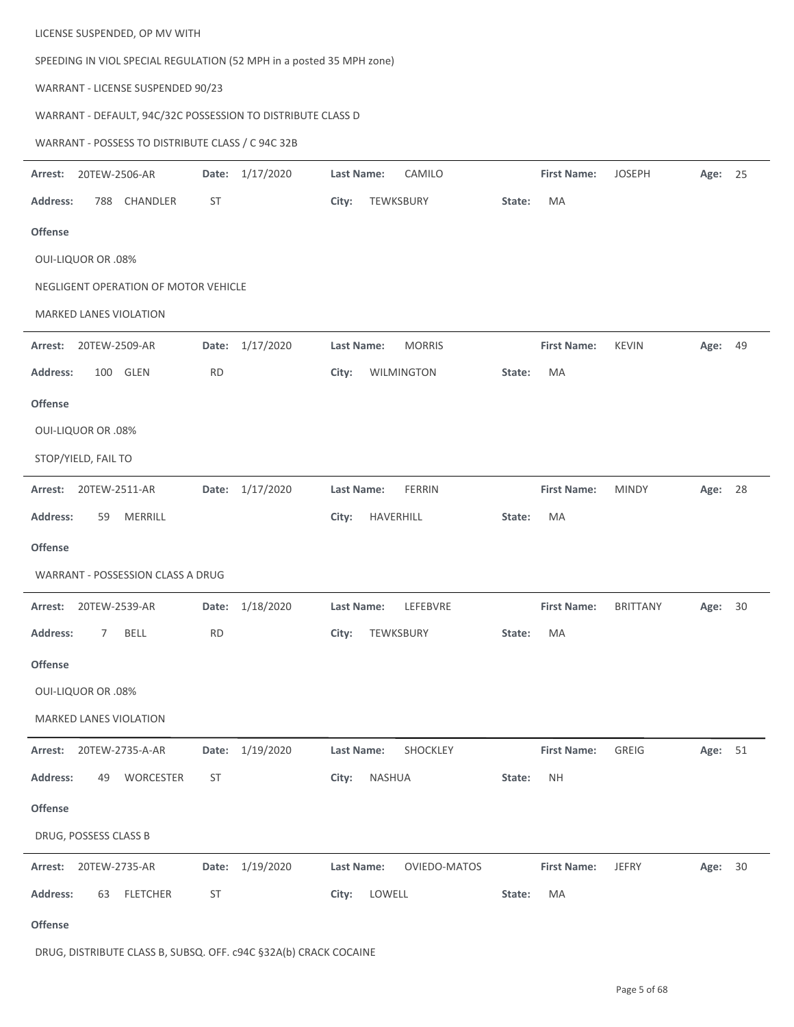| LICENSE SUSPENDED, OP MV WITH                                        |                 |                                    |                      |                          |  |  |  |  |  |  |  |
|----------------------------------------------------------------------|-----------------|------------------------------------|----------------------|--------------------------|--|--|--|--|--|--|--|
| SPEEDING IN VIOL SPECIAL REGULATION (52 MPH in a posted 35 MPH zone) |                 |                                    |                      |                          |  |  |  |  |  |  |  |
| WARRANT - LICENSE SUSPENDED 90/23                                    |                 |                                    |                      |                          |  |  |  |  |  |  |  |
| WARRANT - DEFAULT, 94C/32C POSSESSION TO DISTRIBUTE CLASS D          |                 |                                    |                      |                          |  |  |  |  |  |  |  |
| WARRANT - POSSESS TO DISTRIBUTE CLASS / C 94C 32B                    |                 |                                    |                      |                          |  |  |  |  |  |  |  |
| 20TEW-2506-AR<br>Arrest:                                             | Date: 1/17/2020 | CAMILO<br><b>Last Name:</b>        | <b>First Name:</b>   | <b>JOSEPH</b><br>Age: 25 |  |  |  |  |  |  |  |
| CHANDLER<br><b>Address:</b><br>788                                   | ST              | TEWKSBURY<br>City:                 | MA<br>State:         |                          |  |  |  |  |  |  |  |
| <b>Offense</b>                                                       |                 |                                    |                      |                          |  |  |  |  |  |  |  |
| <b>OUI-LIQUOR OR .08%</b>                                            |                 |                                    |                      |                          |  |  |  |  |  |  |  |
| NEGLIGENT OPERATION OF MOTOR VEHICLE                                 |                 |                                    |                      |                          |  |  |  |  |  |  |  |
| <b>MARKED LANES VIOLATION</b>                                        |                 |                                    |                      |                          |  |  |  |  |  |  |  |
| Arrest:<br>20TEW-2509-AR                                             | Date: 1/17/2020 | <b>Last Name:</b><br><b>MORRIS</b> | <b>First Name:</b>   | <b>KEVIN</b><br>Age: 49  |  |  |  |  |  |  |  |
| 100 GLEN<br><b>Address:</b>                                          | <b>RD</b>       | <b>WILMINGTON</b><br>City:         | MA<br>State:         |                          |  |  |  |  |  |  |  |
| <b>Offense</b>                                                       |                 |                                    |                      |                          |  |  |  |  |  |  |  |
| <b>OUI-LIQUOR OR .08%</b>                                            |                 |                                    |                      |                          |  |  |  |  |  |  |  |
| STOP/YIELD, FAIL TO                                                  |                 |                                    |                      |                          |  |  |  |  |  |  |  |
| 20TEW-2511-AR<br>Arrest:                                             | Date: 1/17/2020 | Last Name:<br><b>FERRIN</b>        | <b>First Name:</b>   | <b>MINDY</b><br>Age: 28  |  |  |  |  |  |  |  |
| <b>Address:</b><br>MERRILL<br>59                                     |                 | City:<br>HAVERHILL                 | MA<br>State:         |                          |  |  |  |  |  |  |  |
| <b>Offense</b>                                                       |                 |                                    |                      |                          |  |  |  |  |  |  |  |
| WARRANT - POSSESSION CLASS A DRUG                                    |                 |                                    |                      |                          |  |  |  |  |  |  |  |
| Arrest: 20TEW-2539-AR                                                | Date: 1/18/2020 | LEFEBVRE<br>Last Name:             | First Name: BRITTANY | Age: 30                  |  |  |  |  |  |  |  |
| <b>Address:</b><br>BELL<br>7                                         | <b>RD</b>       | City:<br>TEWKSBURY                 | State:<br>MA         |                          |  |  |  |  |  |  |  |
| Offense                                                              |                 |                                    |                      |                          |  |  |  |  |  |  |  |
| <b>OUI-LIQUOR OR .08%</b>                                            |                 |                                    |                      |                          |  |  |  |  |  |  |  |
| MARKED LANES VIOLATION                                               |                 |                                    |                      |                          |  |  |  |  |  |  |  |
| Arrest: 20TEW-2735-A-AR                                              | Date: 1/19/2020 | SHOCKLEY<br>Last Name:             | <b>First Name:</b>   | GREIG<br>Age: 51         |  |  |  |  |  |  |  |
| <b>Address:</b><br>49 WORCESTER                                      | ST              | NASHUA<br>City:                    | <b>NH</b><br>State:  |                          |  |  |  |  |  |  |  |
| Offense                                                              |                 |                                    |                      |                          |  |  |  |  |  |  |  |
| DRUG, POSSESS CLASS B                                                |                 |                                    |                      |                          |  |  |  |  |  |  |  |
|                                                                      |                 |                                    |                      |                          |  |  |  |  |  |  |  |
| Arrest: 20TEW-2735-AR                                                | Date: 1/19/2020 | Last Name:<br>OVIEDO-MATOS         | <b>First Name:</b>   | <b>JEFRY</b><br>Age: 30  |  |  |  |  |  |  |  |
| <b>Address:</b><br><b>FLETCHER</b><br>63                             | ST              | LOWELL<br>City:                    | MA<br>State:         |                          |  |  |  |  |  |  |  |
| Offense                                                              |                 |                                    |                      |                          |  |  |  |  |  |  |  |

DRUG, DISTRIBUTE CLASS B, SUBSQ. OFF. c94C §32A(b) CRACK COCAINE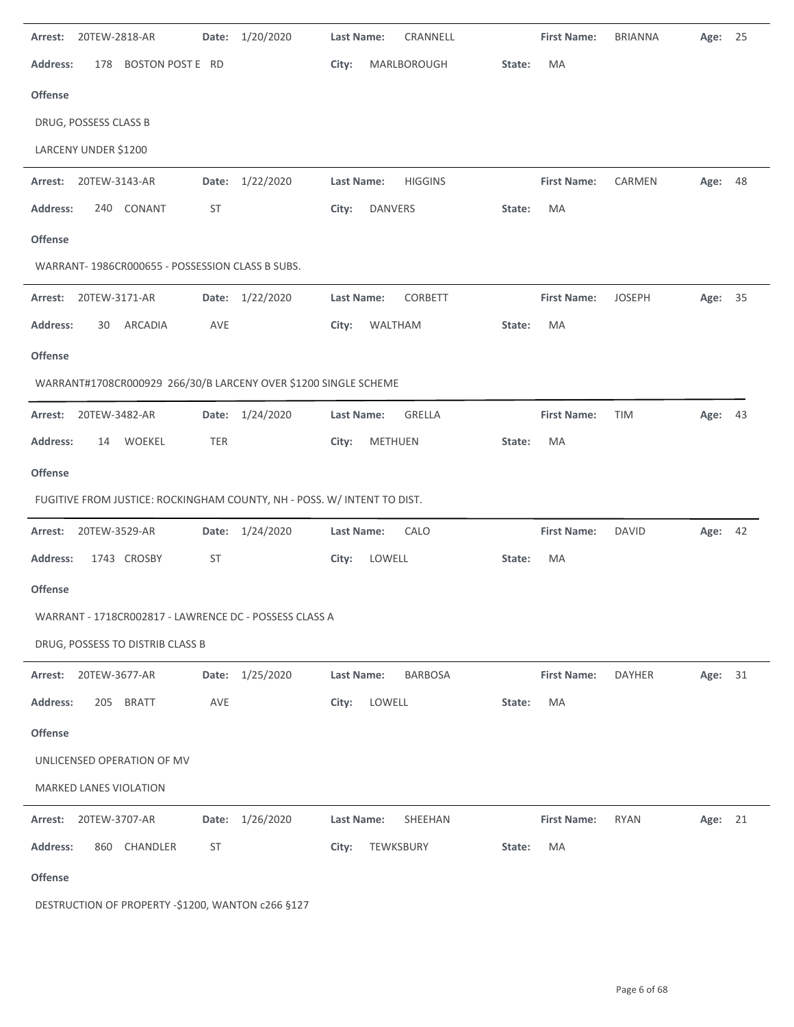| Arrest:         | 20TEW-2818-AR         |                                                 | Date:      | 1/20/2020                                                               | <b>Last Name:</b> |                | CRANNELL       |        | <b>First Name:</b> | <b>BRIANNA</b> | Age:    | 25 |
|-----------------|-----------------------|-------------------------------------------------|------------|-------------------------------------------------------------------------|-------------------|----------------|----------------|--------|--------------------|----------------|---------|----|
| <b>Address:</b> | 178                   | BOSTON POST E RD                                |            |                                                                         | City:             |                | MARLBOROUGH    | State: | MA                 |                |         |    |
| <b>Offense</b>  |                       |                                                 |            |                                                                         |                   |                |                |        |                    |                |         |    |
|                 | DRUG, POSSESS CLASS B |                                                 |            |                                                                         |                   |                |                |        |                    |                |         |    |
|                 | LARCENY UNDER \$1200  |                                                 |            |                                                                         |                   |                |                |        |                    |                |         |    |
| Arrest:         | 20TEW-3143-AR         |                                                 | Date:      | 1/22/2020                                                               | <b>Last Name:</b> |                | <b>HIGGINS</b> |        | <b>First Name:</b> | CARMEN         | Age:    | 48 |
| <b>Address:</b> | 240                   | CONANT                                          | <b>ST</b>  |                                                                         | City:             | <b>DANVERS</b> |                | State: | MA                 |                |         |    |
| Offense         |                       |                                                 |            |                                                                         |                   |                |                |        |                    |                |         |    |
|                 |                       | WARRANT-1986CR000655 - POSSESSION CLASS B SUBS. |            |                                                                         |                   |                |                |        |                    |                |         |    |
| Arrest:         | 20TEW-3171-AR         |                                                 |            | Date: 1/22/2020                                                         | <b>Last Name:</b> |                | CORBETT        |        | <b>First Name:</b> | <b>JOSEPH</b>  | Age: 35 |    |
| <b>Address:</b> | 30                    | ARCADIA                                         | AVE        |                                                                         | City:             | WALTHAM        |                | State: | MA                 |                |         |    |
| <b>Offense</b>  |                       |                                                 |            |                                                                         |                   |                |                |        |                    |                |         |    |
|                 |                       |                                                 |            | WARRANT#1708CR000929 266/30/B LARCENY OVER \$1200 SINGLE SCHEME         |                   |                |                |        |                    |                |         |    |
| Arrest:         | 20TEW-3482-AR         |                                                 |            | Date: 1/24/2020                                                         | Last Name:        |                | GRELLA         |        | <b>First Name:</b> | <b>TIM</b>     | Age: 43 |    |
| <b>Address:</b> | 14                    | <b>WOEKEL</b>                                   | <b>TER</b> |                                                                         | City:             | METHUEN        |                | State: | MA                 |                |         |    |
| Offense         |                       |                                                 |            |                                                                         |                   |                |                |        |                    |                |         |    |
|                 |                       |                                                 |            | FUGITIVE FROM JUSTICE: ROCKINGHAM COUNTY, NH - POSS. W/ INTENT TO DIST. |                   |                |                |        |                    |                |         |    |
| Arrest:         | 20TEW-3529-AR         |                                                 |            | Date: 1/24/2020                                                         | <b>Last Name:</b> |                | CALO           |        | <b>First Name:</b> | <b>DAVID</b>   | Age: 42 |    |
| <b>Address:</b> |                       | 1743 CROSBY                                     | <b>ST</b>  |                                                                         | City:             | LOWELL         |                | State: | МA                 |                |         |    |
| <b>Offense</b>  |                       |                                                 |            |                                                                         |                   |                |                |        |                    |                |         |    |
|                 |                       |                                                 |            | WARRANT - 1718CR002817 - LAWRENCE DC - POSSESS CLASS A                  |                   |                |                |        |                    |                |         |    |
|                 |                       | DRUG, POSSESS TO DISTRIB CLASS B                |            |                                                                         |                   |                |                |        |                    |                |         |    |
| Arrest:         | 20TEW-3677-AR         |                                                 |            | Date: 1/25/2020                                                         | Last Name:        |                | <b>BARBOSA</b> |        | <b>First Name:</b> | <b>DAYHER</b>  | Age:    | 31 |
| <b>Address:</b> | 205                   | <b>BRATT</b>                                    | AVE        |                                                                         | City:             | LOWELL         |                | State: | MA                 |                |         |    |
| <b>Offense</b>  |                       |                                                 |            |                                                                         |                   |                |                |        |                    |                |         |    |
|                 |                       | UNLICENSED OPERATION OF MV                      |            |                                                                         |                   |                |                |        |                    |                |         |    |
|                 |                       | MARKED LANES VIOLATION                          |            |                                                                         |                   |                |                |        |                    |                |         |    |
| Arrest:         | 20TEW-3707-AR         |                                                 |            | Date: 1/26/2020                                                         | <b>Last Name:</b> |                | SHEEHAN        |        | <b>First Name:</b> | <b>RYAN</b>    | Age: 21 |    |
| <b>Address:</b> |                       | 860 CHANDLER                                    | <b>ST</b>  |                                                                         | City:             | TEWKSBURY      |                | State: | MA                 |                |         |    |
| Offense         |                       |                                                 |            |                                                                         |                   |                |                |        |                    |                |         |    |

DESTRUCTION OF PROPERTY ‐\$1200, WANTON c266 §127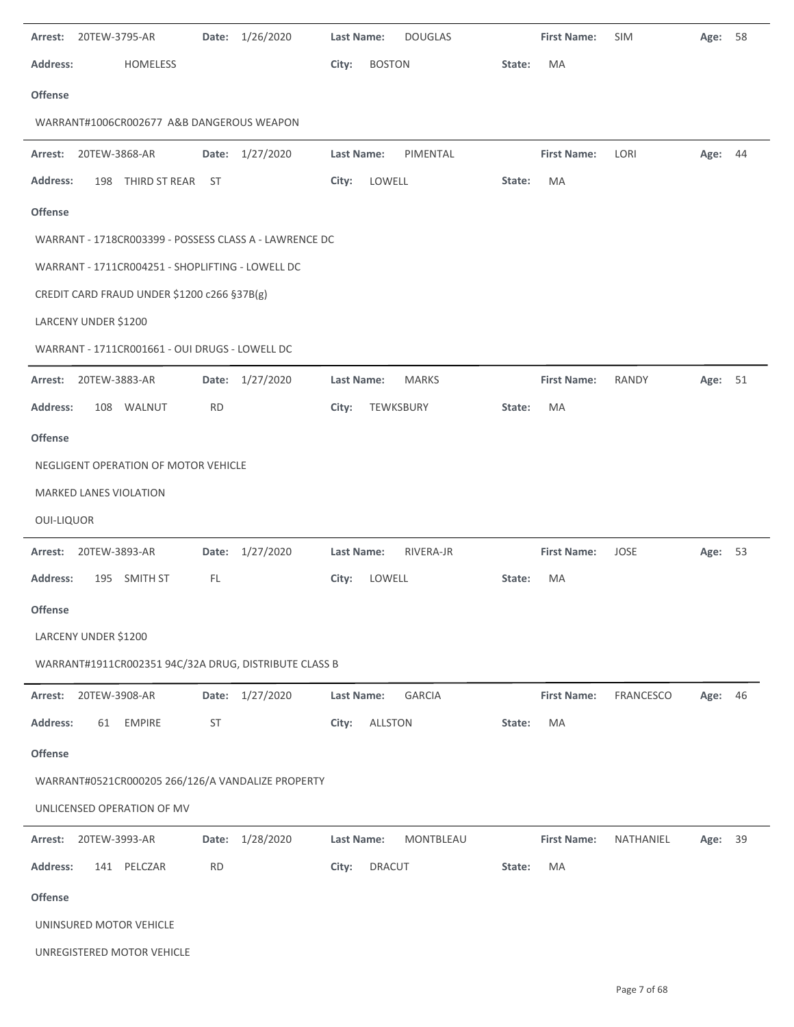| Arrest:           | 20TEW-3795-AR                                          | Date:     | 1/26/2020       | <b>Last Name:</b> |               | <b>DOUGLAS</b> |        | <b>First Name:</b> | <b>SIM</b> | Age:    | 58 |
|-------------------|--------------------------------------------------------|-----------|-----------------|-------------------|---------------|----------------|--------|--------------------|------------|---------|----|
| <b>Address:</b>   | <b>HOMELESS</b>                                        |           |                 | City:             | <b>BOSTON</b> |                | State: | MA                 |            |         |    |
| <b>Offense</b>    |                                                        |           |                 |                   |               |                |        |                    |            |         |    |
|                   | WARRANT#1006CR002677 A&B DANGEROUS WEAPON              |           |                 |                   |               |                |        |                    |            |         |    |
| Arrest:           | 20TEW-3868-AR                                          |           | Date: 1/27/2020 | Last Name:        |               | PIMENTAL       |        | <b>First Name:</b> | LORI       | Age:    | 44 |
| <b>Address:</b>   | 198 THIRD ST REAR ST                                   |           |                 | City:             | LOWELL        |                | State: | MA                 |            |         |    |
| <b>Offense</b>    |                                                        |           |                 |                   |               |                |        |                    |            |         |    |
|                   | WARRANT - 1718CR003399 - POSSESS CLASS A - LAWRENCE DC |           |                 |                   |               |                |        |                    |            |         |    |
|                   | WARRANT - 1711CR004251 - SHOPLIFTING - LOWELL DC       |           |                 |                   |               |                |        |                    |            |         |    |
|                   | CREDIT CARD FRAUD UNDER \$1200 c266 §37B(g)            |           |                 |                   |               |                |        |                    |            |         |    |
|                   | LARCENY UNDER \$1200                                   |           |                 |                   |               |                |        |                    |            |         |    |
|                   | WARRANT - 1711CR001661 - OUI DRUGS - LOWELL DC         |           |                 |                   |               |                |        |                    |            |         |    |
| Arrest:           | 20TEW-3883-AR                                          |           | Date: 1/27/2020 | Last Name:        |               | <b>MARKS</b>   |        | <b>First Name:</b> | RANDY      | Age:    | 51 |
| <b>Address:</b>   | 108 WALNUT                                             | <b>RD</b> |                 | City:             | TEWKSBURY     |                | State: | МA                 |            |         |    |
| <b>Offense</b>    |                                                        |           |                 |                   |               |                |        |                    |            |         |    |
|                   | NEGLIGENT OPERATION OF MOTOR VEHICLE                   |           |                 |                   |               |                |        |                    |            |         |    |
|                   | MARKED LANES VIOLATION                                 |           |                 |                   |               |                |        |                    |            |         |    |
| <b>OUI-LIQUOR</b> |                                                        |           |                 |                   |               |                |        |                    |            |         |    |
| Arrest:           | 20TEW-3893-AR                                          |           | Date: 1/27/2020 | Last Name:        |               | RIVERA-JR      |        | <b>First Name:</b> | JOSE       | Age:    | 53 |
| <b>Address:</b>   | 195 SMITH ST                                           | FL.       |                 | City:             | LOWELL        |                | State: | MA                 |            |         |    |
| Offense           |                                                        |           |                 |                   |               |                |        |                    |            |         |    |
|                   | LARCENY UNDER \$1200                                   |           |                 |                   |               |                |        |                    |            |         |    |
|                   | WARRANT#1911CR002351 94C/32A DRUG, DISTRIBUTE CLASS B  |           |                 |                   |               |                |        |                    |            |         |    |
| Arrest:           | 20TEW-3908-AR                                          |           | Date: 1/27/2020 | Last Name:        |               | <b>GARCIA</b>  |        | <b>First Name:</b> | FRANCESCO  | Age: 46 |    |
| <b>Address:</b>   | <b>EMPIRE</b><br>61                                    | ST        |                 | City:             | ALLSTON       |                | State: | MA                 |            |         |    |
| Offense           |                                                        |           |                 |                   |               |                |        |                    |            |         |    |
|                   | WARRANT#0521CR000205 266/126/A VANDALIZE PROPERTY      |           |                 |                   |               |                |        |                    |            |         |    |
|                   | UNLICENSED OPERATION OF MV                             |           |                 |                   |               |                |        |                    |            |         |    |
| Arrest:           | 20TEW-3993-AR                                          |           | Date: 1/28/2020 | Last Name:        |               | MONTBLEAU      |        | <b>First Name:</b> | NATHANIEL  | Age:    | 39 |
| <b>Address:</b>   | 141 PELCZAR                                            | <b>RD</b> |                 | City:             | <b>DRACUT</b> |                | State: | MA                 |            |         |    |
| Offense           |                                                        |           |                 |                   |               |                |        |                    |            |         |    |
|                   | UNINSURED MOTOR VEHICLE                                |           |                 |                   |               |                |        |                    |            |         |    |
|                   | UNREGISTERED MOTOR VEHICLE                             |           |                 |                   |               |                |        |                    |            |         |    |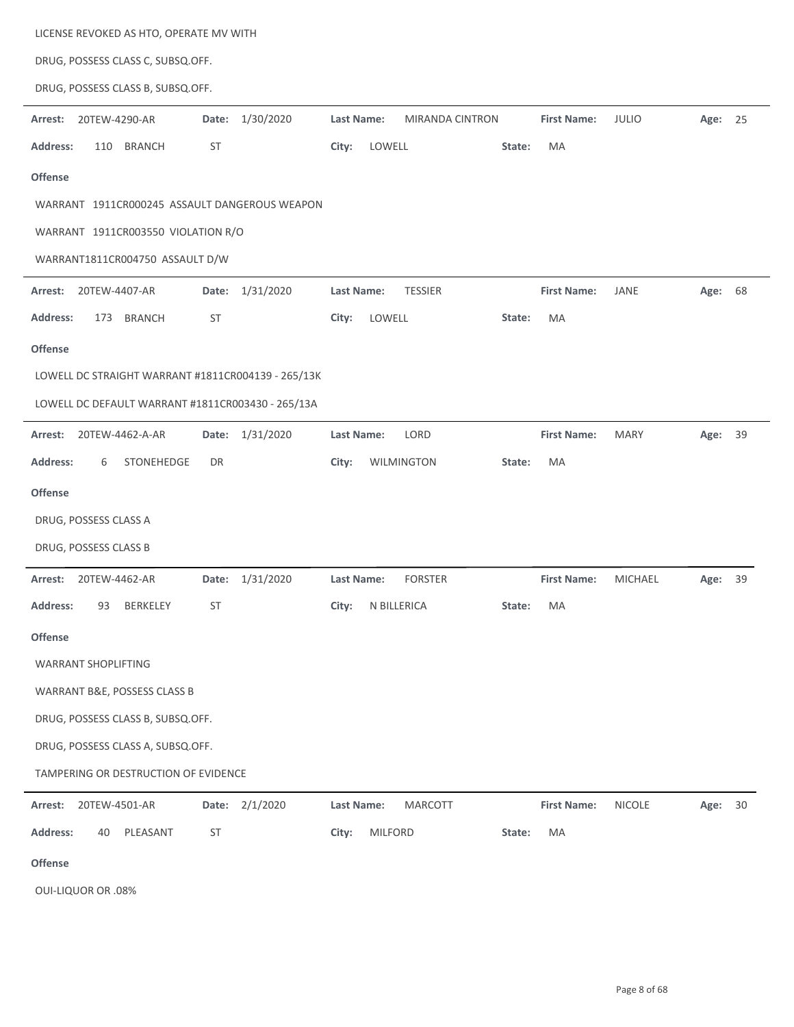| LICENSE REVOKED AS HTO, OPERATE MV WITH            |                    |                                             |        |                    |                |         |    |
|----------------------------------------------------|--------------------|---------------------------------------------|--------|--------------------|----------------|---------|----|
| DRUG, POSSESS CLASS C, SUBSQ.OFF.                  |                    |                                             |        |                    |                |         |    |
| DRUG, POSSESS CLASS B, SUBSQ.OFF.                  |                    |                                             |        |                    |                |         |    |
| 20TEW-4290-AR<br>Arrest:                           | Date: 1/30/2020    | <b>Last Name:</b><br><b>MIRANDA CINTRON</b> |        | <b>First Name:</b> | <b>JULIO</b>   | Age: 25 |    |
| <b>Address:</b><br><b>BRANCH</b><br>110            | ST                 | City:<br>LOWELL                             | State: | MA                 |                |         |    |
| <b>Offense</b>                                     |                    |                                             |        |                    |                |         |    |
| WARRANT 1911CR000245 ASSAULT DANGEROUS WEAPON      |                    |                                             |        |                    |                |         |    |
| WARRANT 1911CR003550 VIOLATION R/O                 |                    |                                             |        |                    |                |         |    |
| WARRANT1811CR004750 ASSAULT D/W                    |                    |                                             |        |                    |                |         |    |
| 20TEW-4407-AR<br>Arrest:                           | Date: 1/31/2020    | <b>TESSIER</b><br>Last Name:                |        | <b>First Name:</b> | JANE           | Age: 68 |    |
| <b>Address:</b><br>173 BRANCH                      | ST                 | LOWELL<br>City:                             | State: | MA                 |                |         |    |
| <b>Offense</b>                                     |                    |                                             |        |                    |                |         |    |
| LOWELL DC STRAIGHT WARRANT #1811CR004139 - 265/13K |                    |                                             |        |                    |                |         |    |
| LOWELL DC DEFAULT WARRANT #1811CR003430 - 265/13A  |                    |                                             |        |                    |                |         |    |
| 20TEW-4462-A-AR<br>Arrest:                         | Date: 1/31/2020    | LORD<br>Last Name:                          |        | <b>First Name:</b> | <b>MARY</b>    | Age: 39 |    |
| <b>Address:</b><br>STONEHEDGE<br>6                 | DR                 | City:<br>WILMINGTON                         | State: | MA                 |                |         |    |
| <b>Offense</b>                                     |                    |                                             |        |                    |                |         |    |
| DRUG, POSSESS CLASS A                              |                    |                                             |        |                    |                |         |    |
| DRUG, POSSESS CLASS B                              |                    |                                             |        |                    |                |         |    |
| Arrest:<br>20TEW-4462-AR                           | 1/31/2020<br>Date: | <b>FORSTER</b><br>Last Name:                |        | <b>First Name:</b> | <b>MICHAEL</b> | Age:    | 39 |
| <b>Address:</b><br>93<br><b>BERKELEY</b>           | ST                 | N BILLERICA<br>City:                        | State: | MA                 |                |         |    |
| <b>Offense</b>                                     |                    |                                             |        |                    |                |         |    |
| <b>WARRANT SHOPLIFTING</b>                         |                    |                                             |        |                    |                |         |    |
| WARRANT B&E, POSSESS CLASS B                       |                    |                                             |        |                    |                |         |    |
| DRUG, POSSESS CLASS B, SUBSQ.OFF.                  |                    |                                             |        |                    |                |         |    |
| DRUG, POSSESS CLASS A, SUBSQ.OFF.                  |                    |                                             |        |                    |                |         |    |
| TAMPERING OR DESTRUCTION OF EVIDENCE               |                    |                                             |        |                    |                |         |    |
| Arrest:<br>20TEW-4501-AR                           | Date: 2/1/2020     | <b>MARCOTT</b><br>Last Name:                |        | <b>First Name:</b> | <b>NICOLE</b>  | Age:    | 30 |
| Address:<br>PLEASANT<br>40                         | ST                 | City:<br><b>MILFORD</b>                     | State: | MA                 |                |         |    |
|                                                    |                    |                                             |        |                    |                |         |    |

**Offense**

OUI‐LIQUOR OR .08%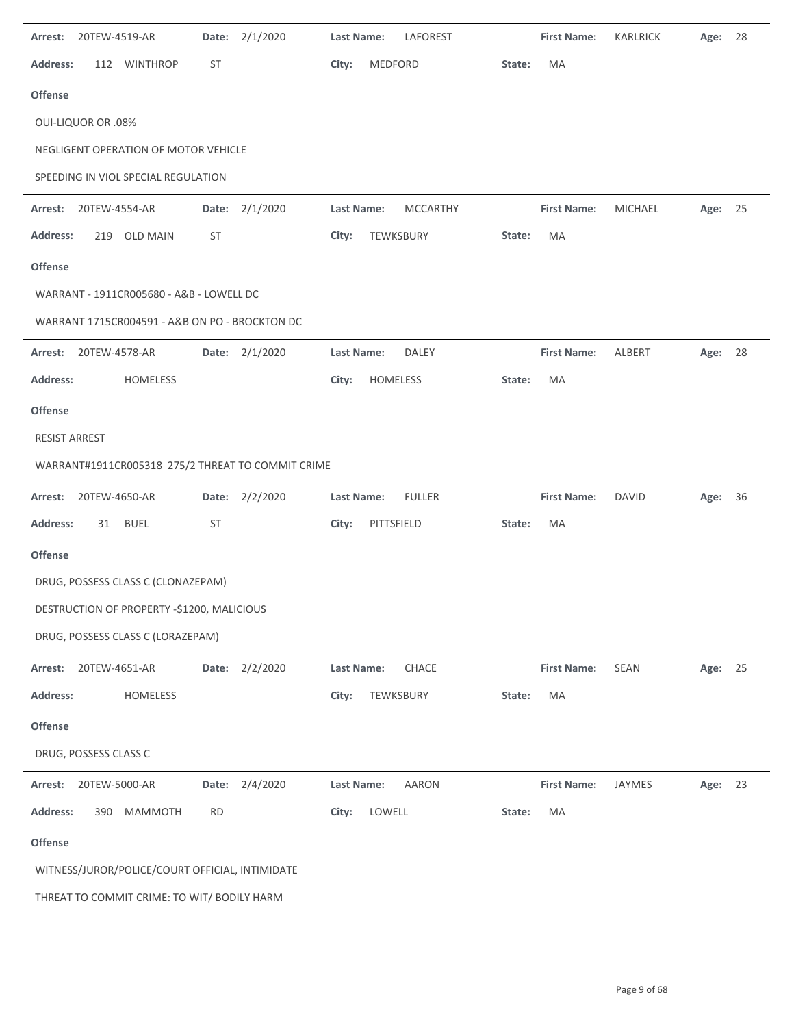| Date: 2/1/2020<br>20TEW-4519-AR<br>Arrest:        | LAFOREST<br>Last Name:               | <b>First Name:</b><br>KARLRICK<br>28<br>Age:    |  |  |  |  |  |  |  |  |
|---------------------------------------------------|--------------------------------------|-------------------------------------------------|--|--|--|--|--|--|--|--|
| Address:<br>112 WINTHROP<br>ST                    | MEDFORD<br>City:<br>State:           | MA                                              |  |  |  |  |  |  |  |  |
| Offense                                           |                                      |                                                 |  |  |  |  |  |  |  |  |
| <b>OUI-LIQUOR OR .08%</b>                         |                                      |                                                 |  |  |  |  |  |  |  |  |
| NEGLIGENT OPERATION OF MOTOR VEHICLE              |                                      |                                                 |  |  |  |  |  |  |  |  |
| SPEEDING IN VIOL SPECIAL REGULATION               |                                      |                                                 |  |  |  |  |  |  |  |  |
| Date: 2/1/2020<br>Arrest:<br>20TEW-4554-AR        | <b>Last Name:</b><br><b>MCCARTHY</b> | <b>First Name:</b><br><b>MICHAEL</b><br>Age: 25 |  |  |  |  |  |  |  |  |
| <b>Address:</b><br>219 OLD MAIN<br>ST             | City:<br>TEWKSBURY<br>State:         | MA                                              |  |  |  |  |  |  |  |  |
| <b>Offense</b>                                    |                                      |                                                 |  |  |  |  |  |  |  |  |
| WARRANT - 1911CR005680 - A&B - LOWELL DC          |                                      |                                                 |  |  |  |  |  |  |  |  |
| WARRANT 1715CR004591 - A&B ON PO - BROCKTON DC    |                                      |                                                 |  |  |  |  |  |  |  |  |
| 20TEW-4578-AR<br>Date: 2/1/2020<br>Arrest:        | Last Name:<br><b>DALEY</b>           | <b>First Name:</b><br>ALBERT<br>Age: 28         |  |  |  |  |  |  |  |  |
| <b>Address:</b><br>HOMELESS                       | City:<br>HOMELESS<br>State:          | MA                                              |  |  |  |  |  |  |  |  |
| <b>Offense</b>                                    |                                      |                                                 |  |  |  |  |  |  |  |  |
| <b>RESIST ARREST</b>                              |                                      |                                                 |  |  |  |  |  |  |  |  |
| WARRANT#1911CR005318 275/2 THREAT TO COMMIT CRIME |                                      |                                                 |  |  |  |  |  |  |  |  |
| 20TEW-4650-AR<br>Date: 2/2/2020<br>Arrest:        | Last Name:<br><b>FULLER</b>          | <b>First Name:</b><br><b>DAVID</b><br>Age: 36   |  |  |  |  |  |  |  |  |
| <b>Address:</b><br><b>BUEL</b><br>ST<br>31        | City:<br>PITTSFIELD<br>State:        | MA                                              |  |  |  |  |  |  |  |  |
| Offense                                           |                                      |                                                 |  |  |  |  |  |  |  |  |
| DRUG, POSSESS CLASS C (CLONAZEPAM)                |                                      |                                                 |  |  |  |  |  |  |  |  |
| DESTRUCTION OF PROPERTY -\$1200, MALICIOUS        |                                      |                                                 |  |  |  |  |  |  |  |  |
| DRUG, POSSESS CLASS C (LORAZEPAM)                 |                                      |                                                 |  |  |  |  |  |  |  |  |
| Date: 2/2/2020<br>20TEW-4651-AR<br>Arrest:        | CHACE<br><b>Last Name:</b>           | <b>First Name:</b><br>SEAN<br>Age: 25           |  |  |  |  |  |  |  |  |
| <b>Address:</b><br>HOMELESS                       | City:<br>TEWKSBURY<br>State:         | MA                                              |  |  |  |  |  |  |  |  |
| <b>Offense</b>                                    |                                      |                                                 |  |  |  |  |  |  |  |  |
| DRUG, POSSESS CLASS C                             |                                      |                                                 |  |  |  |  |  |  |  |  |
| Date: 2/4/2020<br>20TEW-5000-AR<br>Arrest:        | <b>AARON</b><br>Last Name:           | <b>First Name:</b><br>JAYMES<br>Age: 23         |  |  |  |  |  |  |  |  |
| <b>Address:</b><br>390 MAMMOTH<br><b>RD</b>       | LOWELL<br>City:<br>State:            | MA                                              |  |  |  |  |  |  |  |  |
| Offense                                           |                                      |                                                 |  |  |  |  |  |  |  |  |
| WITNESS/JUROR/POLICE/COURT OFFICIAL, INTIMIDATE   |                                      |                                                 |  |  |  |  |  |  |  |  |
| THREAT TO COMMIT CRIME: TO WIT/ BODILY HARM       |                                      |                                                 |  |  |  |  |  |  |  |  |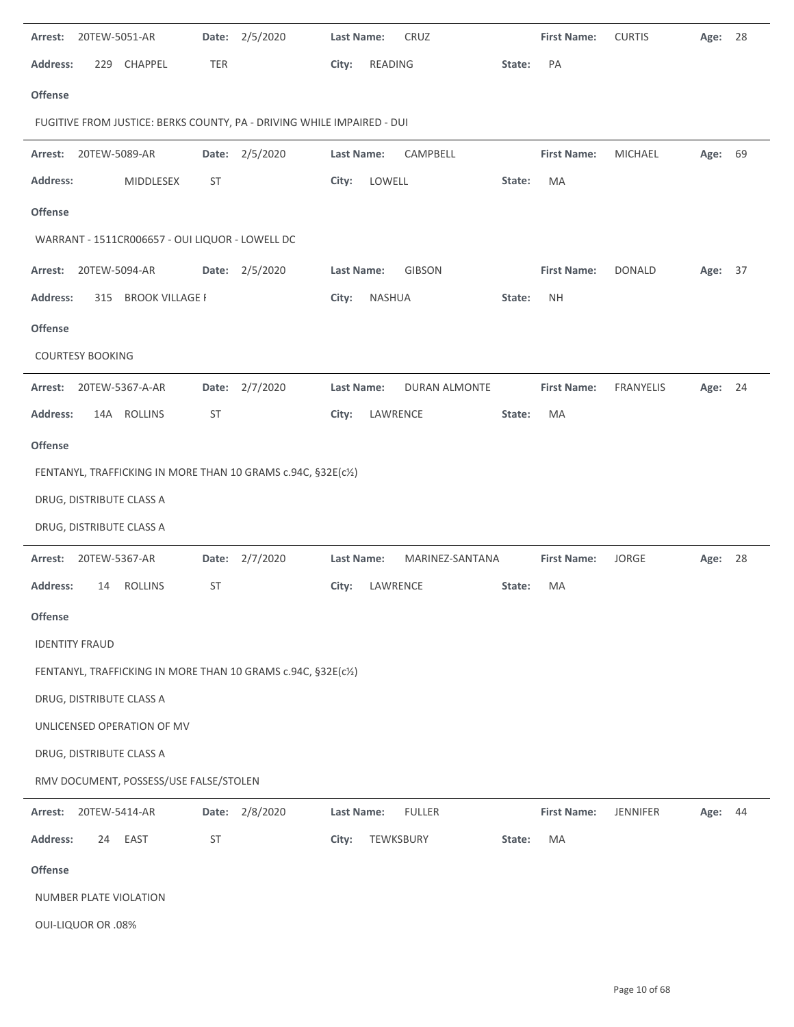| Arrest:         | 20TEW-5051-AR                                                 |                                                 |            | Date: 2/5/2020                                                         | <b>Last Name:</b> |               | CRUZ            |        | <b>First Name:</b> | <b>CURTIS</b>   | Age:    | 28 |
|-----------------|---------------------------------------------------------------|-------------------------------------------------|------------|------------------------------------------------------------------------|-------------------|---------------|-----------------|--------|--------------------|-----------------|---------|----|
| <b>Address:</b> |                                                               | 229 CHAPPEL                                     | <b>TER</b> |                                                                        | City:             | READING       |                 | State: | PA                 |                 |         |    |
| <b>Offense</b>  |                                                               |                                                 |            |                                                                        |                   |               |                 |        |                    |                 |         |    |
|                 |                                                               |                                                 |            | FUGITIVE FROM JUSTICE: BERKS COUNTY, PA - DRIVING WHILE IMPAIRED - DUI |                   |               |                 |        |                    |                 |         |    |
| Arrest:         | 20TEW-5089-AR                                                 |                                                 |            | Date: 2/5/2020                                                         | Last Name:        |               | CAMPBELL        |        | <b>First Name:</b> | MICHAEL         | Age: 69 |    |
| <b>Address:</b> |                                                               | MIDDLESEX                                       | ST         |                                                                        | City:             | LOWELL        |                 | State: | MA                 |                 |         |    |
| <b>Offense</b>  |                                                               |                                                 |            |                                                                        |                   |               |                 |        |                    |                 |         |    |
|                 |                                                               | WARRANT - 1511CR006657 - OUI LIQUOR - LOWELL DC |            |                                                                        |                   |               |                 |        |                    |                 |         |    |
| Arrest:         | 20TEW-5094-AR                                                 |                                                 |            | Date: 2/5/2020                                                         | Last Name:        |               | GIBSON          |        | <b>First Name:</b> | <b>DONALD</b>   | Age:    | 37 |
| <b>Address:</b> |                                                               | 315 BROOK VILLAGE F                             |            |                                                                        | City:             | <b>NASHUA</b> |                 | State: | <b>NH</b>          |                 |         |    |
| <b>Offense</b>  |                                                               |                                                 |            |                                                                        |                   |               |                 |        |                    |                 |         |    |
|                 | <b>COURTESY BOOKING</b>                                       |                                                 |            |                                                                        |                   |               |                 |        |                    |                 |         |    |
| Arrest:         |                                                               | 20TEW-5367-A-AR                                 |            | Date: 2/7/2020                                                         | Last Name:        |               | DURAN ALMONTE   |        | <b>First Name:</b> | FRANYELIS       | Age: 24 |    |
| <b>Address:</b> |                                                               | 14A ROLLINS                                     | <b>ST</b>  |                                                                        | City:             | LAWRENCE      |                 | State: | MA                 |                 |         |    |
| Offense         |                                                               |                                                 |            |                                                                        |                   |               |                 |        |                    |                 |         |    |
|                 | FENTANYL, TRAFFICKING IN MORE THAN 10 GRAMS c.94C, §32E(c1/2) |                                                 |            |                                                                        |                   |               |                 |        |                    |                 |         |    |
|                 |                                                               | DRUG, DISTRIBUTE CLASS A                        |            |                                                                        |                   |               |                 |        |                    |                 |         |    |
|                 |                                                               | DRUG, DISTRIBUTE CLASS A                        |            |                                                                        |                   |               |                 |        |                    |                 |         |    |
| Arrest:         | 20TEW-5367-AR                                                 |                                                 |            | Date: 2/7/2020                                                         | Last Name:        |               | MARINEZ-SANTANA |        | <b>First Name:</b> | <b>JORGE</b>    | Age: 28 |    |
| <b>Address:</b> | 14                                                            | <b>ROLLINS</b>                                  | <b>ST</b>  |                                                                        | City:             | LAWRENCE      |                 | State: | MA                 |                 |         |    |
| <b>Offense</b>  |                                                               |                                                 |            |                                                                        |                   |               |                 |        |                    |                 |         |    |
|                 | <b>IDENTITY FRAUD</b>                                         |                                                 |            |                                                                        |                   |               |                 |        |                    |                 |         |    |
|                 |                                                               |                                                 |            | FENTANYL, TRAFFICKING IN MORE THAN 10 GRAMS c.94C, §32E(c1/2)          |                   |               |                 |        |                    |                 |         |    |
|                 |                                                               | DRUG, DISTRIBUTE CLASS A                        |            |                                                                        |                   |               |                 |        |                    |                 |         |    |
|                 |                                                               | UNLICENSED OPERATION OF MV                      |            |                                                                        |                   |               |                 |        |                    |                 |         |    |
|                 |                                                               | DRUG, DISTRIBUTE CLASS A                        |            |                                                                        |                   |               |                 |        |                    |                 |         |    |
|                 |                                                               | RMV DOCUMENT, POSSESS/USE FALSE/STOLEN          |            |                                                                        |                   |               |                 |        |                    |                 |         |    |
| Arrest:         | 20TEW-5414-AR                                                 |                                                 |            | Date: 2/8/2020                                                         | Last Name:        |               | <b>FULLER</b>   |        | <b>First Name:</b> | <b>JENNIFER</b> | Age: 44 |    |
| <b>Address:</b> | 24                                                            | EAST                                            | ST         |                                                                        | City:             | TEWKSBURY     |                 | State: | MA                 |                 |         |    |
| Offense         |                                                               |                                                 |            |                                                                        |                   |               |                 |        |                    |                 |         |    |
|                 |                                                               | NUMBER PLATE VIOLATION                          |            |                                                                        |                   |               |                 |        |                    |                 |         |    |
|                 | <b>OUI-LIQUOR OR .08%</b>                                     |                                                 |            |                                                                        |                   |               |                 |        |                    |                 |         |    |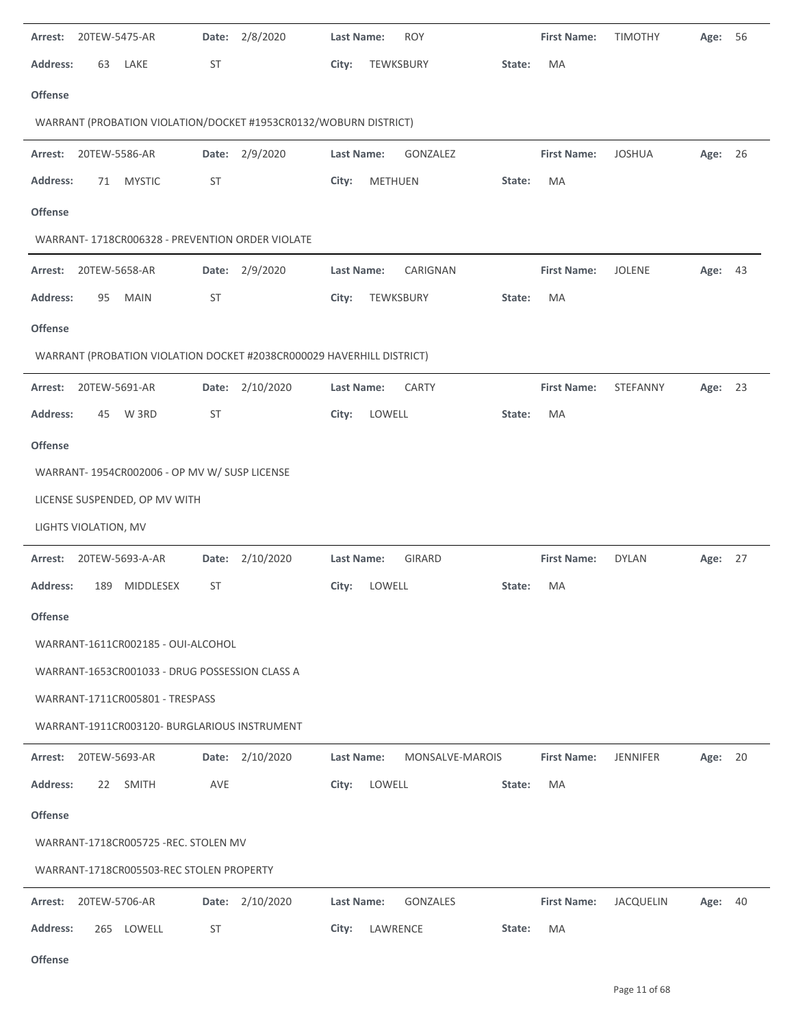| 20TEW-5475-AR<br>Arrest:                                              | 2/8/2020<br>Date:  | <b>Last Name:</b><br><b>ROY</b>    | <b>First Name:</b>                  | <b>TIMOTHY</b><br>Age:<br>56  |
|-----------------------------------------------------------------------|--------------------|------------------------------------|-------------------------------------|-------------------------------|
| <b>Address:</b><br>63<br>LAKE                                         | <b>ST</b>          | TEWKSBURY<br>City:<br>State:       | MA                                  |                               |
| <b>Offense</b>                                                        |                    |                                    |                                     |                               |
| WARRANT (PROBATION VIOLATION/DOCKET #1953CR0132/WOBURN DISTRICT)      |                    |                                    |                                     |                               |
| 20TEW-5586-AR<br>Arrest:                                              | Date: 2/9/2020     | GONZALEZ<br>Last Name:             | <b>First Name:</b>                  | <b>JOSHUA</b><br>Age: 26      |
| <b>Address:</b><br><b>MYSTIC</b><br>71                                | <b>ST</b>          | METHUEN<br>City:<br>State:         | MA                                  |                               |
| <b>Offense</b>                                                        |                    |                                    |                                     |                               |
| WARRANT- 1718CR006328 - PREVENTION ORDER VIOLATE                      |                    |                                    |                                     |                               |
| Arrest:<br>20TEW-5658-AR                                              | 2/9/2020<br>Date:  | CARIGNAN<br>Last Name:             | <b>First Name:</b><br><b>JOLENE</b> | Age: 43                       |
| <b>Address:</b><br>95<br><b>MAIN</b>                                  | ST                 | TEWKSBURY<br>City:<br>State:       | MA                                  |                               |
| <b>Offense</b>                                                        |                    |                                    |                                     |                               |
| WARRANT (PROBATION VIOLATION DOCKET #2038CR000029 HAVERHILL DISTRICT) |                    |                                    |                                     |                               |
| 20TEW-5691-AR<br>Arrest:                                              | 2/10/2020<br>Date: | Last Name:<br><b>CARTY</b>         | <b>First Name:</b>                  | STEFANNY<br>23<br>Age:        |
| <b>Address:</b><br>W 3RD<br>45                                        | <b>ST</b>          | LOWELL<br>City:<br>State:          | MA                                  |                               |
| <b>Offense</b>                                                        |                    |                                    |                                     |                               |
| WARRANT- 1954CR002006 - OP MV W/ SUSP LICENSE                         |                    |                                    |                                     |                               |
| LICENSE SUSPENDED, OP MV WITH                                         |                    |                                    |                                     |                               |
| LIGHTS VIOLATION, MV                                                  |                    |                                    |                                     |                               |
| 20TEW-5693-A-AR<br>Arrest:                                            | 2/10/2020<br>Date: | <b>GIRARD</b><br><b>Last Name:</b> | <b>First Name:</b><br><b>DYLAN</b>  | Age: 27                       |
| <b>Address:</b><br>189<br>MIDDLESEX                                   | <b>ST</b>          | LOWELL<br>City:<br>State:          | MA                                  |                               |
| <b>Offense</b>                                                        |                    |                                    |                                     |                               |
| WARRANT-1611CR002185 - OUI-ALCOHOL                                    |                    |                                    |                                     |                               |
| WARRANT-1653CR001033 - DRUG POSSESSION CLASS A                        |                    |                                    |                                     |                               |
| WARRANT-1711CR005801 - TRESPASS                                       |                    |                                    |                                     |                               |
| WARRANT-1911CR003120- BURGLARIOUS INSTRUMENT                          |                    |                                    |                                     |                               |
| 20TEW-5693-AR<br>Arrest:                                              | Date: 2/10/2020    | Last Name:<br>MONSALVE-MAROIS      | <b>First Name:</b>                  | <b>JENNIFER</b><br>Age:<br>20 |
| <b>Address:</b><br>22<br><b>SMITH</b>                                 | AVE                | City:<br>LOWELL<br>State:          | MA                                  |                               |
| <b>Offense</b>                                                        |                    |                                    |                                     |                               |
| WARRANT-1718CR005725 -REC. STOLEN MV                                  |                    |                                    |                                     |                               |
| WARRANT-1718CR005503-REC STOLEN PROPERTY                              |                    |                                    |                                     |                               |
| 20TEW-5706-AR<br>Arrest:                                              | 2/10/2020<br>Date: | Last Name:<br>GONZALES             | <b>First Name:</b>                  | JACQUELIN<br>Age: 40          |
| 265 LOWELL<br><b>Address:</b>                                         | <b>ST</b>          | LAWRENCE<br>City:<br>State:        | MA                                  |                               |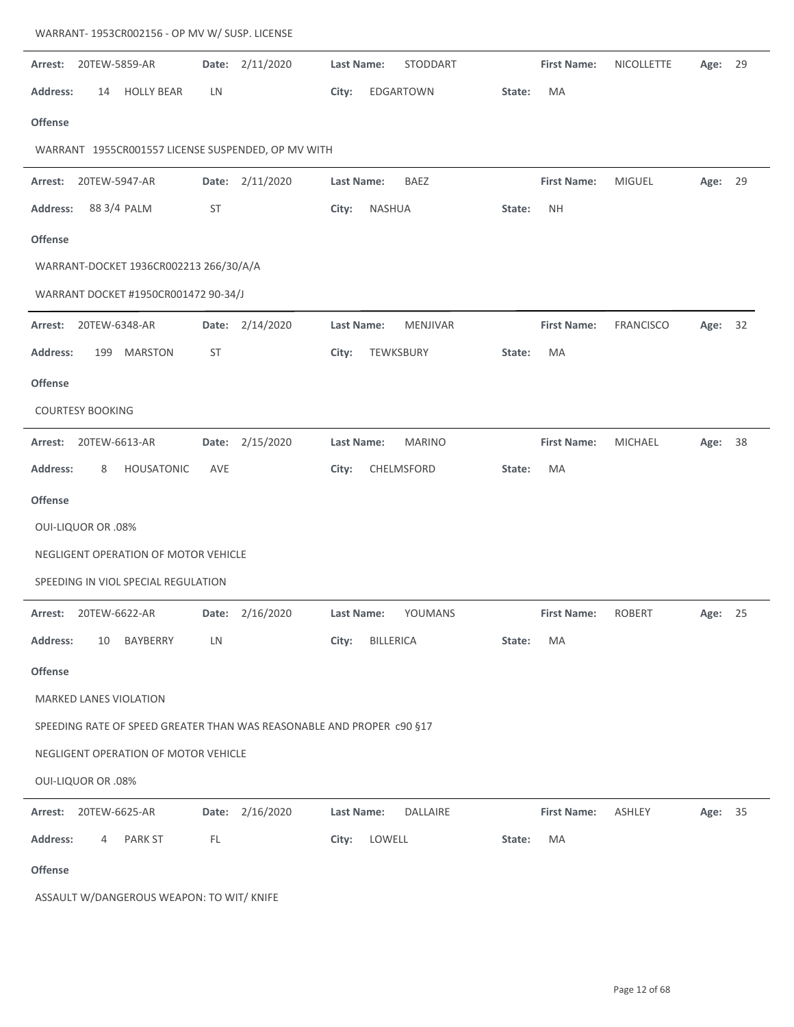|                 | WARRANT- 1953CR002156 - OP MV W/ SUSP. LICENSE |                                        |           |                                                                       |                   |           |                 |        |                    |                  |         |    |
|-----------------|------------------------------------------------|----------------------------------------|-----------|-----------------------------------------------------------------------|-------------------|-----------|-----------------|--------|--------------------|------------------|---------|----|
| Arrest:         | 20TEW-5859-AR                                  |                                        |           | Date: 2/11/2020                                                       | Last Name:        |           | STODDART        |        | <b>First Name:</b> | NICOLLETTE       | Age:    | 29 |
| <b>Address:</b> | 14                                             | <b>HOLLY BEAR</b>                      | LN        |                                                                       | City:             |           | EDGARTOWN       | State: | MA                 |                  |         |    |
| <b>Offense</b>  |                                                |                                        |           |                                                                       |                   |           |                 |        |                    |                  |         |    |
|                 |                                                |                                        |           | WARRANT 1955CR001557 LICENSE SUSPENDED, OP MV WITH                    |                   |           |                 |        |                    |                  |         |    |
| Arrest:         | 20TEW-5947-AR                                  |                                        |           | Date: 2/11/2020                                                       | Last Name:        |           | BAEZ            |        | <b>First Name:</b> | <b>MIGUEL</b>    | Age:    | 29 |
| <b>Address:</b> |                                                | 88 3/4 PALM                            | <b>ST</b> |                                                                       | City:             | NASHUA    |                 | State: | <b>NH</b>          |                  |         |    |
| <b>Offense</b>  |                                                |                                        |           |                                                                       |                   |           |                 |        |                    |                  |         |    |
|                 |                                                | WARRANT-DOCKET 1936CR002213 266/30/A/A |           |                                                                       |                   |           |                 |        |                    |                  |         |    |
|                 |                                                | WARRANT DOCKET #1950CR001472 90-34/J   |           |                                                                       |                   |           |                 |        |                    |                  |         |    |
| Arrest:         | 20TEW-6348-AR                                  |                                        |           | Date: 2/14/2020                                                       | <b>Last Name:</b> |           | <b>MENJIVAR</b> |        | <b>First Name:</b> | <b>FRANCISCO</b> | Age:    | 32 |
| <b>Address:</b> | 199                                            | <b>MARSTON</b>                         | <b>ST</b> |                                                                       | City:             | TEWKSBURY |                 | State: | MA                 |                  |         |    |
| <b>Offense</b>  |                                                |                                        |           |                                                                       |                   |           |                 |        |                    |                  |         |    |
|                 | <b>COURTESY BOOKING</b>                        |                                        |           |                                                                       |                   |           |                 |        |                    |                  |         |    |
| Arrest:         | 20TEW-6613-AR                                  |                                        |           | Date: 2/15/2020                                                       | <b>Last Name:</b> |           | <b>MARINO</b>   |        | <b>First Name:</b> | <b>MICHAEL</b>   | Age:    | 38 |
| <b>Address:</b> | 8                                              | HOUSATONIC                             | AVE       |                                                                       | City:             |           | CHELMSFORD      | State: | MA                 |                  |         |    |
| <b>Offense</b>  |                                                |                                        |           |                                                                       |                   |           |                 |        |                    |                  |         |    |
|                 | <b>OUI-LIQUOR OR .08%</b>                      |                                        |           |                                                                       |                   |           |                 |        |                    |                  |         |    |
|                 |                                                | NEGLIGENT OPERATION OF MOTOR VEHICLE   |           |                                                                       |                   |           |                 |        |                    |                  |         |    |
|                 |                                                | SPEEDING IN VIOL SPECIAL REGULATION    |           |                                                                       |                   |           |                 |        |                    |                  |         |    |
|                 | Arrest: 20TEW-6622-AR                          |                                        |           | Date: 2/16/2020                                                       | Last Name:        |           | YOUMANS         |        | <b>First Name:</b> | ROBERT           | Age: 25 |    |
| <b>Address:</b> | 10                                             | BAYBERRY                               | LN        |                                                                       | City:             | BILLERICA |                 | State: | MA                 |                  |         |    |
| <b>Offense</b>  |                                                |                                        |           |                                                                       |                   |           |                 |        |                    |                  |         |    |
|                 |                                                | <b>MARKED LANES VIOLATION</b>          |           |                                                                       |                   |           |                 |        |                    |                  |         |    |
|                 |                                                |                                        |           | SPEEDING RATE OF SPEED GREATER THAN WAS REASONABLE AND PROPER c90 §17 |                   |           |                 |        |                    |                  |         |    |
|                 |                                                | NEGLIGENT OPERATION OF MOTOR VEHICLE   |           |                                                                       |                   |           |                 |        |                    |                  |         |    |
|                 | <b>OUI-LIQUOR OR .08%</b>                      |                                        |           |                                                                       |                   |           |                 |        |                    |                  |         |    |
|                 | Arrest: 20TEW-6625-AR                          |                                        |           | Date: 2/16/2020                                                       | Last Name:        |           | DALLAIRE        |        | <b>First Name:</b> | ASHLEY           | Age: 35 |    |
| <b>Address:</b> | 4                                              | PARK ST                                | FL        |                                                                       | City:             | LOWELL    |                 | State: | MA                 |                  |         |    |
| <b>Offense</b>  |                                                |                                        |           |                                                                       |                   |           |                 |        |                    |                  |         |    |

ASSAULT W/DANGEROUS WEAPON: TO WIT/ KNIFE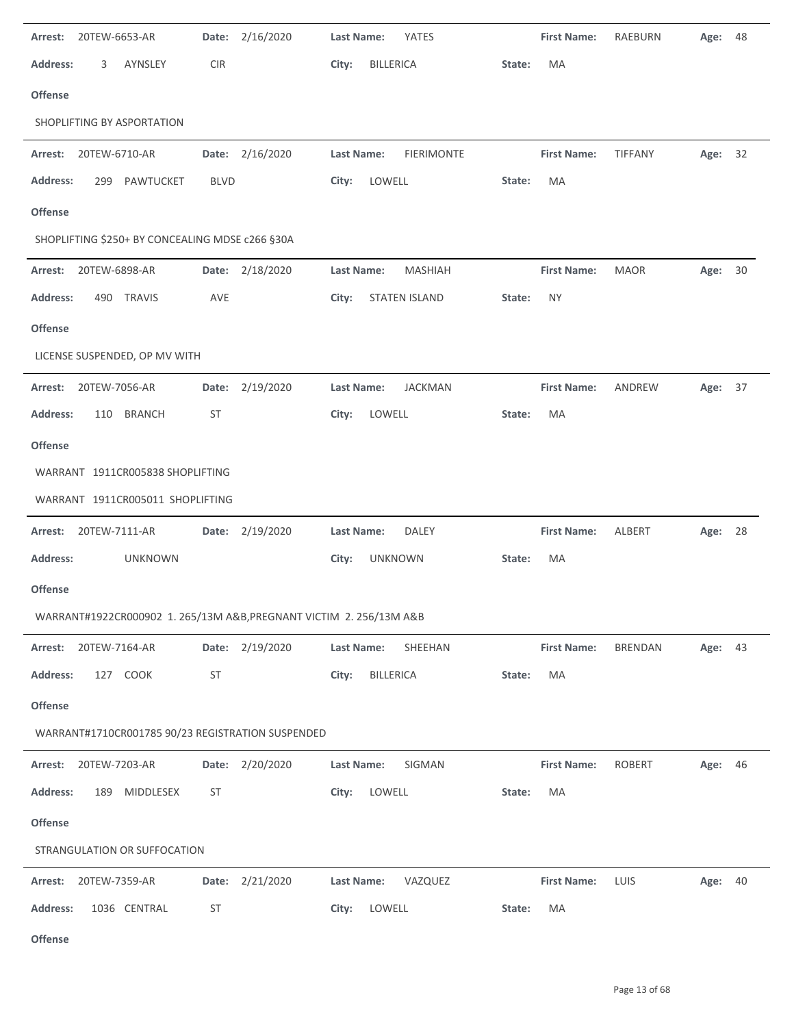| 20TEW-6653-AR<br>Arrest:                                            | 2/16/2020<br>Date: | Last Name:<br>YATES                 | <b>First Name:</b>  | <b>RAEBURN</b> | 48<br>Age: |
|---------------------------------------------------------------------|--------------------|-------------------------------------|---------------------|----------------|------------|
| <b>Address:</b><br>3<br>AYNSLEY                                     | <b>CIR</b>         | <b>BILLERICA</b><br>City:           | MA<br>State:        |                |            |
| Offense                                                             |                    |                                     |                     |                |            |
| SHOPLIFTING BY ASPORTATION                                          |                    |                                     |                     |                |            |
| 20TEW-6710-AR<br>Arrest:                                            | Date: 2/16/2020    | Last Name:<br><b>FIERIMONTE</b>     | <b>First Name:</b>  | TIFFANY        | Age: 32    |
| <b>Address:</b><br>299 PAWTUCKET                                    | <b>BLVD</b>        | LOWELL<br>City:                     | MA<br>State:        |                |            |
| Offense                                                             |                    |                                     |                     |                |            |
| SHOPLIFTING \$250+ BY CONCEALING MDSE c266 §30A                     |                    |                                     |                     |                |            |
| 20TEW-6898-AR<br>Arrest:                                            | Date: 2/18/2020    | MASHIAH<br><b>Last Name:</b>        | <b>First Name:</b>  | <b>MAOR</b>    | Age: 30    |
| Address:<br>490 TRAVIS                                              | AVE                | City:<br><b>STATEN ISLAND</b>       | <b>NY</b><br>State: |                |            |
| <b>Offense</b>                                                      |                    |                                     |                     |                |            |
| LICENSE SUSPENDED, OP MV WITH                                       |                    |                                     |                     |                |            |
| 20TEW-7056-AR<br>Arrest:                                            | 2/19/2020<br>Date: | <b>Last Name:</b><br><b>JACKMAN</b> | <b>First Name:</b>  | ANDREW         | Age: 37    |
| <b>Address:</b><br>110 BRANCH                                       | ST                 | LOWELL<br>City:                     | MA<br>State:        |                |            |
| Offense                                                             |                    |                                     |                     |                |            |
| WARRANT 1911CR005838 SHOPLIFTING                                    |                    |                                     |                     |                |            |
| WARRANT 1911CR005011 SHOPLIFTING                                    |                    |                                     |                     |                |            |
|                                                                     |                    |                                     |                     |                |            |
| 20TEW-7111-AR<br>Arrest:                                            | Date: 2/19/2020    | <b>DALEY</b><br>Last Name:          | <b>First Name:</b>  | ALBERT         | Age: 28    |
| Address:<br><b>UNKNOWN</b>                                          |                    | City:<br><b>UNKNOWN</b>             | State:<br>MA        |                |            |
| <b>Offense</b>                                                      |                    |                                     |                     |                |            |
| WARRANT#1922CR000902 1. 265/13M A&B, PREGNANT VICTIM 2. 256/13M A&B |                    |                                     |                     |                |            |
| 20TEW-7164-AR<br>Arrest:                                            | Date: 2/19/2020    | SHEEHAN<br>Last Name:               | <b>First Name:</b>  | <b>BRENDAN</b> | Age: 43    |
| <b>Address:</b><br>127 COOK                                         | <b>ST</b>          | City:<br>BILLERICA                  | MA<br>State:        |                |            |
| Offense                                                             |                    |                                     |                     |                |            |
| WARRANT#1710CR001785 90/23 REGISTRATION SUSPENDED                   |                    |                                     |                     |                |            |
| Arrest: 20TEW-7203-AR                                               | Date: 2/20/2020    | SIGMAN<br>Last Name:                | <b>First Name:</b>  | <b>ROBERT</b>  | Age: 46    |
| <b>Address:</b><br>189 MIDDLESEX                                    | ST                 | LOWELL<br>City:                     | MA<br>State:        |                |            |
| Offense                                                             |                    |                                     |                     |                |            |
| STRANGULATION OR SUFFOCATION                                        |                    |                                     |                     |                |            |
| 20TEW-7359-AR<br>Arrest:                                            | Date: 2/21/2020    | VAZQUEZ<br>Last Name:               | <b>First Name:</b>  | LUIS           | Age: 40    |
| <b>Address:</b><br>1036 CENTRAL                                     | ST                 | City:<br>LOWELL                     | MA<br>State:        |                |            |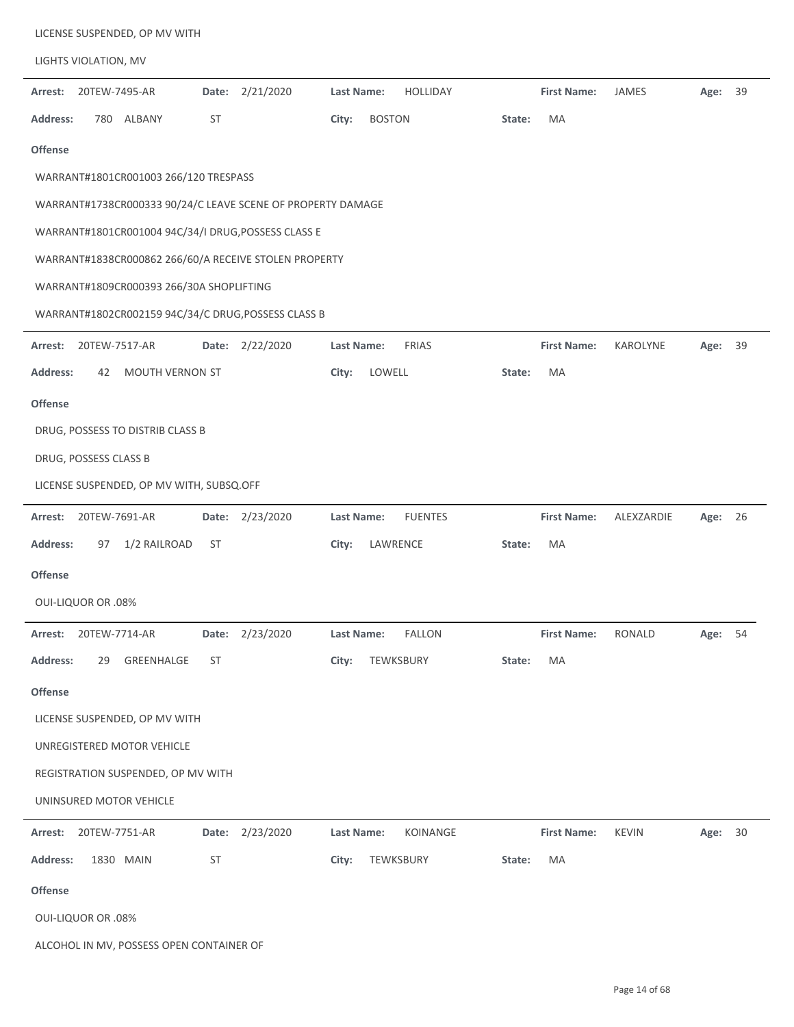|                 |                            | LICENSE SUSPENDED, OP MV WITH            |           |                                                             |            |               |                 |        |                    |               |         |    |
|-----------------|----------------------------|------------------------------------------|-----------|-------------------------------------------------------------|------------|---------------|-----------------|--------|--------------------|---------------|---------|----|
|                 | LIGHTS VIOLATION, MV       |                                          |           |                                                             |            |               |                 |        |                    |               |         |    |
| Arrest:         | 20TEW-7495-AR              |                                          | Date:     | 2/21/2020                                                   | Last Name: |               | <b>HOLLIDAY</b> |        | <b>First Name:</b> | JAMES         | Age:    | 39 |
| <b>Address:</b> | 780 ALBANY                 |                                          | <b>ST</b> |                                                             | City:      | <b>BOSTON</b> |                 | State: | MA                 |               |         |    |
| <b>Offense</b>  |                            |                                          |           |                                                             |            |               |                 |        |                    |               |         |    |
|                 |                            | WARRANT#1801CR001003 266/120 TRESPASS    |           |                                                             |            |               |                 |        |                    |               |         |    |
|                 |                            |                                          |           | WARRANT#1738CR000333 90/24/C LEAVE SCENE OF PROPERTY DAMAGE |            |               |                 |        |                    |               |         |    |
|                 |                            |                                          |           | WARRANT#1801CR001004 94C/34/I DRUG, POSSESS CLASS E         |            |               |                 |        |                    |               |         |    |
|                 |                            |                                          |           | WARRANT#1838CR000862 266/60/A RECEIVE STOLEN PROPERTY       |            |               |                 |        |                    |               |         |    |
|                 |                            | WARRANT#1809CR000393 266/30A SHOPLIFTING |           |                                                             |            |               |                 |        |                    |               |         |    |
|                 |                            |                                          |           | WARRANT#1802CR002159 94C/34/C DRUG, POSSESS CLASS B         |            |               |                 |        |                    |               |         |    |
| Arrest:         | 20TEW-7517-AR              |                                          | Date:     | 2/22/2020                                                   | Last Name: |               | <b>FRIAS</b>    |        | <b>First Name:</b> | KAROLYNE      | Age: 39 |    |
| <b>Address:</b> | 42                         | MOUTH VERNON ST                          |           |                                                             | City:      | LOWELL        |                 | State: | MA                 |               |         |    |
| Offense         |                            |                                          |           |                                                             |            |               |                 |        |                    |               |         |    |
|                 |                            | DRUG, POSSESS TO DISTRIB CLASS B         |           |                                                             |            |               |                 |        |                    |               |         |    |
|                 | DRUG, POSSESS CLASS B      |                                          |           |                                                             |            |               |                 |        |                    |               |         |    |
|                 |                            | LICENSE SUSPENDED, OP MV WITH, SUBSQ.OFF |           |                                                             |            |               |                 |        |                    |               |         |    |
| Arrest:         | 20TEW-7691-AR              |                                          | Date:     | 2/23/2020                                                   | Last Name: |               | <b>FUENTES</b>  |        | <b>First Name:</b> | ALEXZARDIE    | Age: 26 |    |
| <b>Address:</b> | 97                         | 1/2 RAILROAD                             | <b>ST</b> |                                                             | City:      | LAWRENCE      |                 | State: | MA                 |               |         |    |
| <b>Offense</b>  |                            |                                          |           |                                                             |            |               |                 |        |                    |               |         |    |
|                 | <b>OUI-LIQUOR OR .08%</b>  |                                          |           |                                                             |            |               |                 |        |                    |               |         |    |
| Arrest:         | 20TEW-7714-AR              |                                          | Date:     | 2/23/2020                                                   | Last Name: |               | <b>FALLON</b>   |        | <b>First Name:</b> | <b>RONALD</b> | Age:    | 54 |
| <b>Address:</b> | 29                         | GREENHALGE                               | ST        |                                                             | City:      | TEWKSBURY     |                 | State: | MA                 |               |         |    |
| Offense         |                            |                                          |           |                                                             |            |               |                 |        |                    |               |         |    |
|                 |                            | LICENSE SUSPENDED, OP MV WITH            |           |                                                             |            |               |                 |        |                    |               |         |    |
|                 | UNREGISTERED MOTOR VEHICLE |                                          |           |                                                             |            |               |                 |        |                    |               |         |    |
|                 |                            | REGISTRATION SUSPENDED, OP MV WITH       |           |                                                             |            |               |                 |        |                    |               |         |    |
|                 | UNINSURED MOTOR VEHICLE    |                                          |           |                                                             |            |               |                 |        |                    |               |         |    |
| Arrest:         | 20TEW-7751-AR              |                                          |           | Date: 2/23/2020                                             | Last Name: |               | KOINANGE        |        | <b>First Name:</b> | <b>KEVIN</b>  | Age: 30 |    |
| Address:        | 1830 MAIN                  |                                          | <b>ST</b> |                                                             | City:      | TEWKSBURY     |                 | State: | MA                 |               |         |    |
| Offense         |                            |                                          |           |                                                             |            |               |                 |        |                    |               |         |    |
|                 | <b>OUI-LIQUOR OR .08%</b>  |                                          |           |                                                             |            |               |                 |        |                    |               |         |    |
|                 |                            | ALCOHOL IN MV, POSSESS OPEN CONTAINER OF |           |                                                             |            |               |                 |        |                    |               |         |    |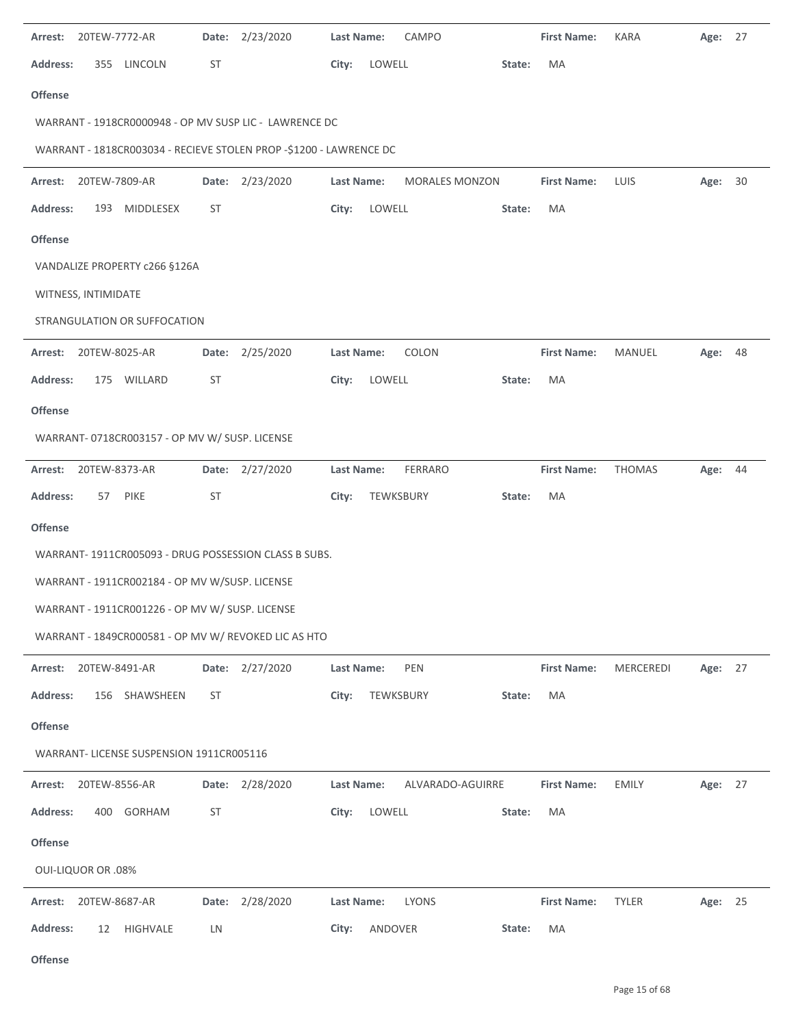| Arrest:         | 20TEW-7772-AR             |                                                 |           | Date: 2/23/2020                                                    | <b>Last Name:</b> |           | CAMPO                 |        | <b>First Name:</b> | <b>KARA</b>   | Age: 27 |  |
|-----------------|---------------------------|-------------------------------------------------|-----------|--------------------------------------------------------------------|-------------------|-----------|-----------------------|--------|--------------------|---------------|---------|--|
| <b>Address:</b> |                           | 355 LINCOLN                                     | <b>ST</b> |                                                                    | City:             | LOWELL    |                       | State: | MA                 |               |         |  |
| <b>Offense</b>  |                           |                                                 |           |                                                                    |                   |           |                       |        |                    |               |         |  |
|                 |                           |                                                 |           | WARRANT - 1918CR0000948 - OP MV SUSP LIC - LAWRENCE DC             |                   |           |                       |        |                    |               |         |  |
|                 |                           |                                                 |           | WARRANT - 1818CR003034 - RECIEVE STOLEN PROP -\$1200 - LAWRENCE DC |                   |           |                       |        |                    |               |         |  |
| Arrest:         | 20TEW-7809-AR             |                                                 |           | Date: 2/23/2020                                                    | Last Name:        |           | <b>MORALES MONZON</b> |        | <b>First Name:</b> | LUIS          | Age: 30 |  |
| <b>Address:</b> |                           | 193 MIDDLESEX                                   | ST        |                                                                    | City:             | LOWELL    |                       | State: | MA                 |               |         |  |
| <b>Offense</b>  |                           |                                                 |           |                                                                    |                   |           |                       |        |                    |               |         |  |
|                 |                           | VANDALIZE PROPERTY c266 §126A                   |           |                                                                    |                   |           |                       |        |                    |               |         |  |
|                 | WITNESS, INTIMIDATE       |                                                 |           |                                                                    |                   |           |                       |        |                    |               |         |  |
|                 |                           | STRANGULATION OR SUFFOCATION                    |           |                                                                    |                   |           |                       |        |                    |               |         |  |
| Arrest:         | 20TEW-8025-AR             |                                                 |           | Date: 2/25/2020                                                    | <b>Last Name:</b> |           | COLON                 |        | <b>First Name:</b> | MANUEL        | Age: 48 |  |
| <b>Address:</b> |                           | 175 WILLARD                                     | <b>ST</b> |                                                                    | City:             | LOWELL    |                       | State: | MA                 |               |         |  |
| <b>Offense</b>  |                           |                                                 |           |                                                                    |                   |           |                       |        |                    |               |         |  |
|                 |                           | WARRANT- 0718CR003157 - OP MV W/ SUSP. LICENSE  |           |                                                                    |                   |           |                       |        |                    |               |         |  |
| Arrest:         | 20TEW-8373-AR             |                                                 |           | Date: 2/27/2020                                                    | Last Name:        |           | <b>FERRARO</b>        |        | <b>First Name:</b> | <b>THOMAS</b> | Age: 44 |  |
| <b>Address:</b> | 57                        | <b>PIKE</b>                                     | <b>ST</b> |                                                                    | City:             | TEWKSBURY |                       | State: | MA                 |               |         |  |
| Offense         |                           |                                                 |           |                                                                    |                   |           |                       |        |                    |               |         |  |
|                 |                           |                                                 |           | WARRANT-1911CR005093 - DRUG POSSESSION CLASS B SUBS.               |                   |           |                       |        |                    |               |         |  |
|                 |                           | WARRANT - 1911CR002184 - OP MV W/SUSP. LICENSE  |           |                                                                    |                   |           |                       |        |                    |               |         |  |
|                 |                           | WARRANT - 1911CR001226 - OP MV W/ SUSP. LICENSE |           |                                                                    |                   |           |                       |        |                    |               |         |  |
|                 |                           |                                                 |           | WARRANT - 1849CR000581 - OP MV W/ REVOKED LIC AS HTO               |                   |           |                       |        |                    |               |         |  |
| Arrest:         | 20TEW-8491-AR             |                                                 |           | Date: 2/27/2020                                                    | Last Name:        |           | PEN                   |        | <b>First Name:</b> | MERCEREDI     | Age: 27 |  |
| <b>Address:</b> |                           | 156 SHAWSHEEN                                   | ST        |                                                                    | City:             | TEWKSBURY |                       | State: | МA                 |               |         |  |
| <b>Offense</b>  |                           |                                                 |           |                                                                    |                   |           |                       |        |                    |               |         |  |
|                 |                           | WARRANT- LICENSE SUSPENSION 1911CR005116        |           |                                                                    |                   |           |                       |        |                    |               |         |  |
| Arrest:         | 20TEW-8556-AR             |                                                 | Date:     | 2/28/2020                                                          | Last Name:        |           | ALVARADO-AGUIRRE      |        | <b>First Name:</b> | <b>EMILY</b>  | Age: 27 |  |
| <b>Address:</b> |                           | 400 GORHAM                                      | <b>ST</b> |                                                                    | City:             | LOWELL    |                       | State: | МA                 |               |         |  |
| <b>Offense</b>  |                           |                                                 |           |                                                                    |                   |           |                       |        |                    |               |         |  |
|                 | <b>OUI-LIQUOR OR .08%</b> |                                                 |           |                                                                    |                   |           |                       |        |                    |               |         |  |
| Arrest:         | 20TEW-8687-AR             |                                                 |           | Date: 2/28/2020                                                    | <b>Last Name:</b> |           | <b>LYONS</b>          |        | <b>First Name:</b> | <b>TYLER</b>  | Age: 25 |  |
| <b>Address:</b> | 12                        | HIGHVALE                                        | LN        |                                                                    | City:             | ANDOVER   |                       | State: | МA                 |               |         |  |
| Offense         |                           |                                                 |           |                                                                    |                   |           |                       |        |                    |               |         |  |

**Offense**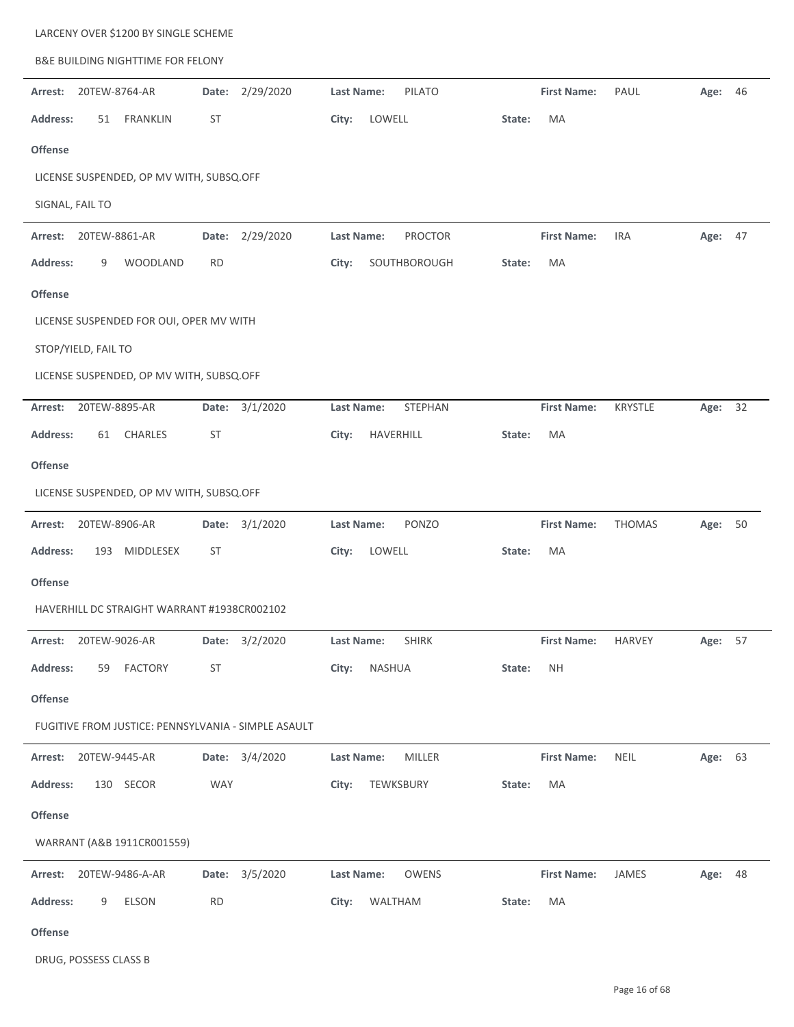| <b>B&amp;E BUILDING NIGHTTIME FOR FELONY</b>        |                                     |                                              |         |
|-----------------------------------------------------|-------------------------------------|----------------------------------------------|---------|
| 2/29/2020<br>20TEW-8764-AR<br>Date:<br>Arrest:      | Last Name:<br><b>PILATO</b>         | <b>First Name:</b><br>PAUL                   | Age: 46 |
| <b>Address:</b><br><b>FRANKLIN</b><br>ST<br>51      | City:<br>LOWELL                     | MA<br>State:                                 |         |
| <b>Offense</b>                                      |                                     |                                              |         |
| LICENSE SUSPENDED, OP MV WITH, SUBSQ.OFF            |                                     |                                              |         |
| SIGNAL, FAIL TO                                     |                                     |                                              |         |
| 2/29/2020<br>20TEW-8861-AR<br>Arrest:<br>Date:      | Last Name:<br><b>PROCTOR</b>        | <b>First Name:</b><br><b>IRA</b><br>Age:     | 47      |
| <b>Address:</b><br>9<br>WOODLAND<br><b>RD</b>       | City:<br>SOUTHBOROUGH               | State:<br>МA                                 |         |
| <b>Offense</b>                                      |                                     |                                              |         |
| LICENSE SUSPENDED FOR OUI, OPER MV WITH             |                                     |                                              |         |
| STOP/YIELD, FAIL TO                                 |                                     |                                              |         |
| LICENSE SUSPENDED, OP MV WITH, SUBSQ.OFF            |                                     |                                              |         |
| 20TEW-8895-AR<br>3/1/2020<br>Arrest:<br>Date:       | <b>Last Name:</b><br><b>STEPHAN</b> | <b>First Name:</b><br><b>KRYSTLE</b><br>Age: | 32      |
| Address:<br>CHARLES<br>ST<br>61                     | HAVERHILL<br>City:                  | МA<br>State:                                 |         |
| <b>Offense</b>                                      |                                     |                                              |         |
| LICENSE SUSPENDED, OP MV WITH, SUBSQ.OFF            |                                     |                                              |         |
| Date: 3/1/2020<br>Arrest:<br>20TEW-8906-AR          | PONZO<br>Last Name:                 | <b>First Name:</b><br><b>THOMAS</b><br>Age:  | 50      |
| <b>Address:</b><br>193 MIDDLESEX<br>ST              | City:<br>LOWELL                     | МA<br>State:                                 |         |
| <b>Offense</b>                                      |                                     |                                              |         |
| HAVERHILL DC STRAIGHT WARRANT #1938CR002102         |                                     |                                              |         |
| Date: 3/2/2020<br>20TEW-9026-AR<br>Arrest:          | Last Name:<br><b>SHIRK</b>          | <b>First Name:</b><br>HARVEY                 | Age: 57 |
| <b>Address:</b><br>ST<br>59 FACTORY                 | City:<br>NASHUA                     | State:<br><b>NH</b>                          |         |
| <b>Offense</b>                                      |                                     |                                              |         |
| FUGITIVE FROM JUSTICE: PENNSYLVANIA - SIMPLE ASAULT |                                     |                                              |         |
| Date: 3/4/2020<br>20TEW-9445-AR<br>Arrest:          | Last Name:<br>MILLER                | <b>First Name:</b><br>NEIL                   | Age: 63 |
| <b>Address:</b><br>130 SECOR<br><b>WAY</b>          | City:<br>TEWKSBURY                  | State:<br>MA                                 |         |
| Offense                                             |                                     |                                              |         |
| WARRANT (A&B 1911CR001559)                          |                                     |                                              |         |
| Date: 3/5/2020<br>Arrest: 20TEW-9486-A-AR           | Last Name:<br>OWENS                 | <b>First Name:</b><br>JAMES                  | Age: 48 |
| <b>Address:</b><br><b>RD</b><br>ELSON<br>9          | City:<br>WALTHAM                    | State:<br>MA                                 |         |
| Offense                                             |                                     |                                              |         |

DRUG, POSSESS CLASS B

LARCENY OVER \$1200 BY SINGLE SCHEME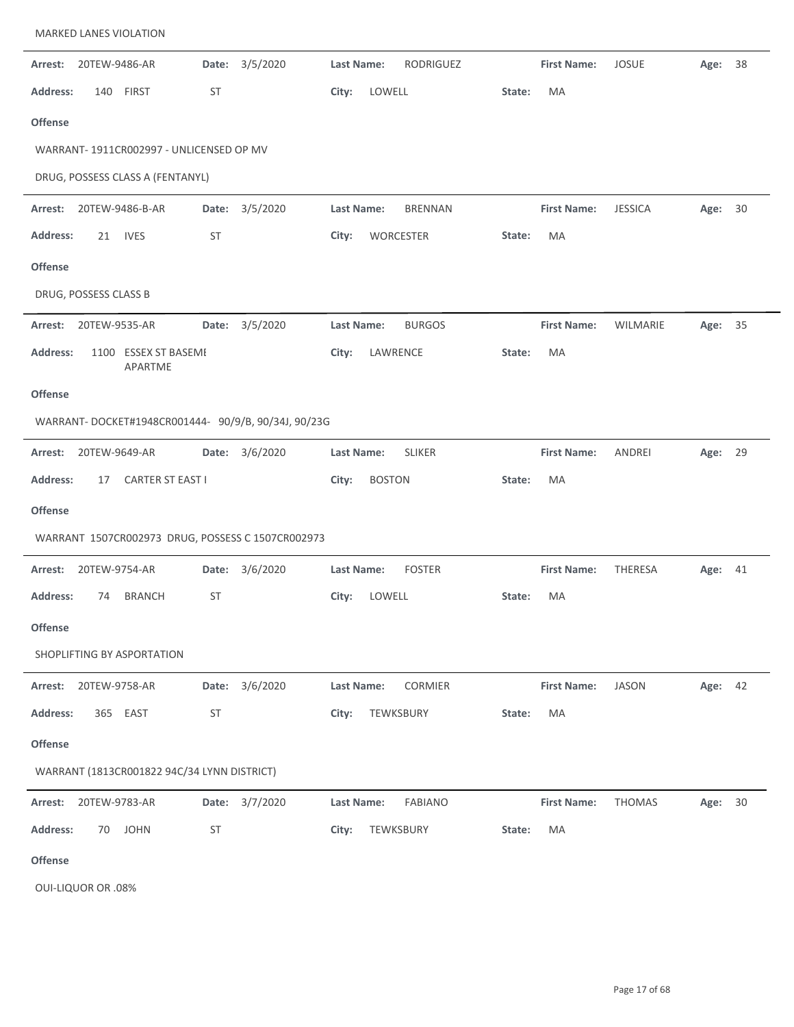|                 |                       | <b>MARKED LANES VIOLATION</b>               |           |                                                     |                   |                |        |                    |                |         |    |
|-----------------|-----------------------|---------------------------------------------|-----------|-----------------------------------------------------|-------------------|----------------|--------|--------------------|----------------|---------|----|
| Arrest:         | 20TEW-9486-AR         |                                             |           | Date: 3/5/2020                                      | Last Name:        | RODRIGUEZ      |        | <b>First Name:</b> | <b>JOSUE</b>   | Age: 38 |    |
| <b>Address:</b> | 140                   | <b>FIRST</b>                                | <b>ST</b> |                                                     | City:             | LOWELL         | State: | MA                 |                |         |    |
| <b>Offense</b>  |                       |                                             |           |                                                     |                   |                |        |                    |                |         |    |
|                 |                       | WARRANT- 1911CR002997 - UNLICENSED OP MV    |           |                                                     |                   |                |        |                    |                |         |    |
|                 |                       | DRUG, POSSESS CLASS A (FENTANYL)            |           |                                                     |                   |                |        |                    |                |         |    |
| Arrest:         |                       | 20TEW-9486-B-AR                             |           | Date: 3/5/2020                                      | <b>Last Name:</b> | <b>BRENNAN</b> |        | <b>First Name:</b> | <b>JESSICA</b> | Age: 30 |    |
| <b>Address:</b> | 21                    | <b>IVES</b>                                 | ST        |                                                     | City:             | WORCESTER      | State: | MA                 |                |         |    |
| <b>Offense</b>  |                       |                                             |           |                                                     |                   |                |        |                    |                |         |    |
|                 | DRUG, POSSESS CLASS B |                                             |           |                                                     |                   |                |        |                    |                |         |    |
| Arrest:         | 20TEW-9535-AR         |                                             |           | Date: 3/5/2020                                      | Last Name:        | <b>BURGOS</b>  |        | <b>First Name:</b> | WILMARIE       | Age:    | 35 |
| <b>Address:</b> |                       | 1100 ESSEX ST BASEME<br>APARTME             |           |                                                     | City:             | LAWRENCE       | State: | MA                 |                |         |    |
| <b>Offense</b>  |                       |                                             |           |                                                     |                   |                |        |                    |                |         |    |
|                 |                       |                                             |           | WARRANT-DOCKET#1948CR001444- 90/9/B, 90/34J, 90/23G |                   |                |        |                    |                |         |    |
| Arrest:         | 20TEW-9649-AR         |                                             |           | Date: 3/6/2020                                      | Last Name:        | <b>SLIKER</b>  |        | <b>First Name:</b> | ANDREI         | Age: 29 |    |
| <b>Address:</b> | 17                    | <b>CARTER ST EAST I</b>                     |           |                                                     | City:             | <b>BOSTON</b>  | State: | MA                 |                |         |    |
| <b>Offense</b>  |                       |                                             |           |                                                     |                   |                |        |                    |                |         |    |
|                 |                       |                                             |           | WARRANT 1507CR002973 DRUG, POSSESS C 1507CR002973   |                   |                |        |                    |                |         |    |
| Arrest:         | 20TEW-9754-AR         |                                             | Date:     | 3/6/2020                                            | Last Name:        | <b>FOSTER</b>  |        | <b>First Name:</b> | THERESA        | Age: 41 |    |
| <b>Address:</b> | 74                    | <b>BRANCH</b>                               | <b>ST</b> |                                                     | City:             | LOWELL         | State: | MA                 |                |         |    |
| <b>Offense</b>  |                       |                                             |           |                                                     |                   |                |        |                    |                |         |    |
|                 |                       | SHOPLIFTING BY ASPORTATION                  |           |                                                     |                   |                |        |                    |                |         |    |
| Arrest:         | 20TEW-9758-AR         |                                             |           | Date: 3/6/2020                                      | <b>Last Name:</b> | <b>CORMIER</b> |        | <b>First Name:</b> | <b>JASON</b>   | Age: 42 |    |
| <b>Address:</b> |                       | 365 EAST                                    | <b>ST</b> |                                                     | City:             | TEWKSBURY      | State: | MA                 |                |         |    |
| <b>Offense</b>  |                       |                                             |           |                                                     |                   |                |        |                    |                |         |    |
|                 |                       | WARRANT (1813CR001822 94C/34 LYNN DISTRICT) |           |                                                     |                   |                |        |                    |                |         |    |
| Arrest:         | 20TEW-9783-AR         |                                             | Date:     | 3/7/2020                                            | Last Name:        | <b>FABIANO</b> |        | <b>First Name:</b> | <b>THOMAS</b>  | Age: 30 |    |
| <b>Address:</b> | 70                    | <b>JOHN</b>                                 | <b>ST</b> |                                                     | City:             | TEWKSBURY      | State: | MA                 |                |         |    |
| <b>Offense</b>  |                       |                                             |           |                                                     |                   |                |        |                    |                |         |    |

OUI‐LIQUOR OR .08%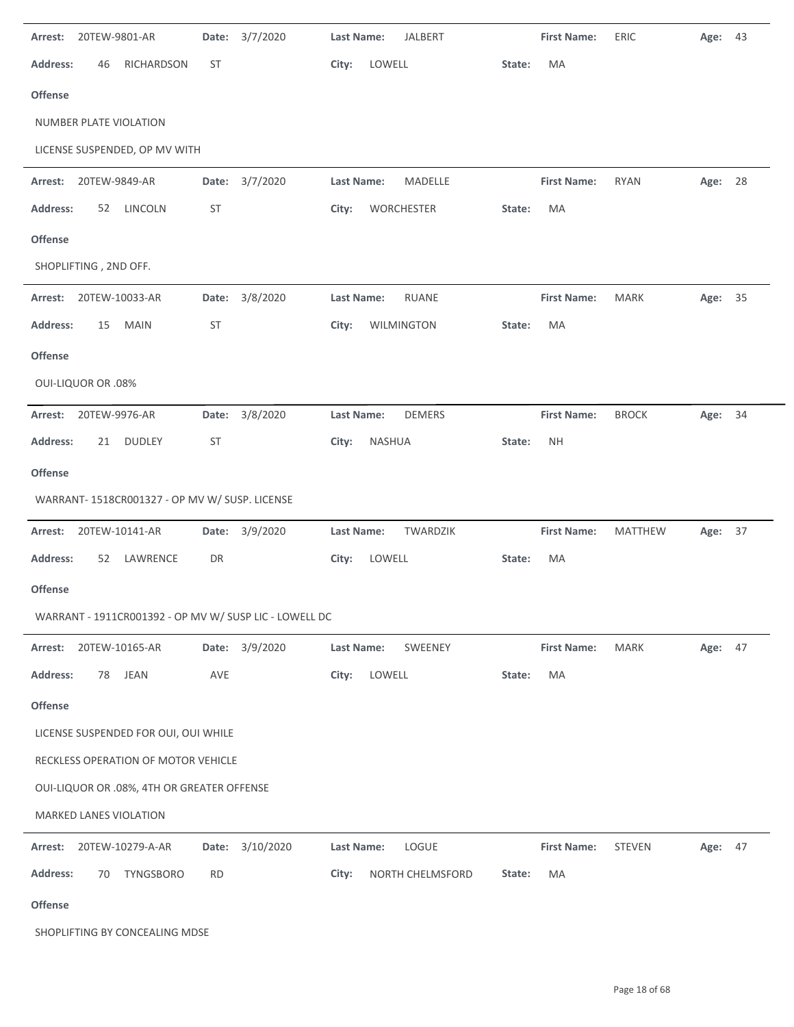| Arrest:         | 20TEW-9801-AR             |                                                | Date:     | 3/7/2020                                               | Last Name:        | <b>JALBERT</b>   |        | <b>First Name:</b> | ERIC           | Age: 43 |    |
|-----------------|---------------------------|------------------------------------------------|-----------|--------------------------------------------------------|-------------------|------------------|--------|--------------------|----------------|---------|----|
| <b>Address:</b> | 46                        | RICHARDSON                                     | <b>ST</b> |                                                        | City:             | LOWELL           | State: | MA                 |                |         |    |
| Offense         |                           |                                                |           |                                                        |                   |                  |        |                    |                |         |    |
|                 |                           | NUMBER PLATE VIOLATION                         |           |                                                        |                   |                  |        |                    |                |         |    |
|                 |                           | LICENSE SUSPENDED, OP MV WITH                  |           |                                                        |                   |                  |        |                    |                |         |    |
| Arrest:         | 20TEW-9849-AR             |                                                |           | Date: 3/7/2020                                         | Last Name:        | MADELLE          |        | <b>First Name:</b> | <b>RYAN</b>    | Age: 28 |    |
| <b>Address:</b> | 52                        | LINCOLN                                        | ST        |                                                        | City:             | WORCHESTER       | State: | MA                 |                |         |    |
| Offense         |                           |                                                |           |                                                        |                   |                  |        |                    |                |         |    |
|                 | SHOPLIFTING, 2ND OFF.     |                                                |           |                                                        |                   |                  |        |                    |                |         |    |
|                 |                           | Arrest: 20TEW-10033-AR                         | Date:     | 3/8/2020                                               | <b>Last Name:</b> | <b>RUANE</b>     |        | <b>First Name:</b> | <b>MARK</b>    | Age: 35 |    |
| <b>Address:</b> | 15                        | <b>MAIN</b>                                    | <b>ST</b> |                                                        | City:             | WILMINGTON       | State: | MA                 |                |         |    |
| Offense         |                           |                                                |           |                                                        |                   |                  |        |                    |                |         |    |
|                 | <b>OUI-LIQUOR OR .08%</b> |                                                |           |                                                        |                   |                  |        |                    |                |         |    |
| Arrest:         | 20TEW-9976-AR             |                                                | Date:     | 3/8/2020                                               | <b>Last Name:</b> | <b>DEMERS</b>    |        | <b>First Name:</b> | <b>BROCK</b>   | Age: 34 |    |
| <b>Address:</b> | 21                        | <b>DUDLEY</b>                                  | <b>ST</b> |                                                        | City:             | <b>NASHUA</b>    | State: | <b>NH</b>          |                |         |    |
| Offense         |                           |                                                |           |                                                        |                   |                  |        |                    |                |         |    |
|                 |                           | WARRANT- 1518CR001327 - OP MV W/ SUSP. LICENSE |           |                                                        |                   |                  |        |                    |                |         |    |
| Arrest:         |                           | 20TEW-10141-AR                                 |           | Date: 3/9/2020                                         | Last Name:        | TWARDZIK         |        | <b>First Name:</b> | <b>MATTHEW</b> | Age:    | 37 |
| <b>Address:</b> | 52                        | LAWRENCE                                       | DR        |                                                        | City:             | LOWELL           | State: | MA                 |                |         |    |
| Offense         |                           |                                                |           |                                                        |                   |                  |        |                    |                |         |    |
|                 |                           |                                                |           | WARRANT - 1911CR001392 - OP MV W/ SUSP LIC - LOWELL DC |                   |                  |        |                    |                |         |    |
| Arrest:         |                           | 20TEW-10165-AR                                 |           | Date: 3/9/2020                                         | Last Name:        | SWEENEY          |        | <b>First Name:</b> | MARK           | Age: 47 |    |
| <b>Address:</b> | 78                        | <b>JEAN</b>                                    | AVE       |                                                        | City:             | LOWELL           | State: | MA                 |                |         |    |
| Offense         |                           |                                                |           |                                                        |                   |                  |        |                    |                |         |    |
|                 |                           | LICENSE SUSPENDED FOR OUI, OUI WHILE           |           |                                                        |                   |                  |        |                    |                |         |    |
|                 |                           | RECKLESS OPERATION OF MOTOR VEHICLE            |           |                                                        |                   |                  |        |                    |                |         |    |
|                 |                           | OUI-LIQUOR OR .08%, 4TH OR GREATER OFFENSE     |           |                                                        |                   |                  |        |                    |                |         |    |
|                 |                           | MARKED LANES VIOLATION                         |           |                                                        |                   |                  |        |                    |                |         |    |
| Arrest:         |                           | 20TEW-10279-A-AR                               | Date:     | 3/10/2020                                              | <b>Last Name:</b> | LOGUE            |        | <b>First Name:</b> | <b>STEVEN</b>  | Age: 47 |    |
| <b>Address:</b> | 70                        | TYNGSBORO                                      | <b>RD</b> |                                                        | City:             | NORTH CHELMSFORD | State: | MA                 |                |         |    |
| <b>Offense</b>  |                           |                                                |           |                                                        |                   |                  |        |                    |                |         |    |
|                 |                           | SHOPLIFTING BY CONCEALING MDSE                 |           |                                                        |                   |                  |        |                    |                |         |    |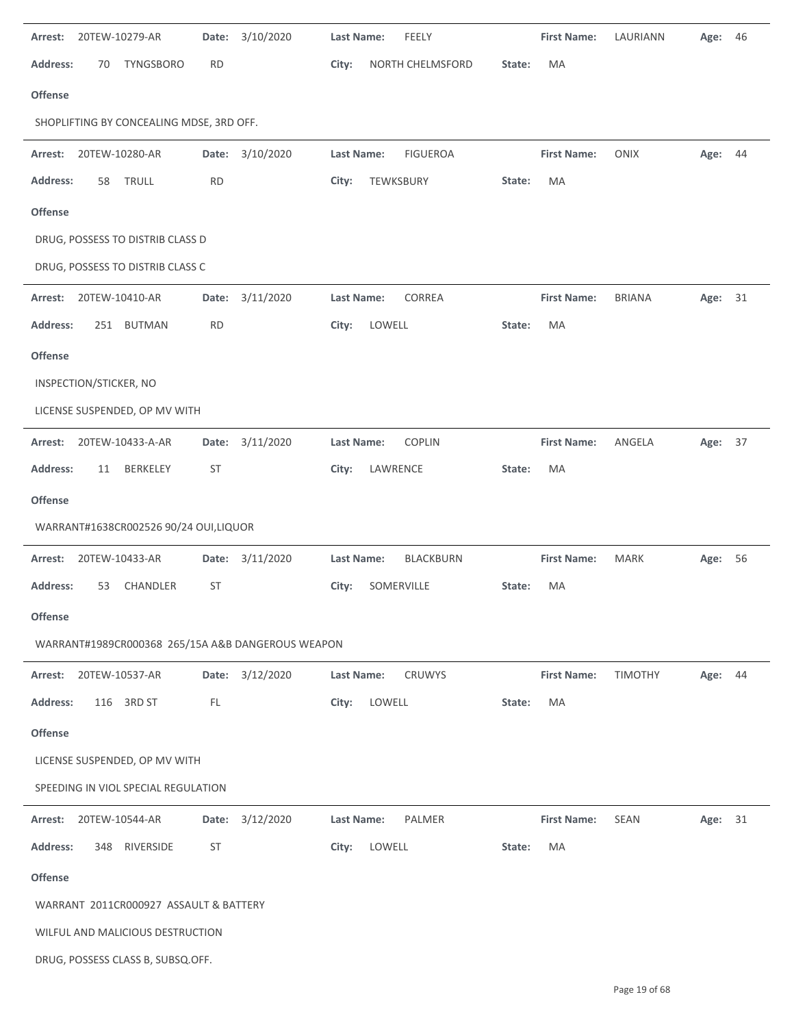| 20TEW-10279-AR<br>Arrest:                         | Date:     | 3/10/2020 | FEELY<br><b>Last Name:</b>            | <b>First Name:</b> | LAURIANN      | Age:    | 46 |
|---------------------------------------------------|-----------|-----------|---------------------------------------|--------------------|---------------|---------|----|
| <b>Address:</b><br><b>TYNGSBORO</b><br>70         | <b>RD</b> |           | City:<br>NORTH CHELMSFORD             | MA<br>State:       |               |         |    |
| Offense                                           |           |           |                                       |                    |               |         |    |
| SHOPLIFTING BY CONCEALING MDSE, 3RD OFF.          |           |           |                                       |                    |               |         |    |
| 20TEW-10280-AR<br>Arrest:                         | Date:     | 3/10/2020 | <b>Last Name:</b><br><b>FIGUEROA</b>  | <b>First Name:</b> | ONIX          | Age: 44 |    |
| <b>Address:</b><br>TRULL<br>58                    | <b>RD</b> |           | TEWKSBURY<br>City:                    | MA<br>State:       |               |         |    |
| Offense                                           |           |           |                                       |                    |               |         |    |
| DRUG, POSSESS TO DISTRIB CLASS D                  |           |           |                                       |                    |               |         |    |
| DRUG, POSSESS TO DISTRIB CLASS C                  |           |           |                                       |                    |               |         |    |
| Arrest:<br>20TEW-10410-AR                         | Date:     | 3/11/2020 | CORREA<br>Last Name:                  | <b>First Name:</b> | <b>BRIANA</b> | Age:    | 31 |
| <b>Address:</b><br>251 BUTMAN                     | <b>RD</b> |           | City:<br>LOWELL                       | MA<br>State:       |               |         |    |
| Offense                                           |           |           |                                       |                    |               |         |    |
| INSPECTION/STICKER, NO                            |           |           |                                       |                    |               |         |    |
| LICENSE SUSPENDED, OP MV WITH                     |           |           |                                       |                    |               |         |    |
| Arrest:<br>20TEW-10433-A-AR                       | Date:     | 3/11/2020 | COPLIN<br><b>Last Name:</b>           | <b>First Name:</b> | ANGELA        | Age: 37 |    |
| <b>Address:</b><br><b>BERKELEY</b><br>11          | ST        |           | LAWRENCE<br>City:                     | MA<br>State:       |               |         |    |
| <b>Offense</b>                                    |           |           |                                       |                    |               |         |    |
| WARRANT#1638CR002526 90/24 OUI,LIQUOR             |           |           |                                       |                    |               |         |    |
| Arrest:<br>20TEW-10433-AR                         | Date:     | 3/11/2020 | <b>Last Name:</b><br><b>BLACKBURN</b> | <b>First Name:</b> | <b>MARK</b>   | Age: 56 |    |
| <b>Address:</b><br>53<br>CHANDLER                 | ST        |           | SOMERVILLE<br>City:                   | MA<br>State:       |               |         |    |
| <b>Offense</b>                                    |           |           |                                       |                    |               |         |    |
| WARRANT#1989CR000368 265/15A A&B DANGEROUS WEAPON |           |           |                                       |                    |               |         |    |
| Arrest:<br>20TEW-10537-AR                         | Date:     | 3/12/2020 | Last Name:<br><b>CRUWYS</b>           | <b>First Name:</b> | TIMOTHY       | Age: 44 |    |
| <b>Address:</b><br>116 3RD ST                     | FL        |           | LOWELL<br>City:                       | State:<br>MA       |               |         |    |
| <b>Offense</b>                                    |           |           |                                       |                    |               |         |    |
| LICENSE SUSPENDED, OP MV WITH                     |           |           |                                       |                    |               |         |    |
| SPEEDING IN VIOL SPECIAL REGULATION               |           |           |                                       |                    |               |         |    |
|                                                   |           |           |                                       |                    |               |         |    |
| Arrest:<br>20TEW-10544-AR                         | Date:     | 3/12/2020 | PALMER<br>Last Name:                  | <b>First Name:</b> | <b>SEAN</b>   | Age:    | 31 |
| <b>Address:</b><br>RIVERSIDE<br>348               | <b>ST</b> |           | City:<br>LOWELL                       | MA<br>State:       |               |         |    |
| <b>Offense</b>                                    |           |           |                                       |                    |               |         |    |
| WARRANT 2011CR000927 ASSAULT & BATTERY            |           |           |                                       |                    |               |         |    |
| WILFUL AND MALICIOUS DESTRUCTION                  |           |           |                                       |                    |               |         |    |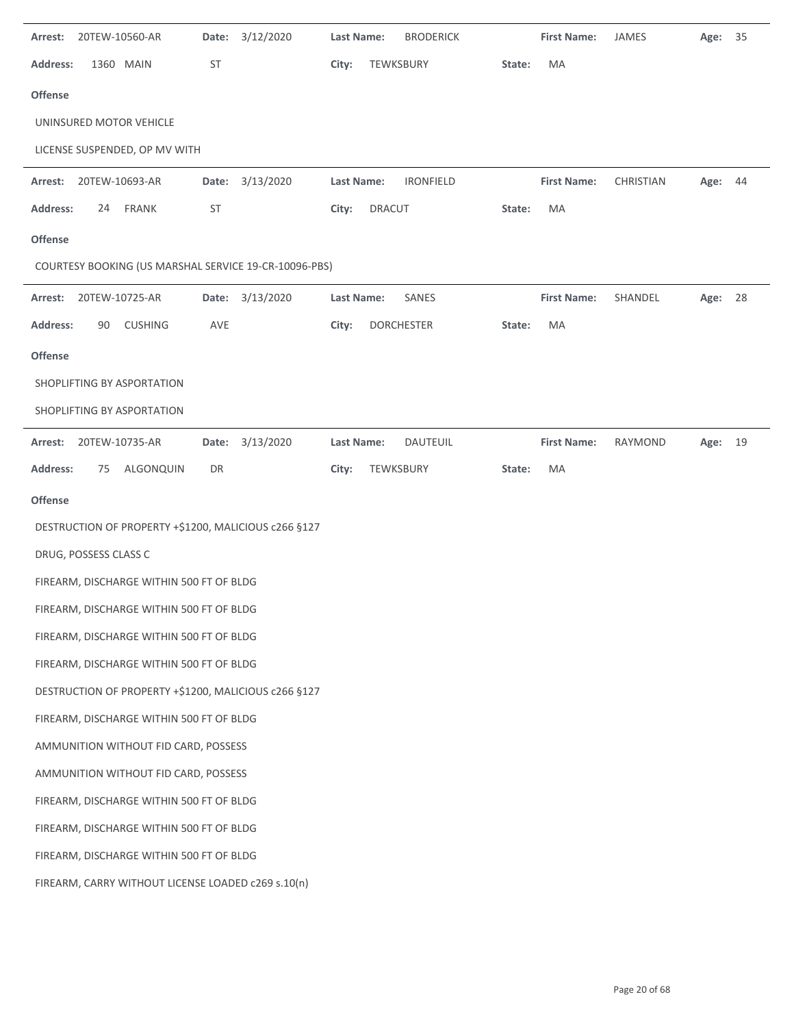| Arrest:         |                       | 20TEW-10560-AR                                     | Date:     | 3/12/2020                                             | <b>Last Name:</b> |           | <b>BRODERICK</b>  |        | <b>First Name:</b> | JAMES     | Age: 35 |    |
|-----------------|-----------------------|----------------------------------------------------|-----------|-------------------------------------------------------|-------------------|-----------|-------------------|--------|--------------------|-----------|---------|----|
| <b>Address:</b> |                       | 1360 MAIN                                          | ST        |                                                       | City:             | TEWKSBURY |                   | State: | MA                 |           |         |    |
| <b>Offense</b>  |                       |                                                    |           |                                                       |                   |           |                   |        |                    |           |         |    |
|                 |                       | UNINSURED MOTOR VEHICLE                            |           |                                                       |                   |           |                   |        |                    |           |         |    |
|                 |                       | LICENSE SUSPENDED, OP MV WITH                      |           |                                                       |                   |           |                   |        |                    |           |         |    |
| Arrest:         |                       | 20TEW-10693-AR                                     |           | Date: 3/13/2020                                       | <b>Last Name:</b> |           | <b>IRONFIELD</b>  |        | <b>First Name:</b> | CHRISTIAN | Age: 44 |    |
| <b>Address:</b> |                       | 24 FRANK                                           | <b>ST</b> |                                                       | City:             | DRACUT    |                   | State: | MA                 |           |         |    |
| <b>Offense</b>  |                       |                                                    |           |                                                       |                   |           |                   |        |                    |           |         |    |
|                 |                       |                                                    |           | COURTESY BOOKING (US MARSHAL SERVICE 19-CR-10096-PBS) |                   |           |                   |        |                    |           |         |    |
| Arrest:         | 20TEW-10725-AR        |                                                    |           | Date: 3/13/2020                                       | Last Name:        |           | SANES             |        | <b>First Name:</b> | SHANDEL   | Age:    | 28 |
| <b>Address:</b> | 90                    | <b>CUSHING</b>                                     | AVE       |                                                       | City:             |           | <b>DORCHESTER</b> | State: | MA                 |           |         |    |
| <b>Offense</b>  |                       |                                                    |           |                                                       |                   |           |                   |        |                    |           |         |    |
|                 |                       | SHOPLIFTING BY ASPORTATION                         |           |                                                       |                   |           |                   |        |                    |           |         |    |
|                 |                       | SHOPLIFTING BY ASPORTATION                         |           |                                                       |                   |           |                   |        |                    |           |         |    |
| Arrest:         |                       | 20TEW-10735-AR                                     | Date:     | 3/13/2020                                             | <b>Last Name:</b> |           | <b>DAUTEUIL</b>   |        | <b>First Name:</b> | RAYMOND   | Age:    | 19 |
| Address:        | 75                    | ALGONQUIN                                          | DR        |                                                       | City:             | TEWKSBURY |                   | State: | MA                 |           |         |    |
| <b>Offense</b>  |                       |                                                    |           |                                                       |                   |           |                   |        |                    |           |         |    |
|                 |                       |                                                    |           | DESTRUCTION OF PROPERTY +\$1200, MALICIOUS c266 §127  |                   |           |                   |        |                    |           |         |    |
|                 | DRUG, POSSESS CLASS C |                                                    |           |                                                       |                   |           |                   |        |                    |           |         |    |
|                 |                       | FIREARM, DISCHARGE WITHIN 500 FT OF BLDG           |           |                                                       |                   |           |                   |        |                    |           |         |    |
|                 |                       | FIREARM, DISCHARGE WITHIN 500 FT OF BLDG           |           |                                                       |                   |           |                   |        |                    |           |         |    |
|                 |                       | FIREARM, DISCHARGE WITHIN 500 FT OF BLDG           |           |                                                       |                   |           |                   |        |                    |           |         |    |
|                 |                       | FIREARM, DISCHARGE WITHIN 500 FT OF BLDG           |           |                                                       |                   |           |                   |        |                    |           |         |    |
|                 |                       |                                                    |           | DESTRUCTION OF PROPERTY +\$1200, MALICIOUS c266 §127  |                   |           |                   |        |                    |           |         |    |
|                 |                       | FIREARM, DISCHARGE WITHIN 500 FT OF BLDG           |           |                                                       |                   |           |                   |        |                    |           |         |    |
|                 |                       | AMMUNITION WITHOUT FID CARD, POSSESS               |           |                                                       |                   |           |                   |        |                    |           |         |    |
|                 |                       | AMMUNITION WITHOUT FID CARD, POSSESS               |           |                                                       |                   |           |                   |        |                    |           |         |    |
|                 |                       | FIREARM, DISCHARGE WITHIN 500 FT OF BLDG           |           |                                                       |                   |           |                   |        |                    |           |         |    |
|                 |                       | FIREARM, DISCHARGE WITHIN 500 FT OF BLDG           |           |                                                       |                   |           |                   |        |                    |           |         |    |
|                 |                       | FIREARM, DISCHARGE WITHIN 500 FT OF BLDG           |           |                                                       |                   |           |                   |        |                    |           |         |    |
|                 |                       | FIREARM, CARRY WITHOUT LICENSE LOADED c269 s.10(n) |           |                                                       |                   |           |                   |        |                    |           |         |    |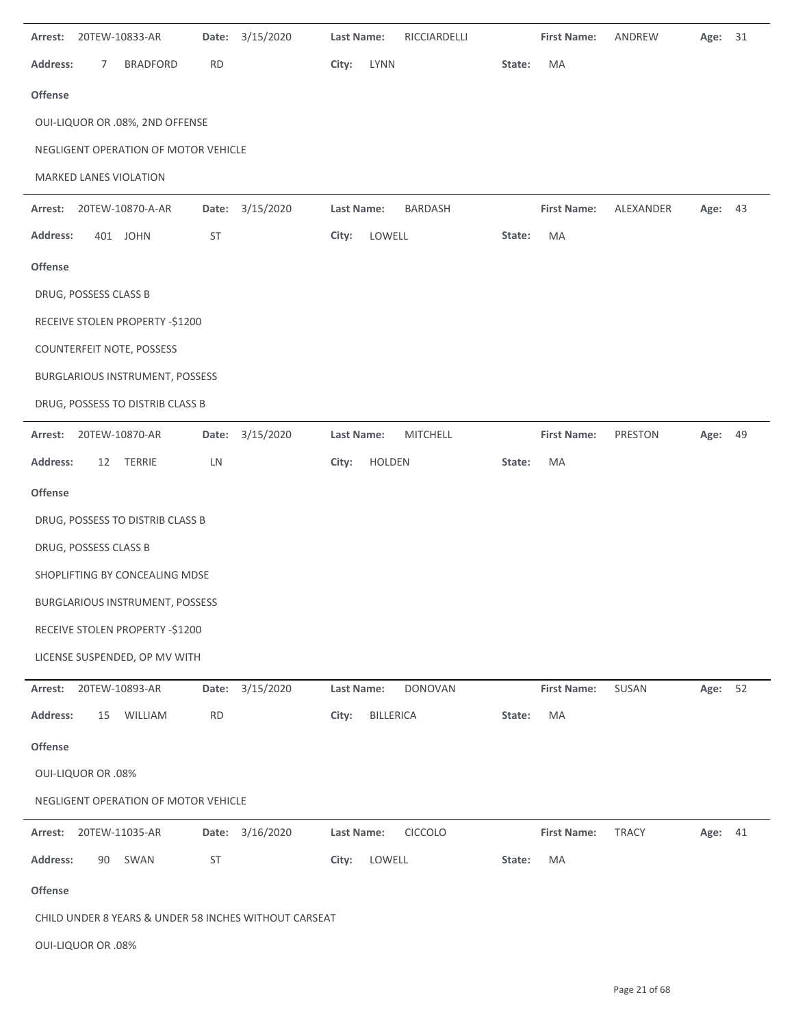| Arrest:         |                           | 20TEW-10833-AR                       |           | Date: 3/15/2020                                       | <b>Last Name:</b> |                  | RICCIARDELLI    |        | <b>First Name:</b> | ANDREW       | Age:    | 31 |
|-----------------|---------------------------|--------------------------------------|-----------|-------------------------------------------------------|-------------------|------------------|-----------------|--------|--------------------|--------------|---------|----|
| Address:        | 7                         | <b>BRADFORD</b>                      | RD        |                                                       | City:             | LYNN             |                 | State: | MA                 |              |         |    |
| <b>Offense</b>  |                           |                                      |           |                                                       |                   |                  |                 |        |                    |              |         |    |
|                 |                           | OUI-LIQUOR OR .08%, 2ND OFFENSE      |           |                                                       |                   |                  |                 |        |                    |              |         |    |
|                 |                           | NEGLIGENT OPERATION OF MOTOR VEHICLE |           |                                                       |                   |                  |                 |        |                    |              |         |    |
|                 |                           | MARKED LANES VIOLATION               |           |                                                       |                   |                  |                 |        |                    |              |         |    |
| Arrest:         |                           | 20TEW-10870-A-AR                     | Date:     | 3/15/2020                                             | Last Name:        |                  | <b>BARDASH</b>  |        | <b>First Name:</b> | ALEXANDER    | Age: 43 |    |
| Address:        |                           | 401 JOHN                             | ST        |                                                       | City:             | LOWELL           |                 | State: | MA                 |              |         |    |
| <b>Offense</b>  |                           |                                      |           |                                                       |                   |                  |                 |        |                    |              |         |    |
|                 | DRUG, POSSESS CLASS B     |                                      |           |                                                       |                   |                  |                 |        |                    |              |         |    |
|                 |                           | RECEIVE STOLEN PROPERTY -\$1200      |           |                                                       |                   |                  |                 |        |                    |              |         |    |
|                 |                           | COUNTERFEIT NOTE, POSSESS            |           |                                                       |                   |                  |                 |        |                    |              |         |    |
|                 |                           | BURGLARIOUS INSTRUMENT, POSSESS      |           |                                                       |                   |                  |                 |        |                    |              |         |    |
|                 |                           | DRUG, POSSESS TO DISTRIB CLASS B     |           |                                                       |                   |                  |                 |        |                    |              |         |    |
| Arrest:         |                           | 20TEW-10870-AR                       |           | Date: 3/15/2020                                       | Last Name:        |                  | <b>MITCHELL</b> |        | <b>First Name:</b> | PRESTON      | Age: 49 |    |
| <b>Address:</b> | 12                        | <b>TERRIE</b>                        | LN        |                                                       | City:             | HOLDEN           |                 | State: | MA                 |              |         |    |
| <b>Offense</b>  |                           |                                      |           |                                                       |                   |                  |                 |        |                    |              |         |    |
|                 |                           | DRUG, POSSESS TO DISTRIB CLASS B     |           |                                                       |                   |                  |                 |        |                    |              |         |    |
|                 | DRUG, POSSESS CLASS B     |                                      |           |                                                       |                   |                  |                 |        |                    |              |         |    |
|                 |                           | SHOPLIFTING BY CONCEALING MDSE       |           |                                                       |                   |                  |                 |        |                    |              |         |    |
|                 |                           | BURGLARIOUS INSTRUMENT, POSSESS      |           |                                                       |                   |                  |                 |        |                    |              |         |    |
|                 |                           | RECEIVE STOLEN PROPERTY -\$1200      |           |                                                       |                   |                  |                 |        |                    |              |         |    |
|                 |                           | LICENSE SUSPENDED, OP MV WITH        |           |                                                       |                   |                  |                 |        |                    |              |         |    |
| Arrest:         |                           | 20TEW-10893-AR                       |           | Date: 3/15/2020                                       | Last Name:        |                  | <b>DONOVAN</b>  |        | <b>First Name:</b> | SUSAN        | Age:    | 52 |
| <b>Address:</b> | 15                        | WILLIAM                              | <b>RD</b> |                                                       | City:             | <b>BILLERICA</b> |                 | State: | MA                 |              |         |    |
| Offense         |                           |                                      |           |                                                       |                   |                  |                 |        |                    |              |         |    |
|                 | <b>OUI-LIQUOR OR .08%</b> |                                      |           |                                                       |                   |                  |                 |        |                    |              |         |    |
|                 |                           | NEGLIGENT OPERATION OF MOTOR VEHICLE |           |                                                       |                   |                  |                 |        |                    |              |         |    |
| Arrest:         |                           | 20TEW-11035-AR                       | Date:     | 3/16/2020                                             | <b>Last Name:</b> |                  | CICCOLO         |        | <b>First Name:</b> | <b>TRACY</b> | Age: 41 |    |
| <b>Address:</b> | 90                        | SWAN                                 | ST        |                                                       | City:             | LOWELL           |                 | State: | MA                 |              |         |    |
| Offense         |                           |                                      |           |                                                       |                   |                  |                 |        |                    |              |         |    |
|                 |                           |                                      |           | CHILD UNDER 8 YEARS & UNDER 58 INCHES WITHOUT CARSEAT |                   |                  |                 |        |                    |              |         |    |
|                 | <b>OUI-LIQUOR OR .08%</b> |                                      |           |                                                       |                   |                  |                 |        |                    |              |         |    |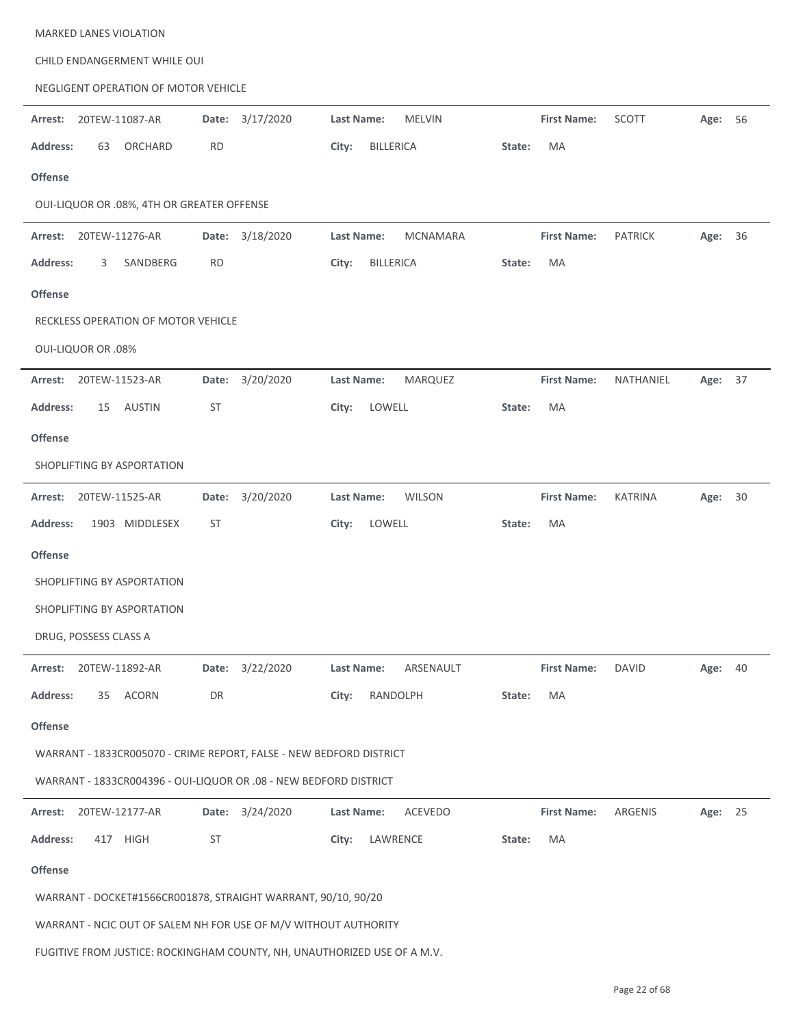| <b>MARKED LANES VIOLATION</b>                                            |                    |                                      |              |                                      |            |
|--------------------------------------------------------------------------|--------------------|--------------------------------------|--------------|--------------------------------------|------------|
| CHILD ENDANGERMENT WHILE OUI                                             |                    |                                      |              |                                      |            |
| NEGLIGENT OPERATION OF MOTOR VEHICLE                                     |                    |                                      |              |                                      |            |
| 20TEW-11087-AR<br>Arrest:                                                | Date: 3/17/2020    | Last Name:<br><b>MELVIN</b>          |              | <b>First Name:</b><br>SCOTT          | Age: 56    |
| ORCHARD<br><b>Address:</b><br>63                                         | <b>RD</b>          | <b>BILLERICA</b><br>City:            | State:<br>MA |                                      |            |
| <b>Offense</b>                                                           |                    |                                      |              |                                      |            |
| OUI-LIQUOR OR .08%, 4TH OR GREATER OFFENSE                               |                    |                                      |              |                                      |            |
| Arrest: 20TEW-11276-AR                                                   | Date: 3/18/2020    | <b>Last Name:</b><br><b>MCNAMARA</b> |              | <b>First Name:</b><br><b>PATRICK</b> | Age:<br>36 |
| <b>Address:</b><br>SANDBERG<br>3                                         | <b>RD</b>          | <b>BILLERICA</b><br>City:            | MA<br>State: |                                      |            |
| <b>Offense</b>                                                           |                    |                                      |              |                                      |            |
| RECKLESS OPERATION OF MOTOR VEHICLE                                      |                    |                                      |              |                                      |            |
| <b>OUI-LIQUOR OR .08%</b>                                                |                    |                                      |              |                                      |            |
| 20TEW-11523-AR<br>Arrest:                                                | Date: 3/20/2020    | Last Name:<br><b>MARQUEZ</b>         |              | <b>First Name:</b><br>NATHANIEL      | 37<br>Age: |
| AUSTIN<br>Address:<br>15                                                 | <b>ST</b>          | LOWELL<br>City:                      | MA<br>State: |                                      |            |
| <b>Offense</b>                                                           |                    |                                      |              |                                      |            |
| SHOPLIFTING BY ASPORTATION                                               |                    |                                      |              |                                      |            |
| 20TEW-11525-AR<br>Arrest:                                                | 3/20/2020<br>Date: | Last Name:<br><b>WILSON</b>          |              | <b>First Name:</b><br><b>KATRINA</b> | 30<br>Age: |
| <b>Address:</b><br>1903 MIDDLESEX                                        | <b>ST</b>          | City:<br>LOWELL                      | MA<br>State: |                                      |            |
| <b>Offense</b>                                                           |                    |                                      |              |                                      |            |
| SHOPLIFTING BY ASPORTATION                                               |                    |                                      |              |                                      |            |
| SHOPLIFTING BY ASPORTATION                                               |                    |                                      |              |                                      |            |
| DRUG, POSSESS CLASS A                                                    |                    |                                      |              |                                      |            |
| Arrest: 20TEW-11892-AR                                                   | Date: 3/22/2020    | Last Name:<br>ARSENAULT              |              | <b>First Name:</b><br><b>DAVID</b>   | Age: 40    |
| <b>Address:</b><br>ACORN<br>35                                           | DR                 | City:<br>RANDOLPH                    | MA<br>State: |                                      |            |
| Offense                                                                  |                    |                                      |              |                                      |            |
| WARRANT - 1833CR005070 - CRIME REPORT, FALSE - NEW BEDFORD DISTRICT      |                    |                                      |              |                                      |            |
| WARRANT - 1833CR004396 - OUI-LIQUOR OR .08 - NEW BEDFORD DISTRICT        |                    |                                      |              |                                      |            |
| 20TEW-12177-AR<br>Arrest:                                                | Date: 3/24/2020    | Last Name:<br>ACEVEDO                |              | <b>First Name:</b><br>ARGENIS        | Age: 25    |
| 417 HIGH<br><b>Address:</b>                                              | ST                 | LAWRENCE<br>City:                    | MA<br>State: |                                      |            |
| Offense                                                                  |                    |                                      |              |                                      |            |
| WARRANT - DOCKET#1566CR001878, STRAIGHT WARRANT, 90/10, 90/20            |                    |                                      |              |                                      |            |
| WARRANT - NCIC OUT OF SALEM NH FOR USE OF M/V WITHOUT AUTHORITY          |                    |                                      |              |                                      |            |
| FUGITIVE FROM JUSTICE: ROCKINGHAM COUNTY, NH, UNAUTHORIZED USE OF A M.V. |                    |                                      |              |                                      |            |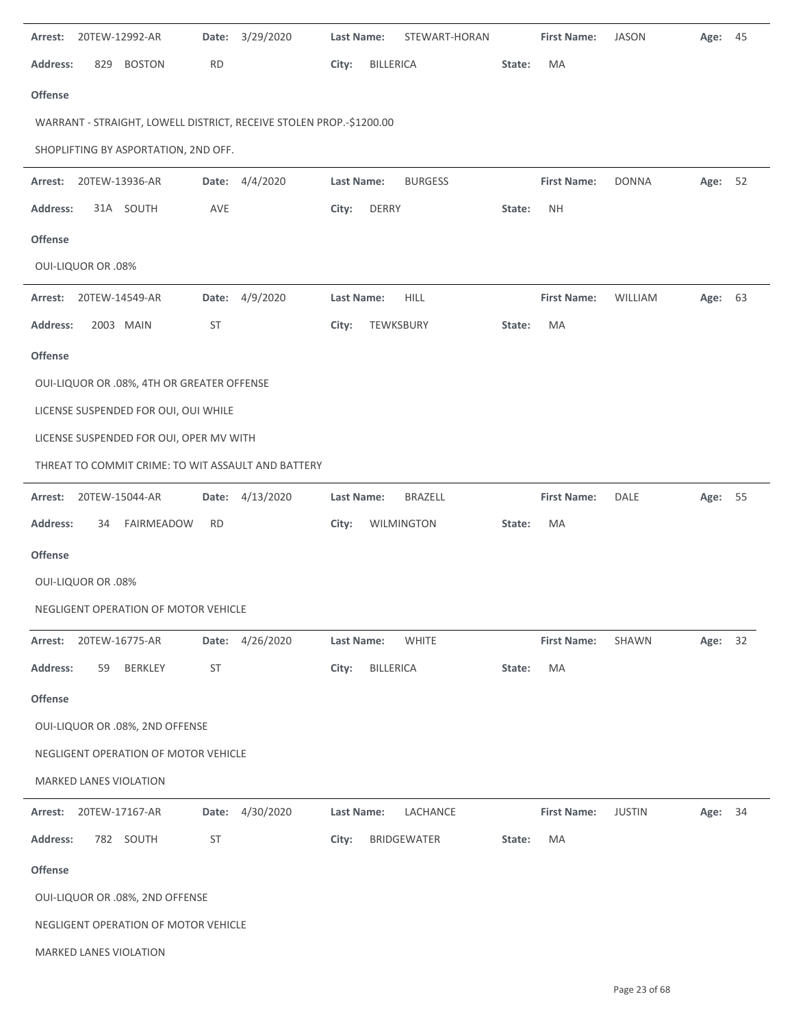| Arrest:         | 20TEW-12992-AR            |                                            | Date:     | 3/29/2020                                                           | Last Name:        |                  | STEWART-HORAN  |        | <b>First Name:</b> | <b>JASON</b>  | Age:    | 45 |
|-----------------|---------------------------|--------------------------------------------|-----------|---------------------------------------------------------------------|-------------------|------------------|----------------|--------|--------------------|---------------|---------|----|
| <b>Address:</b> | 829                       | <b>BOSTON</b>                              | <b>RD</b> |                                                                     | City:             | <b>BILLERICA</b> |                | State: | MA                 |               |         |    |
| <b>Offense</b>  |                           |                                            |           |                                                                     |                   |                  |                |        |                    |               |         |    |
|                 |                           |                                            |           | WARRANT - STRAIGHT, LOWELL DISTRICT, RECEIVE STOLEN PROP.-\$1200.00 |                   |                  |                |        |                    |               |         |    |
|                 |                           | SHOPLIFTING BY ASPORTATION, 2ND OFF.       |           |                                                                     |                   |                  |                |        |                    |               |         |    |
| Arrest:         | 20TEW-13936-AR            |                                            |           | Date: 4/4/2020                                                      | <b>Last Name:</b> |                  | <b>BURGESS</b> |        | <b>First Name:</b> | <b>DONNA</b>  | Age: 52 |    |
| <b>Address:</b> |                           | 31A SOUTH                                  | AVE       |                                                                     | City:             | <b>DERRY</b>     |                | State: | <b>NH</b>          |               |         |    |
| <b>Offense</b>  |                           |                                            |           |                                                                     |                   |                  |                |        |                    |               |         |    |
|                 | <b>OUI-LIQUOR OR .08%</b> |                                            |           |                                                                     |                   |                  |                |        |                    |               |         |    |
| Arrest:         | 20TEW-14549-AR            |                                            | Date:     | 4/9/2020                                                            | <b>Last Name:</b> |                  | <b>HILL</b>    |        | <b>First Name:</b> | WILLIAM       | Age: 63 |    |
| <b>Address:</b> |                           | 2003 MAIN                                  | <b>ST</b> |                                                                     | City:             | TEWKSBURY        |                | State: | МA                 |               |         |    |
| <b>Offense</b>  |                           |                                            |           |                                                                     |                   |                  |                |        |                    |               |         |    |
|                 |                           | OUI-LIQUOR OR .08%, 4TH OR GREATER OFFENSE |           |                                                                     |                   |                  |                |        |                    |               |         |    |
|                 |                           | LICENSE SUSPENDED FOR OUI, OUI WHILE       |           |                                                                     |                   |                  |                |        |                    |               |         |    |
|                 |                           | LICENSE SUSPENDED FOR OUI, OPER MV WITH    |           |                                                                     |                   |                  |                |        |                    |               |         |    |
|                 |                           |                                            |           | THREAT TO COMMIT CRIME: TO WIT ASSAULT AND BATTERY                  |                   |                  |                |        |                    |               |         |    |
| Arrest:         |                           | 20TEW-15044-AR                             | Date:     | 4/13/2020                                                           | Last Name:        |                  | <b>BRAZELL</b> |        | <b>First Name:</b> | DALE          | Age: 55 |    |
| <b>Address:</b> | 34                        | FAIRMEADOW                                 | <b>RD</b> |                                                                     | City:             |                  | WILMINGTON     | State: | MA                 |               |         |    |
| <b>Offense</b>  |                           |                                            |           |                                                                     |                   |                  |                |        |                    |               |         |    |
|                 | <b>OUI-LIQUOR OR .08%</b> |                                            |           |                                                                     |                   |                  |                |        |                    |               |         |    |
|                 |                           | NEGLIGENT OPERATION OF MOTOR VEHICLE       |           |                                                                     |                   |                  |                |        |                    |               |         |    |
| Arrest:         |                           | 20TEW-16775-AR                             |           | Date: 4/26/2020                                                     | Last Name:        |                  | <b>WHITE</b>   |        | <b>First Name:</b> | SHAWN         | Age:    | 32 |
| Address:        | 59                        | <b>BERKLEY</b>                             | <b>ST</b> |                                                                     | City:             | <b>BILLERICA</b> |                | State: | MA                 |               |         |    |
| Offense         |                           |                                            |           |                                                                     |                   |                  |                |        |                    |               |         |    |
|                 |                           | OUI-LIQUOR OR .08%, 2ND OFFENSE            |           |                                                                     |                   |                  |                |        |                    |               |         |    |
|                 |                           | NEGLIGENT OPERATION OF MOTOR VEHICLE       |           |                                                                     |                   |                  |                |        |                    |               |         |    |
|                 |                           | MARKED LANES VIOLATION                     |           |                                                                     |                   |                  |                |        |                    |               |         |    |
| Arrest:         | 20TEW-17167-AR            |                                            | Date:     | 4/30/2020                                                           | <b>Last Name:</b> |                  | LACHANCE       |        | <b>First Name:</b> | <b>JUSTIN</b> | Age:    | 34 |
| Address:        |                           | 782 SOUTH                                  | <b>ST</b> |                                                                     | City:             |                  | BRIDGEWATER    | State: | MA                 |               |         |    |
| Offense         |                           |                                            |           |                                                                     |                   |                  |                |        |                    |               |         |    |
|                 |                           | OUI-LIQUOR OR .08%, 2ND OFFENSE            |           |                                                                     |                   |                  |                |        |                    |               |         |    |
|                 |                           | NEGLIGENT OPERATION OF MOTOR VEHICLE       |           |                                                                     |                   |                  |                |        |                    |               |         |    |
|                 |                           | MARKED LANES VIOLATION                     |           |                                                                     |                   |                  |                |        |                    |               |         |    |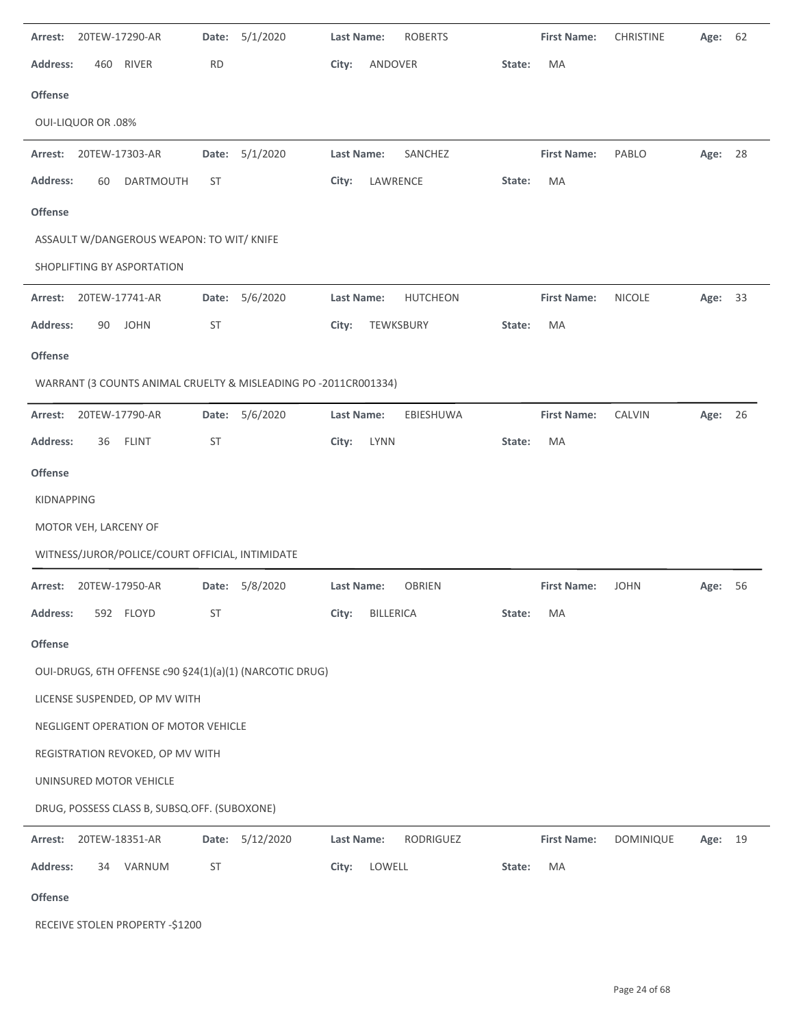| Arrest:         |                           | 20TEW-17290-AR                                  | Date:     | 5/1/2020                                                        | <b>Last Name:</b> |                  | <b>ROBERTS</b>  |        | <b>First Name:</b> | <b>CHRISTINE</b> | Age:    | 62 |
|-----------------|---------------------------|-------------------------------------------------|-----------|-----------------------------------------------------------------|-------------------|------------------|-----------------|--------|--------------------|------------------|---------|----|
| <b>Address:</b> | 460                       | <b>RIVER</b>                                    | <b>RD</b> |                                                                 | City:             | ANDOVER          |                 | State: | MA                 |                  |         |    |
| Offense         |                           |                                                 |           |                                                                 |                   |                  |                 |        |                    |                  |         |    |
|                 | <b>OUI-LIQUOR OR .08%</b> |                                                 |           |                                                                 |                   |                  |                 |        |                    |                  |         |    |
| Arrest:         |                           | 20TEW-17303-AR                                  | Date:     | 5/1/2020                                                        | Last Name:        |                  | SANCHEZ         |        | <b>First Name:</b> | PABLO            | Age: 28 |    |
| <b>Address:</b> | 60                        | <b>DARTMOUTH</b>                                | <b>ST</b> |                                                                 | City:             | LAWRENCE         |                 | State: | MA                 |                  |         |    |
| Offense         |                           |                                                 |           |                                                                 |                   |                  |                 |        |                    |                  |         |    |
|                 |                           | ASSAULT W/DANGEROUS WEAPON: TO WIT/ KNIFE       |           |                                                                 |                   |                  |                 |        |                    |                  |         |    |
|                 |                           | SHOPLIFTING BY ASPORTATION                      |           |                                                                 |                   |                  |                 |        |                    |                  |         |    |
| Arrest:         |                           | 20TEW-17741-AR                                  | Date:     | 5/6/2020                                                        | Last Name:        |                  | <b>HUTCHEON</b> |        | <b>First Name:</b> | <b>NICOLE</b>    | Age:    | 33 |
| <b>Address:</b> | 90                        | <b>JOHN</b>                                     | <b>ST</b> |                                                                 | City:             |                  | TEWKSBURY       | State: | MA                 |                  |         |    |
| Offense         |                           |                                                 |           |                                                                 |                   |                  |                 |        |                    |                  |         |    |
|                 |                           |                                                 |           | WARRANT (3 COUNTS ANIMAL CRUELTY & MISLEADING PO -2011CR001334) |                   |                  |                 |        |                    |                  |         |    |
| Arrest:         |                           | 20TEW-17790-AR                                  |           | Date: 5/6/2020                                                  | Last Name:        |                  | EBIESHUWA       |        | <b>First Name:</b> | CALVIN           | Age: 26 |    |
| <b>Address:</b> | 36                        | <b>FLINT</b>                                    | <b>ST</b> |                                                                 | City:             | <b>LYNN</b>      |                 | State: | MA                 |                  |         |    |
| <b>Offense</b>  |                           |                                                 |           |                                                                 |                   |                  |                 |        |                    |                  |         |    |
| KIDNAPPING      |                           |                                                 |           |                                                                 |                   |                  |                 |        |                    |                  |         |    |
|                 | MOTOR VEH, LARCENY OF     |                                                 |           |                                                                 |                   |                  |                 |        |                    |                  |         |    |
|                 |                           | WITNESS/JUROR/POLICE/COURT OFFICIAL, INTIMIDATE |           |                                                                 |                   |                  |                 |        |                    |                  |         |    |
| Arrest:         |                           | 20TEW-17950-AR                                  | Date:     | 5/8/2020                                                        | <b>Last Name:</b> |                  | <b>OBRIEN</b>   |        | <b>First Name:</b> | <b>JOHN</b>      | Age:    | 56 |
| Address:        |                           | 592 FLOYD                                       | ST        |                                                                 | City:             | <b>BILLERICA</b> |                 | State: | MA                 |                  |         |    |
| Offense         |                           |                                                 |           |                                                                 |                   |                  |                 |        |                    |                  |         |    |
|                 |                           |                                                 |           | OUI-DRUGS, 6TH OFFENSE c90 §24(1)(a)(1) (NARCOTIC DRUG)         |                   |                  |                 |        |                    |                  |         |    |
|                 |                           | LICENSE SUSPENDED, OP MV WITH                   |           |                                                                 |                   |                  |                 |        |                    |                  |         |    |
|                 |                           | NEGLIGENT OPERATION OF MOTOR VEHICLE            |           |                                                                 |                   |                  |                 |        |                    |                  |         |    |
|                 |                           | REGISTRATION REVOKED, OP MV WITH                |           |                                                                 |                   |                  |                 |        |                    |                  |         |    |
|                 |                           | UNINSURED MOTOR VEHICLE                         |           |                                                                 |                   |                  |                 |        |                    |                  |         |    |
|                 |                           | DRUG, POSSESS CLASS B, SUBSQ.OFF. (SUBOXONE)    |           |                                                                 |                   |                  |                 |        |                    |                  |         |    |
| Arrest:         |                           | 20TEW-18351-AR                                  | Date:     | 5/12/2020                                                       | Last Name:        |                  | RODRIGUEZ       |        | <b>First Name:</b> | DOMINIQUE        | Age:    | 19 |
| <b>Address:</b> | 34                        | VARNUM                                          | ST        |                                                                 | City:             | LOWELL           |                 | State: | MA                 |                  |         |    |
| <b>Offense</b>  |                           |                                                 |           |                                                                 |                   |                  |                 |        |                    |                  |         |    |
|                 |                           | RECEIVE STOLEN PROPERTY -\$1200                 |           |                                                                 |                   |                  |                 |        |                    |                  |         |    |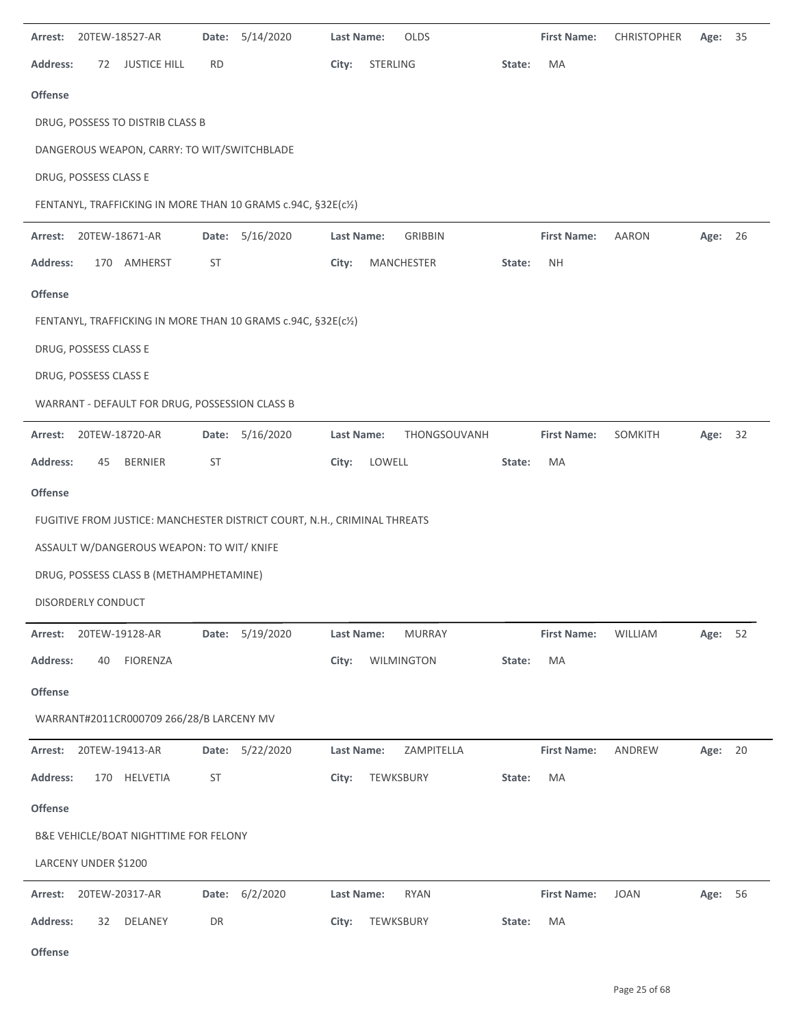|                 |                       | Arrest: 20TEW-18527-AR                         | Date:     | 5/14/2020                                                                | <b>Last Name:</b> | OLDS              |        | <b>First Name:</b> | <b>CHRISTOPHER</b> | Age: | 35   |
|-----------------|-----------------------|------------------------------------------------|-----------|--------------------------------------------------------------------------|-------------------|-------------------|--------|--------------------|--------------------|------|------|
| <b>Address:</b> | 72                    | <b>JUSTICE HILL</b>                            | <b>RD</b> |                                                                          | City:             | STERLING          | State: | MA                 |                    |      |      |
| <b>Offense</b>  |                       |                                                |           |                                                                          |                   |                   |        |                    |                    |      |      |
|                 |                       | DRUG, POSSESS TO DISTRIB CLASS B               |           |                                                                          |                   |                   |        |                    |                    |      |      |
|                 |                       | DANGEROUS WEAPON, CARRY: TO WIT/SWITCHBLADE    |           |                                                                          |                   |                   |        |                    |                    |      |      |
|                 | DRUG, POSSESS CLASS E |                                                |           |                                                                          |                   |                   |        |                    |                    |      |      |
|                 |                       |                                                |           | FENTANYL, TRAFFICKING IN MORE THAN 10 GRAMS c.94C, §32E(c1/2)            |                   |                   |        |                    |                    |      |      |
| Arrest:         |                       | 20TEW-18671-AR                                 |           | Date: 5/16/2020                                                          | Last Name:        | <b>GRIBBIN</b>    |        | <b>First Name:</b> | <b>AARON</b>       | Age: | - 26 |
| <b>Address:</b> | 170                   | AMHERST                                        | <b>ST</b> |                                                                          | City:             | <b>MANCHESTER</b> | State: | <b>NH</b>          |                    |      |      |
| <b>Offense</b>  |                       |                                                |           |                                                                          |                   |                   |        |                    |                    |      |      |
|                 |                       |                                                |           | FENTANYL, TRAFFICKING IN MORE THAN 10 GRAMS c.94C, §32E(c1/2)            |                   |                   |        |                    |                    |      |      |
|                 | DRUG, POSSESS CLASS E |                                                |           |                                                                          |                   |                   |        |                    |                    |      |      |
|                 | DRUG, POSSESS CLASS E |                                                |           |                                                                          |                   |                   |        |                    |                    |      |      |
|                 |                       | WARRANT - DEFAULT FOR DRUG, POSSESSION CLASS B |           |                                                                          |                   |                   |        |                    |                    |      |      |
| Arrest:         |                       | 20TEW-18720-AR                                 |           | Date: 5/16/2020                                                          | Last Name:        | THONGSOUVANH      |        | <b>First Name:</b> | SOMKITH            | Age: | 32   |
| <b>Address:</b> | 45                    | <b>BERNIER</b>                                 | <b>ST</b> |                                                                          | City:             | LOWELL            | State: | MA                 |                    |      |      |
| <b>Offense</b>  |                       |                                                |           |                                                                          |                   |                   |        |                    |                    |      |      |
|                 |                       |                                                |           | FUGITIVE FROM JUSTICE: MANCHESTER DISTRICT COURT, N.H., CRIMINAL THREATS |                   |                   |        |                    |                    |      |      |
|                 |                       | ASSAULT W/DANGEROUS WEAPON: TO WIT/ KNIFE      |           |                                                                          |                   |                   |        |                    |                    |      |      |
|                 |                       | DRUG, POSSESS CLASS B (METHAMPHETAMINE)        |           |                                                                          |                   |                   |        |                    |                    |      |      |
|                 | DISORDERLY CONDUCT    |                                                |           |                                                                          |                   |                   |        |                    |                    |      |      |
| Arrest:         |                       | 20TEW-19128-AR                                 | Date:     | 5/19/2020                                                                | Last Name:        | <b>MURRAY</b>     |        | <b>First Name:</b> | WILLIAM            | Age: | 52   |
| <b>Address:</b> | 40                    | FIORENZA                                       |           |                                                                          | City:             | WILMINGTON        | State: | MA                 |                    |      |      |
| Offense         |                       |                                                |           |                                                                          |                   |                   |        |                    |                    |      |      |
|                 |                       | WARRANT#2011CR000709 266/28/B LARCENY MV       |           |                                                                          |                   |                   |        |                    |                    |      |      |
| Arrest:         |                       | 20TEW-19413-AR                                 | Date:     | 5/22/2020                                                                | <b>Last Name:</b> | ZAMPITELLA        |        | <b>First Name:</b> | ANDREW             | Age: | 20   |
| <b>Address:</b> | 170                   | HELVETIA                                       | ST        |                                                                          | City:             | TEWKSBURY         | State: | MA                 |                    |      |      |
| Offense         |                       |                                                |           |                                                                          |                   |                   |        |                    |                    |      |      |
|                 |                       | B&E VEHICLE/BOAT NIGHTTIME FOR FELONY          |           |                                                                          |                   |                   |        |                    |                    |      |      |
|                 | LARCENY UNDER \$1200  |                                                |           |                                                                          |                   |                   |        |                    |                    |      |      |
| Arrest:         |                       | 20TEW-20317-AR                                 | Date:     | 6/2/2020                                                                 | Last Name:        | <b>RYAN</b>       |        | <b>First Name:</b> | <b>JOAN</b>        | Age: | 56   |
| <b>Address:</b> | 32                    | DELANEY                                        | DR        |                                                                          | City:             | TEWKSBURY         | State: | MA                 |                    |      |      |

**Offense**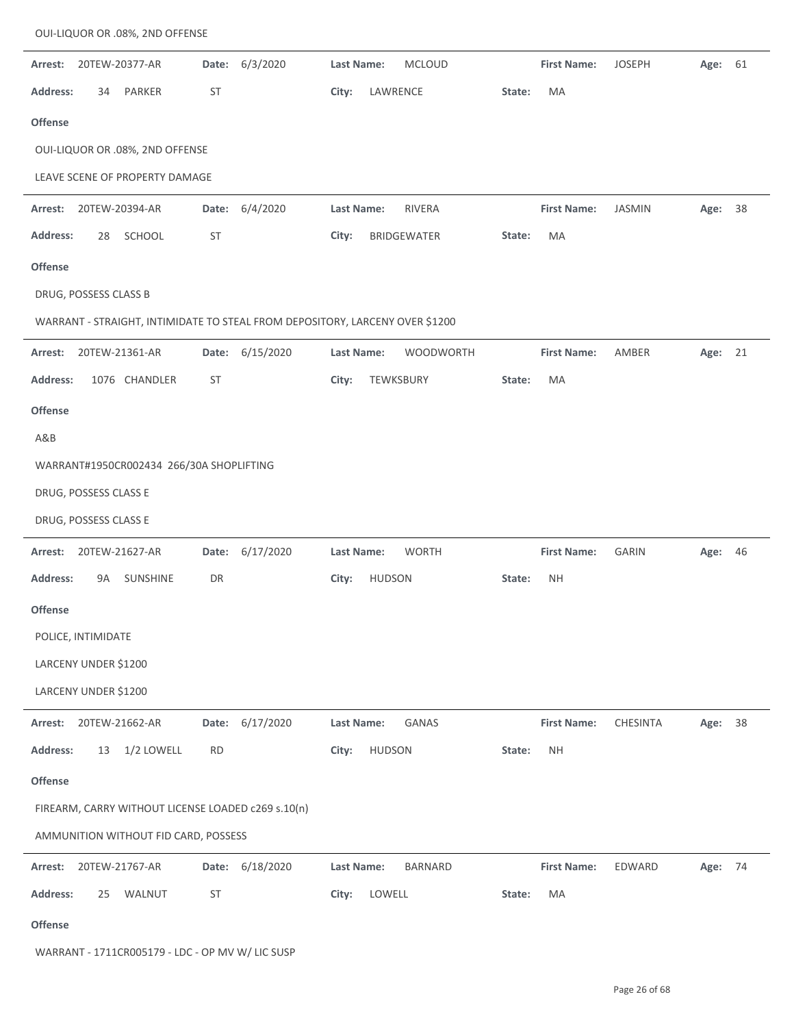| Arrest:         |                       | 20TEW-20377-AR                                     | Date:     | 6/3/2020                                                                     | <b>Last Name:</b> |               | <b>MCLOUD</b>    |        | <b>First Name:</b> | <b>JOSEPH</b> | Age:    | 61 |
|-----------------|-----------------------|----------------------------------------------------|-----------|------------------------------------------------------------------------------|-------------------|---------------|------------------|--------|--------------------|---------------|---------|----|
| Address:        | 34                    | PARKER                                             | <b>ST</b> |                                                                              | City:             | LAWRENCE      |                  | State: | MA                 |               |         |    |
| <b>Offense</b>  |                       |                                                    |           |                                                                              |                   |               |                  |        |                    |               |         |    |
|                 |                       | OUI-LIQUOR OR .08%, 2ND OFFENSE                    |           |                                                                              |                   |               |                  |        |                    |               |         |    |
|                 |                       | LEAVE SCENE OF PROPERTY DAMAGE                     |           |                                                                              |                   |               |                  |        |                    |               |         |    |
| Arrest:         |                       | 20TEW-20394-AR                                     | Date:     | 6/4/2020                                                                     | <b>Last Name:</b> |               | RIVERA           |        | <b>First Name:</b> | <b>JASMIN</b> | Age:    | 38 |
| Address:        | 28                    | SCHOOL                                             | <b>ST</b> |                                                                              | City:             |               | BRIDGEWATER      | State: | MA                 |               |         |    |
| Offense         |                       |                                                    |           |                                                                              |                   |               |                  |        |                    |               |         |    |
|                 | DRUG, POSSESS CLASS B |                                                    |           |                                                                              |                   |               |                  |        |                    |               |         |    |
|                 |                       |                                                    |           | WARRANT - STRAIGHT, INTIMIDATE TO STEAL FROM DEPOSITORY, LARCENY OVER \$1200 |                   |               |                  |        |                    |               |         |    |
| Arrest:         |                       | 20TEW-21361-AR                                     | Date:     | 6/15/2020                                                                    | <b>Last Name:</b> |               | <b>WOODWORTH</b> |        | <b>First Name:</b> | AMBER         | Age:    | 21 |
| <b>Address:</b> |                       | 1076 CHANDLER                                      | <b>ST</b> |                                                                              | City:             | TEWKSBURY     |                  | State: | MA                 |               |         |    |
| <b>Offense</b>  |                       |                                                    |           |                                                                              |                   |               |                  |        |                    |               |         |    |
| A&B             |                       |                                                    |           |                                                                              |                   |               |                  |        |                    |               |         |    |
|                 |                       | WARRANT#1950CR002434 266/30A SHOPLIFTING           |           |                                                                              |                   |               |                  |        |                    |               |         |    |
|                 | DRUG, POSSESS CLASS E |                                                    |           |                                                                              |                   |               |                  |        |                    |               |         |    |
|                 | DRUG, POSSESS CLASS E |                                                    |           |                                                                              |                   |               |                  |        |                    |               |         |    |
| Arrest:         |                       | 20TEW-21627-AR                                     |           | Date: 6/17/2020                                                              | Last Name:        |               | <b>WORTH</b>     |        | <b>First Name:</b> | <b>GARIN</b>  | Age:    | 46 |
| <b>Address:</b> | 9A                    | <b>SUNSHINE</b>                                    | DR        |                                                                              | City:             | <b>HUDSON</b> |                  | State: | <b>NH</b>          |               |         |    |
| <b>Offense</b>  |                       |                                                    |           |                                                                              |                   |               |                  |        |                    |               |         |    |
|                 | POLICE, INTIMIDATE    |                                                    |           |                                                                              |                   |               |                  |        |                    |               |         |    |
|                 | LARCENY UNDER \$1200  |                                                    |           |                                                                              |                   |               |                  |        |                    |               |         |    |
|                 | LARCENY UNDER \$1200  |                                                    |           |                                                                              |                   |               |                  |        |                    |               |         |    |
| Arrest:         |                       | 20TEW-21662-AR                                     |           | Date: 6/17/2020                                                              | <b>Last Name:</b> |               | <b>GANAS</b>     |        | <b>First Name:</b> | CHESINTA      | Age: 38 |    |
| <b>Address:</b> | 13                    | 1/2 LOWELL                                         | <b>RD</b> |                                                                              | City:             | <b>HUDSON</b> |                  | State: | <b>NH</b>          |               |         |    |
| Offense         |                       |                                                    |           |                                                                              |                   |               |                  |        |                    |               |         |    |
|                 |                       | FIREARM, CARRY WITHOUT LICENSE LOADED c269 s.10(n) |           |                                                                              |                   |               |                  |        |                    |               |         |    |
|                 |                       | AMMUNITION WITHOUT FID CARD, POSSESS               |           |                                                                              |                   |               |                  |        |                    |               |         |    |
| Arrest:         |                       | 20TEW-21767-AR                                     | Date:     | 6/18/2020                                                                    | Last Name:        |               | <b>BARNARD</b>   |        | <b>First Name:</b> | EDWARD        | Age:    | 74 |
| <b>Address:</b> | 25                    | WALNUT                                             | <b>ST</b> |                                                                              | City:             | LOWELL        |                  | State: | MA                 |               |         |    |
| Offense         |                       |                                                    |           |                                                                              |                   |               |                  |        |                    |               |         |    |

WARRANT ‐ 1711CR005179 ‐ LDC ‐ OP MV W/ LIC SUSP

OUI‐LIQUOR OR .08%, 2ND OFFENSE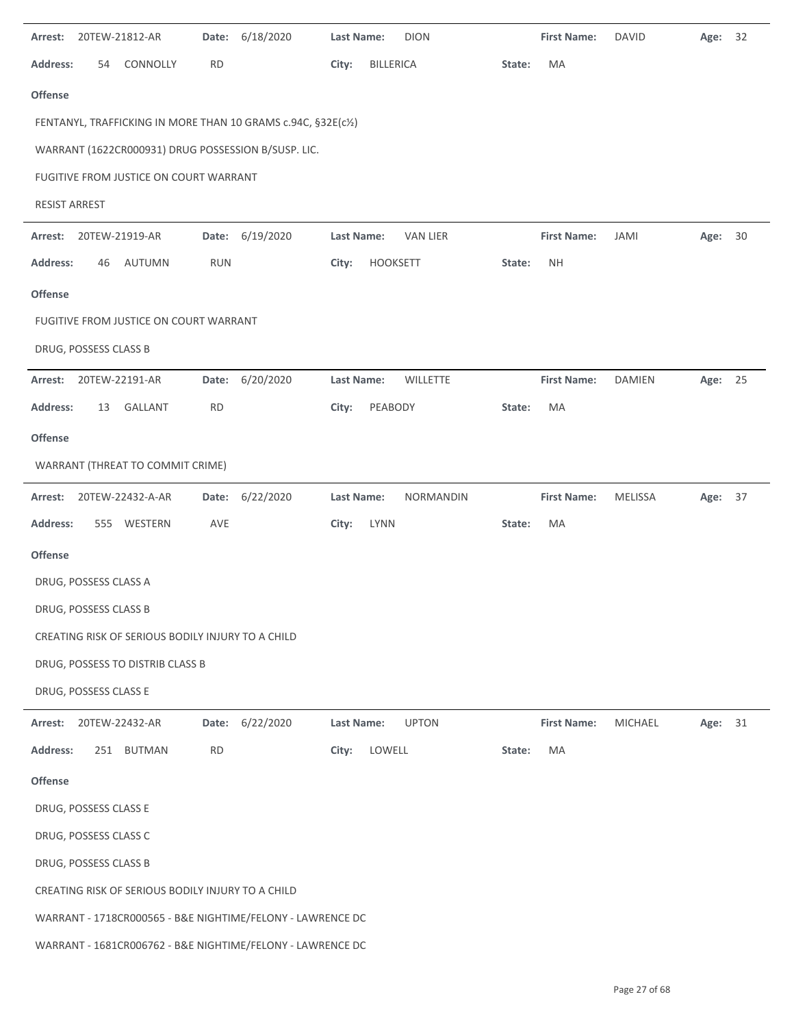| Arrest:         | 20TEW-21812-AR        |                                                   | Date:      | 6/18/2020                                                     | Last Name:        |                  | <b>DION</b>      |        | <b>First Name:</b> | <b>DAVID</b>   | Age:    | 32   |
|-----------------|-----------------------|---------------------------------------------------|------------|---------------------------------------------------------------|-------------------|------------------|------------------|--------|--------------------|----------------|---------|------|
| <b>Address:</b> | 54                    | CONNOLLY                                          | <b>RD</b>  |                                                               | City:             | <b>BILLERICA</b> |                  | State: | MA                 |                |         |      |
| Offense         |                       |                                                   |            |                                                               |                   |                  |                  |        |                    |                |         |      |
|                 |                       |                                                   |            | FENTANYL, TRAFFICKING IN MORE THAN 10 GRAMS c.94C, §32E(c1/2) |                   |                  |                  |        |                    |                |         |      |
|                 |                       |                                                   |            | WARRANT (1622CR000931) DRUG POSSESSION B/SUSP. LIC.           |                   |                  |                  |        |                    |                |         |      |
|                 |                       | FUGITIVE FROM JUSTICE ON COURT WARRANT            |            |                                                               |                   |                  |                  |        |                    |                |         |      |
| RESIST ARREST   |                       |                                                   |            |                                                               |                   |                  |                  |        |                    |                |         |      |
| Arrest:         | 20TEW-21919-AR        |                                                   |            | Date: 6/19/2020                                               | Last Name:        |                  | <b>VAN LIER</b>  |        | <b>First Name:</b> | JAMI           | Age:    | - 30 |
| Address:        | 46                    | <b>AUTUMN</b>                                     | <b>RUN</b> |                                                               | City:             | HOOKSETT         |                  | State: | <b>NH</b>          |                |         |      |
| <b>Offense</b>  |                       |                                                   |            |                                                               |                   |                  |                  |        |                    |                |         |      |
|                 |                       | FUGITIVE FROM JUSTICE ON COURT WARRANT            |            |                                                               |                   |                  |                  |        |                    |                |         |      |
|                 | DRUG, POSSESS CLASS B |                                                   |            |                                                               |                   |                  |                  |        |                    |                |         |      |
| Arrest:         | 20TEW-22191-AR        |                                                   | Date:      | 6/20/2020                                                     | Last Name:        |                  | <b>WILLETTE</b>  |        | <b>First Name:</b> | <b>DAMIEN</b>  | Age: 25 |      |
| <b>Address:</b> | 13                    | GALLANT                                           | <b>RD</b>  |                                                               | City:             | PEABODY          |                  | State: | MA                 |                |         |      |
| <b>Offense</b>  |                       |                                                   |            |                                                               |                   |                  |                  |        |                    |                |         |      |
|                 |                       | WARRANT (THREAT TO COMMIT CRIME)                  |            |                                                               |                   |                  |                  |        |                    |                |         |      |
| Arrest:         |                       | 20TEW-22432-A-AR                                  |            | Date: 6/22/2020                                               | <b>Last Name:</b> |                  | <b>NORMANDIN</b> |        | <b>First Name:</b> | MELISSA        | Age: 37 |      |
| <b>Address:</b> | 555                   | WESTERN                                           | AVE        |                                                               | City:             | LYNN             |                  | State: | MA                 |                |         |      |
| <b>Offense</b>  |                       |                                                   |            |                                                               |                   |                  |                  |        |                    |                |         |      |
|                 | DRUG, POSSESS CLASS A |                                                   |            |                                                               |                   |                  |                  |        |                    |                |         |      |
|                 | DRUG, POSSESS CLASS B |                                                   |            |                                                               |                   |                  |                  |        |                    |                |         |      |
|                 |                       | CREATING RISK OF SERIOUS BODILY INJURY TO A CHILD |            |                                                               |                   |                  |                  |        |                    |                |         |      |
|                 |                       | DRUG, POSSESS TO DISTRIB CLASS B                  |            |                                                               |                   |                  |                  |        |                    |                |         |      |
|                 | DRUG, POSSESS CLASS E |                                                   |            |                                                               |                   |                  |                  |        |                    |                |         |      |
| Arrest:         | 20TEW-22432-AR        |                                                   | Date:      | 6/22/2020                                                     | <b>Last Name:</b> |                  | <b>UPTON</b>     |        | <b>First Name:</b> | <b>MICHAEL</b> | Age: 31 |      |
| <b>Address:</b> |                       | 251 BUTMAN                                        | <b>RD</b>  |                                                               | City:             | LOWELL           |                  | State: | MA                 |                |         |      |
| Offense         |                       |                                                   |            |                                                               |                   |                  |                  |        |                    |                |         |      |
|                 | DRUG, POSSESS CLASS E |                                                   |            |                                                               |                   |                  |                  |        |                    |                |         |      |
|                 | DRUG, POSSESS CLASS C |                                                   |            |                                                               |                   |                  |                  |        |                    |                |         |      |
|                 | DRUG, POSSESS CLASS B |                                                   |            |                                                               |                   |                  |                  |        |                    |                |         |      |
|                 |                       | CREATING RISK OF SERIOUS BODILY INJURY TO A CHILD |            |                                                               |                   |                  |                  |        |                    |                |         |      |
|                 |                       |                                                   |            | WARRANT - 1718CR000565 - B&E NIGHTIME/FELONY - LAWRENCE DC    |                   |                  |                  |        |                    |                |         |      |
|                 |                       |                                                   |            | WARRANT - 1681CR006762 - B&E NIGHTIME/FELONY - LAWRENCE DC    |                   |                  |                  |        |                    |                |         |      |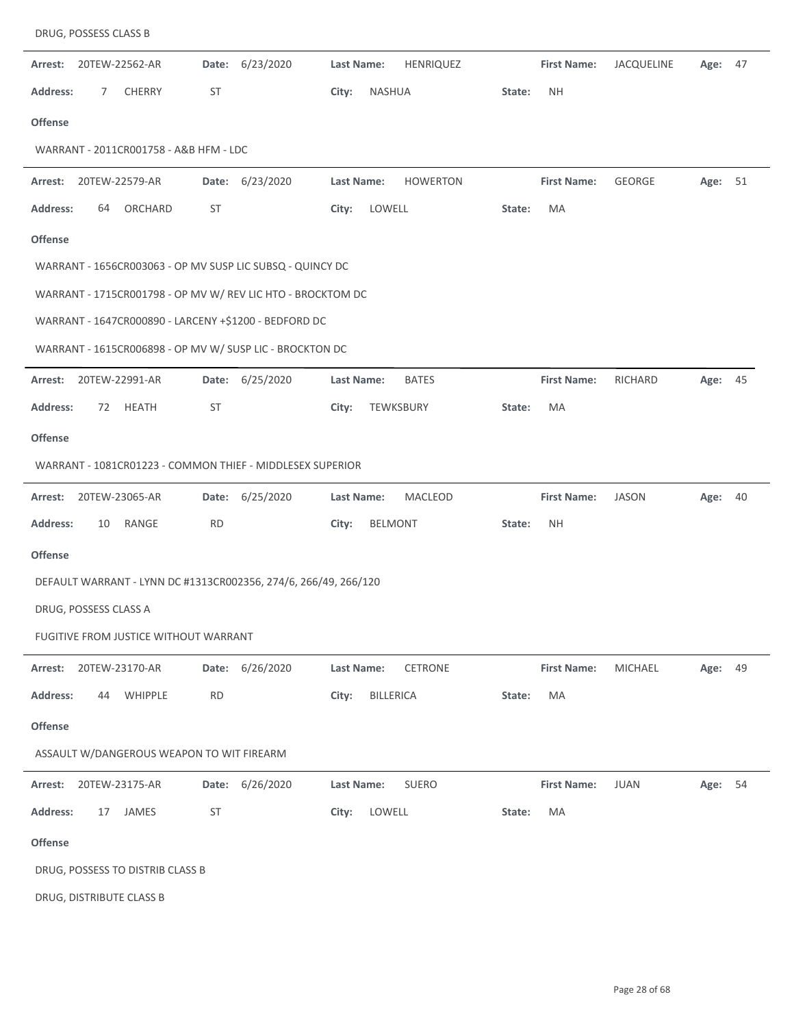| Arrest:         |                       | 20TEW-22562-AR                            | Date:     | 6/23/2020                                                       | Last Name: |                | HENRIQUEZ       |        | <b>First Name:</b> | JACQUELINE    | Age:    | 47 |
|-----------------|-----------------------|-------------------------------------------|-----------|-----------------------------------------------------------------|------------|----------------|-----------------|--------|--------------------|---------------|---------|----|
| <b>Address:</b> | 7                     | CHERRY                                    | ST        |                                                                 | City:      | <b>NASHUA</b>  |                 | State: | <b>NH</b>          |               |         |    |
| <b>Offense</b>  |                       |                                           |           |                                                                 |            |                |                 |        |                    |               |         |    |
|                 |                       | WARRANT - 2011CR001758 - A&B HFM - LDC    |           |                                                                 |            |                |                 |        |                    |               |         |    |
| Arrest:         |                       | 20TEW-22579-AR                            |           | Date: 6/23/2020                                                 | Last Name: |                | <b>HOWERTON</b> |        | <b>First Name:</b> | <b>GEORGE</b> | Age: 51 |    |
| <b>Address:</b> | 64                    | ORCHARD                                   | ST        |                                                                 | City:      | LOWELL         |                 | State: | MA                 |               |         |    |
| <b>Offense</b>  |                       |                                           |           |                                                                 |            |                |                 |        |                    |               |         |    |
|                 |                       |                                           |           | WARRANT - 1656CR003063 - OP MV SUSP LIC SUBSQ - QUINCY DC       |            |                |                 |        |                    |               |         |    |
|                 |                       |                                           |           | WARRANT - 1715CR001798 - OP MV W/ REV LIC HTO - BROCKTOM DC     |            |                |                 |        |                    |               |         |    |
|                 |                       |                                           |           | WARRANT - 1647CR000890 - LARCENY +\$1200 - BEDFORD DC           |            |                |                 |        |                    |               |         |    |
|                 |                       |                                           |           | WARRANT - 1615CR006898 - OP MV W/ SUSP LIC - BROCKTON DC        |            |                |                 |        |                    |               |         |    |
| Arrest:         |                       | 20TEW-22991-AR                            | Date:     | 6/25/2020                                                       | Last Name: |                | <b>BATES</b>    |        | <b>First Name:</b> | RICHARD       | Age:    | 45 |
| <b>Address:</b> | 72                    | HEATH                                     | ST        |                                                                 | City:      | TEWKSBURY      |                 | State: | MA                 |               |         |    |
| <b>Offense</b>  |                       |                                           |           |                                                                 |            |                |                 |        |                    |               |         |    |
|                 |                       |                                           |           | WARRANT - 1081CR01223 - COMMON THIEF - MIDDLESEX SUPERIOR       |            |                |                 |        |                    |               |         |    |
| Arrest:         |                       | 20TEW-23065-AR                            | Date:     | 6/25/2020                                                       | Last Name: |                | MACLEOD         |        | <b>First Name:</b> | <b>JASON</b>  | Age: 40 |    |
| <b>Address:</b> | 10                    | RANGE                                     | <b>RD</b> |                                                                 | City:      | <b>BELMONT</b> |                 | State: | <b>NH</b>          |               |         |    |
| <b>Offense</b>  |                       |                                           |           |                                                                 |            |                |                 |        |                    |               |         |    |
|                 |                       |                                           |           | DEFAULT WARRANT - LYNN DC #1313CR002356, 274/6, 266/49, 266/120 |            |                |                 |        |                    |               |         |    |
|                 | DRUG, POSSESS CLASS A |                                           |           |                                                                 |            |                |                 |        |                    |               |         |    |
|                 |                       | FUGITIVE FROM JUSTICE WITHOUT WARRANT     |           |                                                                 |            |                |                 |        |                    |               |         |    |
| Arrest:         |                       | 20TEW-23170-AR                            | Date:     | 6/26/2020                                                       | Last Name: |                | CETRONE         |        | <b>First Name:</b> | MICHAEL       | Age:    | 49 |
| <b>Address:</b> | 44                    | WHIPPLE                                   | <b>RD</b> |                                                                 | City:      | BILLERICA      |                 | State: | MA                 |               |         |    |
| <b>Offense</b>  |                       |                                           |           |                                                                 |            |                |                 |        |                    |               |         |    |
|                 |                       | ASSAULT W/DANGEROUS WEAPON TO WIT FIREARM |           |                                                                 |            |                |                 |        |                    |               |         |    |
| Arrest:         |                       | 20TEW-23175-AR                            | Date:     | 6/26/2020                                                       | Last Name: |                | <b>SUERO</b>    |        | <b>First Name:</b> | <b>JUAN</b>   | Age: 54 |    |
| <b>Address:</b> | 17                    | JAMES                                     | ST        |                                                                 | City:      | LOWELL         |                 | State: | MA                 |               |         |    |
| Offense         |                       |                                           |           |                                                                 |            |                |                 |        |                    |               |         |    |
|                 |                       | DRUG, POSSESS TO DISTRIB CLASS B          |           |                                                                 |            |                |                 |        |                    |               |         |    |
|                 |                       | DRUG, DISTRIBUTE CLASS B                  |           |                                                                 |            |                |                 |        |                    |               |         |    |

DRUG, POSSESS CLASS B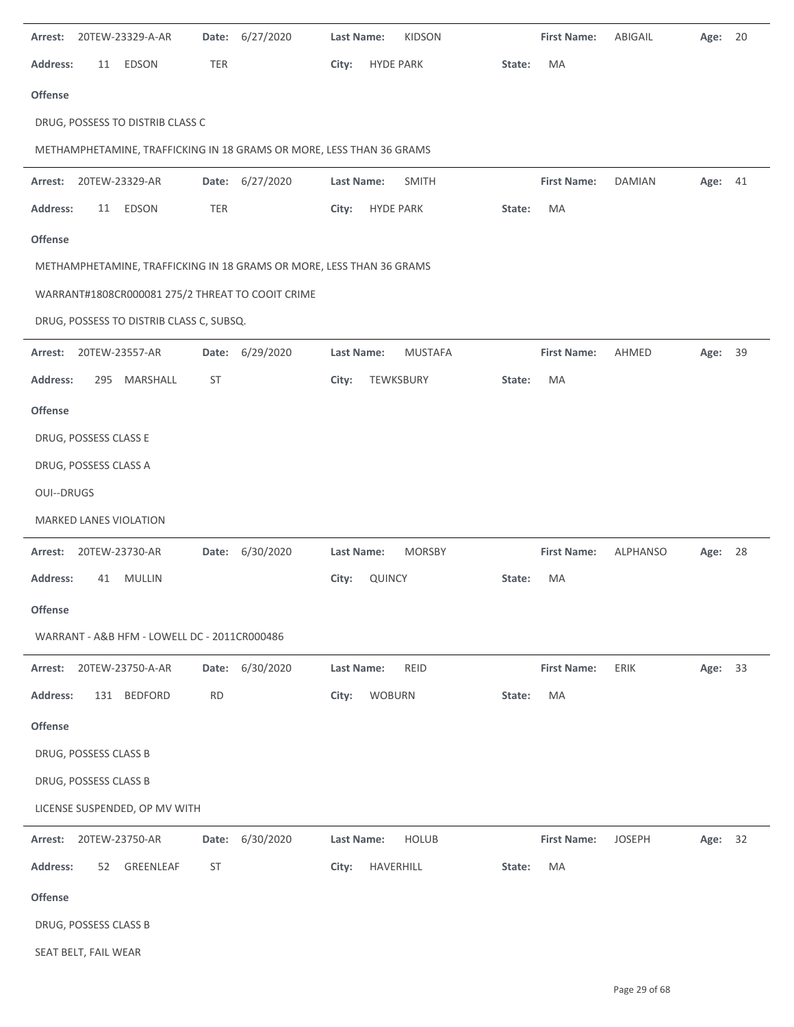| Arrest:           |                       | 20TEW-23329-A-AR                             |           | Date: 6/27/2020                                                      | <b>Last Name:</b> |                  | <b>KIDSON</b>  |        | <b>First Name:</b> | ABIGAIL         | Age:    | 20 |
|-------------------|-----------------------|----------------------------------------------|-----------|----------------------------------------------------------------------|-------------------|------------------|----------------|--------|--------------------|-----------------|---------|----|
| <b>Address:</b>   | 11                    | EDSON                                        | TER       |                                                                      | City:             | <b>HYDE PARK</b> |                | State: | MA                 |                 |         |    |
| <b>Offense</b>    |                       |                                              |           |                                                                      |                   |                  |                |        |                    |                 |         |    |
|                   |                       | DRUG, POSSESS TO DISTRIB CLASS C             |           |                                                                      |                   |                  |                |        |                    |                 |         |    |
|                   |                       |                                              |           | METHAMPHETAMINE, TRAFFICKING IN 18 GRAMS OR MORE, LESS THAN 36 GRAMS |                   |                  |                |        |                    |                 |         |    |
| Arrest:           |                       | 20TEW-23329-AR                               |           | Date: 6/27/2020                                                      | Last Name:        |                  | <b>SMITH</b>   |        | <b>First Name:</b> | <b>DAMIAN</b>   | Age: 41 |    |
| <b>Address:</b>   | 11                    | EDSON                                        | TER       |                                                                      | City:             | <b>HYDE PARK</b> |                | State: | MA                 |                 |         |    |
| Offense           |                       |                                              |           |                                                                      |                   |                  |                |        |                    |                 |         |    |
|                   |                       |                                              |           | METHAMPHETAMINE, TRAFFICKING IN 18 GRAMS OR MORE, LESS THAN 36 GRAMS |                   |                  |                |        |                    |                 |         |    |
|                   |                       |                                              |           | WARRANT#1808CR000081 275/2 THREAT TO COOIT CRIME                     |                   |                  |                |        |                    |                 |         |    |
|                   |                       | DRUG, POSSESS TO DISTRIB CLASS C, SUBSQ.     |           |                                                                      |                   |                  |                |        |                    |                 |         |    |
| Arrest:           |                       | 20TEW-23557-AR                               |           | Date: 6/29/2020                                                      | Last Name:        |                  | <b>MUSTAFA</b> |        | <b>First Name:</b> | AHMED           | Age: 39 |    |
| <b>Address:</b>   |                       | 295 MARSHALL                                 | ST        |                                                                      | City:             |                  | TEWKSBURY      | State: | MA                 |                 |         |    |
| <b>Offense</b>    |                       |                                              |           |                                                                      |                   |                  |                |        |                    |                 |         |    |
|                   | DRUG, POSSESS CLASS E |                                              |           |                                                                      |                   |                  |                |        |                    |                 |         |    |
|                   | DRUG, POSSESS CLASS A |                                              |           |                                                                      |                   |                  |                |        |                    |                 |         |    |
| <b>OUI--DRUGS</b> |                       |                                              |           |                                                                      |                   |                  |                |        |                    |                 |         |    |
|                   |                       | MARKED LANES VIOLATION                       |           |                                                                      |                   |                  |                |        |                    |                 |         |    |
| Arrest:           |                       | 20TEW-23730-AR                               | Date:     | 6/30/2020                                                            | Last Name:        |                  | <b>MORSBY</b>  |        | <b>First Name:</b> | <b>ALPHANSO</b> | Age: 28 |    |
| <b>Address:</b>   | 41                    | <b>MULLIN</b>                                |           |                                                                      | City:             | QUINCY           |                | State: | MA                 |                 |         |    |
| <b>Offense</b>    |                       |                                              |           |                                                                      |                   |                  |                |        |                    |                 |         |    |
|                   |                       | WARRANT - A&B HFM - LOWELL DC - 2011CR000486 |           |                                                                      |                   |                  |                |        |                    |                 |         |    |
| Arrest:           |                       | 20TEW-23750-A-AR                             |           | Date: 6/30/2020                                                      | Last Name:        |                  | <b>REID</b>    |        | <b>First Name:</b> | ERIK            | Age: 33 |    |
| <b>Address:</b>   |                       | 131 BEDFORD                                  | <b>RD</b> |                                                                      | City:             | <b>WOBURN</b>    |                | State: | MA                 |                 |         |    |
| Offense           |                       |                                              |           |                                                                      |                   |                  |                |        |                    |                 |         |    |
|                   | DRUG, POSSESS CLASS B |                                              |           |                                                                      |                   |                  |                |        |                    |                 |         |    |
|                   | DRUG, POSSESS CLASS B |                                              |           |                                                                      |                   |                  |                |        |                    |                 |         |    |
|                   |                       | LICENSE SUSPENDED, OP MV WITH                |           |                                                                      |                   |                  |                |        |                    |                 |         |    |
| Arrest:           |                       | 20TEW-23750-AR                               | Date:     | 6/30/2020                                                            | Last Name:        |                  | <b>HOLUB</b>   |        | <b>First Name:</b> | <b>JOSEPH</b>   | Age: 32 |    |
| <b>Address:</b>   | 52                    | GREENLEAF                                    | <b>ST</b> |                                                                      | City:             | HAVERHILL        |                | State: | MA                 |                 |         |    |
| Offense           |                       |                                              |           |                                                                      |                   |                  |                |        |                    |                 |         |    |
|                   | DRUG, POSSESS CLASS B |                                              |           |                                                                      |                   |                  |                |        |                    |                 |         |    |
|                   | SEAT BELT, FAIL WEAR  |                                              |           |                                                                      |                   |                  |                |        |                    |                 |         |    |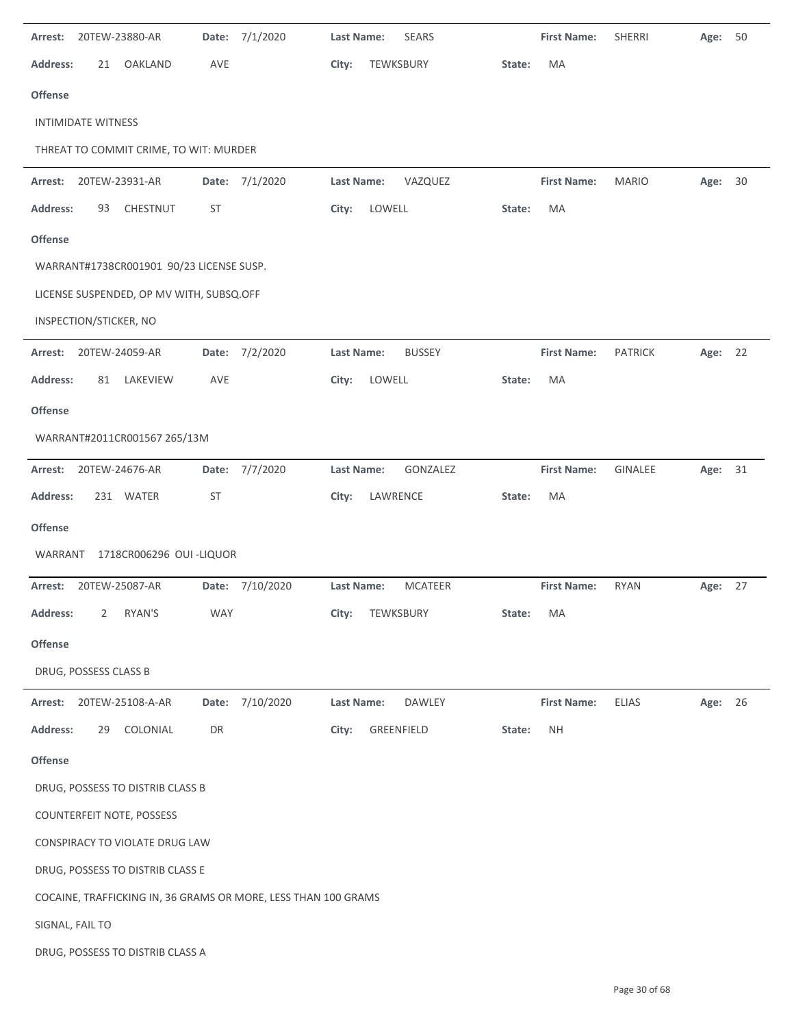| Arrest:         |                           | 20TEW-23880-AR                           | Date:     | 7/1/2020                                                       | <b>Last Name:</b> | <b>SEARS</b>   |        | <b>First Name:</b> | SHERRI         | Age:    | 50 |
|-----------------|---------------------------|------------------------------------------|-----------|----------------------------------------------------------------|-------------------|----------------|--------|--------------------|----------------|---------|----|
| <b>Address:</b> | 21                        | <b>OAKLAND</b>                           | AVE       |                                                                | City:             | TEWKSBURY      | State: | MA                 |                |         |    |
| Offense         |                           |                                          |           |                                                                |                   |                |        |                    |                |         |    |
|                 | <b>INTIMIDATE WITNESS</b> |                                          |           |                                                                |                   |                |        |                    |                |         |    |
|                 |                           | THREAT TO COMMIT CRIME, TO WIT: MURDER   |           |                                                                |                   |                |        |                    |                |         |    |
| Arrest:         |                           | 20TEW-23931-AR                           |           | Date: 7/1/2020                                                 | Last Name:        | VAZQUEZ        |        | <b>First Name:</b> | <b>MARIO</b>   | Age: 30 |    |
| <b>Address:</b> | 93                        | CHESTNUT                                 | ST        |                                                                | City:             | LOWELL         | State: | MA                 |                |         |    |
| Offense         |                           |                                          |           |                                                                |                   |                |        |                    |                |         |    |
|                 |                           | WARRANT#1738CR001901 90/23 LICENSE SUSP. |           |                                                                |                   |                |        |                    |                |         |    |
|                 |                           | LICENSE SUSPENDED, OP MV WITH, SUBSQ.OFF |           |                                                                |                   |                |        |                    |                |         |    |
|                 | INSPECTION/STICKER, NO    |                                          |           |                                                                |                   |                |        |                    |                |         |    |
| Arrest:         |                           | 20TEW-24059-AR                           |           | Date: 7/2/2020                                                 | Last Name:        | <b>BUSSEY</b>  |        | <b>First Name:</b> | <b>PATRICK</b> | Age: 22 |    |
| <b>Address:</b> | 81                        | LAKEVIEW                                 | AVE       |                                                                | City:             | LOWELL         | State: | MA                 |                |         |    |
| <b>Offense</b>  |                           |                                          |           |                                                                |                   |                |        |                    |                |         |    |
|                 |                           | WARRANT#2011CR001567 265/13M             |           |                                                                |                   |                |        |                    |                |         |    |
| Arrest:         |                           | 20TEW-24676-AR                           |           | Date: 7/7/2020                                                 | Last Name:        | GONZALEZ       |        | <b>First Name:</b> | GINALEE        | Age:    | 31 |
| Address:        |                           | 231 WATER                                | <b>ST</b> |                                                                | City:             | LAWRENCE       | State: | MA                 |                |         |    |
| Offense         |                           |                                          |           |                                                                |                   |                |        |                    |                |         |    |
| WARRANT         |                           | 1718CR006296 OUI-LIQUOR                  |           |                                                                |                   |                |        |                    |                |         |    |
| Arrest:         |                           | 20TEW-25087-AR                           |           | Date: 7/10/2020                                                | Last Name:        | <b>MCATEER</b> |        | <b>First Name:</b> | <b>RYAN</b>    | Age:    | 27 |
| Address:        | 2                         | RYAN'S                                   | WAY       |                                                                | City:             | TEWKSBURY      | State: | MA                 |                |         |    |
| Offense         |                           |                                          |           |                                                                |                   |                |        |                    |                |         |    |
|                 | DRUG, POSSESS CLASS B     |                                          |           |                                                                |                   |                |        |                    |                |         |    |
| Arrest:         |                           | 20TEW-25108-A-AR                         |           | Date: 7/10/2020                                                | <b>Last Name:</b> | DAWLEY         |        | <b>First Name:</b> | <b>ELIAS</b>   | Age: 26 |    |
| <b>Address:</b> | 29                        | COLONIAL                                 | DR        |                                                                | City:             | GREENFIELD     | State: | <b>NH</b>          |                |         |    |
| Offense         |                           |                                          |           |                                                                |                   |                |        |                    |                |         |    |
|                 |                           | DRUG, POSSESS TO DISTRIB CLASS B         |           |                                                                |                   |                |        |                    |                |         |    |
|                 |                           | COUNTERFEIT NOTE, POSSESS                |           |                                                                |                   |                |        |                    |                |         |    |
|                 |                           | CONSPIRACY TO VIOLATE DRUG LAW           |           |                                                                |                   |                |        |                    |                |         |    |
|                 |                           | DRUG, POSSESS TO DISTRIB CLASS E         |           |                                                                |                   |                |        |                    |                |         |    |
|                 |                           |                                          |           | COCAINE, TRAFFICKING IN, 36 GRAMS OR MORE, LESS THAN 100 GRAMS |                   |                |        |                    |                |         |    |
| SIGNAL, FAIL TO |                           |                                          |           |                                                                |                   |                |        |                    |                |         |    |
|                 |                           | DRUG, POSSESS TO DISTRIB CLASS A         |           |                                                                |                   |                |        |                    |                |         |    |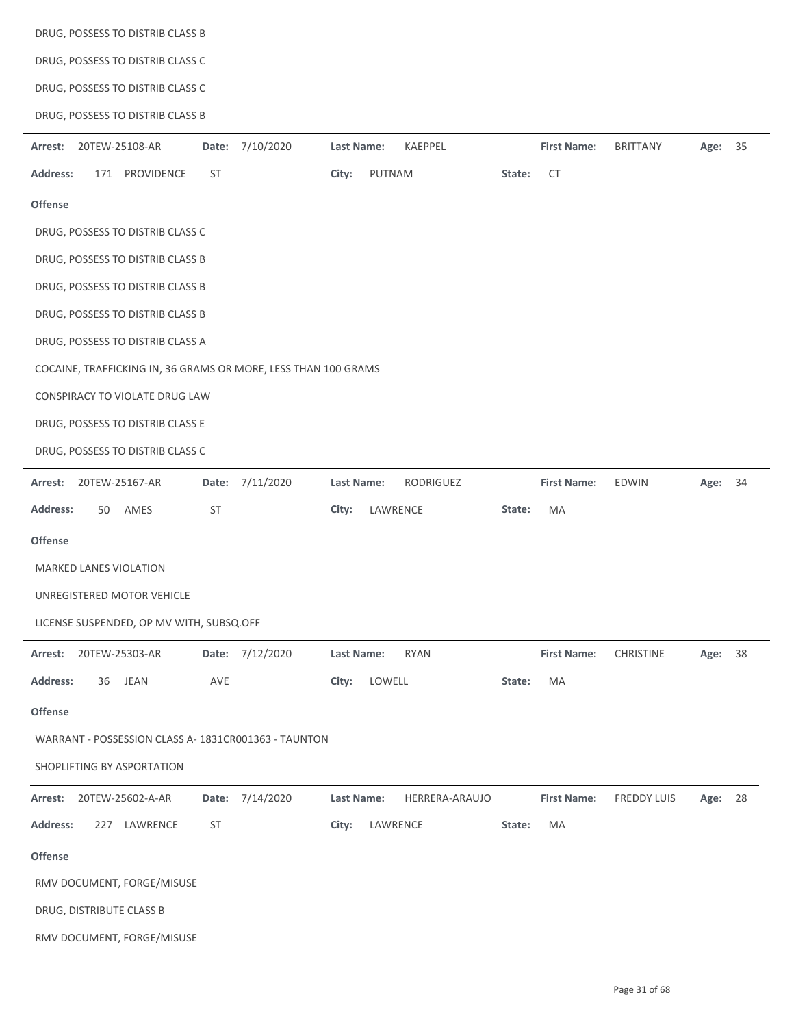|                        |                                  | DRUG, POSSESS TO DISTRIB CLASS B         |           |                                                                |            |          |                |        |                    |                  |         |    |
|------------------------|----------------------------------|------------------------------------------|-----------|----------------------------------------------------------------|------------|----------|----------------|--------|--------------------|------------------|---------|----|
|                        | DRUG, POSSESS TO DISTRIB CLASS C |                                          |           |                                                                |            |          |                |        |                    |                  |         |    |
|                        |                                  | DRUG, POSSESS TO DISTRIB CLASS C         |           |                                                                |            |          |                |        |                    |                  |         |    |
|                        |                                  | DRUG, POSSESS TO DISTRIB CLASS B         |           |                                                                |            |          |                |        |                    |                  |         |    |
| Arrest:                |                                  | 20TEW-25108-AR                           |           | Date: 7/10/2020                                                | Last Name: |          | KAEPPEL        |        | <b>First Name:</b> | <b>BRITTANY</b>  | Age: 35 |    |
| <b>Address:</b>        |                                  | 171 PROVIDENCE                           | <b>ST</b> |                                                                | City:      | PUTNAM   |                | State: | <b>CT</b>          |                  |         |    |
| <b>Offense</b>         |                                  |                                          |           |                                                                |            |          |                |        |                    |                  |         |    |
|                        |                                  | DRUG, POSSESS TO DISTRIB CLASS C         |           |                                                                |            |          |                |        |                    |                  |         |    |
|                        |                                  | DRUG, POSSESS TO DISTRIB CLASS B         |           |                                                                |            |          |                |        |                    |                  |         |    |
|                        |                                  | DRUG, POSSESS TO DISTRIB CLASS B         |           |                                                                |            |          |                |        |                    |                  |         |    |
|                        |                                  | DRUG, POSSESS TO DISTRIB CLASS B         |           |                                                                |            |          |                |        |                    |                  |         |    |
|                        |                                  | DRUG, POSSESS TO DISTRIB CLASS A         |           |                                                                |            |          |                |        |                    |                  |         |    |
|                        |                                  |                                          |           | COCAINE, TRAFFICKING IN, 36 GRAMS OR MORE, LESS THAN 100 GRAMS |            |          |                |        |                    |                  |         |    |
|                        |                                  | CONSPIRACY TO VIOLATE DRUG LAW           |           |                                                                |            |          |                |        |                    |                  |         |    |
|                        |                                  | DRUG, POSSESS TO DISTRIB CLASS E         |           |                                                                |            |          |                |        |                    |                  |         |    |
|                        |                                  | DRUG, POSSESS TO DISTRIB CLASS C         |           |                                                                |            |          |                |        |                    |                  |         |    |
| Arrest: 20TEW-25167-AR |                                  |                                          |           | Date: 7/11/2020                                                | Last Name: |          | RODRIGUEZ      |        | <b>First Name:</b> | EDWIN            | Age: 34 |    |
| <b>Address:</b>        | 50                               | AMES                                     | <b>ST</b> |                                                                | City:      | LAWRENCE |                | State: | MA                 |                  |         |    |
| <b>Offense</b>         |                                  |                                          |           |                                                                |            |          |                |        |                    |                  |         |    |
|                        |                                  | MARKED LANES VIOLATION                   |           |                                                                |            |          |                |        |                    |                  |         |    |
|                        |                                  | UNREGISTERED MOTOR VEHICLE               |           |                                                                |            |          |                |        |                    |                  |         |    |
|                        |                                  | LICENSE SUSPENDED, OP MV WITH, SUBSQ.OFF |           |                                                                |            |          |                |        |                    |                  |         |    |
| Arrest:                |                                  | 20TEW-25303-AR                           |           | Date: 7/12/2020                                                | Last Name: |          | <b>RYAN</b>    |        | <b>First Name:</b> | <b>CHRISTINE</b> | Age:    | 38 |
| <b>Address:</b>        | 36                               | JEAN                                     | AVE       |                                                                | City:      | LOWELL   |                | State: | MA                 |                  |         |    |
| Offense                |                                  |                                          |           |                                                                |            |          |                |        |                    |                  |         |    |
|                        |                                  |                                          |           | WARRANT - POSSESSION CLASS A-1831CR001363 - TAUNTON            |            |          |                |        |                    |                  |         |    |
|                        |                                  | SHOPLIFTING BY ASPORTATION               |           |                                                                |            |          |                |        |                    |                  |         |    |
| Arrest:                |                                  | 20TEW-25602-A-AR                         | Date:     | 7/14/2020                                                      | Last Name: |          | HERRERA-ARAUJO |        | <b>First Name:</b> | FREDDY LUIS      | Age:    | 28 |
| <b>Address:</b>        |                                  | 227 LAWRENCE                             | <b>ST</b> |                                                                | City:      | LAWRENCE |                | State: | MA                 |                  |         |    |
| Offense                |                                  |                                          |           |                                                                |            |          |                |        |                    |                  |         |    |
|                        |                                  | RMV DOCUMENT, FORGE/MISUSE               |           |                                                                |            |          |                |        |                    |                  |         |    |
|                        |                                  | DRUG, DISTRIBUTE CLASS B                 |           |                                                                |            |          |                |        |                    |                  |         |    |
|                        |                                  | RMV DOCUMENT, FORGE/MISUSE               |           |                                                                |            |          |                |        |                    |                  |         |    |
|                        |                                  |                                          |           |                                                                |            |          |                |        |                    |                  |         |    |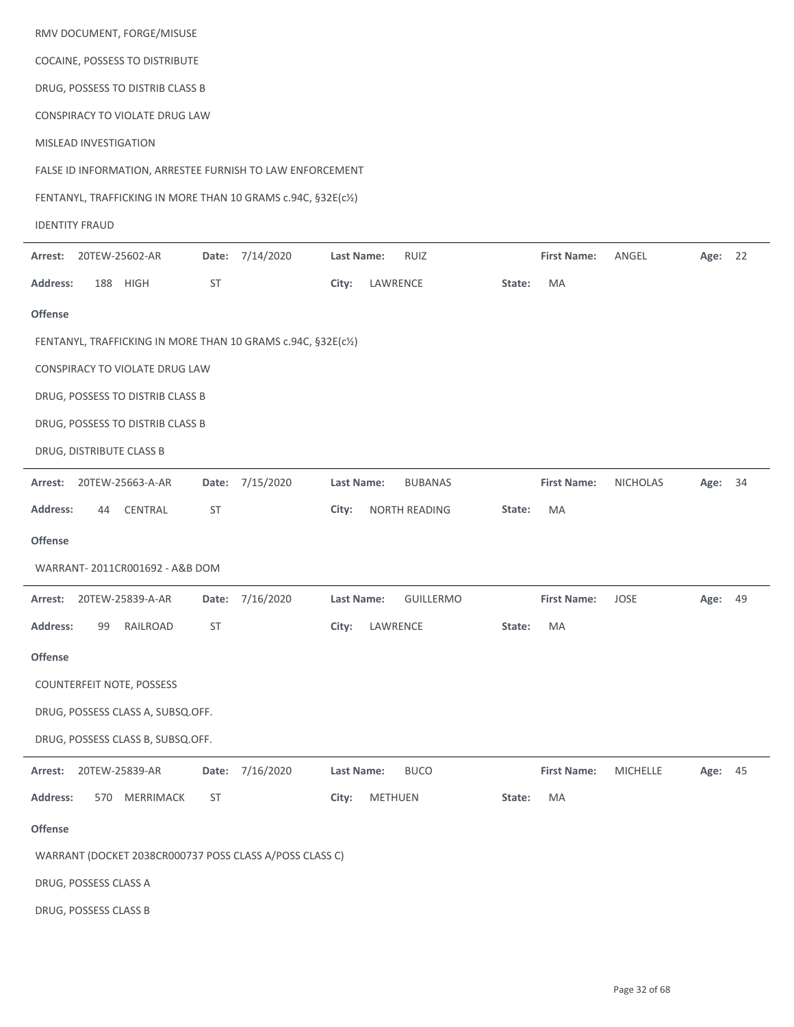|                       |                                | RMV DOCUMENT, FORGE/MISUSE        |           |                                                               |                   |                |                  |        |                    |                 |         |    |
|-----------------------|--------------------------------|-----------------------------------|-----------|---------------------------------------------------------------|-------------------|----------------|------------------|--------|--------------------|-----------------|---------|----|
|                       | COCAINE, POSSESS TO DISTRIBUTE |                                   |           |                                                               |                   |                |                  |        |                    |                 |         |    |
|                       |                                | DRUG, POSSESS TO DISTRIB CLASS B  |           |                                                               |                   |                |                  |        |                    |                 |         |    |
|                       |                                | CONSPIRACY TO VIOLATE DRUG LAW    |           |                                                               |                   |                |                  |        |                    |                 |         |    |
|                       | MISLEAD INVESTIGATION          |                                   |           |                                                               |                   |                |                  |        |                    |                 |         |    |
|                       |                                |                                   |           | FALSE ID INFORMATION, ARRESTEE FURNISH TO LAW ENFORCEMENT     |                   |                |                  |        |                    |                 |         |    |
|                       |                                |                                   |           | FENTANYL, TRAFFICKING IN MORE THAN 10 GRAMS c.94C, §32E(c1/2) |                   |                |                  |        |                    |                 |         |    |
| <b>IDENTITY FRAUD</b> |                                |                                   |           |                                                               |                   |                |                  |        |                    |                 |         |    |
| Arrest:               | 20TEW-25602-AR                 |                                   |           | Date: 7/14/2020                                               | Last Name:        |                | <b>RUIZ</b>      |        | <b>First Name:</b> | ANGEL           | Age: 22 |    |
| <b>Address:</b>       | 188                            | HIGH                              | <b>ST</b> |                                                               | City:             | LAWRENCE       |                  | State: | MA                 |                 |         |    |
| Offense               |                                |                                   |           |                                                               |                   |                |                  |        |                    |                 |         |    |
|                       |                                |                                   |           | FENTANYL, TRAFFICKING IN MORE THAN 10 GRAMS c.94C, §32E(c1/2) |                   |                |                  |        |                    |                 |         |    |
|                       |                                | CONSPIRACY TO VIOLATE DRUG LAW    |           |                                                               |                   |                |                  |        |                    |                 |         |    |
|                       |                                | DRUG, POSSESS TO DISTRIB CLASS B  |           |                                                               |                   |                |                  |        |                    |                 |         |    |
|                       |                                | DRUG, POSSESS TO DISTRIB CLASS B  |           |                                                               |                   |                |                  |        |                    |                 |         |    |
|                       | DRUG, DISTRIBUTE CLASS B       |                                   |           |                                                               |                   |                |                  |        |                    |                 |         |    |
| Arrest:               | 20TEW-25663-A-AR               |                                   |           | Date: 7/15/2020                                               | <b>Last Name:</b> |                | <b>BUBANAS</b>   |        | <b>First Name:</b> | <b>NICHOLAS</b> | Age:    | 34 |
| Address:              | 44                             | CENTRAL                           | <b>ST</b> |                                                               | City:             |                | NORTH READING    | State: | МA                 |                 |         |    |
| Offense               |                                |                                   |           |                                                               |                   |                |                  |        |                    |                 |         |    |
|                       |                                | WARRANT-2011CR001692 - A&B DOM    |           |                                                               |                   |                |                  |        |                    |                 |         |    |
| Arrest:               | 20TEW-25839-A-AR               |                                   | Date:     | 7/16/2020                                                     | <b>Last Name:</b> |                | <b>GUILLERMO</b> |        | <b>First Name:</b> | JOSE            | Age:    | 49 |
| <b>Address:</b>       | 99                             | RAILROAD                          | ST        |                                                               | City:             | LAWRENCE       |                  | State: | MA                 |                 |         |    |
| Offense               |                                |                                   |           |                                                               |                   |                |                  |        |                    |                 |         |    |
|                       |                                | COUNTERFEIT NOTE, POSSESS         |           |                                                               |                   |                |                  |        |                    |                 |         |    |
|                       |                                | DRUG, POSSESS CLASS A, SUBSQ.OFF. |           |                                                               |                   |                |                  |        |                    |                 |         |    |
|                       |                                | DRUG, POSSESS CLASS B, SUBSQ.OFF. |           |                                                               |                   |                |                  |        |                    |                 |         |    |
| Arrest:               | 20TEW-25839-AR                 |                                   |           | Date: 7/16/2020                                               | <b>Last Name:</b> |                | <b>BUCO</b>      |        | <b>First Name:</b> | <b>MICHELLE</b> | Age: 45 |    |
| <b>Address:</b>       | 570                            | MERRIMACK                         | <b>ST</b> |                                                               | City:             | <b>METHUEN</b> |                  | State: | MA                 |                 |         |    |
| Offense               |                                |                                   |           |                                                               |                   |                |                  |        |                    |                 |         |    |
|                       |                                |                                   |           | WARRANT (DOCKET 2038CR000737 POSS CLASS A/POSS CLASS C)       |                   |                |                  |        |                    |                 |         |    |
|                       | DRUG, POSSESS CLASS A          |                                   |           |                                                               |                   |                |                  |        |                    |                 |         |    |
|                       | DRUG, POSSESS CLASS B          |                                   |           |                                                               |                   |                |                  |        |                    |                 |         |    |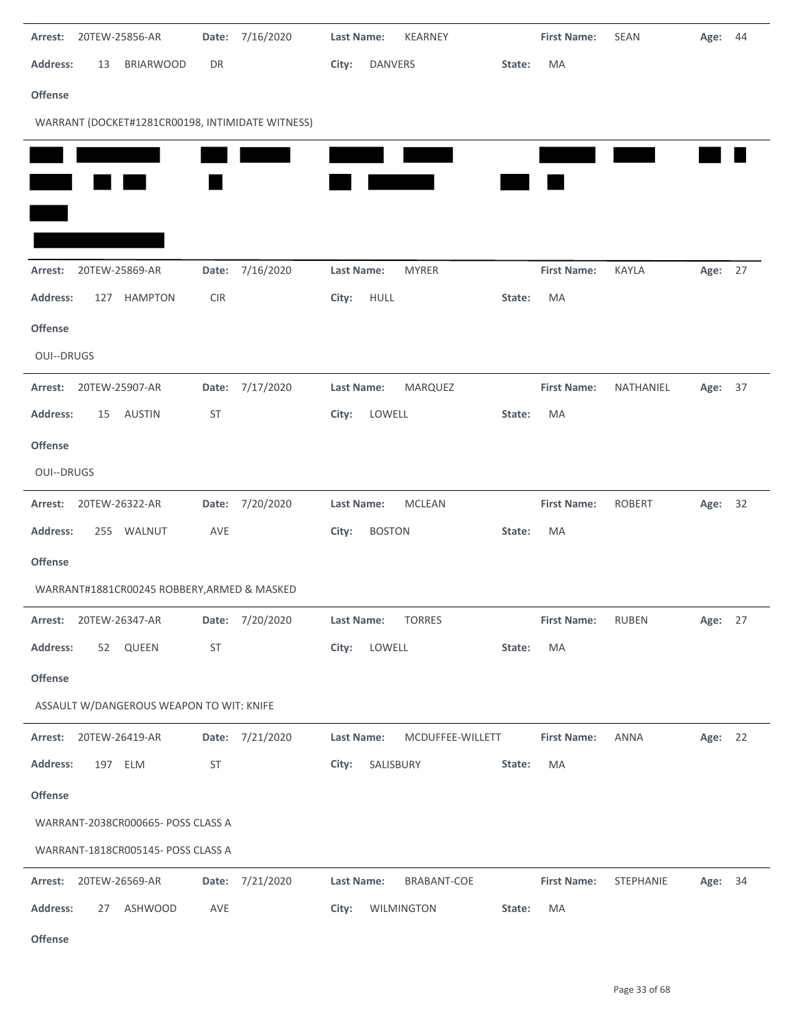| 20TEW-25856-AR<br>Arrest:                        | Date:      | 7/16/2020       | KEARNEY<br>SEAN<br><b>Last Name:</b><br><b>First Name:</b>   | Age: 44 |
|--------------------------------------------------|------------|-----------------|--------------------------------------------------------------|---------|
| <b>BRIARWOOD</b><br>Address:<br>13               | DR         |                 | <b>DANVERS</b><br>MA<br>City:<br>State:                      |         |
| Offense                                          |            |                 |                                                              |         |
| WARRANT (DOCKET#1281CR00198, INTIMIDATE WITNESS) |            |                 |                                                              |         |
|                                                  |            |                 |                                                              |         |
|                                                  |            |                 |                                                              |         |
|                                                  |            |                 |                                                              |         |
|                                                  |            |                 |                                                              |         |
| 20TEW-25869-AR<br>Arrest:                        |            | Date: 7/16/2020 | <b>MYRER</b><br><b>First Name:</b><br>KAYLA<br>Last Name:    | Age: 27 |
| <b>HAMPTON</b><br>Address:<br>127                | <b>CIR</b> |                 | HULL<br>MA<br>City:<br>State:                                |         |
| <b>Offense</b>                                   |            |                 |                                                              |         |
| <b>OUI--DRUGS</b>                                |            |                 |                                                              |         |
| 20TEW-25907-AR<br>Arrest:                        |            | Date: 7/17/2020 | MARQUEZ<br><b>First Name:</b><br>Last Name:<br>NATHANIEL     | Age: 37 |
| Address:<br>AUSTIN<br>15                         | ST         |                 | LOWELL<br>City:<br>MA<br>State:                              |         |
| Offense                                          |            |                 |                                                              |         |
| OUI--DRUGS                                       |            |                 |                                                              |         |
| Arrest: 20TEW-26322-AR                           |            | Date: 7/20/2020 | MCLEAN<br><b>First Name:</b><br><b>ROBERT</b><br>Last Name:  | Age: 32 |
| Address:<br>255 WALNUT                           | AVE        |                 | <b>BOSTON</b><br>MA<br>City:<br>State:                       |         |
| Offense                                          |            |                 |                                                              |         |
| WARRANT#1881CR00245 ROBBERY, ARMED & MASKED      |            |                 |                                                              |         |
| Arrest: 20TEW-26347-AR                           |            | Date: 7/20/2020 | <b>TORRES</b><br>Last Name:<br><b>First Name:</b><br>RUBEN   | Age: 27 |
| 52 QUEEN<br><b>Address:</b>                      | ST         |                 | LOWELL<br>MA<br>City:<br>State:                              |         |
| Offense                                          |            |                 |                                                              |         |
| ASSAULT W/DANGEROUS WEAPON TO WIT: KNIFE         |            |                 |                                                              |         |
| Arrest: 20TEW-26419-AR                           |            | Date: 7/21/2020 | Last Name:<br><b>First Name:</b><br>ANNA<br>MCDUFFEE-WILLETT | Age: 22 |
| Address:<br>197 ELM                              | ST         |                 | City:<br>SALISBURY<br>MA<br>State:                           |         |
| Offense                                          |            |                 |                                                              |         |
| WARRANT-2038CR000665- POSS CLASS A               |            |                 |                                                              |         |
| WARRANT-1818CR005145- POSS CLASS A               |            |                 |                                                              |         |
| 20TEW-26569-AR<br>Arrest:                        |            | Date: 7/21/2020 | BRABANT-COE<br><b>First Name:</b><br>STEPHANIE<br>Last Name: | Age: 34 |
| Address:<br>ASHWOOD<br>27                        | AVE        |                 | City:<br>WILMINGTON<br>MA<br>State:                          |         |
| Offense                                          |            |                 |                                                              |         |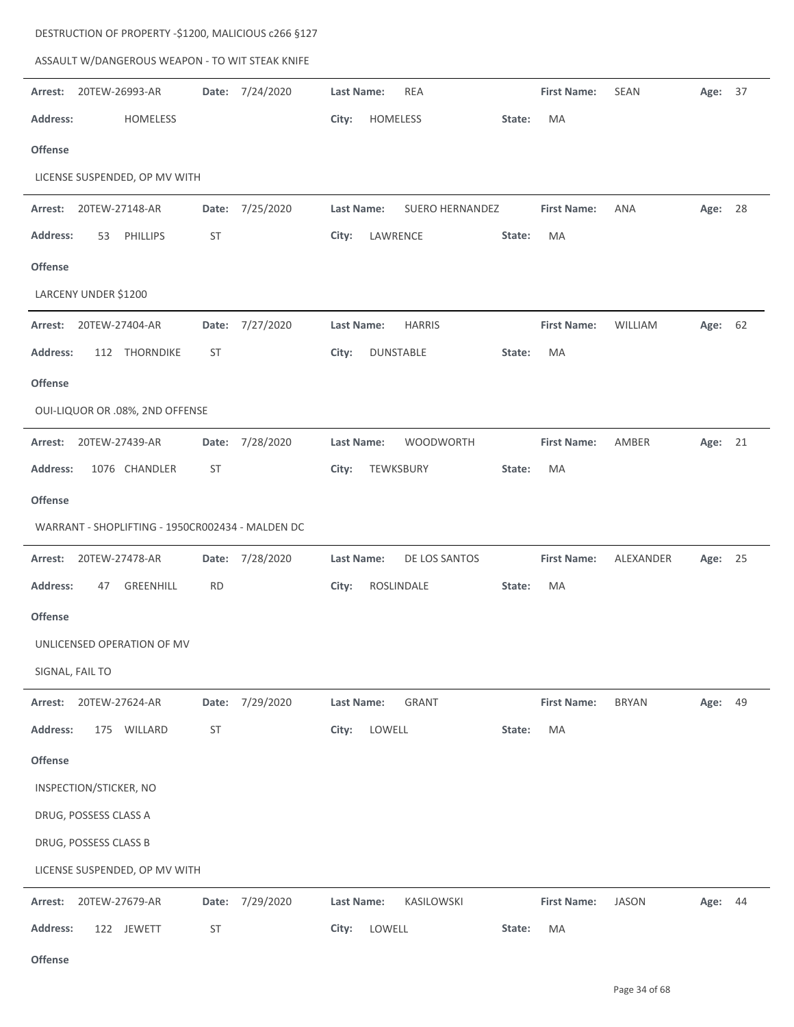| ASSAULT W/DANGEROUS WEAPON - TO WIT STEAK KNIFE  |           |                 |                                                                            |         |  |
|--------------------------------------------------|-----------|-----------------|----------------------------------------------------------------------------|---------|--|
| Arrest:<br>20TEW-26993-AR                        |           | Date: 7/24/2020 | <b>REA</b><br><b>First Name:</b><br>Last Name:<br>SEAN                     | Age: 37 |  |
| <b>Address:</b><br><b>HOMELESS</b>               |           |                 | HOMELESS<br>MA<br>City:<br>State:                                          |         |  |
| <b>Offense</b>                                   |           |                 |                                                                            |         |  |
| LICENSE SUSPENDED, OP MV WITH                    |           |                 |                                                                            |         |  |
| 20TEW-27148-AR<br>Arrest:                        |           | Date: 7/25/2020 | Last Name:<br>SUERO HERNANDEZ<br><b>First Name:</b><br>ANA                 | Age: 28 |  |
| <b>Address:</b><br>PHILLIPS<br>53                | ST        |                 | LAWRENCE<br>City:<br>MA<br>State:                                          |         |  |
| <b>Offense</b>                                   |           |                 |                                                                            |         |  |
| LARCENY UNDER \$1200                             |           |                 |                                                                            |         |  |
| Arrest:<br>20TEW-27404-AR                        |           | Date: 7/27/2020 | <b>HARRIS</b><br><b>First Name:</b><br><b>Last Name:</b><br><b>WILLIAM</b> | Age: 62 |  |
| 112 THORNDIKE<br><b>Address:</b>                 | ST        |                 | DUNSTABLE<br>MA<br>City:<br>State:                                         |         |  |
| <b>Offense</b>                                   |           |                 |                                                                            |         |  |
| OUI-LIQUOR OR .08%, 2ND OFFENSE                  |           |                 |                                                                            |         |  |
| 20TEW-27439-AR<br>Arrest:                        |           | Date: 7/28/2020 | WOODWORTH<br><b>First Name:</b><br>AMBER<br>Last Name:                     | Age: 21 |  |
| <b>Address:</b><br>1076 CHANDLER                 | ST        |                 | MA<br>City:<br>TEWKSBURY<br>State:                                         |         |  |
| Offense                                          |           |                 |                                                                            |         |  |
| WARRANT - SHOPLIFTING - 1950CR002434 - MALDEN DC |           |                 |                                                                            |         |  |
| 20TEW-27478-AR<br>Arrest:                        |           | Date: 7/28/2020 | DE LOS SANTOS<br><b>First Name:</b><br>Last Name:<br>ALEXANDER             | Age: 25 |  |
| <b>Address:</b><br>GREENHILL<br>47               | <b>RD</b> |                 | ROSLINDALE<br>MA<br>City:<br>State:                                        |         |  |
| <b>Offense</b>                                   |           |                 |                                                                            |         |  |
| UNLICENSED OPERATION OF MV                       |           |                 |                                                                            |         |  |
| SIGNAL, FAIL TO                                  |           |                 |                                                                            |         |  |
| 20TEW-27624-AR<br>Arrest:                        |           | Date: 7/29/2020 | Last Name:<br><b>GRANT</b><br><b>First Name:</b><br><b>BRYAN</b>           | Age: 49 |  |
| <b>Address:</b><br>175 WILLARD                   | ST        |                 | LOWELL<br>City:<br>MA<br>State:                                            |         |  |
| Offense                                          |           |                 |                                                                            |         |  |
| INSPECTION/STICKER, NO                           |           |                 |                                                                            |         |  |
| DRUG, POSSESS CLASS A                            |           |                 |                                                                            |         |  |
| DRUG, POSSESS CLASS B                            |           |                 |                                                                            |         |  |
| LICENSE SUSPENDED, OP MV WITH                    |           |                 |                                                                            |         |  |
| 20TEW-27679-AR<br>Arrest:                        |           | Date: 7/29/2020 | KASILOWSKI<br><b>First Name:</b><br><b>JASON</b><br>Last Name:             | Age: 44 |  |
| <b>Address:</b><br>122 JEWETT                    | ST        |                 | LOWELL<br>City:<br>MA<br>State:                                            |         |  |

DESTRUCTION OF PROPERTY ‐\$1200, MALICIOUS c266 §127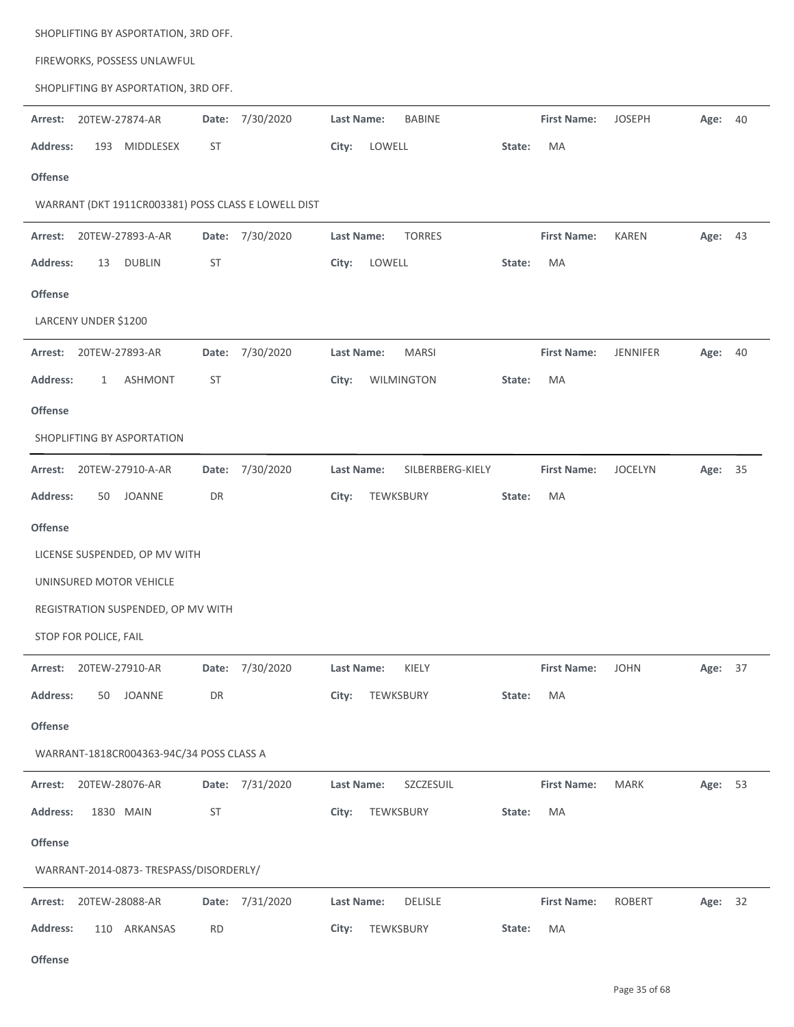| SHOPLIFTING BY ASPORTATION, 3RD OFF.                |                 |                                   |                    |                            |  |  |  |  |  |  |  |
|-----------------------------------------------------|-----------------|-----------------------------------|--------------------|----------------------------|--|--|--|--|--|--|--|
| FIREWORKS, POSSESS UNLAWFUL                         |                 |                                   |                    |                            |  |  |  |  |  |  |  |
| SHOPLIFTING BY ASPORTATION, 3RD OFF.                |                 |                                   |                    |                            |  |  |  |  |  |  |  |
| 20TEW-27874-AR<br>Arrest:                           | Date: 7/30/2020 | Last Name:<br><b>BABINE</b>       | <b>First Name:</b> | <b>JOSEPH</b><br>Age: 40   |  |  |  |  |  |  |  |
| MIDDLESEX<br><b>Address:</b><br>193                 | <b>ST</b>       | LOWELL<br>City:                   | MA<br>State:       |                            |  |  |  |  |  |  |  |
| <b>Offense</b>                                      |                 |                                   |                    |                            |  |  |  |  |  |  |  |
| WARRANT (DKT 1911CR003381) POSS CLASS E LOWELL DIST |                 |                                   |                    |                            |  |  |  |  |  |  |  |
| 20TEW-27893-A-AR<br>Arrest:                         | Date: 7/30/2020 | <b>TORRES</b><br>Last Name:       | <b>First Name:</b> | KAREN<br>Age: 43           |  |  |  |  |  |  |  |
| Address:<br><b>DUBLIN</b><br>13                     | <b>ST</b>       | City:<br>LOWELL                   | MA<br>State:       |                            |  |  |  |  |  |  |  |
| <b>Offense</b>                                      |                 |                                   |                    |                            |  |  |  |  |  |  |  |
| LARCENY UNDER \$1200                                |                 |                                   |                    |                            |  |  |  |  |  |  |  |
| 20TEW-27893-AR<br>Arrest:                           | Date: 7/30/2020 | <b>Last Name:</b><br><b>MARSI</b> | <b>First Name:</b> | <b>JENNIFER</b><br>Age: 40 |  |  |  |  |  |  |  |
| <b>Address:</b><br><b>ASHMONT</b><br>1              | <b>ST</b>       | WILMINGTON<br>City:               | MA<br>State:       |                            |  |  |  |  |  |  |  |
| <b>Offense</b>                                      |                 |                                   |                    |                            |  |  |  |  |  |  |  |
| SHOPLIFTING BY ASPORTATION                          |                 |                                   |                    |                            |  |  |  |  |  |  |  |
| 20TEW-27910-A-AR<br>Arrest:                         | Date: 7/30/2020 | Last Name:<br>SILBERBERG-KIELY    | <b>First Name:</b> | <b>JOCELYN</b><br>Age: 35  |  |  |  |  |  |  |  |
| <b>Address:</b><br><b>JOANNE</b><br>50              | DR              | City:<br>TEWKSBURY                | MA<br>State:       |                            |  |  |  |  |  |  |  |
| <b>Offense</b>                                      |                 |                                   |                    |                            |  |  |  |  |  |  |  |
| LICENSE SUSPENDED, OP MV WITH                       |                 |                                   |                    |                            |  |  |  |  |  |  |  |
| UNINSURED MOTOR VEHICLE                             |                 |                                   |                    |                            |  |  |  |  |  |  |  |
| REGISTRATION SUSPENDED, OP MV WITH                  |                 |                                   |                    |                            |  |  |  |  |  |  |  |
| STOP FOR POLICE, FAIL                               |                 |                                   |                    |                            |  |  |  |  |  |  |  |
| Arrest: 20TEW-27910-AR                              | Date: 7/30/2020 | Last Name:<br>KIELY               | <b>First Name:</b> | <b>JOHN</b><br>Age: 37     |  |  |  |  |  |  |  |
| JOANNE<br><b>Address:</b><br>50                     | DR              | TEWKSBURY<br>City:                | MA<br>State:       |                            |  |  |  |  |  |  |  |
| <b>Offense</b>                                      |                 |                                   |                    |                            |  |  |  |  |  |  |  |
| WARRANT-1818CR004363-94C/34 POSS CLASS A            |                 |                                   |                    |                            |  |  |  |  |  |  |  |
| 20TEW-28076-AR<br>Arrest:                           | Date: 7/31/2020 | SZCZESUIL<br>Last Name:           | <b>First Name:</b> | <b>MARK</b><br>Age: 53     |  |  |  |  |  |  |  |
| <b>Address:</b><br>1830 MAIN                        | ST              | TEWKSBURY<br>City:                | MA<br>State:       |                            |  |  |  |  |  |  |  |
| Offense                                             |                 |                                   |                    |                            |  |  |  |  |  |  |  |
| WARRANT-2014-0873-TRESPASS/DISORDERLY/              |                 |                                   |                    |                            |  |  |  |  |  |  |  |
| 20TEW-28088-AR<br>Arrest:                           | Date: 7/31/2020 | <b>DELISLE</b><br>Last Name:      | <b>First Name:</b> | ROBERT<br>Age: 32          |  |  |  |  |  |  |  |
| <b>Address:</b><br>110 ARKANSAS                     | <b>RD</b>       | City:<br>TEWKSBURY                | State:<br>MA       |                            |  |  |  |  |  |  |  |
|                                                     |                 |                                   |                    |                            |  |  |  |  |  |  |  |

**Offense**

j.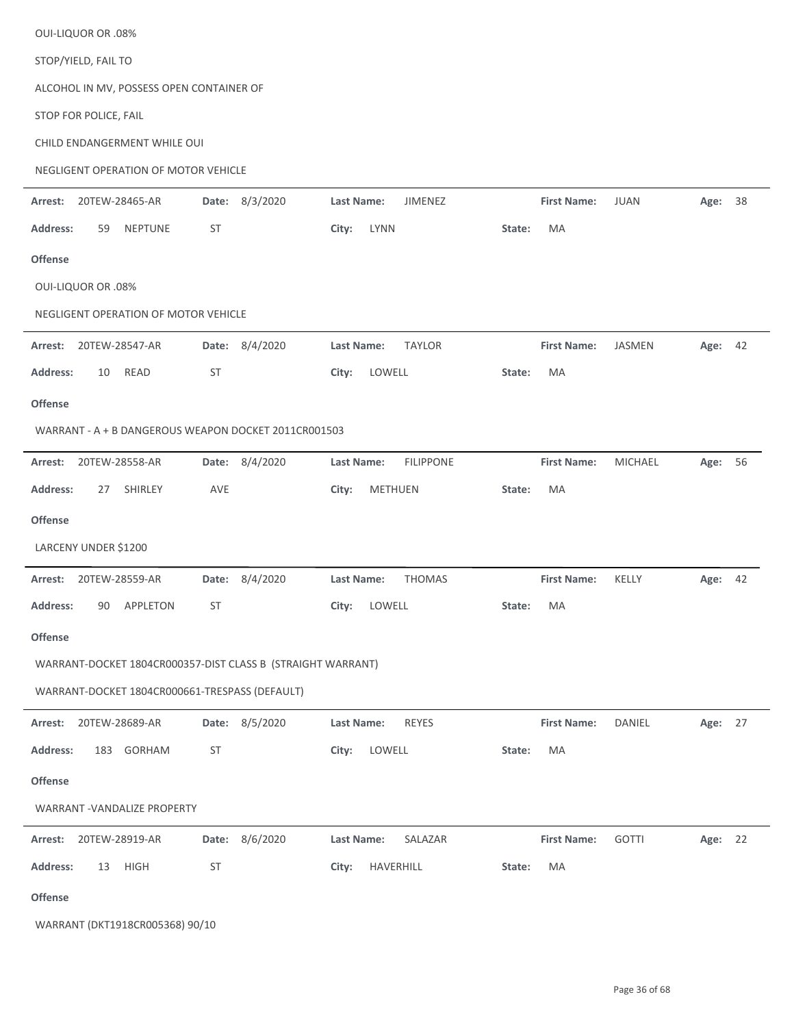|                 | <b>OUI-LIQUOR OR .08%</b> |                                                |           |                                                             |                   |              |                  |           |                    |               |         |    |
|-----------------|---------------------------|------------------------------------------------|-----------|-------------------------------------------------------------|-------------------|--------------|------------------|-----------|--------------------|---------------|---------|----|
|                 | STOP/YIELD, FAIL TO       |                                                |           |                                                             |                   |              |                  |           |                    |               |         |    |
|                 |                           | ALCOHOL IN MV, POSSESS OPEN CONTAINER OF       |           |                                                             |                   |              |                  |           |                    |               |         |    |
|                 | STOP FOR POLICE, FAIL     |                                                |           |                                                             |                   |              |                  |           |                    |               |         |    |
|                 |                           | CHILD ENDANGERMENT WHILE OUI                   |           |                                                             |                   |              |                  |           |                    |               |         |    |
|                 |                           | NEGLIGENT OPERATION OF MOTOR VEHICLE           |           |                                                             |                   |              |                  |           |                    |               |         |    |
| Arrest:         |                           | 20TEW-28465-AR                                 |           | Date: 8/3/2020                                              | Last Name:        |              | JIMENEZ          |           | <b>First Name:</b> | <b>JUAN</b>   | Age:    | 38 |
| <b>Address:</b> | 59                        | NEPTUNE                                        | <b>ST</b> |                                                             | City:             | <b>LYNN</b>  |                  | State:    | MA                 |               |         |    |
| <b>Offense</b>  |                           |                                                |           |                                                             |                   |              |                  |           |                    |               |         |    |
|                 | <b>OUI-LIQUOR OR .08%</b> |                                                |           |                                                             |                   |              |                  |           |                    |               |         |    |
|                 |                           | NEGLIGENT OPERATION OF MOTOR VEHICLE           |           |                                                             |                   |              |                  |           |                    |               |         |    |
| Arrest:         |                           | 20TEW-28547-AR                                 |           | Date: 8/4/2020                                              | Last Name:        |              | <b>TAYLOR</b>    |           | <b>First Name:</b> | <b>JASMEN</b> | Age: 42 |    |
| <b>Address:</b> | 10                        | READ                                           | ST        |                                                             | City:             | LOWELL       |                  | State:    | MA                 |               |         |    |
| <b>Offense</b>  |                           |                                                |           |                                                             |                   |              |                  |           |                    |               |         |    |
|                 |                           |                                                |           | WARRANT - A + B DANGEROUS WEAPON DOCKET 2011CR001503        |                   |              |                  |           |                    |               |         |    |
| Arrest:         |                           | 20TEW-28558-AR                                 |           | Date: 8/4/2020                                              | <b>Last Name:</b> |              | <b>FILIPPONE</b> |           | <b>First Name:</b> | MICHAEL       | Age:    | 56 |
| <b>Address:</b> | 27                        | SHIRLEY                                        | AVE       |                                                             | City:             | METHUEN      |                  | State:    | MA                 |               |         |    |
| <b>Offense</b>  |                           |                                                |           |                                                             |                   |              |                  |           |                    |               |         |    |
|                 | LARCENY UNDER \$1200      |                                                |           |                                                             |                   |              |                  |           |                    |               |         |    |
| Arrest:         |                           | 20TEW-28559-AR                                 |           | Date: 8/4/2020                                              | Last Name:        |              | <b>THOMAS</b>    |           | <b>First Name:</b> | KELLY         | Age: 42 |    |
|                 |                           | Address: 90 APPLETON                           | <b>ST</b> |                                                             |                   | City: LOWELL |                  | State: MA |                    |               |         |    |
| <b>Offense</b>  |                           |                                                |           |                                                             |                   |              |                  |           |                    |               |         |    |
|                 |                           |                                                |           | WARRANT-DOCKET 1804CR000357-DIST CLASS B (STRAIGHT WARRANT) |                   |              |                  |           |                    |               |         |    |
|                 |                           | WARRANT-DOCKET 1804CR000661-TRESPASS (DEFAULT) |           |                                                             |                   |              |                  |           |                    |               |         |    |
| Arrest:         |                           | 20TEW-28689-AR                                 |           | Date: 8/5/2020                                              | Last Name:        |              | REYES            |           | <b>First Name:</b> | <b>DANIEL</b> | Age: 27 |    |
| <b>Address:</b> |                           | 183 GORHAM                                     | ST        |                                                             | City:             | LOWELL       |                  | State:    | MA                 |               |         |    |
| <b>Offense</b>  |                           |                                                |           |                                                             |                   |              |                  |           |                    |               |         |    |
|                 |                           | WARRANT - VANDALIZE PROPERTY                   |           |                                                             |                   |              |                  |           |                    |               |         |    |
|                 |                           | Arrest: 20TEW-28919-AR                         |           | Date: 8/6/2020                                              | Last Name:        |              | SALAZAR          |           | <b>First Name:</b> | <b>GOTTI</b>  | Age: 22 |    |
| <b>Address:</b> |                           | 13 HIGH                                        | ST        |                                                             | City:             | HAVERHILL    |                  | State:    | MA                 |               |         |    |
| Offense         |                           |                                                |           |                                                             |                   |              |                  |           |                    |               |         |    |
|                 |                           |                                                |           |                                                             |                   |              |                  |           |                    |               |         |    |

WARRANT (DKT1918CR005368) 90/10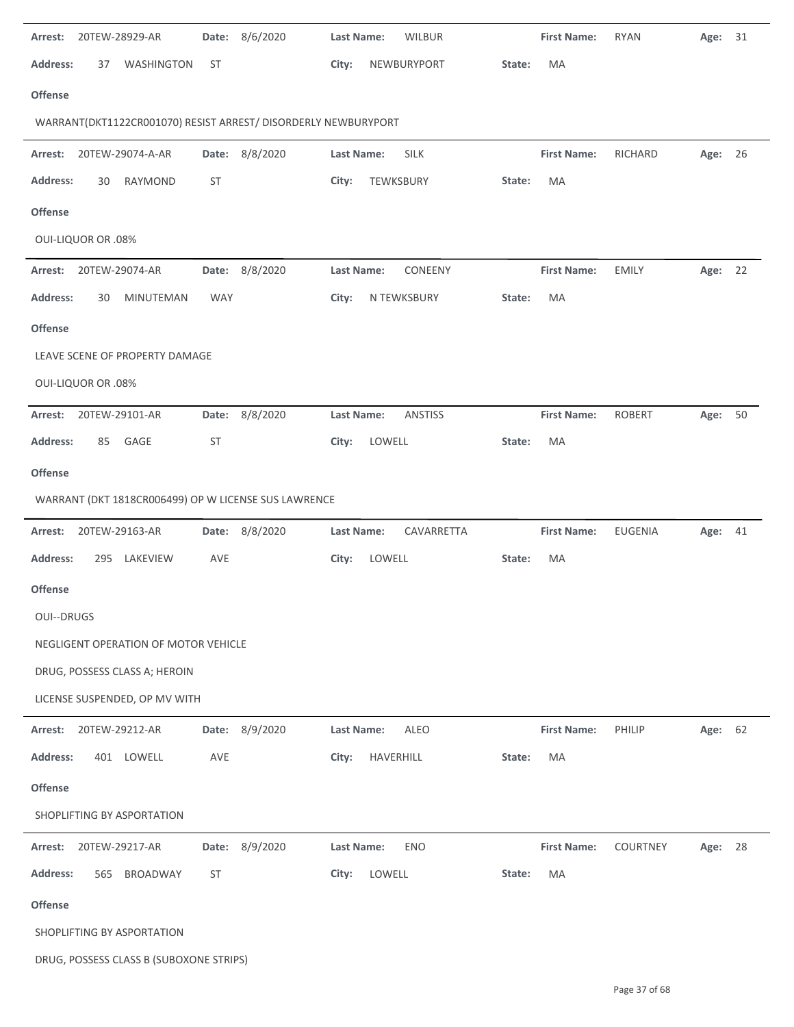| Arrest:         |                           | 20TEW-28929-AR                          | Date:      | 8/6/2020                                                       | Last Name:        | <b>WILBUR</b>  |        | <b>First Name:</b> | <b>RYAN</b>    | Age:    | 31 |
|-----------------|---------------------------|-----------------------------------------|------------|----------------------------------------------------------------|-------------------|----------------|--------|--------------------|----------------|---------|----|
| <b>Address:</b> | 37                        | WASHINGTON                              | <b>ST</b>  |                                                                | City:             | NEWBURYPORT    | State: | MA                 |                |         |    |
| Offense         |                           |                                         |            |                                                                |                   |                |        |                    |                |         |    |
|                 |                           |                                         |            | WARRANT(DKT1122CR001070) RESIST ARREST/ DISORDERLY NEWBURYPORT |                   |                |        |                    |                |         |    |
| Arrest:         |                           | 20TEW-29074-A-AR                        |            | Date: 8/8/2020                                                 | Last Name:        | <b>SILK</b>    |        | <b>First Name:</b> | RICHARD        | Age: 26 |    |
| <b>Address:</b> | 30                        | <b>RAYMOND</b>                          | <b>ST</b>  |                                                                | City:             | TEWKSBURY      | State: | MA                 |                |         |    |
| <b>Offense</b>  |                           |                                         |            |                                                                |                   |                |        |                    |                |         |    |
|                 | <b>OUI-LIQUOR OR .08%</b> |                                         |            |                                                                |                   |                |        |                    |                |         |    |
| Arrest:         |                           | 20TEW-29074-AR                          |            | Date: 8/8/2020                                                 | <b>Last Name:</b> | CONEENY        |        | <b>First Name:</b> | <b>EMILY</b>   | Age: 22 |    |
| <b>Address:</b> | 30                        | MINUTEMAN                               | <b>WAY</b> |                                                                | City:             | N TEWKSBURY    | State: | MA                 |                |         |    |
| Offense         |                           |                                         |            |                                                                |                   |                |        |                    |                |         |    |
|                 |                           | LEAVE SCENE OF PROPERTY DAMAGE          |            |                                                                |                   |                |        |                    |                |         |    |
|                 | <b>OUI-LIQUOR OR .08%</b> |                                         |            |                                                                |                   |                |        |                    |                |         |    |
| Arrest:         |                           | 20TEW-29101-AR                          |            | Date: 8/8/2020                                                 | Last Name:        | <b>ANSTISS</b> |        | <b>First Name:</b> | <b>ROBERT</b>  | Age: 50 |    |
| <b>Address:</b> | 85                        | GAGE                                    | <b>ST</b>  |                                                                | City:             | LOWELL         | State: | MA                 |                |         |    |
| <b>Offense</b>  |                           |                                         |            |                                                                |                   |                |        |                    |                |         |    |
|                 |                           |                                         |            | WARRANT (DKT 1818CR006499) OP W LICENSE SUS LAWRENCE           |                   |                |        |                    |                |         |    |
| Arrest:         |                           | 20TEW-29163-AR                          | Date:      | 8/8/2020                                                       | <b>Last Name:</b> | CAVARRETTA     |        | <b>First Name:</b> | <b>EUGENIA</b> | Age:    | 41 |
| <b>Address:</b> | 295                       | LAKEVIEW                                | AVE        |                                                                | City:             | LOWELL         | State: | MA                 |                |         |    |
| <b>Offense</b>  |                           |                                         |            |                                                                |                   |                |        |                    |                |         |    |
| OUI--DRUGS      |                           |                                         |            |                                                                |                   |                |        |                    |                |         |    |
|                 |                           | NEGLIGENT OPERATION OF MOTOR VEHICLE    |            |                                                                |                   |                |        |                    |                |         |    |
|                 |                           | DRUG, POSSESS CLASS A; HEROIN           |            |                                                                |                   |                |        |                    |                |         |    |
|                 |                           | LICENSE SUSPENDED, OP MV WITH           |            |                                                                |                   |                |        |                    |                |         |    |
| Arrest:         |                           | 20TEW-29212-AR                          |            | Date: 8/9/2020                                                 | Last Name:        | ALEO           |        | <b>First Name:</b> | PHILIP         | Age: 62 |    |
| <b>Address:</b> |                           | 401 LOWELL                              | AVE        |                                                                | City:             | HAVERHILL      | State: | MA                 |                |         |    |
| <b>Offense</b>  |                           |                                         |            |                                                                |                   |                |        |                    |                |         |    |
|                 |                           | SHOPLIFTING BY ASPORTATION              |            |                                                                |                   |                |        |                    |                |         |    |
| Arrest:         |                           | 20TEW-29217-AR                          |            | Date: 8/9/2020                                                 | <b>Last Name:</b> | <b>ENO</b>     |        | <b>First Name:</b> | COURTNEY       | Age: 28 |    |
| <b>Address:</b> | 565                       | BROADWAY                                | <b>ST</b>  |                                                                | City:             | LOWELL         | State: | MA                 |                |         |    |
| <b>Offense</b>  |                           |                                         |            |                                                                |                   |                |        |                    |                |         |    |
|                 |                           | SHOPLIFTING BY ASPORTATION              |            |                                                                |                   |                |        |                    |                |         |    |
|                 |                           | DRUG, POSSESS CLASS B (SUBOXONE STRIPS) |            |                                                                |                   |                |        |                    |                |         |    |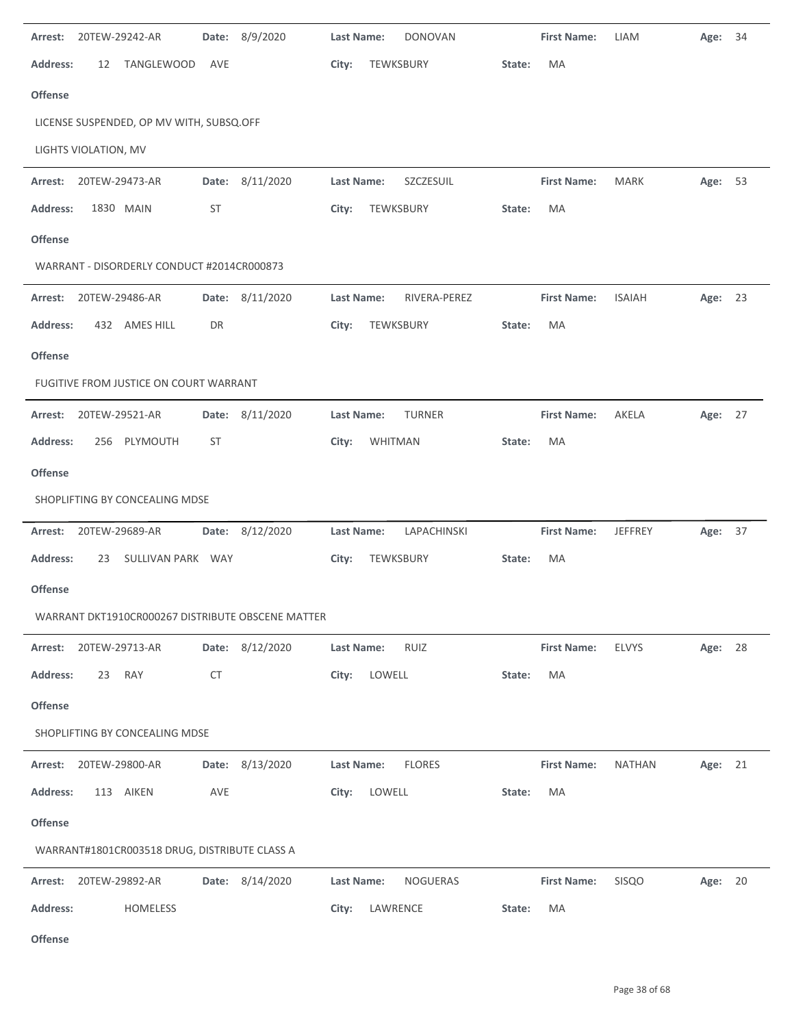| 20TEW-29242-AR<br>Arrest:                         |           | Date: 8/9/2020  | <b>Last Name:</b><br><b>DONOVAN</b><br><b>First Name:</b><br>LIAM | Age: 34                   |
|---------------------------------------------------|-----------|-----------------|-------------------------------------------------------------------|---------------------------|
| <b>Address:</b><br>12<br><b>TANGLEWOOD</b>        | AVE       |                 | City:<br>TEWKSBURY<br>State:<br>MA                                |                           |
| <b>Offense</b>                                    |           |                 |                                                                   |                           |
| LICENSE SUSPENDED, OP MV WITH, SUBSQ.OFF          |           |                 |                                                                   |                           |
| LIGHTS VIOLATION, MV                              |           |                 |                                                                   |                           |
| Arrest:<br>20TEW-29473-AR                         |           | Date: 8/11/2020 | Last Name:<br><b>First Name:</b><br>SZCZESUIL<br><b>MARK</b>      | Age: 53                   |
| <b>Address:</b><br>1830 MAIN                      | ST        |                 | City:<br>TEWKSBURY<br>MA<br>State:                                |                           |
| <b>Offense</b>                                    |           |                 |                                                                   |                           |
| WARRANT - DISORDERLY CONDUCT #2014CR000873        |           |                 |                                                                   |                           |
| 20TEW-29486-AR<br>Arrest:                         |           | Date: 8/11/2020 | Last Name:<br><b>First Name:</b><br>RIVERA-PEREZ<br><b>ISAIAH</b> | Age: 23                   |
| 432 AMES HILL<br><b>Address:</b>                  | DR        |                 | City:<br>TEWKSBURY<br>State:<br>MA                                |                           |
| <b>Offense</b>                                    |           |                 |                                                                   |                           |
| FUGITIVE FROM JUSTICE ON COURT WARRANT            |           |                 |                                                                   |                           |
| Arrest:<br>20TEW-29521-AR                         |           | Date: 8/11/2020 | Last Name:<br><b>First Name:</b><br><b>TURNER</b><br>AKELA        | Age: 27                   |
| <b>Address:</b><br>256 PLYMOUTH                   | ST        |                 | City:<br><b>WHITMAN</b><br>MA<br>State:                           |                           |
| Offense                                           |           |                 |                                                                   |                           |
| SHOPLIFTING BY CONCEALING MDSE                    |           |                 |                                                                   |                           |
|                                                   |           |                 |                                                                   |                           |
| 20TEW-29689-AR<br>Arrest:                         |           | Date: 8/12/2020 | LAPACHINSKI<br>Last Name:<br><b>First Name:</b>                   | <b>JEFFREY</b><br>Age: 37 |
| <b>Address:</b><br>23<br>SULLIVAN PARK WAY        |           |                 | City:<br>TEWKSBURY<br>MA<br>State:                                |                           |
| <b>Offense</b>                                    |           |                 |                                                                   |                           |
| WARRANT DKT1910CR000267 DISTRIBUTE OBSCENE MATTER |           |                 |                                                                   |                           |
| 20TEW-29713-AR<br>Arrest:                         |           | Date: 8/12/2020 | RUIZ<br><b>First Name:</b><br><b>ELVYS</b><br>Last Name:          | Age: 28                   |
| <b>Address:</b><br>23<br>RAY                      | <b>CT</b> |                 | City:<br>LOWELL<br>MA<br>State:                                   |                           |
| <b>Offense</b>                                    |           |                 |                                                                   |                           |
| SHOPLIFTING BY CONCEALING MDSE                    |           |                 |                                                                   |                           |
| Arrest: 20TEW-29800-AR                            |           | Date: 8/13/2020 | <b>FLORES</b><br>Last Name:<br><b>First Name:</b>                 | <b>NATHAN</b><br>Age: 21  |
| <b>Address:</b><br>113 AIKEN                      | AVE       |                 | LOWELL<br>MA<br>City:<br>State:                                   |                           |
| <b>Offense</b>                                    |           |                 |                                                                   |                           |
| WARRANT#1801CR003518 DRUG, DISTRIBUTE CLASS A     |           |                 |                                                                   |                           |
| 20TEW-29892-AR<br>Arrest:                         |           | Date: 8/14/2020 | NOGUERAS<br><b>First Name:</b><br><b>SISQO</b><br>Last Name:      | Age: 20                   |
| <b>Address:</b><br>HOMELESS                       |           |                 | City:<br>LAWRENCE<br>MA<br>State:                                 |                           |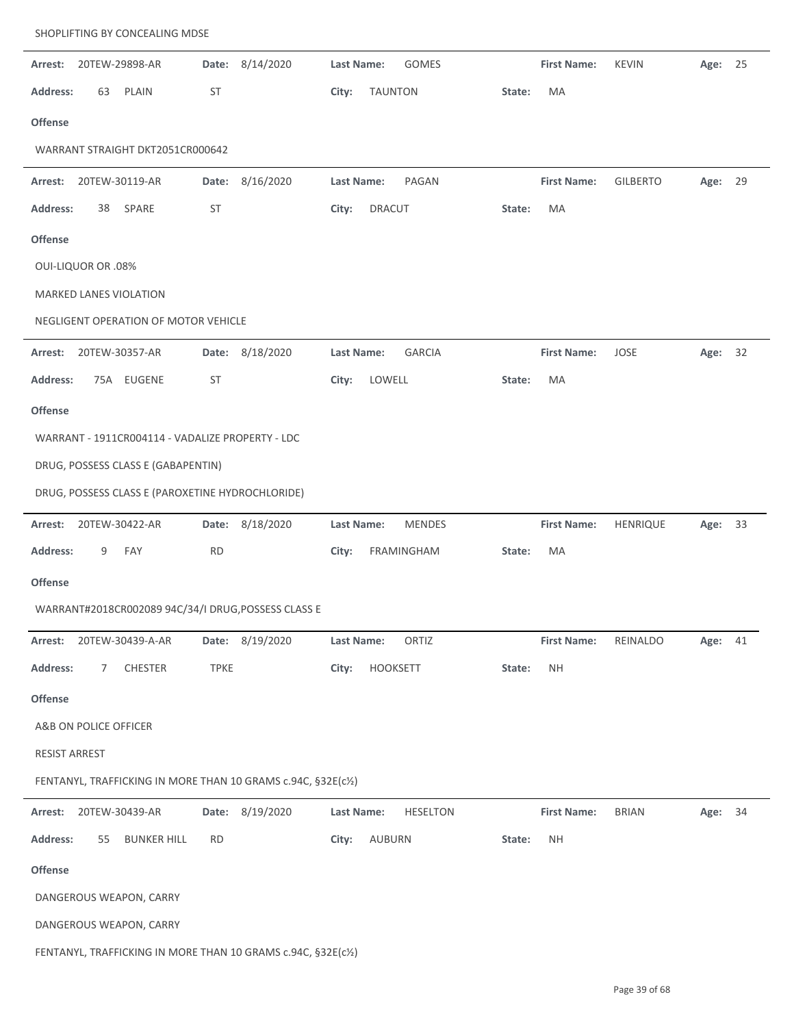| Arrest:                   |    | 20TEW-29898-AR                                   |             | Date: 8/14/2020                                               | Last Name:        |                | GOMES           |        | <b>First Name:</b> | <b>KEVIN</b>    | Age: 25 |    |
|---------------------------|----|--------------------------------------------------|-------------|---------------------------------------------------------------|-------------------|----------------|-----------------|--------|--------------------|-----------------|---------|----|
| <b>Address:</b>           | 63 | PLAIN                                            | ST          |                                                               | City:             | <b>TAUNTON</b> |                 | State: | MA                 |                 |         |    |
| Offense                   |    |                                                  |             |                                                               |                   |                |                 |        |                    |                 |         |    |
|                           |    | WARRANT STRAIGHT DKT2051CR000642                 |             |                                                               |                   |                |                 |        |                    |                 |         |    |
| Arrest:                   |    | 20TEW-30119-AR                                   | Date:       | 8/16/2020                                                     | <b>Last Name:</b> |                | PAGAN           |        | <b>First Name:</b> | <b>GILBERTO</b> | Age:    | 29 |
| <b>Address:</b>           | 38 | SPARE                                            | <b>ST</b>   |                                                               | City:             | <b>DRACUT</b>  |                 | State: | MA                 |                 |         |    |
| Offense                   |    |                                                  |             |                                                               |                   |                |                 |        |                    |                 |         |    |
| <b>OUI-LIQUOR OR .08%</b> |    |                                                  |             |                                                               |                   |                |                 |        |                    |                 |         |    |
|                           |    | MARKED LANES VIOLATION                           |             |                                                               |                   |                |                 |        |                    |                 |         |    |
|                           |    | NEGLIGENT OPERATION OF MOTOR VEHICLE             |             |                                                               |                   |                |                 |        |                    |                 |         |    |
| Arrest:                   |    | 20TEW-30357-AR                                   |             | Date: 8/18/2020                                               | Last Name:        |                | <b>GARCIA</b>   |        | <b>First Name:</b> | JOSE            | Age:    | 32 |
| <b>Address:</b>           |    | 75A EUGENE                                       | <b>ST</b>   |                                                               | City:             | LOWELL         |                 | State: | MA                 |                 |         |    |
| Offense                   |    |                                                  |             |                                                               |                   |                |                 |        |                    |                 |         |    |
|                           |    | WARRANT - 1911CR004114 - VADALIZE PROPERTY - LDC |             |                                                               |                   |                |                 |        |                    |                 |         |    |
|                           |    | DRUG, POSSESS CLASS E (GABAPENTIN)               |             |                                                               |                   |                |                 |        |                    |                 |         |    |
|                           |    | DRUG, POSSESS CLASS E (PAROXETINE HYDROCHLORIDE) |             |                                                               |                   |                |                 |        |                    |                 |         |    |
| Arrest:                   |    | 20TEW-30422-AR                                   | Date:       | 8/18/2020                                                     | <b>Last Name:</b> |                | <b>MENDES</b>   |        | <b>First Name:</b> | HENRIQUE        | Age:    | 33 |
| <b>Address:</b>           | 9  | FAY                                              | <b>RD</b>   |                                                               | City:             |                | FRAMINGHAM      | State: | MA                 |                 |         |    |
| Offense                   |    |                                                  |             |                                                               |                   |                |                 |        |                    |                 |         |    |
|                           |    |                                                  |             | WARRANT#2018CR002089 94C/34/I DRUG, POSSESS CLASS E           |                   |                |                 |        |                    |                 |         |    |
| Arrest:                   |    | 20TEW-30439-A-AR                                 |             | Date: 8/19/2020                                               | Last Name:        |                | ORTIZ           |        | <b>First Name:</b> | REINALDO        | Age:    | 41 |
| <b>Address:</b>           | 7  | CHESTER                                          | <b>TPKE</b> |                                                               | City:             | HOOKSETT       |                 | State: | <b>NH</b>          |                 |         |    |
| Offense                   |    |                                                  |             |                                                               |                   |                |                 |        |                    |                 |         |    |
|                           |    | A&B ON POLICE OFFICER                            |             |                                                               |                   |                |                 |        |                    |                 |         |    |
| RESIST ARREST             |    |                                                  |             |                                                               |                   |                |                 |        |                    |                 |         |    |
|                           |    |                                                  |             | FENTANYL, TRAFFICKING IN MORE THAN 10 GRAMS c.94C, §32E(c1/2) |                   |                |                 |        |                    |                 |         |    |
| Arrest:                   |    | 20TEW-30439-AR                                   | Date:       | 8/19/2020                                                     | Last Name:        |                | <b>HESELTON</b> |        | <b>First Name:</b> | <b>BRIAN</b>    | Age:    | 34 |
| <b>Address:</b>           | 55 | <b>BUNKER HILL</b>                               | <b>RD</b>   |                                                               | City:             | AUBURN         |                 | State: | <b>NH</b>          |                 |         |    |
| Offense                   |    |                                                  |             |                                                               |                   |                |                 |        |                    |                 |         |    |
|                           |    | DANGEROUS WEAPON, CARRY                          |             |                                                               |                   |                |                 |        |                    |                 |         |    |
|                           |    | DANGEROUS WEAPON, CARRY                          |             |                                                               |                   |                |                 |        |                    |                 |         |    |
|                           |    |                                                  |             | FENTANYL, TRAFFICKING IN MORE THAN 10 GRAMS c.94C, §32E(c½)   |                   |                |                 |        |                    |                 |         |    |

SHOPLIFTING BY CONCEALING MDSE

 $\overline{\phantom{a}}$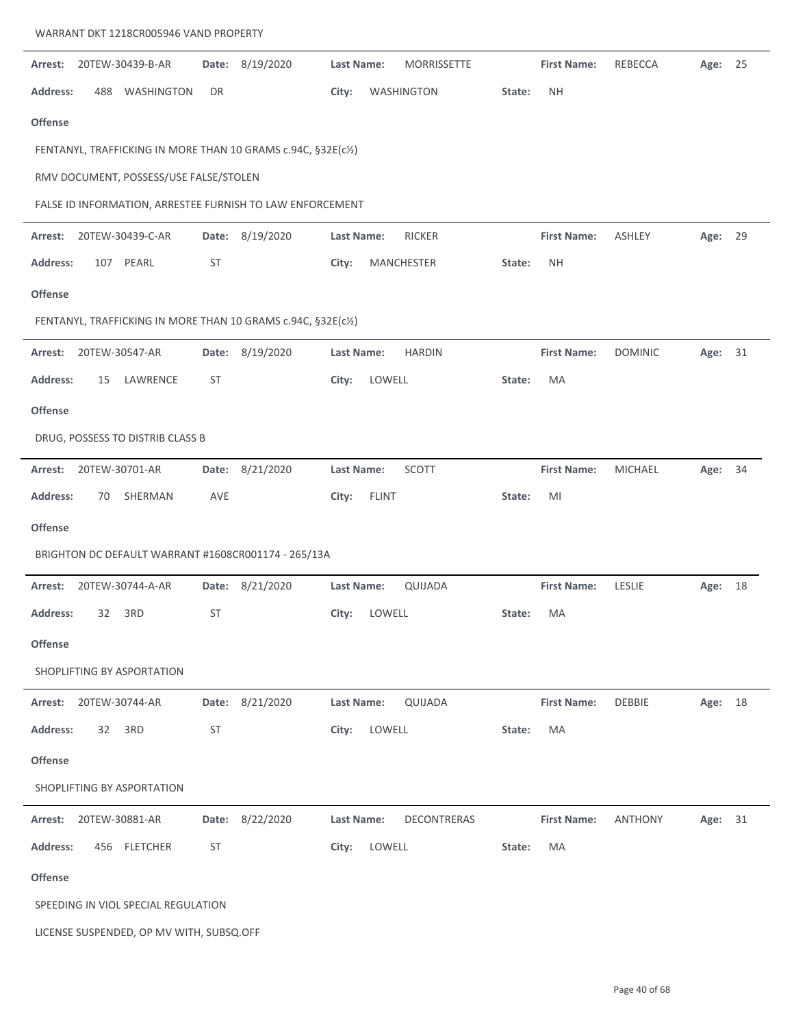| Arrest:         |     | 20TEW-30439-B-AR                         | Date:     | 8/19/2020                                                     | Last Name:        |              | <b>MORRISSETTE</b> |        | <b>First Name:</b> | REBECCA        | Age: 25 |    |
|-----------------|-----|------------------------------------------|-----------|---------------------------------------------------------------|-------------------|--------------|--------------------|--------|--------------------|----------------|---------|----|
| <b>Address:</b> | 488 | WASHINGTON                               | DR        |                                                               | City:             |              | WASHINGTON         | State: | <b>NH</b>          |                |         |    |
| Offense         |     |                                          |           |                                                               |                   |              |                    |        |                    |                |         |    |
|                 |     |                                          |           | FENTANYL, TRAFFICKING IN MORE THAN 10 GRAMS c.94C, §32E(c½)   |                   |              |                    |        |                    |                |         |    |
|                 |     | RMV DOCUMENT, POSSESS/USE FALSE/STOLEN   |           |                                                               |                   |              |                    |        |                    |                |         |    |
|                 |     |                                          |           | FALSE ID INFORMATION, ARRESTEE FURNISH TO LAW ENFORCEMENT     |                   |              |                    |        |                    |                |         |    |
| Arrest:         |     | 20TEW-30439-C-AR                         | Date:     | 8/19/2020                                                     | <b>Last Name:</b> |              | <b>RICKER</b>      |        | <b>First Name:</b> | <b>ASHLEY</b>  | Age: 29 |    |
| <b>Address:</b> | 107 | PEARL                                    | <b>ST</b> |                                                               | City:             |              | MANCHESTER         | State: | <b>NH</b>          |                |         |    |
| Offense         |     |                                          |           |                                                               |                   |              |                    |        |                    |                |         |    |
|                 |     |                                          |           | FENTANYL, TRAFFICKING IN MORE THAN 10 GRAMS c.94C, §32E(c1/2) |                   |              |                    |        |                    |                |         |    |
| Arrest:         |     | 20TEW-30547-AR                           | Date:     | 8/19/2020                                                     | <b>Last Name:</b> |              | <b>HARDIN</b>      |        | <b>First Name:</b> | <b>DOMINIC</b> | Age: 31 |    |
| <b>Address:</b> | 15  | LAWRENCE                                 | <b>ST</b> |                                                               | City:             | LOWELL       |                    | State: | MA                 |                |         |    |
| Offense         |     |                                          |           |                                                               |                   |              |                    |        |                    |                |         |    |
|                 |     | DRUG, POSSESS TO DISTRIB CLASS B         |           |                                                               |                   |              |                    |        |                    |                |         |    |
| Arrest:         |     | 20TEW-30701-AR                           | Date:     | 8/21/2020                                                     | Last Name:        |              | SCOTT              |        | <b>First Name:</b> | <b>MICHAEL</b> | Age:    | 34 |
| <b>Address:</b> | 70  | SHERMAN                                  | AVE       |                                                               | City:             | <b>FLINT</b> |                    | State: | MI                 |                |         |    |
| Offense         |     |                                          |           |                                                               |                   |              |                    |        |                    |                |         |    |
|                 |     |                                          |           | BRIGHTON DC DEFAULT WARRANT #1608CR001174 - 265/13A           |                   |              |                    |        |                    |                |         |    |
| Arrest:         |     | 20TEW-30744-A-AR                         | Date:     | 8/21/2020                                                     | <b>Last Name:</b> |              | QUIJADA            |        | <b>First Name:</b> | LESLIE         | Age:    | 18 |
| <b>Address:</b> | 32  | 3RD                                      | <b>ST</b> |                                                               | City:             | LOWELL       |                    | State: | MA                 |                |         |    |
| <b>Offense</b>  |     |                                          |           |                                                               |                   |              |                    |        |                    |                |         |    |
|                 |     | SHOPLIFTING BY ASPORTATION               |           |                                                               |                   |              |                    |        |                    |                |         |    |
| Arrest:         |     | 20TEW-30744-AR                           | Date:     | 8/21/2020                                                     | <b>Last Name:</b> |              | QUIJADA            |        | <b>First Name:</b> | DEBBIE         | Age: 18 |    |
| <b>Address:</b> | 32  | 3RD                                      | ST        |                                                               | City:             | LOWELL       |                    | State: | MA                 |                |         |    |
|                 |     |                                          |           |                                                               |                   |              |                    |        |                    |                |         |    |
| <b>Offense</b>  |     |                                          |           |                                                               |                   |              |                    |        |                    |                |         |    |
|                 |     | SHOPLIFTING BY ASPORTATION               |           |                                                               |                   |              |                    |        |                    |                |         |    |
| Arrest:         |     | 20TEW-30881-AR                           | Date:     | 8/22/2020                                                     | <b>Last Name:</b> |              | DECONTRERAS        |        | <b>First Name:</b> | <b>ANTHONY</b> | Age: 31 |    |
| <b>Address:</b> |     | 456 FLETCHER                             | <b>ST</b> |                                                               | City:             | LOWELL       |                    | State: | MA                 |                |         |    |
| Offense         |     |                                          |           |                                                               |                   |              |                    |        |                    |                |         |    |
|                 |     | SPEEDING IN VIOL SPECIAL REGULATION      |           |                                                               |                   |              |                    |        |                    |                |         |    |
|                 |     | LICENSE SUSPENDED, OP MV WITH, SUBSQ.OFF |           |                                                               |                   |              |                    |        |                    |                |         |    |

WARRANT DKT 1218CR005946 VAND PROPERTY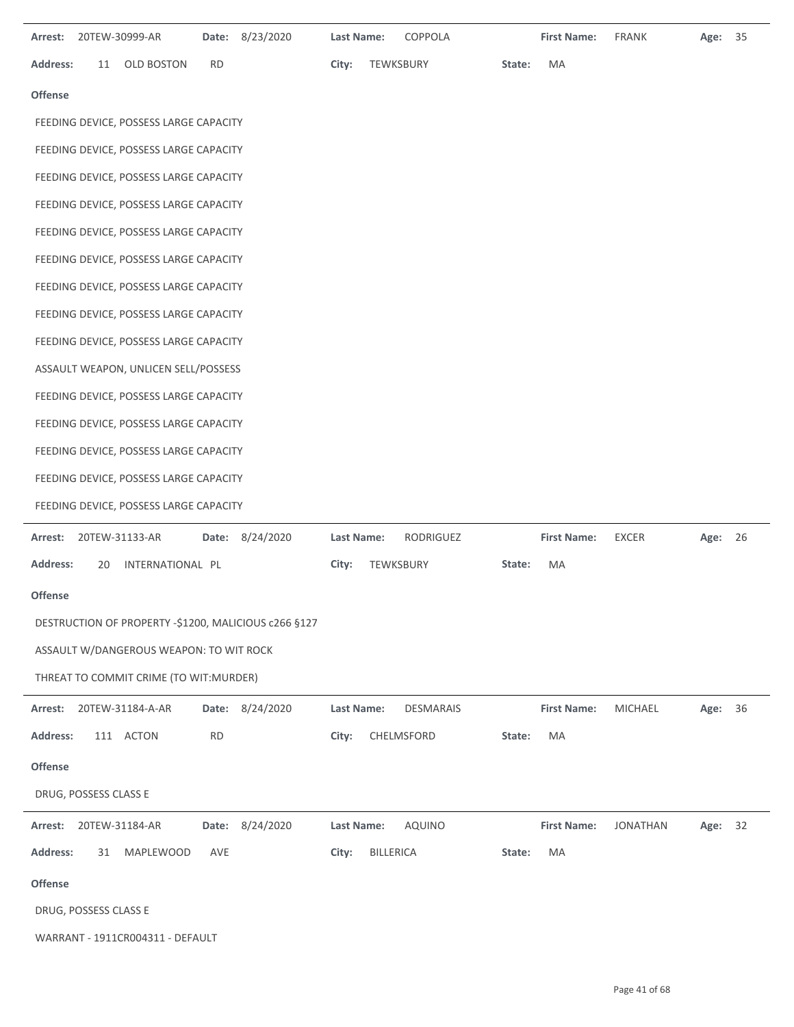| 20TEW-30999-AR<br>Date: 8/23/2020<br>Arrest:         | Last Name:<br>COPPOLA          | <b>First Name:</b><br><b>FRANK</b><br>Age: 35      |
|------------------------------------------------------|--------------------------------|----------------------------------------------------|
| Address:<br><b>OLD BOSTON</b><br>RD<br>11            | City:<br>TEWKSBURY             | MA<br>State:                                       |
| <b>Offense</b>                                       |                                |                                                    |
| FEEDING DEVICE, POSSESS LARGE CAPACITY               |                                |                                                    |
| FEEDING DEVICE, POSSESS LARGE CAPACITY               |                                |                                                    |
| FEEDING DEVICE, POSSESS LARGE CAPACITY               |                                |                                                    |
| FEEDING DEVICE, POSSESS LARGE CAPACITY               |                                |                                                    |
| FEEDING DEVICE, POSSESS LARGE CAPACITY               |                                |                                                    |
| FEEDING DEVICE, POSSESS LARGE CAPACITY               |                                |                                                    |
| FEEDING DEVICE, POSSESS LARGE CAPACITY               |                                |                                                    |
| FEEDING DEVICE, POSSESS LARGE CAPACITY               |                                |                                                    |
| FEEDING DEVICE, POSSESS LARGE CAPACITY               |                                |                                                    |
| ASSAULT WEAPON, UNLICEN SELL/POSSESS                 |                                |                                                    |
| FEEDING DEVICE, POSSESS LARGE CAPACITY               |                                |                                                    |
| FEEDING DEVICE, POSSESS LARGE CAPACITY               |                                |                                                    |
| FEEDING DEVICE, POSSESS LARGE CAPACITY               |                                |                                                    |
| FEEDING DEVICE, POSSESS LARGE CAPACITY               |                                |                                                    |
| FEEDING DEVICE, POSSESS LARGE CAPACITY               |                                |                                                    |
| Date: 8/24/2020<br>Arrest:<br>20TEW-31133-AR         | Last Name:<br>RODRIGUEZ        | <b>First Name:</b><br><b>EXCER</b><br>Age: 26      |
| <b>Address:</b><br>INTERNATIONAL PL<br>20            | TEWKSBURY<br>City:             | MA<br>State:                                       |
| <b>Offense</b>                                       |                                |                                                    |
| DESTRUCTION OF PROPERTY -\$1200, MALICIOUS c266 §127 |                                |                                                    |
| ASSAULT W/DANGEROUS WEAPON: TO WIT ROCK              |                                |                                                    |
| THREAT TO COMMIT CRIME (TO WIT: MURDER)              |                                |                                                    |
| Date: 8/24/2020<br>20TEW-31184-A-AR<br>Arrest:       | Last Name:<br><b>DESMARAIS</b> | <b>First Name:</b><br><b>MICHAEL</b><br>36<br>Age: |
| Address:<br><b>RD</b><br>111 ACTON                   | CHELMSFORD<br>City:            | MA<br>State:                                       |
| Offense                                              |                                |                                                    |
| DRUG, POSSESS CLASS E                                |                                |                                                    |
| Date: 8/24/2020<br>20TEW-31184-AR<br>Arrest:         | Last Name:<br><b>AQUINO</b>    | <b>First Name:</b><br><b>JONATHAN</b><br>Age: 32   |
| <b>Address:</b><br>AVE<br>31 MAPLEWOOD               | <b>BILLERICA</b><br>City:      | MA<br>State:                                       |
| Offense                                              |                                |                                                    |
| DRUG, POSSESS CLASS E                                |                                |                                                    |
| WARRANT - 1911CR004311 - DEFAULT                     |                                |                                                    |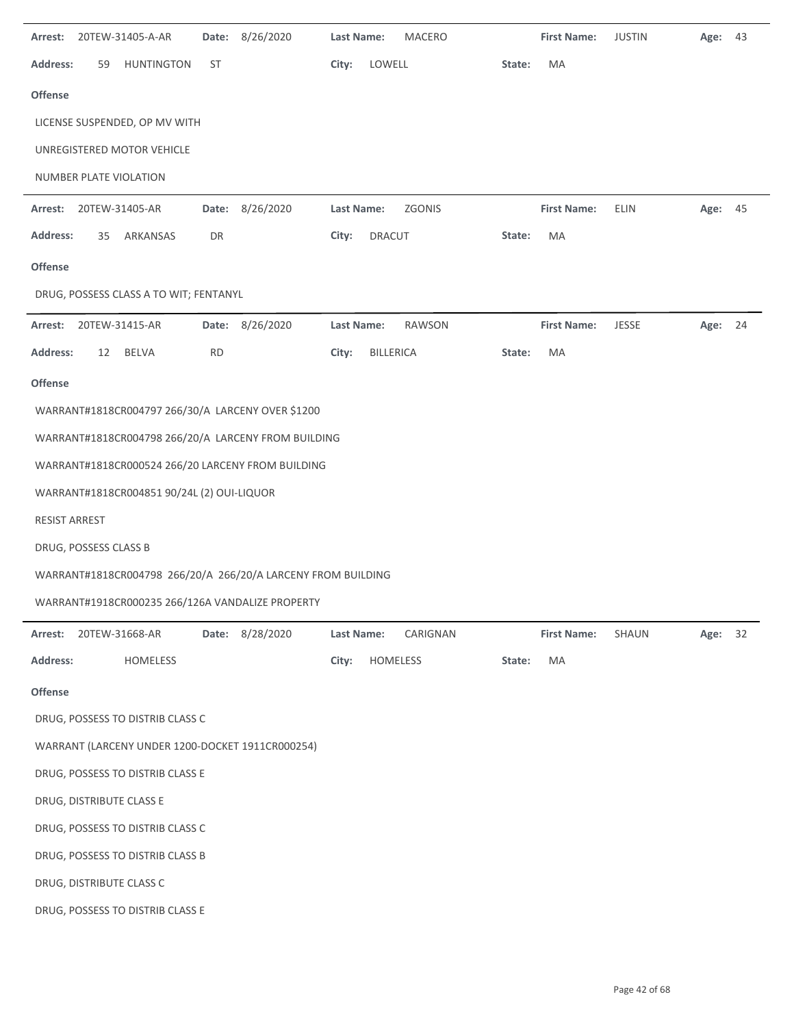| Arrest:         |                       | 20TEW-31405-A-AR                           |           | Date: 8/26/2020                                              | <b>Last Name:</b> |               | <b>MACERO</b> |        | <b>First Name:</b> | <b>JUSTIN</b> | Age:    | 43 |
|-----------------|-----------------------|--------------------------------------------|-----------|--------------------------------------------------------------|-------------------|---------------|---------------|--------|--------------------|---------------|---------|----|
| <b>Address:</b> | 59                    | <b>HUNTINGTON</b>                          | ST        |                                                              | City:             | LOWELL        |               | State: | MA                 |               |         |    |
| Offense         |                       |                                            |           |                                                              |                   |               |               |        |                    |               |         |    |
|                 |                       | LICENSE SUSPENDED, OP MV WITH              |           |                                                              |                   |               |               |        |                    |               |         |    |
|                 |                       | UNREGISTERED MOTOR VEHICLE                 |           |                                                              |                   |               |               |        |                    |               |         |    |
|                 |                       | NUMBER PLATE VIOLATION                     |           |                                                              |                   |               |               |        |                    |               |         |    |
| Arrest:         | 20TEW-31405-AR        |                                            |           | Date: 8/26/2020                                              | Last Name:        |               | ZGONIS        |        | <b>First Name:</b> | ELIN          | Age: 45 |    |
| <b>Address:</b> | 35                    | ARKANSAS                                   | DR        |                                                              | City:             | <b>DRACUT</b> |               | State: | MA                 |               |         |    |
| Offense         |                       |                                            |           |                                                              |                   |               |               |        |                    |               |         |    |
|                 |                       | DRUG, POSSESS CLASS A TO WIT; FENTANYL     |           |                                                              |                   |               |               |        |                    |               |         |    |
| Arrest:         |                       | 20TEW-31415-AR                             |           | Date: 8/26/2020                                              | Last Name:        |               | RAWSON        |        | <b>First Name:</b> | <b>JESSE</b>  | Age: 24 |    |
| <b>Address:</b> | 12                    | <b>BELVA</b>                               | <b>RD</b> |                                                              | City:             | BILLERICA     |               | State: | MA                 |               |         |    |
| Offense         |                       |                                            |           |                                                              |                   |               |               |        |                    |               |         |    |
|                 |                       |                                            |           | WARRANT#1818CR004797 266/30/A LARCENY OVER \$1200            |                   |               |               |        |                    |               |         |    |
|                 |                       |                                            |           | WARRANT#1818CR004798 266/20/A LARCENY FROM BUILDING          |                   |               |               |        |                    |               |         |    |
|                 |                       |                                            |           | WARRANT#1818CR000524 266/20 LARCENY FROM BUILDING            |                   |               |               |        |                    |               |         |    |
|                 |                       | WARRANT#1818CR004851 90/24L (2) OUI-LIQUOR |           |                                                              |                   |               |               |        |                    |               |         |    |
| RESIST ARREST   |                       |                                            |           |                                                              |                   |               |               |        |                    |               |         |    |
|                 | DRUG, POSSESS CLASS B |                                            |           |                                                              |                   |               |               |        |                    |               |         |    |
|                 |                       |                                            |           | WARRANT#1818CR004798 266/20/A 266/20/A LARCENY FROM BUILDING |                   |               |               |        |                    |               |         |    |
|                 |                       |                                            |           | WARRANT#1918CR000235 266/126A VANDALIZE PROPERTY             |                   |               |               |        |                    |               |         |    |
| Arrest:         |                       | 20TEW-31668-AR                             |           | Date: 8/28/2020                                              | Last Name:        |               | CARIGNAN      |        | <b>First Name:</b> | <b>SHAUN</b>  | Age:    | 32 |
| <b>Address:</b> |                       | HOMELESS                                   |           |                                                              | City:             | HOMELESS      |               | State: | MA                 |               |         |    |
| <b>Offense</b>  |                       |                                            |           |                                                              |                   |               |               |        |                    |               |         |    |
|                 |                       | DRUG, POSSESS TO DISTRIB CLASS C           |           |                                                              |                   |               |               |        |                    |               |         |    |
|                 |                       |                                            |           | WARRANT (LARCENY UNDER 1200-DOCKET 1911CR000254)             |                   |               |               |        |                    |               |         |    |
|                 |                       | DRUG, POSSESS TO DISTRIB CLASS E           |           |                                                              |                   |               |               |        |                    |               |         |    |
|                 |                       | DRUG, DISTRIBUTE CLASS E                   |           |                                                              |                   |               |               |        |                    |               |         |    |
|                 |                       | DRUG, POSSESS TO DISTRIB CLASS C           |           |                                                              |                   |               |               |        |                    |               |         |    |
|                 |                       | DRUG, POSSESS TO DISTRIB CLASS B           |           |                                                              |                   |               |               |        |                    |               |         |    |
|                 |                       | DRUG, DISTRIBUTE CLASS C                   |           |                                                              |                   |               |               |        |                    |               |         |    |
|                 |                       | DRUG, POSSESS TO DISTRIB CLASS E           |           |                                                              |                   |               |               |        |                    |               |         |    |
|                 |                       |                                            |           |                                                              |                   |               |               |        |                    |               |         |    |

 $\overline{\phantom{a}}$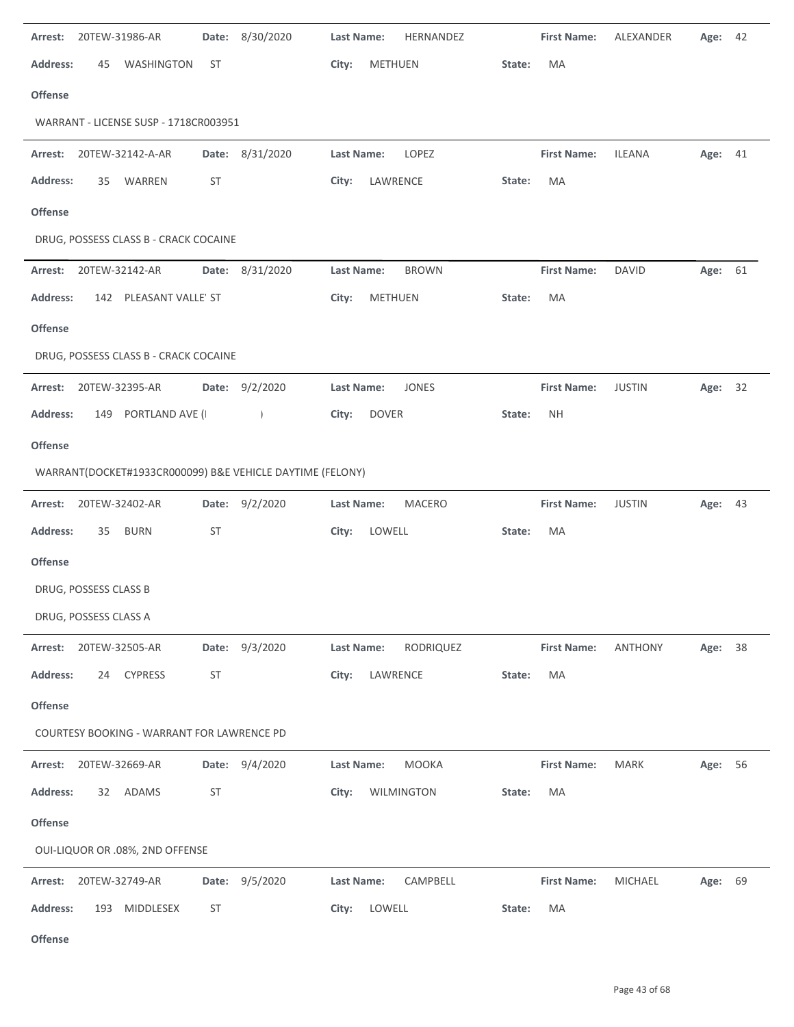| 20TEW-31986-AR<br>Arrest:<br>Date:                        | 8/30/2020       | HERNANDEZ<br>Last Name:           | <b>First Name:</b>  | ALEXANDER      | Age:<br>42 |
|-----------------------------------------------------------|-----------------|-----------------------------------|---------------------|----------------|------------|
| <b>Address:</b><br><b>WASHINGTON</b><br>ST<br>45          |                 | METHUEN<br>City:                  | MA<br>State:        |                |            |
| <b>Offense</b>                                            |                 |                                   |                     |                |            |
| WARRANT - LICENSE SUSP - 1718CR003951                     |                 |                                   |                     |                |            |
| 20TEW-32142-A-AR<br>Arrest:                               | Date: 8/31/2020 | LOPEZ<br>Last Name:               | <b>First Name:</b>  | <b>ILEANA</b>  | Age: 41    |
| <b>Address:</b><br>WARREN<br>ST<br>35                     |                 | City:<br>LAWRENCE                 | MA<br>State:        |                |            |
| <b>Offense</b>                                            |                 |                                   |                     |                |            |
| DRUG, POSSESS CLASS B - CRACK COCAINE                     |                 |                                   |                     |                |            |
| 20TEW-32142-AR<br>Arrest:                                 | Date: 8/31/2020 | <b>Last Name:</b><br><b>BROWN</b> | <b>First Name:</b>  | <b>DAVID</b>   | Age:<br>61 |
| <b>Address:</b><br>142 PLEASANT VALLE' ST                 |                 | <b>METHUEN</b><br>City:           | MA<br>State:        |                |            |
| <b>Offense</b>                                            |                 |                                   |                     |                |            |
| DRUG, POSSESS CLASS B - CRACK COCAINE                     |                 |                                   |                     |                |            |
| 20TEW-32395-AR<br>Arrest:                                 | Date: 9/2/2020  | <b>Last Name:</b><br><b>JONES</b> | <b>First Name:</b>  | <b>JUSTIN</b>  | Age: 32    |
| 149 PORTLAND AVE (I<br><b>Address:</b>                    | $\overline{1}$  | <b>DOVER</b><br>City:             | <b>NH</b><br>State: |                |            |
| <b>Offense</b>                                            |                 |                                   |                     |                |            |
| WARRANT(DOCKET#1933CR000099) B&E VEHICLE DAYTIME (FELONY) |                 |                                   |                     |                |            |
| 20TEW-32402-AR<br>Arrest:                                 | Date: 9/2/2020  | Last Name:<br>MACERO              | <b>First Name:</b>  | <b>JUSTIN</b>  | Age: 43    |
| ST<br><b>Address:</b><br><b>BURN</b><br>35                |                 | LOWELL<br>City:                   | MA<br>State:        |                |            |
| <b>Offense</b>                                            |                 |                                   |                     |                |            |
| DRUG, POSSESS CLASS B                                     |                 |                                   |                     |                |            |
| DRUG, POSSESS CLASS A                                     |                 |                                   |                     |                |            |
| 20TEW-32505-AR<br>Arrest:                                 | Date: 9/3/2020  | Last Name:<br>RODRIQUEZ           | <b>First Name:</b>  | <b>ANTHONY</b> | 38<br>Age: |
| Address:<br>24 CYPRESS<br><b>ST</b>                       |                 | LAWRENCE<br>City:                 | State:<br>MA        |                |            |
| <b>Offense</b>                                            |                 |                                   |                     |                |            |
| COURTESY BOOKING - WARRANT FOR LAWRENCE PD                |                 |                                   |                     |                |            |
| Arrest: 20TEW-32669-AR                                    | Date: 9/4/2020  | <b>MOOKA</b><br>Last Name:        | <b>First Name:</b>  | <b>MARK</b>    | Age: 56    |
| <b>ST</b><br><b>Address:</b><br>32 ADAMS                  |                 | WILMINGTON<br>City:               | State:<br>MA        |                |            |
| <b>Offense</b>                                            |                 |                                   |                     |                |            |
| OUI-LIQUOR OR .08%, 2ND OFFENSE                           |                 |                                   |                     |                |            |
| 20TEW-32749-AR<br>Arrest:                                 | Date: 9/5/2020  | CAMPBELL<br>Last Name:            | <b>First Name:</b>  | <b>MICHAEL</b> | 69<br>Age: |
| <b>Address:</b><br>ST<br>193 MIDDLESEX                    |                 | LOWELL<br>City:                   | State:<br>MA        |                |            |
| Offense                                                   |                 |                                   |                     |                |            |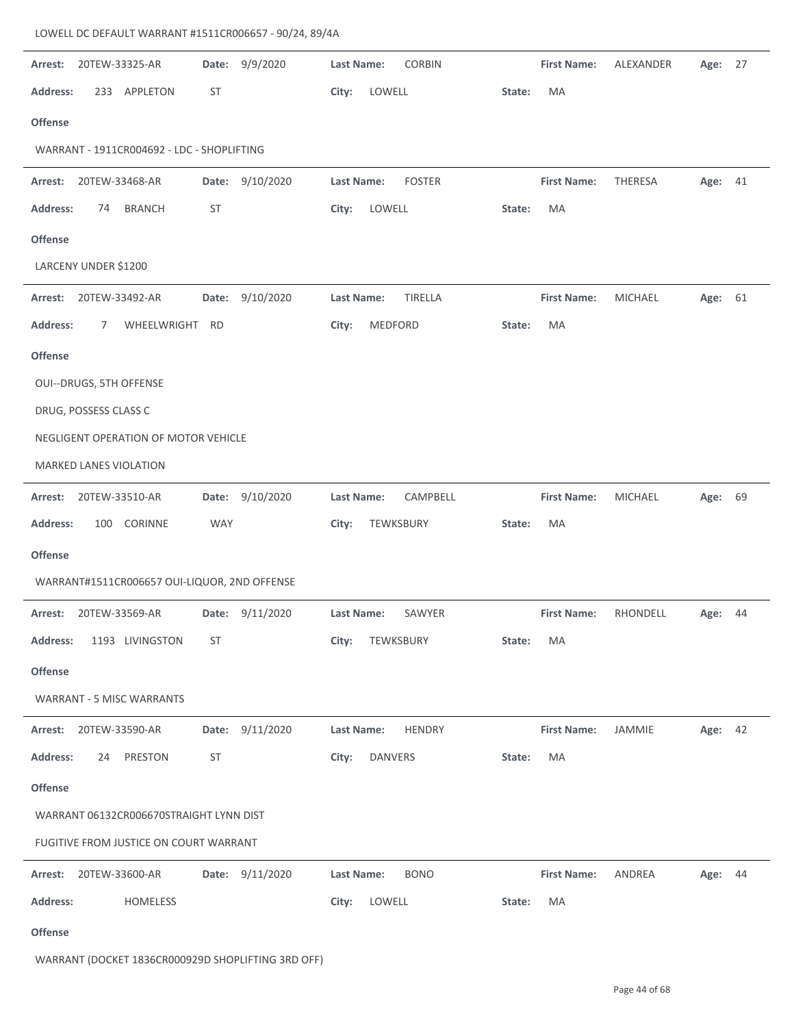## LOWELL DC DEFAULT WARRANT #1511CR006657 ‐ 90/24, 89/4A

| Date: 9/9/2020<br>20TEW-33325-AR<br>Arrest:     | <b>Last Name:</b><br><b>CORBIN</b> | <b>First Name:</b><br>ALEXANDER<br>Age: 27      |
|-------------------------------------------------|------------------------------------|-------------------------------------------------|
| <b>Address:</b><br>233 APPLETON<br>ST           | LOWELL<br>City:<br>State:          | MA                                              |
| <b>Offense</b>                                  |                                    |                                                 |
| WARRANT - 1911CR004692 - LDC - SHOPLIFTING      |                                    |                                                 |
| 9/10/2020<br>Arrest:<br>20TEW-33468-AR<br>Date: | <b>Last Name:</b><br><b>FOSTER</b> | <b>First Name:</b><br><b>THERESA</b><br>Age: 41 |
| Address:<br>ST<br><b>BRANCH</b><br>74           | LOWELL<br>City:<br>State:          | MA                                              |
| <b>Offense</b>                                  |                                    |                                                 |
| LARCENY UNDER \$1200                            |                                    |                                                 |
| 9/10/2020<br>Arrest:<br>20TEW-33492-AR<br>Date: | Last Name:<br>TIRELLA              | <b>First Name:</b><br><b>MICHAEL</b><br>Age: 61 |
| <b>Address:</b><br>WHEELWRIGHT RD<br>7          | MEDFORD<br>City:<br>State:         | MA                                              |
| <b>Offense</b>                                  |                                    |                                                 |
| OUI--DRUGS, 5TH OFFENSE                         |                                    |                                                 |
| DRUG, POSSESS CLASS C                           |                                    |                                                 |
| NEGLIGENT OPERATION OF MOTOR VEHICLE            |                                    |                                                 |
| MARKED LANES VIOLATION                          |                                    |                                                 |
| Date: 9/10/2020<br>20TEW-33510-AR<br>Arrest:    | CAMPBELL<br>Last Name:             | <b>First Name:</b><br><b>MICHAEL</b><br>Age: 69 |
| <b>Address:</b><br>100 CORINNE<br><b>WAY</b>    | City:<br>TEWKSBURY<br>State:       | MA                                              |
| <b>Offense</b>                                  |                                    |                                                 |
| WARRANT#1511CR006657 OUI-LIQUOR, 2ND OFFENSE    |                                    |                                                 |
| 20TEW-33569-AR<br>Date: 9/11/2020<br>Arrest:    | <b>Last Name:</b><br>SAWYER        | <b>First Name:</b><br>RHONDELL<br>44<br>Age:    |
| <b>Address:</b><br>1193 LIVINGSTON<br>ST        | City:<br>TEWKSBURY<br>State:       | MA                                              |
| <b>Offense</b>                                  |                                    |                                                 |
| <b>WARRANT - 5 MISC WARRANTS</b>                |                                    |                                                 |
| Date: 9/11/2020<br>Arrest:<br>20TEW-33590-AR    | Last Name:<br><b>HENDRY</b>        | <b>First Name:</b><br>JAMMIE<br>Age: 42         |
| <b>Address:</b><br>PRESTON<br>ST<br>24          | City:<br>DANVERS<br>State:         | MA                                              |
| <b>Offense</b>                                  |                                    |                                                 |
| WARRANT 06132CR006670STRAIGHT LYNN DIST         |                                    |                                                 |
| FUGITIVE FROM JUSTICE ON COURT WARRANT          |                                    |                                                 |
| Date: 9/11/2020<br>Arrest: 20TEW-33600-AR       | Last Name:<br><b>BONO</b>          | <b>First Name:</b><br>ANDREA<br>Age: 44         |
| <b>Address:</b><br>HOMELESS                     | City:<br>LOWELL<br>State:          | MA                                              |
| عمد                                             |                                    |                                                 |

**Offense**

WARRANT (DOCKET 1836CR000929D SHOPLIFTING 3RD OFF)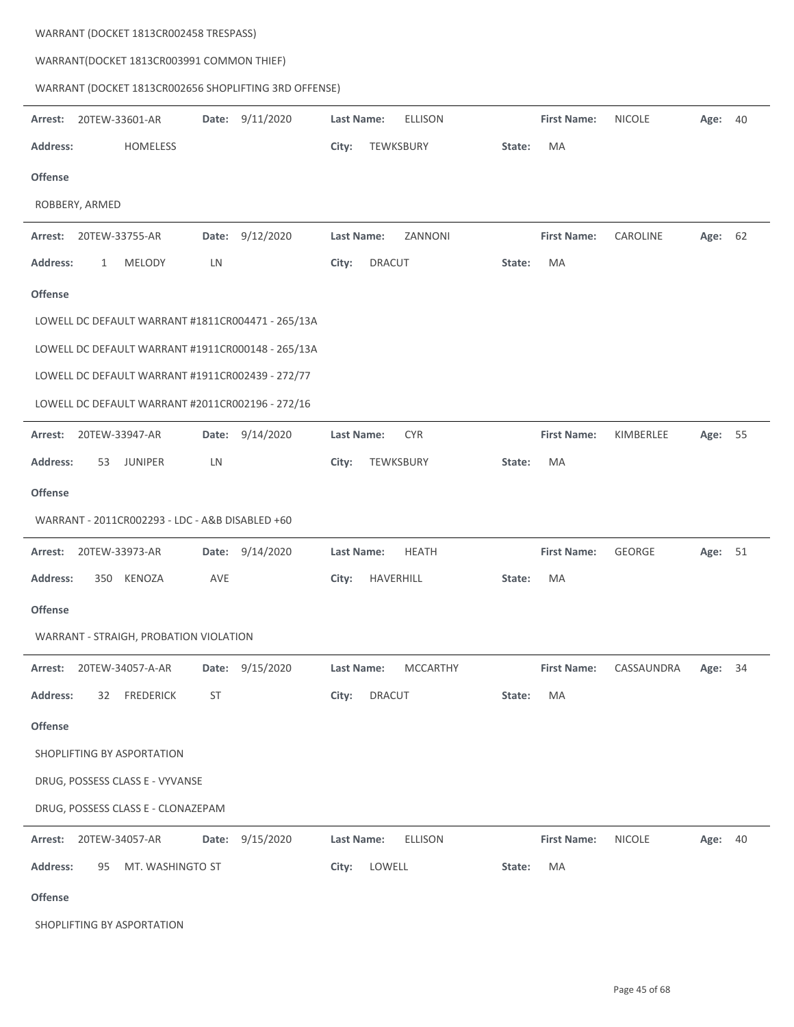| WARRANT(DOCKET 1813CR003991 COMMON THIEF)             |                                     |                                                |
|-------------------------------------------------------|-------------------------------------|------------------------------------------------|
| WARRANT (DOCKET 1813CR002656 SHOPLIFTING 3RD OFFENSE) |                                     |                                                |
| 9/11/2020<br>Arrest:<br>20TEW-33601-AR<br>Date:       | <b>Last Name:</b><br><b>ELLISON</b> | <b>First Name:</b><br><b>NICOLE</b><br>Age: 40 |
| <b>Address:</b><br><b>HOMELESS</b>                    | TEWKSBURY<br>City:<br>State:        | MA                                             |
| Offense                                               |                                     |                                                |
| ROBBERY, ARMED                                        |                                     |                                                |
| 9/12/2020<br>Arrest:<br>20TEW-33755-AR<br>Date:       | <b>Last Name:</b><br>ZANNONI        | <b>First Name:</b><br>CAROLINE<br>Age: 62      |
| Address:<br><b>MELODY</b><br>LN<br>1                  | <b>DRACUT</b><br>City:<br>State:    | MA                                             |
| Offense                                               |                                     |                                                |
| LOWELL DC DEFAULT WARRANT #1811CR004471 - 265/13A     |                                     |                                                |
| LOWELL DC DEFAULT WARRANT #1911CR000148 - 265/13A     |                                     |                                                |
| LOWELL DC DEFAULT WARRANT #1911CR002439 - 272/77      |                                     |                                                |
| LOWELL DC DEFAULT WARRANT #2011CR002196 - 272/16      |                                     |                                                |
| 9/14/2020<br>20TEW-33947-AR<br>Arrest:<br>Date:       | <b>Last Name:</b><br><b>CYR</b>     | <b>First Name:</b><br>KIMBERLEE<br>Age: 55     |
| <b>Address:</b><br><b>JUNIPER</b><br>LN<br>53         | City:<br>TEWKSBURY<br>State:        | MA                                             |
| <b>Offense</b>                                        |                                     |                                                |
| WARRANT - 2011CR002293 - LDC - A&B DISABLED +60       |                                     |                                                |
| 20TEW-33973-AR<br>9/14/2020<br>Arrest:<br>Date:       | <b>Last Name:</b><br><b>HEATH</b>   | <b>First Name:</b><br>GEORGE<br>Age: 51        |
| <b>Address:</b><br>350<br>KENOZA<br>AVE               | HAVERHILL<br>City:<br>State:        | MA                                             |
| <b>Offense</b>                                        |                                     |                                                |
| WARRANT - STRAIGH, PROBATION VIOLATION                |                                     |                                                |
| Date: 9/15/2020<br>Arrest:<br>20TEW-34057-A-AR        | <b>MCCARTHY</b><br>Last Name:       | <b>First Name:</b><br>34<br>CASSAUNDRA<br>Age: |
| 32<br><b>FREDERICK</b><br>ST<br><b>Address:</b>       | City:<br><b>DRACUT</b><br>State:    | MA                                             |
| <b>Offense</b>                                        |                                     |                                                |
| SHOPLIFTING BY ASPORTATION                            |                                     |                                                |
| DRUG, POSSESS CLASS E - VYVANSE                       |                                     |                                                |
| DRUG, POSSESS CLASS E - CLONAZEPAM                    |                                     |                                                |
| Date:<br>9/15/2020<br>Arrest:<br>20TEW-34057-AR       | Last Name:<br><b>ELLISON</b>        | <b>First Name:</b><br><b>NICOLE</b><br>Age: 40 |
| MT. WASHINGTO ST<br><b>Address:</b><br>95             | City:<br>LOWELL<br>State:           | MA                                             |
| Offense                                               |                                     |                                                |
| SHOPLIFTING BY ASPORTATION                            |                                     |                                                |

WARRANT (DOCKET 1813CR002458 TRESPASS)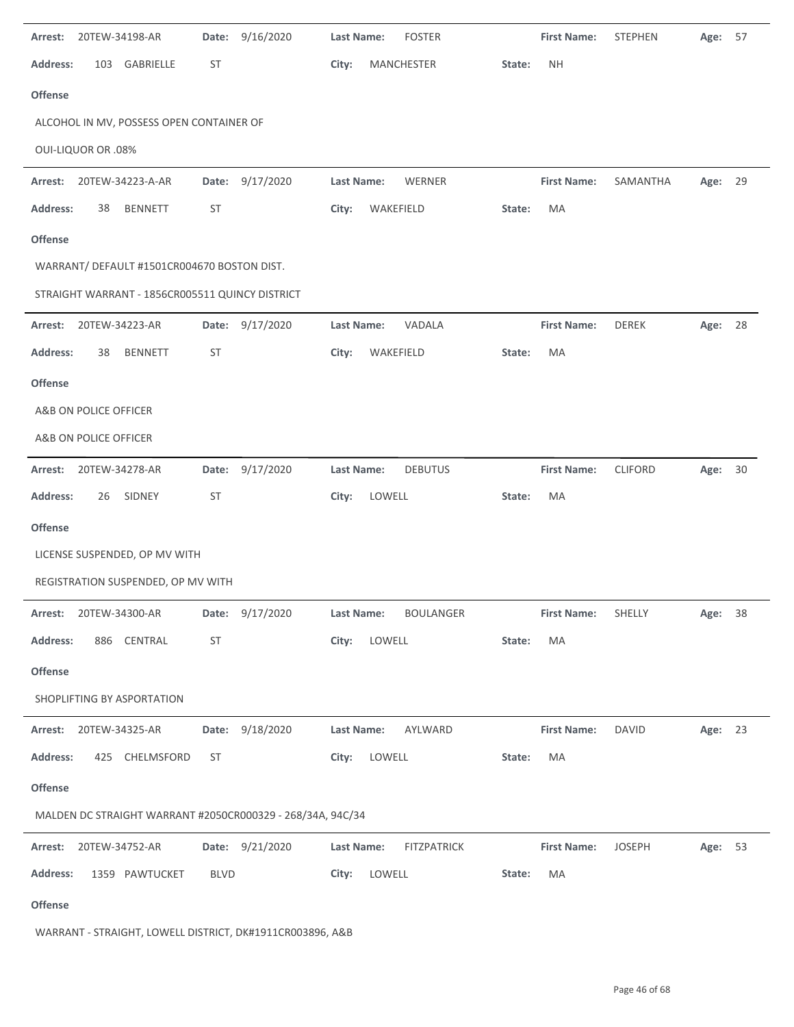| Arrest:                | 20TEW-34198-AR            |                                                 | Date:       | 9/16/2020                                                  | <b>Last Name:</b> |           | <b>FOSTER</b>      |        | <b>First Name:</b> | <b>STEPHEN</b> | Age:    | 57 |
|------------------------|---------------------------|-------------------------------------------------|-------------|------------------------------------------------------------|-------------------|-----------|--------------------|--------|--------------------|----------------|---------|----|
| <b>Address:</b>        | 103                       | GABRIELLE                                       | <b>ST</b>   |                                                            | City:             |           | <b>MANCHESTER</b>  | State: | <b>NH</b>          |                |         |    |
| <b>Offense</b>         |                           |                                                 |             |                                                            |                   |           |                    |        |                    |                |         |    |
|                        |                           | ALCOHOL IN MV, POSSESS OPEN CONTAINER OF        |             |                                                            |                   |           |                    |        |                    |                |         |    |
|                        | <b>OUI-LIQUOR OR .08%</b> |                                                 |             |                                                            |                   |           |                    |        |                    |                |         |    |
| Arrest:                |                           | 20TEW-34223-A-AR                                |             | Date: 9/17/2020                                            | Last Name:        |           | WERNER             |        | <b>First Name:</b> | SAMANTHA       | Age: 29 |    |
| <b>Address:</b>        | 38                        | <b>BENNETT</b>                                  | <b>ST</b>   |                                                            | City:             | WAKEFIELD |                    | State: | MA                 |                |         |    |
| <b>Offense</b>         |                           |                                                 |             |                                                            |                   |           |                    |        |                    |                |         |    |
|                        |                           | WARRANT/ DEFAULT #1501CR004670 BOSTON DIST.     |             |                                                            |                   |           |                    |        |                    |                |         |    |
|                        |                           | STRAIGHT WARRANT - 1856CR005511 QUINCY DISTRICT |             |                                                            |                   |           |                    |        |                    |                |         |    |
| Arrest:                | 20TEW-34223-AR            |                                                 |             | Date: 9/17/2020                                            | Last Name:        |           | VADALA             |        | <b>First Name:</b> | <b>DEREK</b>   | Age: 28 |    |
| <b>Address:</b>        | 38                        | <b>BENNETT</b>                                  | <b>ST</b>   |                                                            | City:             | WAKEFIELD |                    | State: | MA                 |                |         |    |
| <b>Offense</b>         |                           |                                                 |             |                                                            |                   |           |                    |        |                    |                |         |    |
|                        | A&B ON POLICE OFFICER     |                                                 |             |                                                            |                   |           |                    |        |                    |                |         |    |
|                        | A&B ON POLICE OFFICER     |                                                 |             |                                                            |                   |           |                    |        |                    |                |         |    |
| Arrest:                | 20TEW-34278-AR            |                                                 | Date:       | 9/17/2020                                                  | <b>Last Name:</b> |           | <b>DEBUTUS</b>     |        | <b>First Name:</b> | <b>CLIFORD</b> | Age:    | 30 |
| <b>Address:</b>        | 26                        | SIDNEY                                          | <b>ST</b>   |                                                            | City:             | LOWELL    |                    | State: | MA                 |                |         |    |
| Offense                |                           |                                                 |             |                                                            |                   |           |                    |        |                    |                |         |    |
|                        |                           | LICENSE SUSPENDED, OP MV WITH                   |             |                                                            |                   |           |                    |        |                    |                |         |    |
|                        |                           | REGISTRATION SUSPENDED, OP MV WITH              |             |                                                            |                   |           |                    |        |                    |                |         |    |
| Arrest: 20TEW-34300-AR |                           |                                                 |             | Date: 9/17/2020                                            | Last Name:        |           | <b>BOULANGER</b>   |        | <b>First Name:</b> | SHELLY         | Age: 38 |    |
| <b>Address:</b>        |                           | 886 CENTRAL                                     | ST          |                                                            | City:             | LOWELL    |                    | State: | MA                 |                |         |    |
| Offense                |                           |                                                 |             |                                                            |                   |           |                    |        |                    |                |         |    |
|                        |                           | SHOPLIFTING BY ASPORTATION                      |             |                                                            |                   |           |                    |        |                    |                |         |    |
| Arrest:                | 20TEW-34325-AR            |                                                 |             | Date: 9/18/2020                                            | Last Name:        |           | AYLWARD            |        | <b>First Name:</b> | <b>DAVID</b>   | Age: 23 |    |
| <b>Address:</b>        |                           | 425 CHELMSFORD                                  | <b>ST</b>   |                                                            | City:             | LOWELL    |                    | State: | MA                 |                |         |    |
| Offense                |                           |                                                 |             |                                                            |                   |           |                    |        |                    |                |         |    |
|                        |                           |                                                 |             | MALDEN DC STRAIGHT WARRANT #2050CR000329 - 268/34A, 94C/34 |                   |           |                    |        |                    |                |         |    |
| Arrest:                | 20TEW-34752-AR            |                                                 |             | Date: 9/21/2020                                            | Last Name:        |           | <b>FITZPATRICK</b> |        | <b>First Name:</b> | <b>JOSEPH</b>  | Age: 53 |    |
| <b>Address:</b>        |                           | 1359 PAWTUCKET                                  | <b>BLVD</b> |                                                            | City:             | LOWELL    |                    | State: | MA                 |                |         |    |
| Offense                |                           |                                                 |             |                                                            |                   |           |                    |        |                    |                |         |    |
|                        |                           |                                                 |             | WARRANT - STRAIGHT, LOWELL DISTRICT, DK#1911CR003896, A&B  |                   |           |                    |        |                    |                |         |    |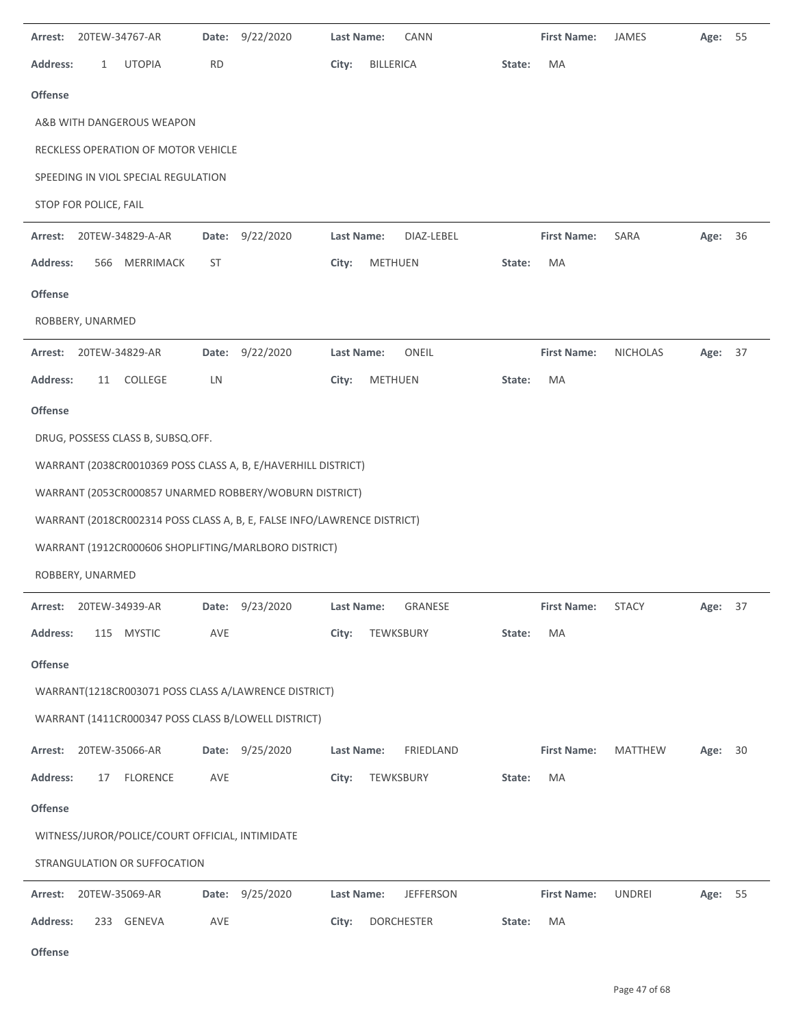| Arrest:         |                       | 20TEW-34767-AR                                  | <b>Date:</b> | 9/22/2020                                                               | Last Name: | <b>CANN</b>       |        | <b>First Name:</b> | JAMES           | Age: 55 |    |
|-----------------|-----------------------|-------------------------------------------------|--------------|-------------------------------------------------------------------------|------------|-------------------|--------|--------------------|-----------------|---------|----|
| <b>Address:</b> | 1                     | <b>UTOPIA</b>                                   | <b>RD</b>    |                                                                         | City:      | BILLERICA         | State: | MA                 |                 |         |    |
| <b>Offense</b>  |                       |                                                 |              |                                                                         |            |                   |        |                    |                 |         |    |
|                 |                       | A&B WITH DANGEROUS WEAPON                       |              |                                                                         |            |                   |        |                    |                 |         |    |
|                 |                       | RECKLESS OPERATION OF MOTOR VEHICLE             |              |                                                                         |            |                   |        |                    |                 |         |    |
|                 |                       | SPEEDING IN VIOL SPECIAL REGULATION             |              |                                                                         |            |                   |        |                    |                 |         |    |
|                 | STOP FOR POLICE, FAIL |                                                 |              |                                                                         |            |                   |        |                    |                 |         |    |
| Arrest:         |                       | 20TEW-34829-A-AR                                | Date:        | 9/22/2020                                                               | Last Name: | DIAZ-LEBEL        |        | <b>First Name:</b> | SARA            | Age:    | 36 |
| <b>Address:</b> | 566                   | MERRIMACK                                       | <b>ST</b>    |                                                                         | City:      | <b>METHUEN</b>    | State: | MA                 |                 |         |    |
| <b>Offense</b>  |                       |                                                 |              |                                                                         |            |                   |        |                    |                 |         |    |
|                 | ROBBERY, UNARMED      |                                                 |              |                                                                         |            |                   |        |                    |                 |         |    |
| Arrest:         |                       | 20TEW-34829-AR                                  | Date:        | 9/22/2020                                                               | Last Name: | ONEIL             |        | <b>First Name:</b> | <b>NICHOLAS</b> | Age: 37 |    |
| <b>Address:</b> | 11                    | COLLEGE                                         | LN           |                                                                         | City:      | <b>METHUEN</b>    | State: | MA                 |                 |         |    |
| <b>Offense</b>  |                       |                                                 |              |                                                                         |            |                   |        |                    |                 |         |    |
|                 |                       | DRUG, POSSESS CLASS B, SUBSQ.OFF.               |              |                                                                         |            |                   |        |                    |                 |         |    |
|                 |                       |                                                 |              | WARRANT (2038CR0010369 POSS CLASS A, B, E/HAVERHILL DISTRICT)           |            |                   |        |                    |                 |         |    |
|                 |                       |                                                 |              | WARRANT (2053CR000857 UNARMED ROBBERY/WOBURN DISTRICT)                  |            |                   |        |                    |                 |         |    |
|                 |                       |                                                 |              | WARRANT (2018CR002314 POSS CLASS A, B, E, FALSE INFO/LAWRENCE DISTRICT) |            |                   |        |                    |                 |         |    |
|                 |                       |                                                 |              | WARRANT (1912CR000606 SHOPLIFTING/MARLBORO DISTRICT)                    |            |                   |        |                    |                 |         |    |
|                 | ROBBERY, UNARMED      |                                                 |              |                                                                         |            |                   |        |                    |                 |         |    |
|                 |                       | Arrest: 20TEW-34939-AR                          | Date:        | 9/23/2020                                                               | Last Name: | GRANESE           |        | <b>First Name:</b> | <b>STACY</b>    | Age: 37 |    |
| <b>Address:</b> |                       | 115 MYSTIC                                      | AVE          |                                                                         | City:      | TEWKSBURY         | State: | MA                 |                 |         |    |
| <b>Offense</b>  |                       |                                                 |              |                                                                         |            |                   |        |                    |                 |         |    |
|                 |                       |                                                 |              | WARRANT(1218CR003071 POSS CLASS A/LAWRENCE DISTRICT)                    |            |                   |        |                    |                 |         |    |
|                 |                       |                                                 |              | WARRANT (1411CR000347 POSS CLASS B/LOWELL DISTRICT)                     |            |                   |        |                    |                 |         |    |
|                 |                       |                                                 |              |                                                                         |            |                   |        |                    |                 |         |    |
|                 |                       | Arrest: 20TEW-35066-AR                          |              | Date: 9/25/2020                                                         | Last Name: | FRIEDLAND         |        | <b>First Name:</b> | MATTHEW         | Age: 30 |    |
| <b>Address:</b> | 17                    | <b>FLORENCE</b>                                 | AVE          |                                                                         | City:      | TEWKSBURY         | State: | MA                 |                 |         |    |
| Offense         |                       |                                                 |              |                                                                         |            |                   |        |                    |                 |         |    |
|                 |                       | WITNESS/JUROR/POLICE/COURT OFFICIAL, INTIMIDATE |              |                                                                         |            |                   |        |                    |                 |         |    |
|                 |                       | STRANGULATION OR SUFFOCATION                    |              |                                                                         |            |                   |        |                    |                 |         |    |
| Arrest:         |                       | 20TEW-35069-AR                                  | Date:        | 9/25/2020                                                               | Last Name: | <b>JEFFERSON</b>  |        | <b>First Name:</b> | <b>UNDREI</b>   | Age: 55 |    |
| <b>Address:</b> |                       | 233 GENEVA                                      | AVE          |                                                                         | City:      | <b>DORCHESTER</b> | State: | MA                 |                 |         |    |

Page 47 of 68

 $\overline{\phantom{a}}$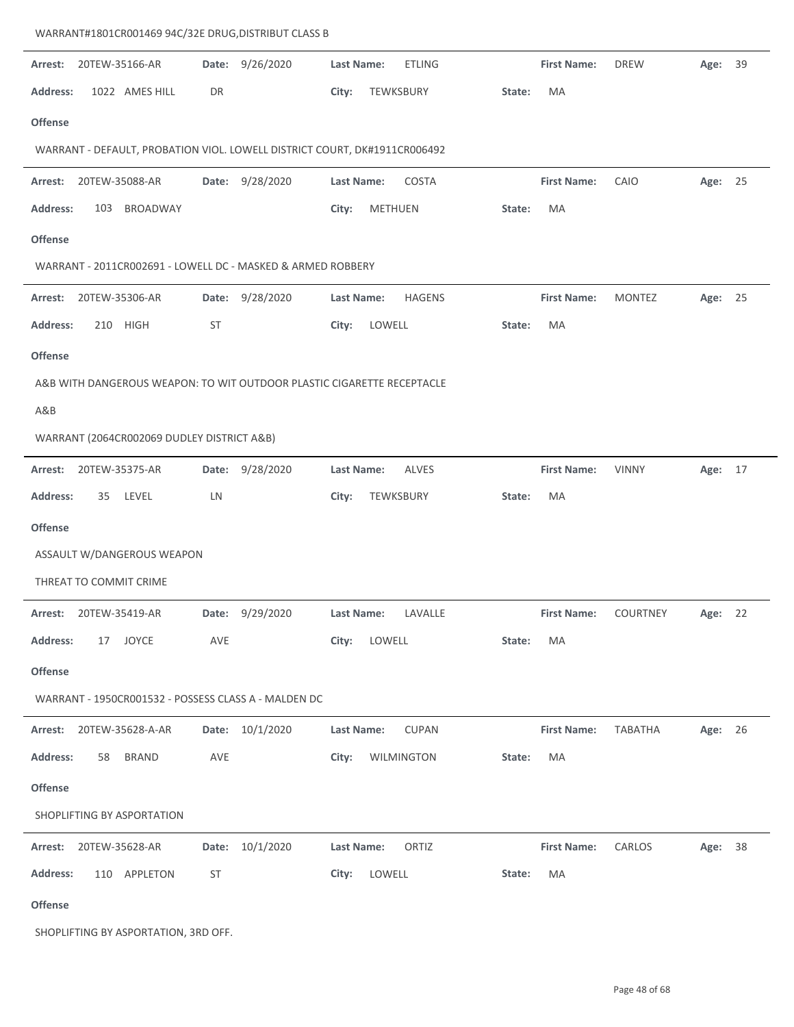| Arrest:         |     | 20TEW-35166-AR                             | Date:     | 9/26/2020                                                                 | <b>Last Name:</b> |                | <b>ETLING</b> |        | <b>First Name:</b> | <b>DREW</b>     | Age: 39 |  |
|-----------------|-----|--------------------------------------------|-----------|---------------------------------------------------------------------------|-------------------|----------------|---------------|--------|--------------------|-----------------|---------|--|
| <b>Address:</b> |     | 1022 AMES HILL                             | DR        |                                                                           | City:             |                | TEWKSBURY     | State: | MA                 |                 |         |  |
| <b>Offense</b>  |     |                                            |           |                                                                           |                   |                |               |        |                    |                 |         |  |
|                 |     |                                            |           | WARRANT - DEFAULT, PROBATION VIOL. LOWELL DISTRICT COURT, DK#1911CR006492 |                   |                |               |        |                    |                 |         |  |
| Arrest:         |     | 20TEW-35088-AR                             |           | Date: 9/28/2020                                                           | Last Name:        |                | COSTA         |        | <b>First Name:</b> | CAIO            | Age: 25 |  |
| <b>Address:</b> | 103 | <b>BROADWAY</b>                            |           |                                                                           | City:             | <b>METHUEN</b> |               | State: | MA                 |                 |         |  |
| <b>Offense</b>  |     |                                            |           |                                                                           |                   |                |               |        |                    |                 |         |  |
|                 |     |                                            |           | WARRANT - 2011CR002691 - LOWELL DC - MASKED & ARMED ROBBERY               |                   |                |               |        |                    |                 |         |  |
| Arrest:         |     | 20TEW-35306-AR                             | Date:     | 9/28/2020                                                                 | <b>Last Name:</b> |                | <b>HAGENS</b> |        | <b>First Name:</b> | <b>MONTEZ</b>   | Age: 25 |  |
| <b>Address:</b> | 210 | <b>HIGH</b>                                | <b>ST</b> |                                                                           | City:             | LOWELL         |               | State: | MA                 |                 |         |  |
| <b>Offense</b>  |     |                                            |           |                                                                           |                   |                |               |        |                    |                 |         |  |
|                 |     |                                            |           | A&B WITH DANGEROUS WEAPON: TO WIT OUTDOOR PLASTIC CIGARETTE RECEPTACLE    |                   |                |               |        |                    |                 |         |  |
| A&B             |     |                                            |           |                                                                           |                   |                |               |        |                    |                 |         |  |
|                 |     | WARRANT (2064CR002069 DUDLEY DISTRICT A&B) |           |                                                                           |                   |                |               |        |                    |                 |         |  |
| Arrest:         |     | 20TEW-35375-AR                             | Date:     | 9/28/2020                                                                 | <b>Last Name:</b> |                | <b>ALVES</b>  |        | <b>First Name:</b> | <b>VINNY</b>    | Age: 17 |  |
| Address:        | 35  | LEVEL                                      | LN        |                                                                           | City:             | TEWKSBURY      |               | State: | MA                 |                 |         |  |
| <b>Offense</b>  |     |                                            |           |                                                                           |                   |                |               |        |                    |                 |         |  |
|                 |     | ASSAULT W/DANGEROUS WEAPON                 |           |                                                                           |                   |                |               |        |                    |                 |         |  |
|                 |     | THREAT TO COMMIT CRIME                     |           |                                                                           |                   |                |               |        |                    |                 |         |  |
| Arrest:         |     | 20TEW-35419-AR                             | Date:     | 9/29/2020                                                                 | <b>Last Name:</b> |                | LAVALLE       |        | <b>First Name:</b> | <b>COURTNEY</b> | Age: 22 |  |
| <b>Address:</b> | 17  | JOYCE                                      | AVE       |                                                                           | City:             | LOWELL         |               | State: | МA                 |                 |         |  |
| <b>Offense</b>  |     |                                            |           |                                                                           |                   |                |               |        |                    |                 |         |  |
|                 |     |                                            |           | WARRANT - 1950CR001532 - POSSESS CLASS A - MALDEN DC                      |                   |                |               |        |                    |                 |         |  |
|                 |     | Arrest: 20TEW-35628-A-AR                   |           | Date: 10/1/2020                                                           | <b>Last Name:</b> |                | <b>CUPAN</b>  |        | <b>First Name:</b> | TABATHA         | Age: 26 |  |
| <b>Address:</b> | 58  | <b>BRAND</b>                               | AVE       |                                                                           | City:             |                | WILMINGTON    | State: | МA                 |                 |         |  |
| <b>Offense</b>  |     |                                            |           |                                                                           |                   |                |               |        |                    |                 |         |  |
|                 |     | SHOPLIFTING BY ASPORTATION                 |           |                                                                           |                   |                |               |        |                    |                 |         |  |
| Arrest:         |     | 20TEW-35628-AR                             |           | Date: 10/1/2020                                                           | Last Name:        |                | ORTIZ         |        | <b>First Name:</b> | CARLOS          | Age: 38 |  |
| <b>Address:</b> |     | 110 APPLETON                               | <b>ST</b> |                                                                           | City:             | LOWELL         |               | State: | МA                 |                 |         |  |
| Offense         |     |                                            |           |                                                                           |                   |                |               |        |                    |                 |         |  |

SHOPLIFTING BY ASPORTATION, 3RD OFF.

WARRANT#1801CR001469 94C/32E DRUG,DISTRIBUT CLASS B

 $\overline{a}$ 

J.

 $\ddot{\phantom{a}}$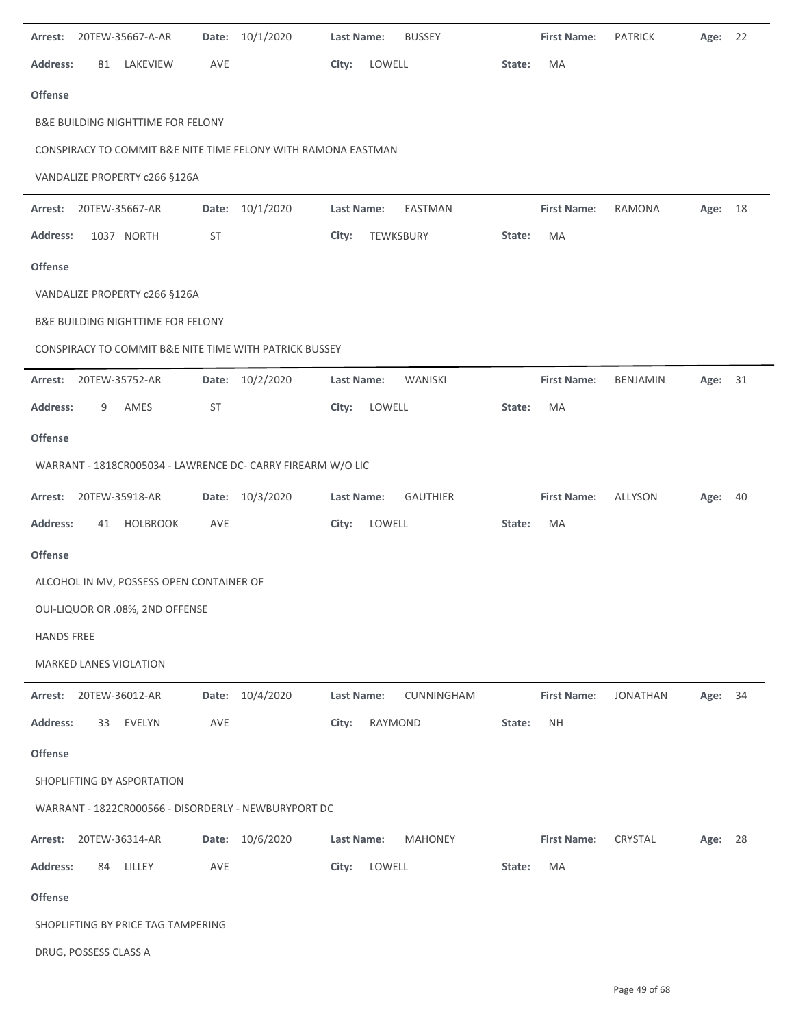| Arrest:           |                       | 20TEW-35667-A-AR                             | Date:     | 10/1/2020                                                     | <b>Last Name:</b> |           | <b>BUSSEY</b>   |        | <b>First Name:</b> | <b>PATRICK</b>  | Age: | 22 |
|-------------------|-----------------------|----------------------------------------------|-----------|---------------------------------------------------------------|-------------------|-----------|-----------------|--------|--------------------|-----------------|------|----|
| Address:          | 81                    | LAKEVIEW                                     | AVE       |                                                               | City:             | LOWELL    |                 | State: | MA                 |                 |      |    |
| <b>Offense</b>    |                       |                                              |           |                                                               |                   |           |                 |        |                    |                 |      |    |
|                   |                       | <b>B&amp;E BUILDING NIGHTTIME FOR FELONY</b> |           |                                                               |                   |           |                 |        |                    |                 |      |    |
|                   |                       |                                              |           | CONSPIRACY TO COMMIT B&E NITE TIME FELONY WITH RAMONA EASTMAN |                   |           |                 |        |                    |                 |      |    |
|                   |                       | VANDALIZE PROPERTY c266 §126A                |           |                                                               |                   |           |                 |        |                    |                 |      |    |
| Arrest:           |                       | 20TEW-35667-AR                               |           | Date: 10/1/2020                                               | Last Name:        |           | EASTMAN         |        | <b>First Name:</b> | <b>RAMONA</b>   | Age: | 18 |
| <b>Address:</b>   |                       | 1037 NORTH                                   | <b>ST</b> |                                                               | City:             | TEWKSBURY |                 | State: | MA                 |                 |      |    |
| <b>Offense</b>    |                       |                                              |           |                                                               |                   |           |                 |        |                    |                 |      |    |
|                   |                       | VANDALIZE PROPERTY c266 §126A                |           |                                                               |                   |           |                 |        |                    |                 |      |    |
|                   |                       | <b>B&amp;E BUILDING NIGHTTIME FOR FELONY</b> |           |                                                               |                   |           |                 |        |                    |                 |      |    |
|                   |                       |                                              |           | CONSPIRACY TO COMMIT B&E NITE TIME WITH PATRICK BUSSEY        |                   |           |                 |        |                    |                 |      |    |
| Arrest:           |                       | 20TEW-35752-AR                               |           | Date: 10/2/2020                                               | Last Name:        |           | WANISKI         |        | <b>First Name:</b> | BENJAMIN        | Age: | 31 |
| <b>Address:</b>   | 9                     | AMES                                         | <b>ST</b> |                                                               | City:             | LOWELL    |                 | State: | MA                 |                 |      |    |
| <b>Offense</b>    |                       |                                              |           |                                                               |                   |           |                 |        |                    |                 |      |    |
|                   |                       |                                              |           | WARRANT - 1818CR005034 - LAWRENCE DC- CARRY FIREARM W/O LIC   |                   |           |                 |        |                    |                 |      |    |
| Arrest:           |                       | 20TEW-35918-AR                               |           | Date: 10/3/2020                                               | Last Name:        |           | <b>GAUTHIER</b> |        | <b>First Name:</b> | ALLYSON         | Age: | 40 |
| <b>Address:</b>   | 41                    | <b>HOLBROOK</b>                              | AVE       |                                                               | City:             | LOWELL    |                 | State: | MA                 |                 |      |    |
| <b>Offense</b>    |                       |                                              |           |                                                               |                   |           |                 |        |                    |                 |      |    |
|                   |                       | ALCOHOL IN MV, POSSESS OPEN CONTAINER OF     |           |                                                               |                   |           |                 |        |                    |                 |      |    |
|                   |                       | OUI-LIQUOR OR .08%, 2ND OFFENSE              |           |                                                               |                   |           |                 |        |                    |                 |      |    |
| <b>HANDS FREE</b> |                       |                                              |           |                                                               |                   |           |                 |        |                    |                 |      |    |
|                   |                       | MARKED LANES VIOLATION                       |           |                                                               |                   |           |                 |        |                    |                 |      |    |
| Arrest:           |                       | 20TEW-36012-AR                               |           | Date: 10/4/2020                                               | Last Name:        |           | CUNNINGHAM      |        | <b>First Name:</b> | <b>JONATHAN</b> | Age: | 34 |
| <b>Address:</b>   | 33                    | EVELYN                                       | AVE       |                                                               | City:             | RAYMOND   |                 | State: | <b>NH</b>          |                 |      |    |
| <b>Offense</b>    |                       |                                              |           |                                                               |                   |           |                 |        |                    |                 |      |    |
|                   |                       | SHOPLIFTING BY ASPORTATION                   |           |                                                               |                   |           |                 |        |                    |                 |      |    |
|                   |                       |                                              |           | WARRANT - 1822CR000566 - DISORDERLY - NEWBURYPORT DC          |                   |           |                 |        |                    |                 |      |    |
| Arrest:           |                       | 20TEW-36314-AR                               |           | Date: 10/6/2020                                               | Last Name:        |           | <b>MAHONEY</b>  |        | <b>First Name:</b> | CRYSTAL         | Age: | 28 |
| <b>Address:</b>   | 84                    | LILLEY                                       | AVE       |                                                               | City:             | LOWELL    |                 | State: | MA                 |                 |      |    |
| Offense           |                       |                                              |           |                                                               |                   |           |                 |        |                    |                 |      |    |
|                   |                       | SHOPLIFTING BY PRICE TAG TAMPERING           |           |                                                               |                   |           |                 |        |                    |                 |      |    |
|                   | DRUG, POSSESS CLASS A |                                              |           |                                                               |                   |           |                 |        |                    |                 |      |    |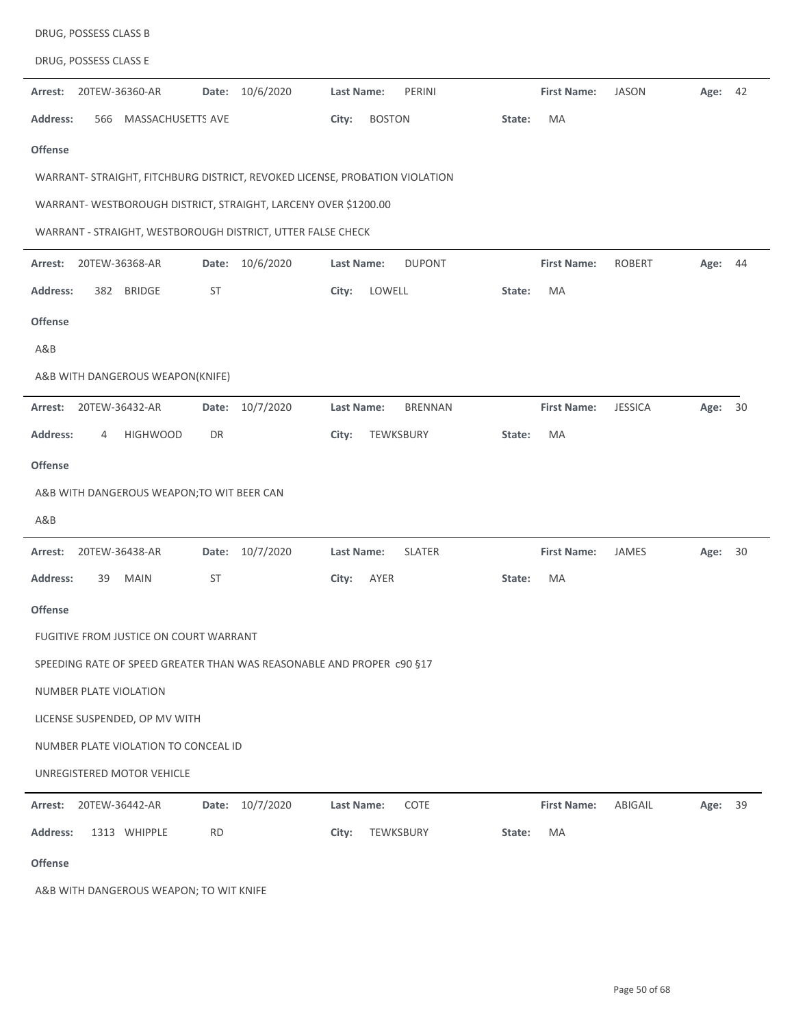| DRUG, POSSESS CLASS E                                                       |                    |                                     |                    |                |         |    |
|-----------------------------------------------------------------------------|--------------------|-------------------------------------|--------------------|----------------|---------|----|
| 20TEW-36360-AR<br>Arrest:                                                   | 10/6/2020<br>Date: | PERINI<br>Last Name:                | <b>First Name:</b> | <b>JASON</b>   | Age: 42 |    |
| <b>Address:</b><br>MASSACHUSETTS AVE<br>566                                 |                    | City:<br><b>BOSTON</b>              | MA<br>State:       |                |         |    |
| <b>Offense</b>                                                              |                    |                                     |                    |                |         |    |
| WARRANT- STRAIGHT, FITCHBURG DISTRICT, REVOKED LICENSE, PROBATION VIOLATION |                    |                                     |                    |                |         |    |
| WARRANT- WESTBOROUGH DISTRICT, STRAIGHT, LARCENY OVER \$1200.00             |                    |                                     |                    |                |         |    |
| WARRANT - STRAIGHT, WESTBOROUGH DISTRICT, UTTER FALSE CHECK                 |                    |                                     |                    |                |         |    |
| Arrest:<br>20TEW-36368-AR                                                   | 10/6/2020<br>Date: | Last Name:<br><b>DUPONT</b>         | <b>First Name:</b> | <b>ROBERT</b>  | Age:    | 44 |
| <b>Address:</b><br><b>BRIDGE</b><br>382                                     | <b>ST</b>          | LOWELL<br>City:                     | State:<br>MA       |                |         |    |
| <b>Offense</b>                                                              |                    |                                     |                    |                |         |    |
| A&B                                                                         |                    |                                     |                    |                |         |    |
| A&B WITH DANGEROUS WEAPON(KNIFE)                                            |                    |                                     |                    |                |         |    |
| 20TEW-36432-AR<br>Arrest:                                                   | 10/7/2020<br>Date: | <b>Last Name:</b><br><b>BRENNAN</b> | <b>First Name:</b> | <b>JESSICA</b> | Age:    | 30 |
| <b>Address:</b><br><b>HIGHWOOD</b><br>4                                     | DR                 | City:<br>TEWKSBURY                  | MA<br>State:       |                |         |    |
| <b>Offense</b>                                                              |                    |                                     |                    |                |         |    |
| A&B WITH DANGEROUS WEAPON; TO WIT BEER CAN                                  |                    |                                     |                    |                |         |    |
| A&B                                                                         |                    |                                     |                    |                |         |    |
| 20TEW-36438-AR<br>Arrest:                                                   | 10/7/2020<br>Date: | <b>SLATER</b><br><b>Last Name:</b>  | <b>First Name:</b> | JAMES          | Age:    | 30 |
| Address:<br>39<br><b>MAIN</b>                                               | <b>ST</b>          | City:<br>AYER                       | MA<br>State:       |                |         |    |
| <b>Offense</b>                                                              |                    |                                     |                    |                |         |    |
| FUGITIVE FROM JUSTICE ON COURT WARRANT                                      |                    |                                     |                    |                |         |    |
| SPEEDING RATE OF SPEED GREATER THAN WAS REASONABLE AND PROPER c90 §17       |                    |                                     |                    |                |         |    |
| NUMBER PLATE VIOLATION                                                      |                    |                                     |                    |                |         |    |
| LICENSE SUSPENDED, OP MV WITH                                               |                    |                                     |                    |                |         |    |
| NUMBER PLATE VIOLATION TO CONCEAL ID                                        |                    |                                     |                    |                |         |    |
| UNREGISTERED MOTOR VEHICLE                                                  |                    |                                     |                    |                |         |    |
| 20TEW-36442-AR<br>Arrest:                                                   | Date: 10/7/2020    | COTE<br><b>Last Name:</b>           | <b>First Name:</b> | ABIGAIL        | Age: 39 |    |
| <b>Address:</b><br>1313 WHIPPLE                                             | <b>RD</b>          | City:<br>TEWKSBURY                  | MA<br>State:       |                |         |    |
| Offense                                                                     |                    |                                     |                    |                |         |    |

A&B WITH DANGEROUS WEAPON; TO WIT KNIFE

DRUG, POSSESS CLASS B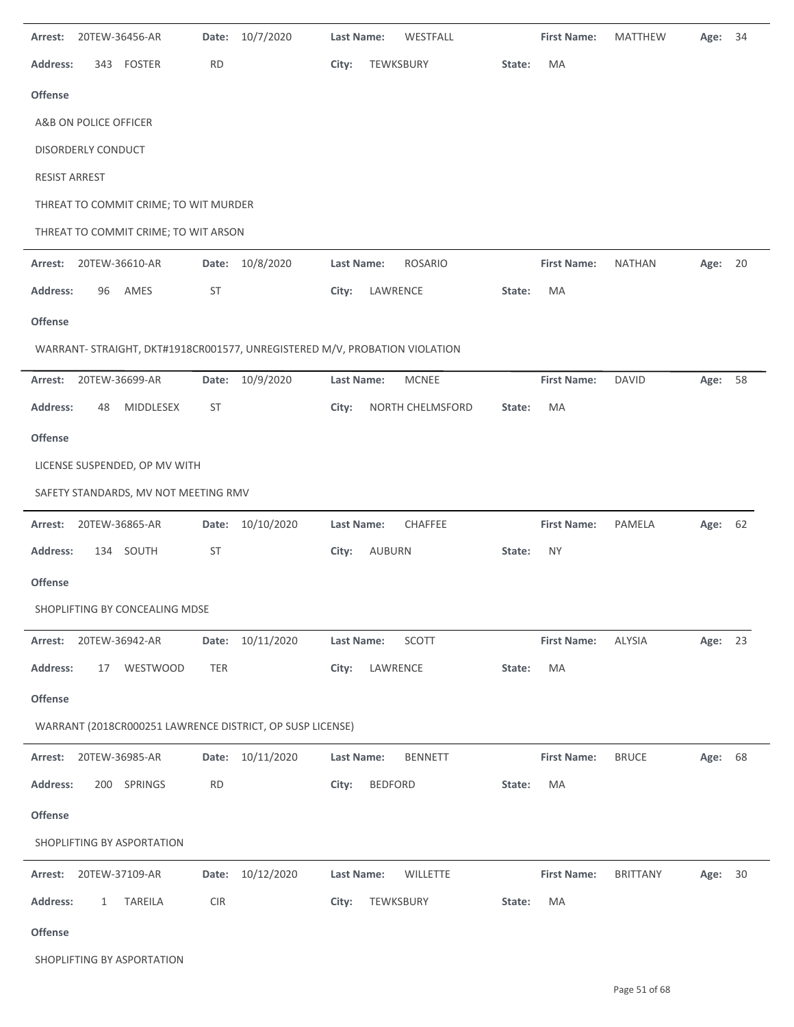| Arrest:              | 20TEW-36456-AR                                                             | Date:      | 10/7/2020        | <b>Last Name:</b> |                | WESTFALL         |        | <b>First Name:</b> | <b>MATTHEW</b>  | Age:    | 34 |
|----------------------|----------------------------------------------------------------------------|------------|------------------|-------------------|----------------|------------------|--------|--------------------|-----------------|---------|----|
| <b>Address:</b>      | 343<br>FOSTER                                                              | <b>RD</b>  |                  | City:             | TEWKSBURY      |                  | State: | MA                 |                 |         |    |
| <b>Offense</b>       |                                                                            |            |                  |                   |                |                  |        |                    |                 |         |    |
|                      | A&B ON POLICE OFFICER                                                      |            |                  |                   |                |                  |        |                    |                 |         |    |
|                      | DISORDERLY CONDUCT                                                         |            |                  |                   |                |                  |        |                    |                 |         |    |
| <b>RESIST ARREST</b> |                                                                            |            |                  |                   |                |                  |        |                    |                 |         |    |
|                      | THREAT TO COMMIT CRIME; TO WIT MURDER                                      |            |                  |                   |                |                  |        |                    |                 |         |    |
|                      | THREAT TO COMMIT CRIME; TO WIT ARSON                                       |            |                  |                   |                |                  |        |                    |                 |         |    |
| Arrest:              | 20TEW-36610-AR                                                             |            | Date: 10/8/2020  | Last Name:        |                | <b>ROSARIO</b>   |        | <b>First Name:</b> | <b>NATHAN</b>   | Age:    | 20 |
| <b>Address:</b>      | 96<br>AMES                                                                 | ST         |                  | City:             | LAWRENCE       |                  | State: | MA                 |                 |         |    |
| Offense              |                                                                            |            |                  |                   |                |                  |        |                    |                 |         |    |
|                      | WARRANT- STRAIGHT, DKT#1918CR001577, UNREGISTERED M/V, PROBATION VIOLATION |            |                  |                   |                |                  |        |                    |                 |         |    |
| Arrest:              | 20TEW-36699-AR                                                             | Date:      | 10/9/2020        | Last Name:        |                | MCNEE            |        | <b>First Name:</b> | <b>DAVID</b>    | Age:    | 58 |
| <b>Address:</b>      | MIDDLESEX<br>48                                                            | ST         |                  | City:             |                | NORTH CHELMSFORD | State: | MA                 |                 |         |    |
| Offense              |                                                                            |            |                  |                   |                |                  |        |                    |                 |         |    |
|                      | LICENSE SUSPENDED, OP MV WITH                                              |            |                  |                   |                |                  |        |                    |                 |         |    |
|                      | SAFETY STANDARDS, MV NOT MEETING RMV                                       |            |                  |                   |                |                  |        |                    |                 |         |    |
| Arrest:              | 20TEW-36865-AR                                                             | Date:      | 10/10/2020       | Last Name:        |                | CHAFFEE          |        | <b>First Name:</b> | PAMELA          | Age:    | 62 |
| <b>Address:</b>      | 134 SOUTH                                                                  | <b>ST</b>  |                  | City:             | AUBURN         |                  | State: | <b>NY</b>          |                 |         |    |
| <b>Offense</b>       |                                                                            |            |                  |                   |                |                  |        |                    |                 |         |    |
|                      | SHOPLIFTING BY CONCEALING MDSE                                             |            |                  |                   |                |                  |        |                    |                 |         |    |
| Arrest:              | 20TEW-36942-AR                                                             |            | Date: 10/11/2020 | Last Name:        |                | SCOTT            |        | <b>First Name:</b> | ALYSIA          | Age: 23 |    |
| <b>Address:</b>      | WESTWOOD<br>17                                                             | TER        |                  | City:             | LAWRENCE       |                  | State: | MA                 |                 |         |    |
| Offense              |                                                                            |            |                  |                   |                |                  |        |                    |                 |         |    |
|                      | WARRANT (2018CR000251 LAWRENCE DISTRICT, OP SUSP LICENSE)                  |            |                  |                   |                |                  |        |                    |                 |         |    |
| Arrest:              | 20TEW-36985-AR                                                             | Date:      | 10/11/2020       | Last Name:        |                | <b>BENNETT</b>   |        | <b>First Name:</b> | <b>BRUCE</b>    | Age:    | 68 |
| <b>Address:</b>      | 200 SPRINGS                                                                | <b>RD</b>  |                  | City:             | <b>BEDFORD</b> |                  | State: | MA                 |                 |         |    |
| <b>Offense</b>       |                                                                            |            |                  |                   |                |                  |        |                    |                 |         |    |
|                      | SHOPLIFTING BY ASPORTATION                                                 |            |                  |                   |                |                  |        |                    |                 |         |    |
|                      | Arrest: 20TEW-37109-AR                                                     |            | Date: 10/12/2020 | Last Name:        |                | <b>WILLETTE</b>  |        | <b>First Name:</b> | <b>BRITTANY</b> | Age:    | 30 |
| <b>Address:</b>      | TAREILA<br>1                                                               | <b>CIR</b> |                  | City:             | TEWKSBURY      |                  | State: | MA                 |                 |         |    |
| Offense              |                                                                            |            |                  |                   |                |                  |        |                    |                 |         |    |

SHOPLIFTING BY ASPORTATION

L,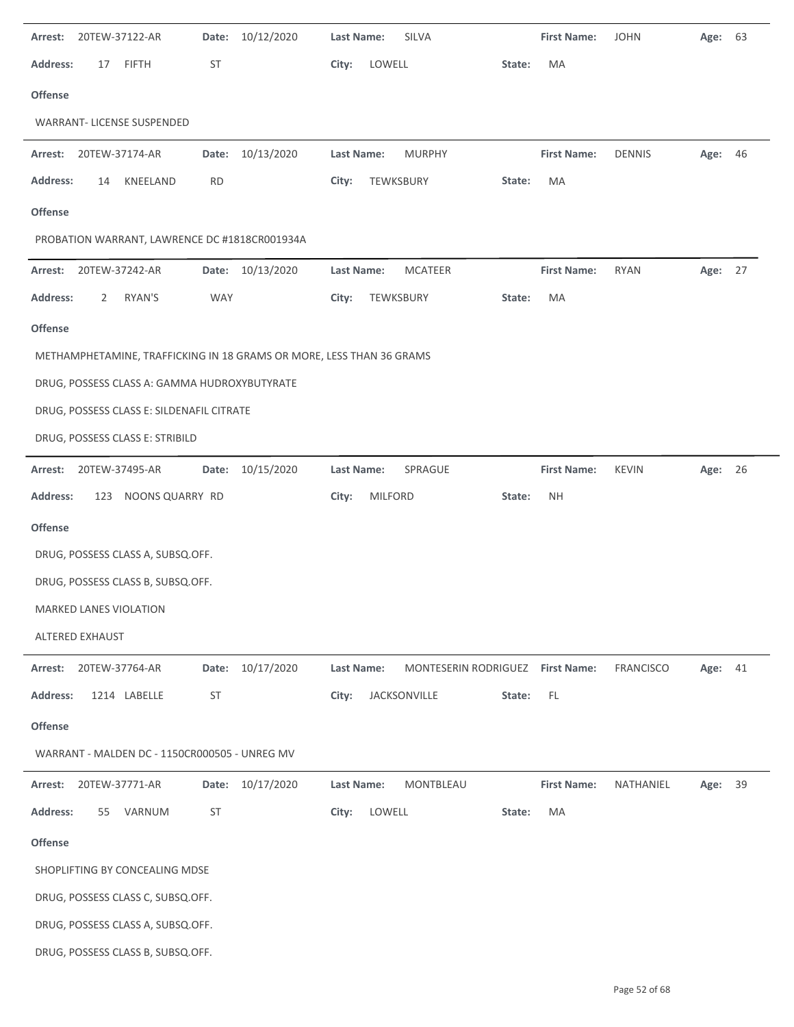| Arrest:         | 20TEW-37122-AR  |                                               | Date:      | 10/12/2020                                                           | Last Name:        |                | SILVA                            |        | <b>First Name:</b> | <b>JOHN</b>      | Age:    | 63 |
|-----------------|-----------------|-----------------------------------------------|------------|----------------------------------------------------------------------|-------------------|----------------|----------------------------------|--------|--------------------|------------------|---------|----|
| <b>Address:</b> | 17              | <b>FIFTH</b>                                  | ST         |                                                                      | City:             | LOWELL         |                                  | State: | MA                 |                  |         |    |
| <b>Offense</b>  |                 |                                               |            |                                                                      |                   |                |                                  |        |                    |                  |         |    |
|                 |                 | <b>WARRANT- LICENSE SUSPENDED</b>             |            |                                                                      |                   |                |                                  |        |                    |                  |         |    |
| Arrest:         |                 | 20TEW-37174-AR                                |            | Date: 10/13/2020                                                     | Last Name:        |                | <b>MURPHY</b>                    |        | <b>First Name:</b> | <b>DENNIS</b>    | Age: 46 |    |
| <b>Address:</b> | 14              | KNEELAND                                      | <b>RD</b>  |                                                                      | City:             |                | TEWKSBURY                        | State: | MA                 |                  |         |    |
| <b>Offense</b>  |                 |                                               |            |                                                                      |                   |                |                                  |        |                    |                  |         |    |
|                 |                 | PROBATION WARRANT, LAWRENCE DC #1818CR001934A |            |                                                                      |                   |                |                                  |        |                    |                  |         |    |
| Arrest:         | 20TEW-37242-AR  |                                               |            | Date: 10/13/2020                                                     | Last Name:        |                | <b>MCATEER</b>                   |        | <b>First Name:</b> | <b>RYAN</b>      | Age: 27 |    |
| <b>Address:</b> | 2               | RYAN'S                                        | <b>WAY</b> |                                                                      | City:             |                | TEWKSBURY                        | State: | MA                 |                  |         |    |
| <b>Offense</b>  |                 |                                               |            |                                                                      |                   |                |                                  |        |                    |                  |         |    |
|                 |                 |                                               |            | METHAMPHETAMINE, TRAFFICKING IN 18 GRAMS OR MORE, LESS THAN 36 GRAMS |                   |                |                                  |        |                    |                  |         |    |
|                 |                 | DRUG, POSSESS CLASS A: GAMMA HUDROXYBUTYRATE  |            |                                                                      |                   |                |                                  |        |                    |                  |         |    |
|                 |                 | DRUG, POSSESS CLASS E: SILDENAFIL CITRATE     |            |                                                                      |                   |                |                                  |        |                    |                  |         |    |
|                 |                 | DRUG, POSSESS CLASS E: STRIBILD               |            |                                                                      |                   |                |                                  |        |                    |                  |         |    |
| Arrest:         | 20TEW-37495-AR  |                                               |            | Date: 10/15/2020                                                     | Last Name:        |                | SPRAGUE                          |        | <b>First Name:</b> | <b>KEVIN</b>     | Age: 26 |    |
| <b>Address:</b> |                 | 123 NOONS QUARRY RD                           |            |                                                                      | City:             | <b>MILFORD</b> |                                  | State: | <b>NH</b>          |                  |         |    |
| Offense         |                 |                                               |            |                                                                      |                   |                |                                  |        |                    |                  |         |    |
|                 |                 | DRUG, POSSESS CLASS A, SUBSQ.OFF.             |            |                                                                      |                   |                |                                  |        |                    |                  |         |    |
|                 |                 | DRUG, POSSESS CLASS B, SUBSQ.OFF.             |            |                                                                      |                   |                |                                  |        |                    |                  |         |    |
|                 |                 | MARKED LANES VIOLATION                        |            |                                                                      |                   |                |                                  |        |                    |                  |         |    |
|                 | ALTERED EXHAUST |                                               |            |                                                                      |                   |                |                                  |        |                    |                  |         |    |
| Arrest:         |                 | 20TEW-37764-AR                                |            | Date: 10/17/2020                                                     | <b>Last Name:</b> |                | MONTESERIN RODRIGUEZ First Name: |        |                    | <b>FRANCISCO</b> | Age:    | 41 |
| <b>Address:</b> |                 | 1214 LABELLE                                  | <b>ST</b>  |                                                                      | City:             |                | JACKSONVILLE                     | State: | FL                 |                  |         |    |
| Offense         |                 |                                               |            |                                                                      |                   |                |                                  |        |                    |                  |         |    |
|                 |                 | WARRANT - MALDEN DC - 1150CR000505 - UNREG MV |            |                                                                      |                   |                |                                  |        |                    |                  |         |    |
| Arrest:         |                 | 20TEW-37771-AR                                | Date:      | 10/17/2020                                                           | Last Name:        |                | MONTBLEAU                        |        | <b>First Name:</b> | NATHANIEL        | Age:    | 39 |
| <b>Address:</b> | 55              | VARNUM                                        | ST         |                                                                      | City:             | LOWELL         |                                  | State: | MA                 |                  |         |    |
| Offense         |                 |                                               |            |                                                                      |                   |                |                                  |        |                    |                  |         |    |
|                 |                 | SHOPLIFTING BY CONCEALING MDSE                |            |                                                                      |                   |                |                                  |        |                    |                  |         |    |
|                 |                 | DRUG, POSSESS CLASS C, SUBSQ.OFF.             |            |                                                                      |                   |                |                                  |        |                    |                  |         |    |
|                 |                 | DRUG, POSSESS CLASS A, SUBSQ.OFF.             |            |                                                                      |                   |                |                                  |        |                    |                  |         |    |
|                 |                 | DRUG, POSSESS CLASS B, SUBSQ.OFF.             |            |                                                                      |                   |                |                                  |        |                    |                  |         |    |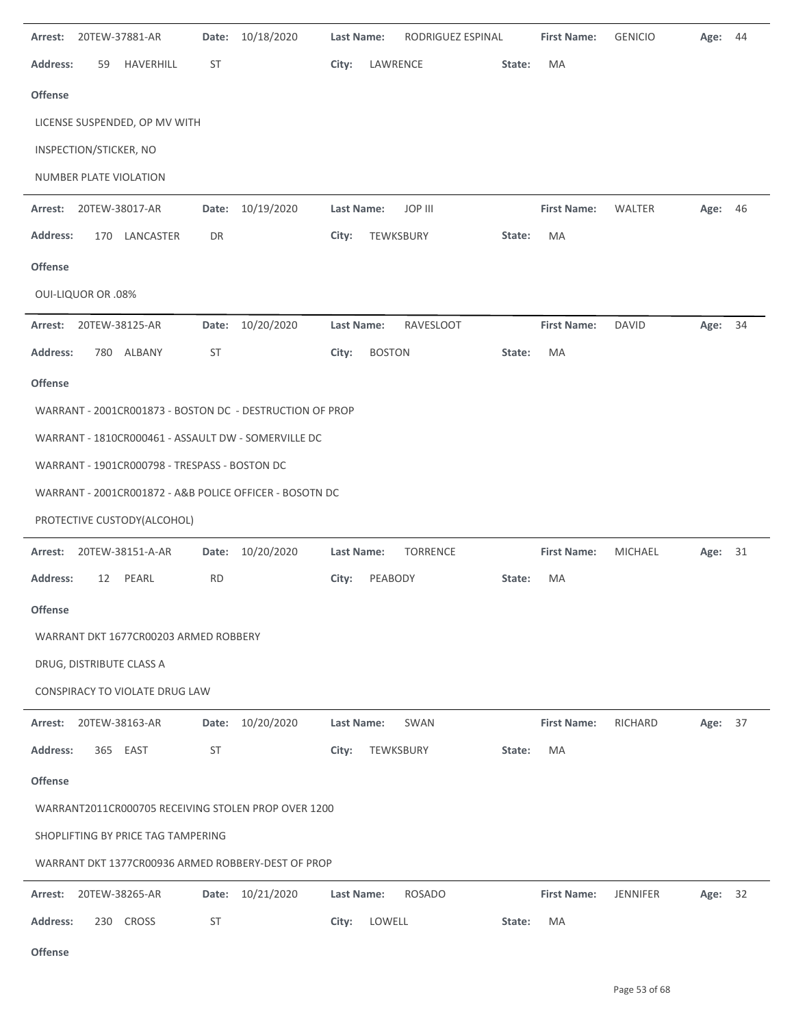| Arrest:         |                           | 20TEW-37881-AR                                | Date:     | 10/18/2020                                               | <b>Last Name:</b> |               | RODRIGUEZ ESPINAL |        | <b>First Name:</b> | <b>GENICIO</b>  | Age:    | 44 |
|-----------------|---------------------------|-----------------------------------------------|-----------|----------------------------------------------------------|-------------------|---------------|-------------------|--------|--------------------|-----------------|---------|----|
| <b>Address:</b> | 59                        | HAVERHILL                                     | <b>ST</b> |                                                          | City:             | LAWRENCE      |                   | State: | MA                 |                 |         |    |
| <b>Offense</b>  |                           |                                               |           |                                                          |                   |               |                   |        |                    |                 |         |    |
|                 |                           | LICENSE SUSPENDED, OP MV WITH                 |           |                                                          |                   |               |                   |        |                    |                 |         |    |
|                 | INSPECTION/STICKER, NO    |                                               |           |                                                          |                   |               |                   |        |                    |                 |         |    |
|                 |                           | NUMBER PLATE VIOLATION                        |           |                                                          |                   |               |                   |        |                    |                 |         |    |
| Arrest:         |                           | 20TEW-38017-AR                                | Date:     | 10/19/2020                                               | Last Name:        |               | JOP III           |        | <b>First Name:</b> | WALTER          | Age: 46 |    |
| <b>Address:</b> |                           | 170 LANCASTER                                 | DR        |                                                          | City:             | TEWKSBURY     |                   | State: | MA                 |                 |         |    |
| <b>Offense</b>  |                           |                                               |           |                                                          |                   |               |                   |        |                    |                 |         |    |
|                 | <b>OUI-LIQUOR OR .08%</b> |                                               |           |                                                          |                   |               |                   |        |                    |                 |         |    |
| Arrest:         |                           | 20TEW-38125-AR                                | Date:     | 10/20/2020                                               | <b>Last Name:</b> |               | RAVESLOOT         |        | <b>First Name:</b> | <b>DAVID</b>    | Age: 34 |    |
| <b>Address:</b> |                           | 780 ALBANY                                    | <b>ST</b> |                                                          | City:             | <b>BOSTON</b> |                   | State: | MA                 |                 |         |    |
| <b>Offense</b>  |                           |                                               |           |                                                          |                   |               |                   |        |                    |                 |         |    |
|                 |                           |                                               |           | WARRANT - 2001CR001873 - BOSTON DC - DESTRUCTION OF PROP |                   |               |                   |        |                    |                 |         |    |
|                 |                           |                                               |           | WARRANT - 1810CR000461 - ASSAULT DW - SOMERVILLE DC      |                   |               |                   |        |                    |                 |         |    |
|                 |                           | WARRANT - 1901CR000798 - TRESPASS - BOSTON DC |           |                                                          |                   |               |                   |        |                    |                 |         |    |
|                 |                           |                                               |           | WARRANT - 2001CR001872 - A&B POLICE OFFICER - BOSOTN DC  |                   |               |                   |        |                    |                 |         |    |
|                 |                           | PROTECTIVE CUSTODY(ALCOHOL)                   |           |                                                          |                   |               |                   |        |                    |                 |         |    |
| Arrest:         |                           | 20TEW-38151-A-AR                              | Date:     | 10/20/2020                                               | Last Name:        |               | <b>TORRENCE</b>   |        | <b>First Name:</b> | <b>MICHAEL</b>  | Age:    | 31 |
| <b>Address:</b> | 12                        | PEARL                                         | <b>RD</b> |                                                          | City:             | PEABODY       |                   | State: | MA                 |                 |         |    |
| <b>Offense</b>  |                           |                                               |           |                                                          |                   |               |                   |        |                    |                 |         |    |
|                 |                           | WARRANT DKT 1677CR00203 ARMED ROBBERY         |           |                                                          |                   |               |                   |        |                    |                 |         |    |
|                 |                           | DRUG, DISTRIBUTE CLASS A                      |           |                                                          |                   |               |                   |        |                    |                 |         |    |
|                 |                           | CONSPIRACY TO VIOLATE DRUG LAW                |           |                                                          |                   |               |                   |        |                    |                 |         |    |
| Arrest:         |                           | 20TEW-38163-AR                                | Date:     | 10/20/2020                                               | <b>Last Name:</b> |               | SWAN              |        | <b>First Name:</b> | RICHARD         | Age: 37 |    |
| <b>Address:</b> |                           | 365 EAST                                      | <b>ST</b> |                                                          | City:             | TEWKSBURY     |                   | State: | MA                 |                 |         |    |
| <b>Offense</b>  |                           |                                               |           |                                                          |                   |               |                   |        |                    |                 |         |    |
|                 |                           |                                               |           | WARRANT2011CR000705 RECEIVING STOLEN PROP OVER 1200      |                   |               |                   |        |                    |                 |         |    |
|                 |                           | SHOPLIFTING BY PRICE TAG TAMPERING            |           |                                                          |                   |               |                   |        |                    |                 |         |    |
|                 |                           |                                               |           | WARRANT DKT 1377CR00936 ARMED ROBBERY-DEST OF PROP       |                   |               |                   |        |                    |                 |         |    |
| Arrest:         |                           | 20TEW-38265-AR                                | Date:     | 10/21/2020                                               | <b>Last Name:</b> |               | <b>ROSADO</b>     |        | <b>First Name:</b> | <b>JENNIFER</b> | Age: 32 |    |
| <b>Address:</b> |                           | 230 CROSS                                     | ST        |                                                          | City:             | LOWELL        |                   | State: | MA                 |                 |         |    |

**Offense**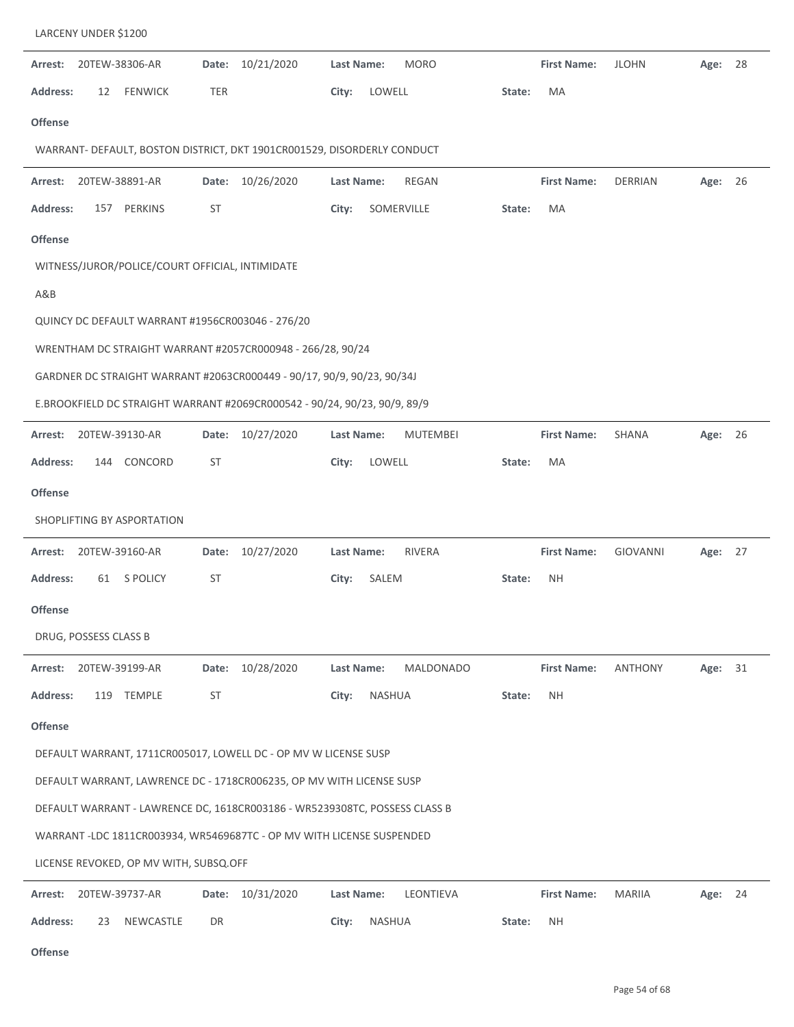| Arrest:         |                       | 20TEW-38306-AR                                   | Date:      | 10/21/2020                                                                 | <b>Last Name:</b> |        | <b>MORO</b>     |        | <b>First Name:</b> | <b>JLOHN</b>    | Age:    | 28 |
|-----------------|-----------------------|--------------------------------------------------|------------|----------------------------------------------------------------------------|-------------------|--------|-----------------|--------|--------------------|-----------------|---------|----|
| <b>Address:</b> | 12                    | <b>FENWICK</b>                                   | <b>TER</b> |                                                                            | City:             | LOWELL |                 | State: | MA                 |                 |         |    |
| Offense         |                       |                                                  |            |                                                                            |                   |        |                 |        |                    |                 |         |    |
|                 |                       |                                                  |            | WARRANT- DEFAULT, BOSTON DISTRICT, DKT 1901CR001529, DISORDERLY CONDUCT    |                   |        |                 |        |                    |                 |         |    |
| Arrest:         |                       | 20TEW-38891-AR                                   |            | Date: 10/26/2020                                                           | Last Name:        |        | <b>REGAN</b>    |        | <b>First Name:</b> | <b>DERRIAN</b>  | Age: 26 |    |
| <b>Address:</b> | 157                   | PERKINS                                          | ST         |                                                                            | City:             |        | SOMERVILLE      | State: | MA                 |                 |         |    |
| <b>Offense</b>  |                       |                                                  |            |                                                                            |                   |        |                 |        |                    |                 |         |    |
|                 |                       | WITNESS/JUROR/POLICE/COURT OFFICIAL, INTIMIDATE  |            |                                                                            |                   |        |                 |        |                    |                 |         |    |
| A&B             |                       |                                                  |            |                                                                            |                   |        |                 |        |                    |                 |         |    |
|                 |                       | QUINCY DC DEFAULT WARRANT #1956CR003046 - 276/20 |            |                                                                            |                   |        |                 |        |                    |                 |         |    |
|                 |                       |                                                  |            | WRENTHAM DC STRAIGHT WARRANT #2057CR000948 - 266/28, 90/24                 |                   |        |                 |        |                    |                 |         |    |
|                 |                       |                                                  |            | GARDNER DC STRAIGHT WARRANT #2063CR000449 - 90/17, 90/9, 90/23, 90/34J     |                   |        |                 |        |                    |                 |         |    |
|                 |                       |                                                  |            | E.BROOKFIELD DC STRAIGHT WARRANT #2069CR000542 - 90/24, 90/23, 90/9, 89/9  |                   |        |                 |        |                    |                 |         |    |
| Arrest:         |                       | 20TEW-39130-AR                                   | Date:      | 10/27/2020                                                                 | Last Name:        |        | <b>MUTEMBEI</b> |        | <b>First Name:</b> | SHANA           | Age: 26 |    |
| <b>Address:</b> | 144                   | CONCORD                                          | ST         |                                                                            | City:             | LOWELL |                 | State: | MA                 |                 |         |    |
| <b>Offense</b>  |                       |                                                  |            |                                                                            |                   |        |                 |        |                    |                 |         |    |
|                 |                       | SHOPLIFTING BY ASPORTATION                       |            |                                                                            |                   |        |                 |        |                    |                 |         |    |
| Arrest:         |                       | 20TEW-39160-AR                                   | Date:      | 10/27/2020                                                                 | Last Name:        |        | <b>RIVERA</b>   |        | <b>First Name:</b> | <b>GIOVANNI</b> | Age: 27 |    |
| <b>Address:</b> | 61                    | <b>S POLICY</b>                                  | ST         |                                                                            | City:             | SALEM  |                 | State: | <b>NH</b>          |                 |         |    |
| <b>Offense</b>  |                       |                                                  |            |                                                                            |                   |        |                 |        |                    |                 |         |    |
|                 | DRUG, POSSESS CLASS B |                                                  |            |                                                                            |                   |        |                 |        |                    |                 |         |    |
| Arrest:         |                       | 20TEW-39199-AR                                   | Date:      | 10/28/2020                                                                 | Last Name:        |        | MALDONADO       |        | <b>First Name:</b> | <b>ANTHONY</b>  | Age: 31 |    |
| <b>Address:</b> | 119                   | <b>TEMPLE</b>                                    | ST         |                                                                            | City:             | NASHUA |                 | State: | <b>NH</b>          |                 |         |    |
| Offense         |                       |                                                  |            |                                                                            |                   |        |                 |        |                    |                 |         |    |
|                 |                       |                                                  |            | DEFAULT WARRANT, 1711CR005017, LOWELL DC - OP MV W LICENSE SUSP            |                   |        |                 |        |                    |                 |         |    |
|                 |                       |                                                  |            | DEFAULT WARRANT, LAWRENCE DC - 1718CR006235, OP MV WITH LICENSE SUSP       |                   |        |                 |        |                    |                 |         |    |
|                 |                       |                                                  |            | DEFAULT WARRANT - LAWRENCE DC, 1618CR003186 - WR5239308TC, POSSESS CLASS B |                   |        |                 |        |                    |                 |         |    |
|                 |                       |                                                  |            | WARRANT -LDC 1811CR003934, WR5469687TC - OP MV WITH LICENSE SUSPENDED      |                   |        |                 |        |                    |                 |         |    |
|                 |                       | LICENSE REVOKED, OP MV WITH, SUBSQ.OFF           |            |                                                                            |                   |        |                 |        |                    |                 |         |    |
| Arrest:         |                       | 20TEW-39737-AR                                   | Date:      | 10/31/2020                                                                 | Last Name:        |        | LEONTIEVA       |        | <b>First Name:</b> | <b>MARIIA</b>   | Age: 24 |    |
| <b>Address:</b> | 23                    | NEWCASTLE                                        | DR         |                                                                            | City:             | NASHUA |                 | State: | ΝH                 |                 |         |    |

LARCENY UNDER \$1200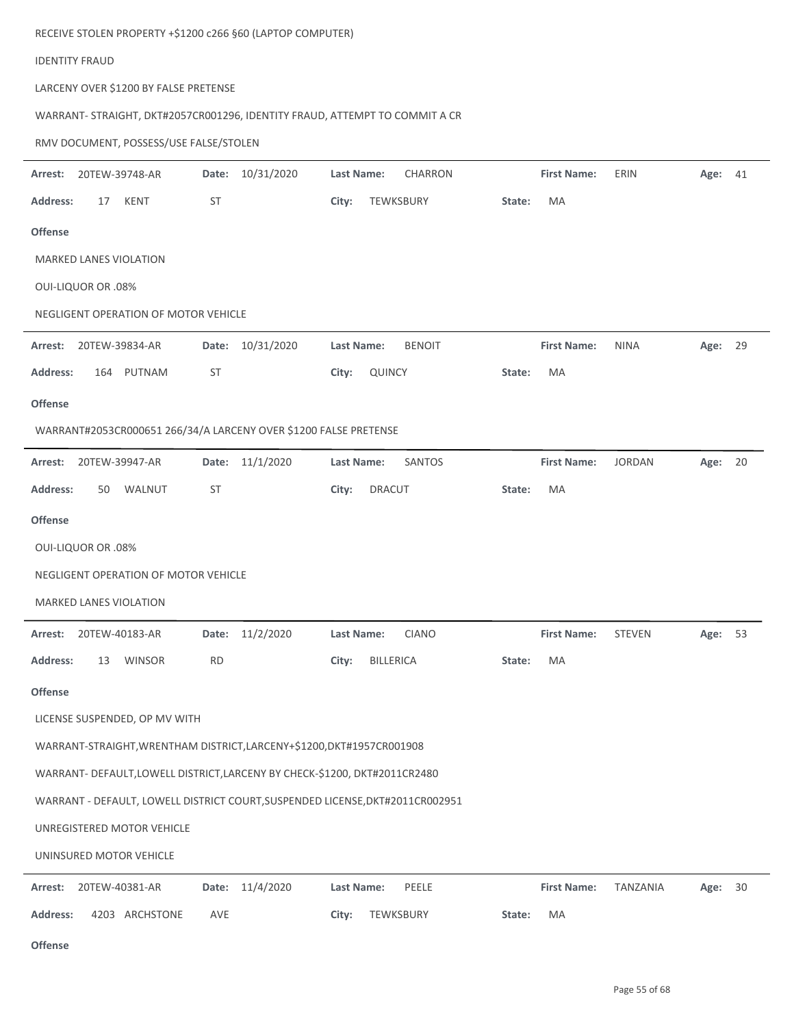|                 | RECEIVE STOLEN PROPERTY +\$1200 c266 §60 (LAPTOP COMPUTER)                    |           |                  |                        |                |        |                    |               |         |    |
|-----------------|-------------------------------------------------------------------------------|-----------|------------------|------------------------|----------------|--------|--------------------|---------------|---------|----|
|                 | <b>IDENTITY FRAUD</b>                                                         |           |                  |                        |                |        |                    |               |         |    |
|                 | LARCENY OVER \$1200 BY FALSE PRETENSE                                         |           |                  |                        |                |        |                    |               |         |    |
|                 | WARRANT- STRAIGHT, DKT#2057CR001296, IDENTITY FRAUD, ATTEMPT TO COMMIT A CR   |           |                  |                        |                |        |                    |               |         |    |
|                 | RMV DOCUMENT, POSSESS/USE FALSE/STOLEN                                        |           |                  |                        |                |        |                    |               |         |    |
| Arrest:         | 20TEW-39748-AR                                                                |           | Date: 10/31/2020 | Last Name:             | <b>CHARRON</b> |        | <b>First Name:</b> | ERIN          | Age: 41 |    |
| <b>Address:</b> | 17<br>KENT                                                                    | ST        |                  | City:                  | TEWKSBURY      | State: | MA                 |               |         |    |
| <b>Offense</b>  |                                                                               |           |                  |                        |                |        |                    |               |         |    |
|                 | <b>MARKED LANES VIOLATION</b>                                                 |           |                  |                        |                |        |                    |               |         |    |
|                 | <b>OUI-LIQUOR OR .08%</b>                                                     |           |                  |                        |                |        |                    |               |         |    |
|                 | NEGLIGENT OPERATION OF MOTOR VEHICLE                                          |           |                  |                        |                |        |                    |               |         |    |
| Arrest:         | 20TEW-39834-AR                                                                |           | Date: 10/31/2020 | Last Name:             | <b>BENOIT</b>  |        | <b>First Name:</b> | <b>NINA</b>   | Age: 29 |    |
| <b>Address:</b> | 164 PUTNAM                                                                    | ST        |                  | City:<br>QUINCY        |                | State: | MA                 |               |         |    |
| <b>Offense</b>  |                                                                               |           |                  |                        |                |        |                    |               |         |    |
|                 | WARRANT#2053CR000651 266/34/A LARCENY OVER \$1200 FALSE PRETENSE              |           |                  |                        |                |        |                    |               |         |    |
| Arrest:         | 20TEW-39947-AR                                                                |           | Date: 11/1/2020  | Last Name:             | SANTOS         |        | <b>First Name:</b> | <b>JORDAN</b> | Age: 20 |    |
| <b>Address:</b> | 50<br>WALNUT                                                                  | ST        |                  | <b>DRACUT</b><br>City: |                | State: | MA                 |               |         |    |
| <b>Offense</b>  |                                                                               |           |                  |                        |                |        |                    |               |         |    |
|                 | <b>OUI-LIQUOR OR .08%</b>                                                     |           |                  |                        |                |        |                    |               |         |    |
|                 | NEGLIGENT OPERATION OF MOTOR VEHICLE                                          |           |                  |                        |                |        |                    |               |         |    |
|                 | <b>MARKED LANES VIOLATION</b>                                                 |           |                  |                        |                |        |                    |               |         |    |
| Arrest:         | 20TEW-40183-AR                                                                | Date:     | 11/2/2020        | Last Name:             | <b>CIANO</b>   |        | <b>First Name:</b> | <b>STEVEN</b> | Age:    | 53 |
| <b>Address:</b> | 13<br><b>WINSOR</b>                                                           | <b>RD</b> |                  | City:                  | BILLERICA      | State: | MA                 |               |         |    |
| Offense         |                                                                               |           |                  |                        |                |        |                    |               |         |    |
|                 | LICENSE SUSPENDED, OP MV WITH                                                 |           |                  |                        |                |        |                    |               |         |    |
|                 | WARRANT-STRAIGHT, WRENTHAM DISTRICT, LARCENY+\$1200, DKT#1957CR001908         |           |                  |                        |                |        |                    |               |         |    |
|                 | WARRANT- DEFAULT, LOWELL DISTRICT, LARCENY BY CHECK-\$1200, DKT#2011CR2480    |           |                  |                        |                |        |                    |               |         |    |
|                 | WARRANT - DEFAULT, LOWELL DISTRICT COURT, SUSPENDED LICENSE, DKT#2011CR002951 |           |                  |                        |                |        |                    |               |         |    |
|                 | UNREGISTERED MOTOR VEHICLE                                                    |           |                  |                        |                |        |                    |               |         |    |
|                 | UNINSURED MOTOR VEHICLE                                                       |           |                  |                        |                |        |                    |               |         |    |
| Arrest:         | 20TEW-40381-AR                                                                |           | Date: 11/4/2020  | Last Name:             | PEELE          |        | <b>First Name:</b> | TANZANIA      | Age:    | 30 |

|  | Address: 4203 ARCHSTONE AVE |  | City: TEWKSBURY | State: MA |  |
|--|-----------------------------|--|-----------------|-----------|--|

**Offense**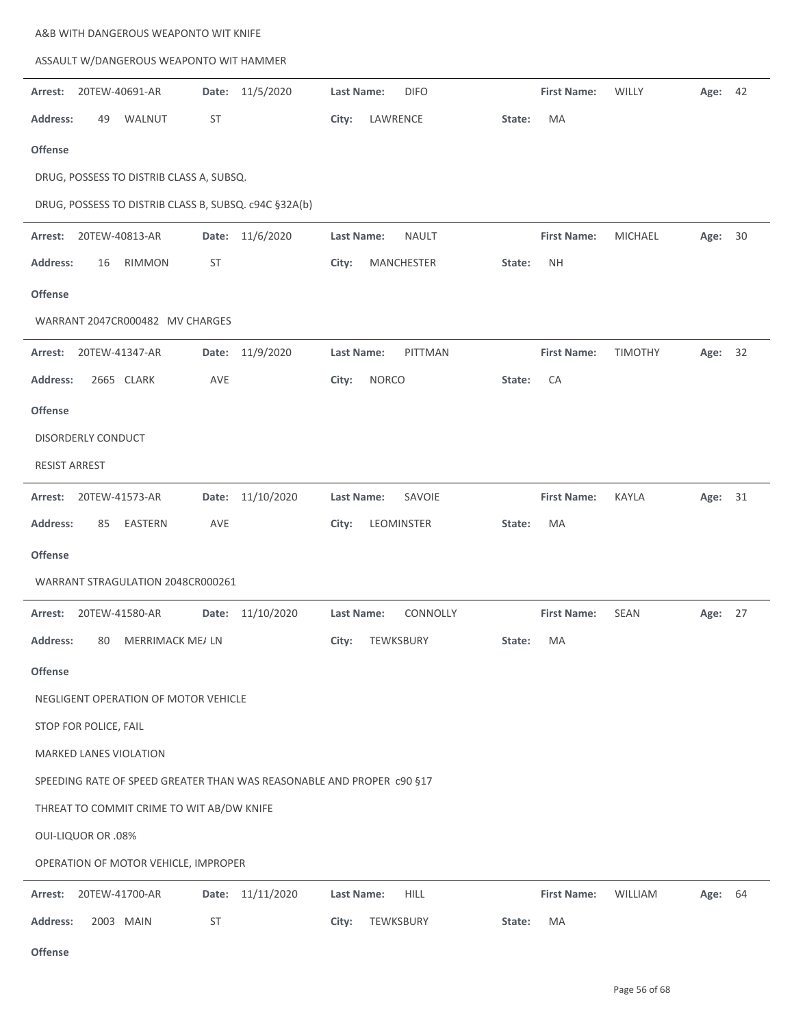|                      |                                      | A&B WITH DANGEROUS WEAPONTO WIT KNIFE                 |           |                                                                       |                   |              |              |        |                    |                |         |  |
|----------------------|--------------------------------------|-------------------------------------------------------|-----------|-----------------------------------------------------------------------|-------------------|--------------|--------------|--------|--------------------|----------------|---------|--|
|                      |                                      | ASSAULT W/DANGEROUS WEAPONTO WIT HAMMER               |           |                                                                       |                   |              |              |        |                    |                |         |  |
| Arrest:              | 20TEW-40691-AR                       |                                                       | Date:     | 11/5/2020                                                             | Last Name:        |              | <b>DIFO</b>  |        | <b>First Name:</b> | WILLY          | Age: 42 |  |
| <b>Address:</b>      | 49                                   | WALNUT                                                | <b>ST</b> |                                                                       | City:             | LAWRENCE     |              | State: | MA                 |                |         |  |
| <b>Offense</b>       |                                      |                                                       |           |                                                                       |                   |              |              |        |                    |                |         |  |
|                      |                                      | DRUG, POSSESS TO DISTRIB CLASS A, SUBSQ.              |           |                                                                       |                   |              |              |        |                    |                |         |  |
|                      |                                      | DRUG, POSSESS TO DISTRIB CLASS B, SUBSQ. c94C §32A(b) |           |                                                                       |                   |              |              |        |                    |                |         |  |
| Arrest:              | 20TEW-40813-AR                       |                                                       |           | Date: 11/6/2020                                                       | <b>Last Name:</b> |              | <b>NAULT</b> |        | <b>First Name:</b> | <b>MICHAEL</b> | Age: 30 |  |
| <b>Address:</b>      | 16                                   | RIMMON                                                | <b>ST</b> |                                                                       | City:             |              | MANCHESTER   | State: | <b>NH</b>          |                |         |  |
| <b>Offense</b>       |                                      |                                                       |           |                                                                       |                   |              |              |        |                    |                |         |  |
|                      |                                      | WARRANT 2047CR000482 MV CHARGES                       |           |                                                                       |                   |              |              |        |                    |                |         |  |
| Arrest:              | 20TEW-41347-AR                       |                                                       |           | Date: 11/9/2020                                                       | <b>Last Name:</b> |              | PITTMAN      |        | <b>First Name:</b> | <b>TIMOTHY</b> | Age: 32 |  |
| Address:             |                                      | 2665 CLARK                                            | AVE       |                                                                       | City:             | <b>NORCO</b> |              | State: | CA                 |                |         |  |
| <b>Offense</b>       |                                      |                                                       |           |                                                                       |                   |              |              |        |                    |                |         |  |
|                      | DISORDERLY CONDUCT                   |                                                       |           |                                                                       |                   |              |              |        |                    |                |         |  |
| <b>RESIST ARREST</b> |                                      |                                                       |           |                                                                       |                   |              |              |        |                    |                |         |  |
| Arrest:              | 20TEW-41573-AR                       |                                                       | Date:     | 11/10/2020                                                            | <b>Last Name:</b> |              | SAVOIE       |        | <b>First Name:</b> | <b>KAYLA</b>   | Age: 31 |  |
| <b>Address:</b>      | 85                                   | EASTERN                                               | AVE       |                                                                       | City:             |              | LEOMINSTER   | State: | MA                 |                |         |  |
| <b>Offense</b>       |                                      |                                                       |           |                                                                       |                   |              |              |        |                    |                |         |  |
|                      |                                      | WARRANT STRAGULATION 2048CR000261                     |           |                                                                       |                   |              |              |        |                    |                |         |  |
| Arrest:              | 20TEW-41580-AR                       |                                                       |           | Date: 11/10/2020                                                      | Last Name:        |              | CONNOLLY     |        | <b>First Name:</b> | SEAN           | Age: 27 |  |
| <b>Address:</b>      | 80                                   | MERRIMACK ME/LN                                       |           |                                                                       | City:             |              | TEWKSBURY    | State: | MA                 |                |         |  |
| <b>Offense</b>       |                                      |                                                       |           |                                                                       |                   |              |              |        |                    |                |         |  |
|                      |                                      | NEGLIGENT OPERATION OF MOTOR VEHICLE                  |           |                                                                       |                   |              |              |        |                    |                |         |  |
|                      | STOP FOR POLICE, FAIL                |                                                       |           |                                                                       |                   |              |              |        |                    |                |         |  |
|                      |                                      | MARKED LANES VIOLATION                                |           |                                                                       |                   |              |              |        |                    |                |         |  |
|                      |                                      |                                                       |           | SPEEDING RATE OF SPEED GREATER THAN WAS REASONABLE AND PROPER c90 §17 |                   |              |              |        |                    |                |         |  |
|                      |                                      | THREAT TO COMMIT CRIME TO WIT AB/DW KNIFE             |           |                                                                       |                   |              |              |        |                    |                |         |  |
|                      | <b>OUI-LIQUOR OR .08%</b>            |                                                       |           |                                                                       |                   |              |              |        |                    |                |         |  |
|                      | OPERATION OF MOTOR VEHICLE, IMPROPER |                                                       |           |                                                                       |                   |              |              |        |                    |                |         |  |
| Arrest:              | 20TEW-41700-AR                       |                                                       |           | Date: 11/11/2020                                                      | Last Name:        |              | <b>HILL</b>  |        | <b>First Name:</b> | WILLIAM        | Age: 64 |  |
| <b>Address:</b>      |                                      | 2003 MAIN                                             | ST        |                                                                       | City:             | TEWKSBURY    |              | State: | MA                 |                |         |  |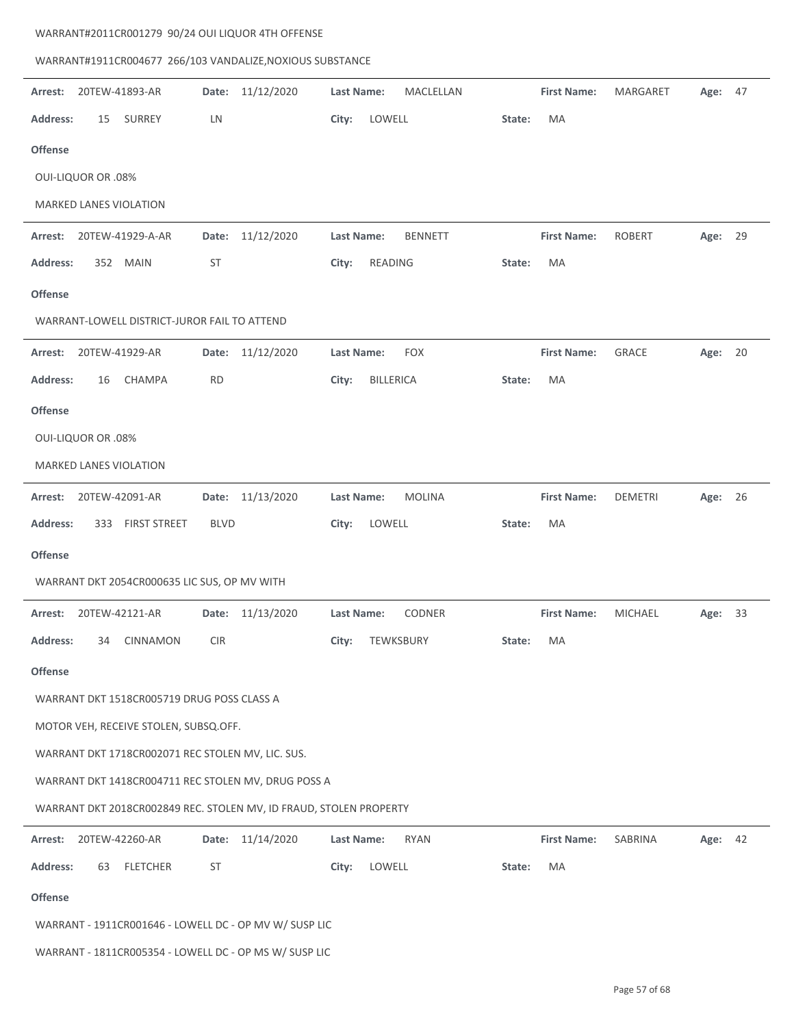| WARRANT#1911CR004677 266/103 VANDALIZE, NOXIOUS SUBSTANCE          |                  |                                    |                    |                |         |
|--------------------------------------------------------------------|------------------|------------------------------------|--------------------|----------------|---------|
| 20TEW-41893-AR<br>Arrest:                                          | Date: 11/12/2020 | <b>Last Name:</b><br>MACLELLAN     | <b>First Name:</b> | MARGARET       | Age: 47 |
| <b>Address:</b><br>15<br>SURREY                                    | LN               | City:<br>LOWELL                    | MA<br>State:       |                |         |
| <b>Offense</b>                                                     |                  |                                    |                    |                |         |
| <b>OUI-LIQUOR OR .08%</b>                                          |                  |                                    |                    |                |         |
| MARKED LANES VIOLATION                                             |                  |                                    |                    |                |         |
| 20TEW-41929-A-AR<br>Arrest:                                        | Date: 11/12/2020 | Last Name:<br><b>BENNETT</b>       | <b>First Name:</b> | <b>ROBERT</b>  | Age: 29 |
| <b>Address:</b><br>352 MAIN                                        | ST               | City:<br>READING                   | MA<br>State:       |                |         |
| <b>Offense</b>                                                     |                  |                                    |                    |                |         |
| WARRANT-LOWELL DISTRICT-JUROR FAIL TO ATTEND                       |                  |                                    |                    |                |         |
| 20TEW-41929-AR<br>Arrest:                                          | Date: 11/12/2020 | <b>Last Name:</b><br><b>FOX</b>    | <b>First Name:</b> | <b>GRACE</b>   | Age: 20 |
| <b>Address:</b><br><b>CHAMPA</b><br>16                             | <b>RD</b>        | City:<br><b>BILLERICA</b>          | MA<br>State:       |                |         |
| <b>Offense</b>                                                     |                  |                                    |                    |                |         |
| <b>OUI-LIQUOR OR .08%</b>                                          |                  |                                    |                    |                |         |
| MARKED LANES VIOLATION                                             |                  |                                    |                    |                |         |
| 20TEW-42091-AR<br>Arrest:                                          | Date: 11/13/2020 | <b>Last Name:</b><br><b>MOLINA</b> | <b>First Name:</b> | <b>DEMETRI</b> | Age: 26 |
| <b>Address:</b><br>333 FIRST STREET                                | <b>BLVD</b>      | City:<br>LOWELL                    | MA<br>State:       |                |         |
| <b>Offense</b>                                                     |                  |                                    |                    |                |         |
| WARRANT DKT 2054CR000635 LIC SUS, OP MV WITH                       |                  |                                    |                    |                |         |
| 20TEW-42121-AR<br>Arrest:                                          | Date: 11/13/2020 | <b>Last Name:</b><br><b>CODNER</b> | <b>First Name:</b> | <b>MICHAEL</b> | Age: 33 |
| Address:<br>34 CINNAMON                                            | <b>CIR</b>       | TEWKSBURY<br>City:                 | State:<br>MA       |                |         |
| <b>Offense</b>                                                     |                  |                                    |                    |                |         |
| WARRANT DKT 1518CR005719 DRUG POSS CLASS A                         |                  |                                    |                    |                |         |
| MOTOR VEH, RECEIVE STOLEN, SUBSQ.OFF.                              |                  |                                    |                    |                |         |
| WARRANT DKT 1718CR002071 REC STOLEN MV, LIC. SUS.                  |                  |                                    |                    |                |         |
| WARRANT DKT 1418CR004711 REC STOLEN MV, DRUG POSS A                |                  |                                    |                    |                |         |
| WARRANT DKT 2018CR002849 REC. STOLEN MV, ID FRAUD, STOLEN PROPERTY |                  |                                    |                    |                |         |
| Arrest:<br>20TEW-42260-AR                                          | Date: 11/14/2020 | <b>Last Name:</b><br><b>RYAN</b>   | <b>First Name:</b> | SABRINA        | Age: 42 |
|                                                                    |                  |                                    |                    |                |         |
| <b>Address:</b><br><b>FLETCHER</b><br>63                           | ST               | City:<br>LOWELL                    | MA<br>State:       |                |         |
| <b>Offense</b>                                                     |                  |                                    |                    |                |         |
| WARRANT - 1911CR001646 - LOWELL DC - OP MV W/ SUSP LIC             |                  |                                    |                    |                |         |

WARRANT#2011CR001279 90/24 OUI LIQUOR 4TH OFFENSE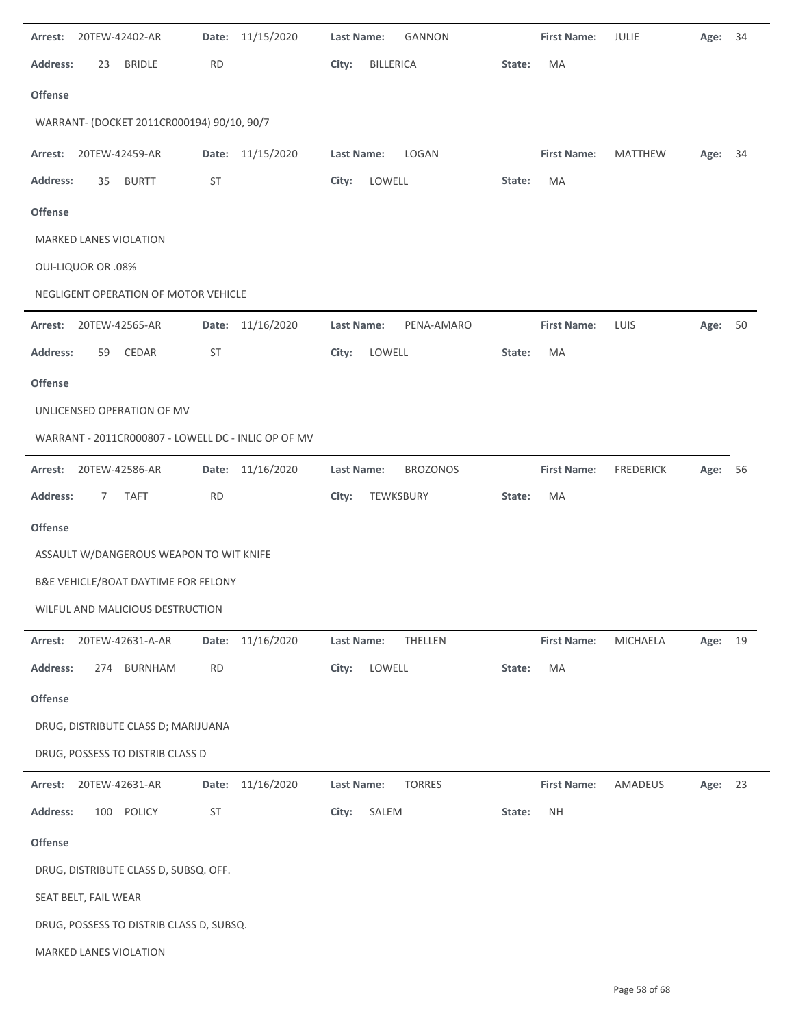| Arrest:         | 20TEW-42402-AR            |                                                     | Date:     | 11/15/2020       | Last Name: |                  | GANNON          |        | <b>First Name:</b> | JULIE            | Age:    | 34 |
|-----------------|---------------------------|-----------------------------------------------------|-----------|------------------|------------|------------------|-----------------|--------|--------------------|------------------|---------|----|
| <b>Address:</b> | 23                        | <b>BRIDLE</b>                                       | <b>RD</b> |                  | City:      | <b>BILLERICA</b> |                 | State: | MA                 |                  |         |    |
| Offense         |                           |                                                     |           |                  |            |                  |                 |        |                    |                  |         |    |
|                 |                           | WARRANT- (DOCKET 2011CR000194) 90/10, 90/7          |           |                  |            |                  |                 |        |                    |                  |         |    |
| Arrest:         | 20TEW-42459-AR            |                                                     |           | Date: 11/15/2020 | Last Name: |                  | LOGAN           |        | <b>First Name:</b> | <b>MATTHEW</b>   | Age: 34 |    |
| <b>Address:</b> | 35                        | <b>BURTT</b>                                        | ST        |                  | City:      | LOWELL           |                 | State: | MA                 |                  |         |    |
| <b>Offense</b>  |                           |                                                     |           |                  |            |                  |                 |        |                    |                  |         |    |
|                 |                           | MARKED LANES VIOLATION                              |           |                  |            |                  |                 |        |                    |                  |         |    |
|                 | <b>OUI-LIQUOR OR .08%</b> |                                                     |           |                  |            |                  |                 |        |                    |                  |         |    |
|                 |                           | NEGLIGENT OPERATION OF MOTOR VEHICLE                |           |                  |            |                  |                 |        |                    |                  |         |    |
| Arrest:         |                           | 20TEW-42565-AR                                      | Date:     | 11/16/2020       | Last Name: |                  | PENA-AMARO      |        | <b>First Name:</b> | LUIS             | Age: 50 |    |
| <b>Address:</b> | 59                        | CEDAR                                               | ST        |                  | City:      | LOWELL           |                 | State: | MA                 |                  |         |    |
| <b>Offense</b>  |                           |                                                     |           |                  |            |                  |                 |        |                    |                  |         |    |
|                 |                           | UNLICENSED OPERATION OF MV                          |           |                  |            |                  |                 |        |                    |                  |         |    |
|                 |                           | WARRANT - 2011CR000807 - LOWELL DC - INLIC OP OF MV |           |                  |            |                  |                 |        |                    |                  |         |    |
| Arrest:         |                           | 20TEW-42586-AR                                      | Date:     | 11/16/2020       | Last Name: |                  | <b>BROZONOS</b> |        | <b>First Name:</b> | <b>FREDERICK</b> | Age:    | 56 |
| <b>Address:</b> | 7                         | <b>TAFT</b>                                         | <b>RD</b> |                  | City:      | TEWKSBURY        |                 | State: | MA                 |                  |         |    |
| <b>Offense</b>  |                           |                                                     |           |                  |            |                  |                 |        |                    |                  |         |    |
|                 |                           | ASSAULT W/DANGEROUS WEAPON TO WIT KNIFE             |           |                  |            |                  |                 |        |                    |                  |         |    |
|                 |                           | B&E VEHICLE/BOAT DAYTIME FOR FELONY                 |           |                  |            |                  |                 |        |                    |                  |         |    |
|                 |                           | WILFUL AND MALICIOUS DESTRUCTION                    |           |                  |            |                  |                 |        |                    |                  |         |    |
| Arrest:         |                           | 20TEW-42631-A-AR                                    |           | Date: 11/16/2020 | Last Name: |                  | THELLEN         |        | <b>First Name:</b> | MICHAELA         | Age: 19 |    |
| <b>Address:</b> |                           | 274 BURNHAM                                         | <b>RD</b> |                  | City:      | LOWELL           |                 | State: | MA                 |                  |         |    |
| <b>Offense</b>  |                           |                                                     |           |                  |            |                  |                 |        |                    |                  |         |    |
|                 |                           | DRUG, DISTRIBUTE CLASS D; MARIJUANA                 |           |                  |            |                  |                 |        |                    |                  |         |    |
|                 |                           | DRUG, POSSESS TO DISTRIB CLASS D                    |           |                  |            |                  |                 |        |                    |                  |         |    |
| Arrest:         |                           | 20TEW-42631-AR                                      | Date:     | 11/16/2020       | Last Name: |                  | <b>TORRES</b>   |        | <b>First Name:</b> | AMADEUS          | Age: 23 |    |
| <b>Address:</b> |                           | 100 POLICY                                          | ST        |                  | City:      | SALEM            |                 | State: | <b>NH</b>          |                  |         |    |
| Offense         |                           |                                                     |           |                  |            |                  |                 |        |                    |                  |         |    |
|                 |                           | DRUG, DISTRIBUTE CLASS D, SUBSQ. OFF.               |           |                  |            |                  |                 |        |                    |                  |         |    |
|                 | SEAT BELT, FAIL WEAR      |                                                     |           |                  |            |                  |                 |        |                    |                  |         |    |
|                 |                           | DRUG, POSSESS TO DISTRIB CLASS D, SUBSQ.            |           |                  |            |                  |                 |        |                    |                  |         |    |
|                 |                           | MARKED LANES VIOLATION                              |           |                  |            |                  |                 |        |                    |                  |         |    |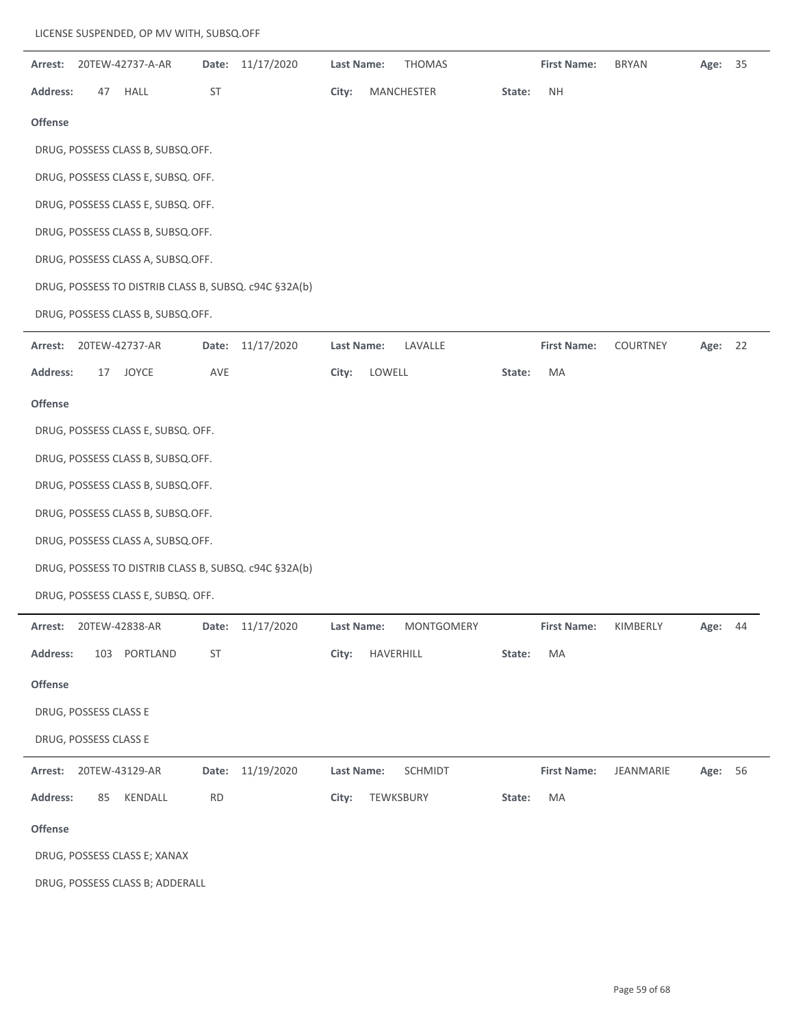| Arrest:               |     | 20TEW-42737-A-AR                                      | Date:           | 11/17/2020       | Last Name: |           | <b>THOMAS</b> |        | <b>First Name:</b> | <b>BRYAN</b> | Age:    | 35 |
|-----------------------|-----|-------------------------------------------------------|-----------------|------------------|------------|-----------|---------------|--------|--------------------|--------------|---------|----|
| <b>Address:</b>       | 47  | HALL                                                  | $\mathsf{ST}\,$ |                  | City:      |           | MANCHESTER    | State: | <b>NH</b>          |              |         |    |
| <b>Offense</b>        |     |                                                       |                 |                  |            |           |               |        |                    |              |         |    |
|                       |     | DRUG, POSSESS CLASS B, SUBSQ.OFF.                     |                 |                  |            |           |               |        |                    |              |         |    |
|                       |     | DRUG, POSSESS CLASS E, SUBSQ. OFF.                    |                 |                  |            |           |               |        |                    |              |         |    |
|                       |     | DRUG, POSSESS CLASS E, SUBSQ. OFF.                    |                 |                  |            |           |               |        |                    |              |         |    |
|                       |     | DRUG, POSSESS CLASS B, SUBSQ.OFF.                     |                 |                  |            |           |               |        |                    |              |         |    |
|                       |     | DRUG, POSSESS CLASS A, SUBSQ.OFF.                     |                 |                  |            |           |               |        |                    |              |         |    |
|                       |     | DRUG, POSSESS TO DISTRIB CLASS B, SUBSQ. c94C §32A(b) |                 |                  |            |           |               |        |                    |              |         |    |
|                       |     | DRUG, POSSESS CLASS B, SUBSQ.OFF.                     |                 |                  |            |           |               |        |                    |              |         |    |
| Arrest:               |     | 20TEW-42737-AR                                        | Date:           | 11/17/2020       | Last Name: |           | LAVALLE       |        | <b>First Name:</b> | COURTNEY     | Age:    | 22 |
| <b>Address:</b>       | 17  | JOYCE                                                 | AVE             |                  | City:      | LOWELL    |               | State: | MA                 |              |         |    |
| <b>Offense</b>        |     |                                                       |                 |                  |            |           |               |        |                    |              |         |    |
|                       |     | DRUG, POSSESS CLASS E, SUBSQ. OFF.                    |                 |                  |            |           |               |        |                    |              |         |    |
|                       |     | DRUG, POSSESS CLASS B, SUBSQ.OFF.                     |                 |                  |            |           |               |        |                    |              |         |    |
|                       |     | DRUG, POSSESS CLASS B, SUBSQ.OFF.                     |                 |                  |            |           |               |        |                    |              |         |    |
|                       |     | DRUG, POSSESS CLASS B, SUBSQ.OFF.                     |                 |                  |            |           |               |        |                    |              |         |    |
|                       |     | DRUG, POSSESS CLASS A, SUBSQ.OFF.                     |                 |                  |            |           |               |        |                    |              |         |    |
|                       |     | DRUG, POSSESS TO DISTRIB CLASS B, SUBSQ. c94C §32A(b) |                 |                  |            |           |               |        |                    |              |         |    |
|                       |     | DRUG, POSSESS CLASS E, SUBSQ. OFF.                    |                 |                  |            |           |               |        |                    |              |         |    |
|                       |     | <b>Arrest: 20TEW-42838-AR</b>                         | Date:           | 11/17/2020       | Last Name: |           | MONTGOMERY    |        | <b>First Name:</b> | KIMBERLY     | Age:    | 44 |
| <b>Address:</b>       | 103 | PORTLAND                                              | ST              |                  | City:      | HAVERHILL |               | State: | MA                 |              |         |    |
| Offense               |     |                                                       |                 |                  |            |           |               |        |                    |              |         |    |
| DRUG, POSSESS CLASS E |     |                                                       |                 |                  |            |           |               |        |                    |              |         |    |
| DRUG, POSSESS CLASS E |     |                                                       |                 |                  |            |           |               |        |                    |              |         |    |
| Arrest:               |     | 20TEW-43129-AR                                        |                 | Date: 11/19/2020 | Last Name: |           | SCHMIDT       |        | <b>First Name:</b> | JEANMARIE    | Age: 56 |    |
| <b>Address:</b>       | 85  | KENDALL                                               | <b>RD</b>       |                  | City:      | TEWKSBURY |               | State: | MA                 |              |         |    |
| Offense               |     |                                                       |                 |                  |            |           |               |        |                    |              |         |    |
|                       |     | DRUG, POSSESS CLASS E; XANAX                          |                 |                  |            |           |               |        |                    |              |         |    |
|                       |     | DRUG, POSSESS CLASS B; ADDERALL                       |                 |                  |            |           |               |        |                    |              |         |    |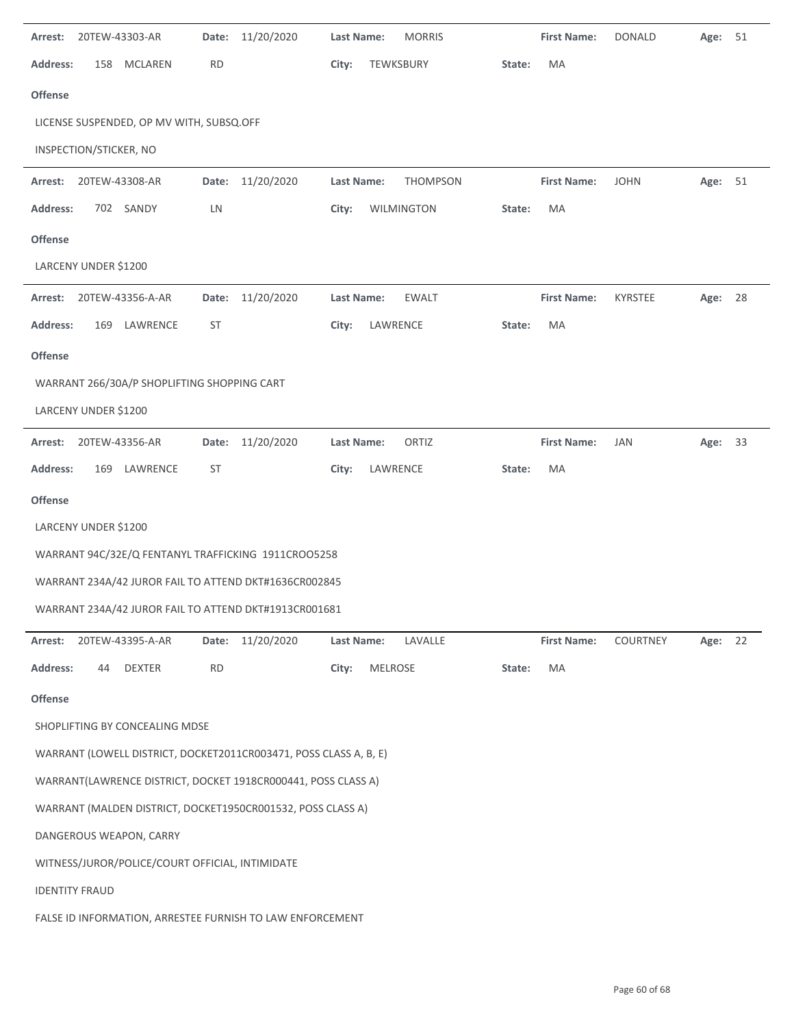| Arrest:         | 20TEW-43303-AR                                            | Date:                                           | 11/20/2020                                                        | <b>Last Name:</b> |                | <b>MORRIS</b> |        | <b>First Name:</b> | <b>DONALD</b> | Age:    | 51 |
|-----------------|-----------------------------------------------------------|-------------------------------------------------|-------------------------------------------------------------------|-------------------|----------------|---------------|--------|--------------------|---------------|---------|----|
| <b>Address:</b> | 158                                                       | <b>MCLAREN</b><br><b>RD</b>                     |                                                                   | City:             | TEWKSBURY      |               | State: | MA                 |               |         |    |
| <b>Offense</b>  |                                                           |                                                 |                                                                   |                   |                |               |        |                    |               |         |    |
|                 |                                                           | LICENSE SUSPENDED, OP MV WITH, SUBSQ.OFF        |                                                                   |                   |                |               |        |                    |               |         |    |
|                 | INSPECTION/STICKER, NO                                    |                                                 |                                                                   |                   |                |               |        |                    |               |         |    |
| Arrest:         | 20TEW-43308-AR                                            |                                                 | Date: 11/20/2020                                                  | Last Name:        |                | THOMPSON      |        | <b>First Name:</b> | <b>JOHN</b>   | Age: 51 |    |
| <b>Address:</b> | 702 SANDY                                                 | LN                                              |                                                                   | City:             |                | WILMINGTON    | State: | MA                 |               |         |    |
| <b>Offense</b>  |                                                           |                                                 |                                                                   |                   |                |               |        |                    |               |         |    |
|                 | LARCENY UNDER \$1200                                      |                                                 |                                                                   |                   |                |               |        |                    |               |         |    |
| Arrest:         | 20TEW-43356-A-AR                                          | Date:                                           | 11/20/2020                                                        | Last Name:        |                | <b>EWALT</b>  |        | <b>First Name:</b> | KYRSTEE       | Age:    | 28 |
| <b>Address:</b> | 169                                                       | LAWRENCE<br><b>ST</b>                           |                                                                   | City:             | LAWRENCE       |               | State: | MA                 |               |         |    |
| <b>Offense</b>  |                                                           |                                                 |                                                                   |                   |                |               |        |                    |               |         |    |
|                 |                                                           | WARRANT 266/30A/P SHOPLIFTING SHOPPING CART     |                                                                   |                   |                |               |        |                    |               |         |    |
|                 | LARCENY UNDER \$1200                                      |                                                 |                                                                   |                   |                |               |        |                    |               |         |    |
| Arrest:         | 20TEW-43356-AR                                            | Date:                                           | 11/20/2020                                                        | Last Name:        |                | ORTIZ         |        | <b>First Name:</b> | JAN           | Age: 33 |    |
| <b>Address:</b> | 169                                                       | LAWRENCE<br>ST                                  |                                                                   | City:             | LAWRENCE       |               | State: | MA                 |               |         |    |
| Offense         |                                                           |                                                 |                                                                   |                   |                |               |        |                    |               |         |    |
|                 | LARCENY UNDER \$1200                                      |                                                 |                                                                   |                   |                |               |        |                    |               |         |    |
|                 |                                                           |                                                 | WARRANT 94C/32E/Q FENTANYL TRAFFICKING 1911CRO05258               |                   |                |               |        |                    |               |         |    |
|                 |                                                           |                                                 | WARRANT 234A/42 JUROR FAIL TO ATTEND DKT#1636CR002845             |                   |                |               |        |                    |               |         |    |
|                 |                                                           |                                                 | WARRANT 234A/42 JUROR FAIL TO ATTEND DKT#1913CR001681             |                   |                |               |        |                    |               |         |    |
| Arrest:         | 20TEW-43395-A-AR                                          |                                                 | Date: 11/20/2020                                                  | Last Name:        |                | LAVALLE       |        | <b>First Name:</b> | COURTNEY      | Age:    | 22 |
| <b>Address:</b> | 44                                                        | <b>DEXTER</b><br><b>RD</b>                      |                                                                   | City:             | <b>MELROSE</b> |               | State: | MA                 |               |         |    |
| Offense         |                                                           |                                                 |                                                                   |                   |                |               |        |                    |               |         |    |
|                 |                                                           | SHOPLIFTING BY CONCEALING MDSE                  |                                                                   |                   |                |               |        |                    |               |         |    |
|                 |                                                           |                                                 | WARRANT (LOWELL DISTRICT, DOCKET2011CR003471, POSS CLASS A, B, E) |                   |                |               |        |                    |               |         |    |
|                 |                                                           |                                                 | WARRANT(LAWRENCE DISTRICT, DOCKET 1918CR000441, POSS CLASS A)     |                   |                |               |        |                    |               |         |    |
|                 |                                                           |                                                 | WARRANT (MALDEN DISTRICT, DOCKET1950CR001532, POSS CLASS A)       |                   |                |               |        |                    |               |         |    |
|                 | DANGEROUS WEAPON, CARRY                                   |                                                 |                                                                   |                   |                |               |        |                    |               |         |    |
|                 |                                                           | WITNESS/JUROR/POLICE/COURT OFFICIAL, INTIMIDATE |                                                                   |                   |                |               |        |                    |               |         |    |
|                 | <b>IDENTITY FRAUD</b>                                     |                                                 |                                                                   |                   |                |               |        |                    |               |         |    |
|                 | FALSE ID INFORMATION, ARRESTEE FURNISH TO LAW ENFORCEMENT |                                                 |                                                                   |                   |                |               |        |                    |               |         |    |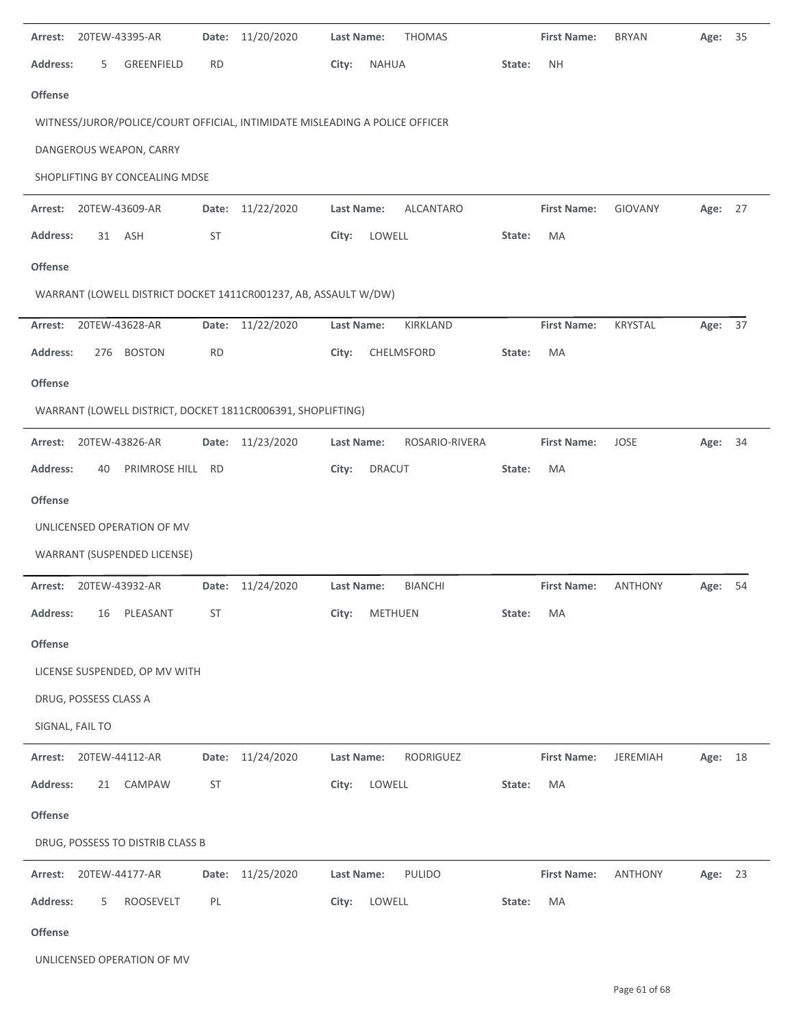| Arrest:               |     | 20TEW-43395-AR                   | Date:     | 11/20/2020                                                                  | <b>Last Name:</b> |               | <b>THOMAS</b>    |        | <b>First Name:</b> | <b>BRYAN</b>    | Age:    | 35 |
|-----------------------|-----|----------------------------------|-----------|-----------------------------------------------------------------------------|-------------------|---------------|------------------|--------|--------------------|-----------------|---------|----|
| <b>Address:</b>       | 5   | GREENFIELD                       | <b>RD</b> |                                                                             | City:             | <b>NAHUA</b>  |                  | State: | <b>NH</b>          |                 |         |    |
| Offense               |     |                                  |           |                                                                             |                   |               |                  |        |                    |                 |         |    |
|                       |     |                                  |           | WITNESS/JUROR/POLICE/COURT OFFICIAL, INTIMIDATE MISLEADING A POLICE OFFICER |                   |               |                  |        |                    |                 |         |    |
|                       |     | DANGEROUS WEAPON, CARRY          |           |                                                                             |                   |               |                  |        |                    |                 |         |    |
|                       |     | SHOPLIFTING BY CONCEALING MDSE   |           |                                                                             |                   |               |                  |        |                    |                 |         |    |
| Arrest:               |     | 20TEW-43609-AR                   | Date:     | 11/22/2020                                                                  | Last Name:        |               | <b>ALCANTARO</b> |        | <b>First Name:</b> | GIOVANY         | Age: 27 |    |
| <b>Address:</b>       | 31  | ASH                              | ST        |                                                                             | City:             | LOWELL        |                  | State: | MA                 |                 |         |    |
| <b>Offense</b>        |     |                                  |           |                                                                             |                   |               |                  |        |                    |                 |         |    |
|                       |     |                                  |           | WARRANT (LOWELL DISTRICT DOCKET 1411CR001237, AB, ASSAULT W/DW)             |                   |               |                  |        |                    |                 |         |    |
| Arrest:               |     | 20TEW-43628-AR                   | Date:     | 11/22/2020                                                                  | <b>Last Name:</b> |               | KIRKLAND         |        | <b>First Name:</b> | KRYSTAL         | Age:    | 37 |
| <b>Address:</b>       | 276 | <b>BOSTON</b>                    | RD        |                                                                             | City:             |               | CHELMSFORD       | State: | MA                 |                 |         |    |
| <b>Offense</b>        |     |                                  |           |                                                                             |                   |               |                  |        |                    |                 |         |    |
|                       |     |                                  |           | WARRANT (LOWELL DISTRICT, DOCKET 1811CR006391, SHOPLIFTING)                 |                   |               |                  |        |                    |                 |         |    |
| Arrest:               |     | 20TEW-43826-AR                   | Date:     | 11/23/2020                                                                  | <b>Last Name:</b> |               | ROSARIO-RIVERA   |        | <b>First Name:</b> | <b>JOSE</b>     | Age:    | 34 |
| <b>Address:</b>       | 40  | PRIMROSE HILL RD                 |           |                                                                             | City:             | <b>DRACUT</b> |                  | State: | MA                 |                 |         |    |
| <b>Offense</b>        |     |                                  |           |                                                                             |                   |               |                  |        |                    |                 |         |    |
|                       |     | UNLICENSED OPERATION OF MV       |           |                                                                             |                   |               |                  |        |                    |                 |         |    |
|                       |     | WARRANT (SUSPENDED LICENSE)      |           |                                                                             |                   |               |                  |        |                    |                 |         |    |
| Arrest:               |     | 20TEW-43932-AR                   | Date:     | 11/24/2020                                                                  | <b>Last Name:</b> |               | <b>BIANCHI</b>   |        | <b>First Name:</b> | <b>ANTHONY</b>  | Age:    | 54 |
| <b>Address:</b>       | 16  | PLEASANT                         | <b>ST</b> |                                                                             | City:             | METHUEN       |                  | State: | МA                 |                 |         |    |
| Offense               |     |                                  |           |                                                                             |                   |               |                  |        |                    |                 |         |    |
|                       |     | LICENSE SUSPENDED, OP MV WITH    |           |                                                                             |                   |               |                  |        |                    |                 |         |    |
| DRUG, POSSESS CLASS A |     |                                  |           |                                                                             |                   |               |                  |        |                    |                 |         |    |
| SIGNAL, FAIL TO       |     |                                  |           |                                                                             |                   |               |                  |        |                    |                 |         |    |
| Arrest:               |     | 20TEW-44112-AR                   | Date:     | 11/24/2020                                                                  | Last Name:        |               | RODRIGUEZ        |        | <b>First Name:</b> | <b>JEREMIAH</b> | Age: 18 |    |
| <b>Address:</b>       | 21  | CAMPAW                           | ST        |                                                                             | City:             | LOWELL        |                  | State: | MA                 |                 |         |    |
| <b>Offense</b>        |     |                                  |           |                                                                             |                   |               |                  |        |                    |                 |         |    |
|                       |     | DRUG, POSSESS TO DISTRIB CLASS B |           |                                                                             |                   |               |                  |        |                    |                 |         |    |
| Arrest:               |     | 20TEW-44177-AR                   |           | Date: 11/25/2020                                                            | <b>Last Name:</b> |               | <b>PULIDO</b>    |        | <b>First Name:</b> | <b>ANTHONY</b>  | Age: 23 |    |
| <b>Address:</b>       | 5   | ROOSEVELT                        | PL        |                                                                             | City:             | LOWELL        |                  | State: | MA                 |                 |         |    |
| Offense               |     |                                  |           |                                                                             |                   |               |                  |        |                    |                 |         |    |

UNLICENSED OPERATION OF MV

 $\overline{\phantom{0}}$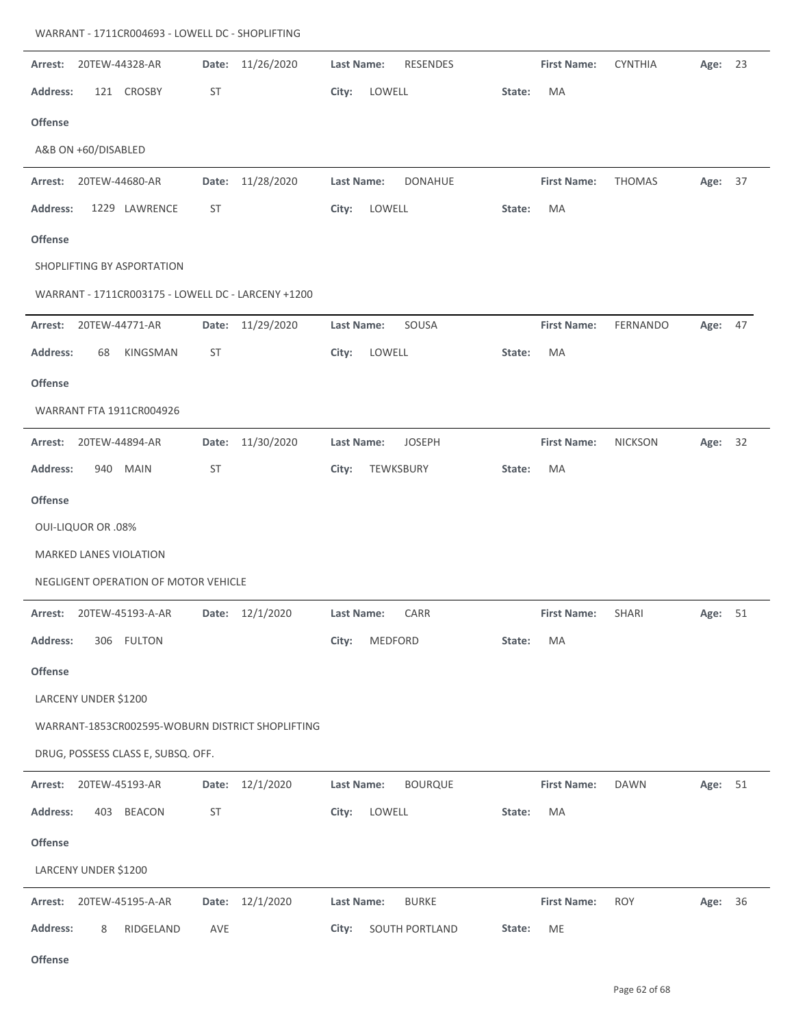| 20TEW-44328-AR<br>Arrest:                          | 11/26/2020<br>Date: | Last Name:<br><b>RESENDES</b> |        | <b>First Name:</b> | <b>CYNTHIA</b> | Age: | 23 |
|----------------------------------------------------|---------------------|-------------------------------|--------|--------------------|----------------|------|----|
| 121 CROSBY<br><b>Address:</b>                      | <b>ST</b>           | LOWELL<br>City:               | State: | MA                 |                |      |    |
| <b>Offense</b>                                     |                     |                               |        |                    |                |      |    |
| A&B ON +60/DISABLED                                |                     |                               |        |                    |                |      |    |
| Arrest:<br>20TEW-44680-AR                          | 11/28/2020<br>Date: | Last Name:<br><b>DONAHUE</b>  |        | <b>First Name:</b> | <b>THOMAS</b>  | Age: | 37 |
| 1229 LAWRENCE<br><b>Address:</b>                   | <b>ST</b>           | LOWELL<br>City:               | State: | MA                 |                |      |    |
| <b>Offense</b>                                     |                     |                               |        |                    |                |      |    |
| SHOPLIFTING BY ASPORTATION                         |                     |                               |        |                    |                |      |    |
| WARRANT - 1711CR003175 - LOWELL DC - LARCENY +1200 |                     |                               |        |                    |                |      |    |
| 20TEW-44771-AR<br>Arrest:                          | 11/29/2020<br>Date: | SOUSA<br>Last Name:           |        | <b>First Name:</b> | FERNANDO       | Age: | 47 |
| <b>Address:</b><br>KINGSMAN<br>68                  | <b>ST</b>           | LOWELL<br>City:               | State: | MA                 |                |      |    |
| <b>Offense</b>                                     |                     |                               |        |                    |                |      |    |
| WARRANT FTA 1911CR004926                           |                     |                               |        |                    |                |      |    |
| 20TEW-44894-AR<br>Arrest:                          | 11/30/2020<br>Date: | <b>JOSEPH</b><br>Last Name:   |        | <b>First Name:</b> | <b>NICKSON</b> | Age: | 32 |
| <b>MAIN</b><br><b>Address:</b><br>940              | <b>ST</b>           | TEWKSBURY<br>City:            | State: | MA                 |                |      |    |
| <b>Offense</b>                                     |                     |                               |        |                    |                |      |    |
| <b>OUI-LIQUOR OR .08%</b>                          |                     |                               |        |                    |                |      |    |
| MARKED LANES VIOLATION                             |                     |                               |        |                    |                |      |    |
| NEGLIGENT OPERATION OF MOTOR VEHICLE               |                     |                               |        |                    |                |      |    |
| 20TEW-45193-A-AR<br>Arrest:                        | Date: 12/1/2020     | CARR<br>Last Name:            |        | <b>First Name:</b> | SHARI          | Age: | 51 |
| <b>Address:</b><br>306 FULTON                      |                     | City:<br>MEDFORD              | State: | МA                 |                |      |    |
| <b>Offense</b>                                     |                     |                               |        |                    |                |      |    |
| LARCENY UNDER \$1200                               |                     |                               |        |                    |                |      |    |
| WARRANT-1853CR002595-WOBURN DISTRICT SHOPLIFTING   |                     |                               |        |                    |                |      |    |
| DRUG, POSSESS CLASS E, SUBSQ. OFF.                 |                     |                               |        |                    |                |      |    |
| Arrest:<br>20TEW-45193-AR                          | 12/1/2020<br>Date:  | <b>BOURQUE</b><br>Last Name:  |        | <b>First Name:</b> | <b>DAWN</b>    | Age: | 51 |
| <b>Address:</b><br>403 BEACON                      | <b>ST</b>           | City:<br>LOWELL               | State: | MA                 |                |      |    |
| Offense                                            |                     |                               |        |                    |                |      |    |
| LARCENY UNDER \$1200                               |                     |                               |        |                    |                |      |    |
| Arrest:<br>20TEW-45195-A-AR                        | Date: 12/1/2020     | Last Name:<br><b>BURKE</b>    |        | <b>First Name:</b> | <b>ROY</b>     | Age: | 36 |
| <b>Address:</b><br>RIDGELAND<br>8                  | AVE                 | SOUTH PORTLAND<br>City:       | State: | ME                 |                |      |    |
| Offense                                            |                     |                               |        |                    |                |      |    |

## WARRANT ‐ 1711CR004693 ‐ LOWELL DC ‐ SHOPLIFTING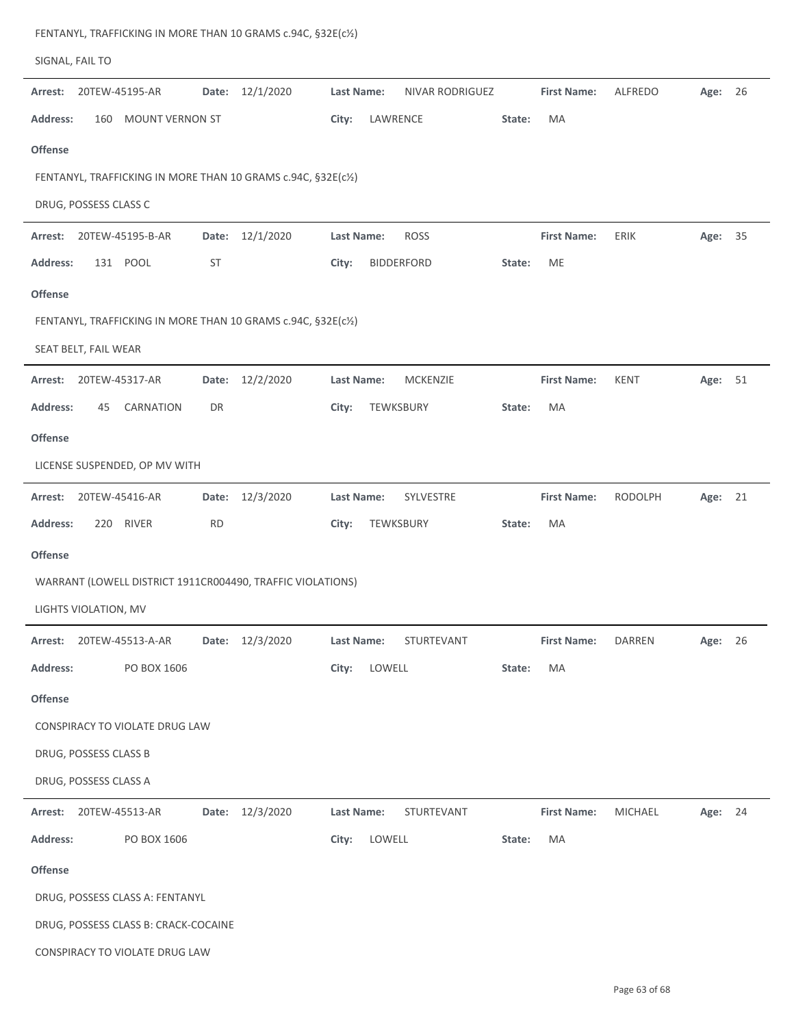|                 | SIGNAL, FAIL TO        |                                      |           |                                                               |                   |          |                   |        |                    |                |         |    |
|-----------------|------------------------|--------------------------------------|-----------|---------------------------------------------------------------|-------------------|----------|-------------------|--------|--------------------|----------------|---------|----|
| Arrest:         |                        | 20TEW-45195-AR                       | Date:     | 12/1/2020                                                     | Last Name:        |          | NIVAR RODRIGUEZ   |        | <b>First Name:</b> | ALFREDO        | Age:    | 26 |
| Address:        |                        | 160 MOUNT VERNON ST                  |           |                                                               | City:             | LAWRENCE |                   | State: | MA                 |                |         |    |
| <b>Offense</b>  |                        |                                      |           |                                                               |                   |          |                   |        |                    |                |         |    |
|                 |                        |                                      |           | FENTANYL, TRAFFICKING IN MORE THAN 10 GRAMS c.94C, §32E(c1/2) |                   |          |                   |        |                    |                |         |    |
|                 | DRUG, POSSESS CLASS C  |                                      |           |                                                               |                   |          |                   |        |                    |                |         |    |
| Arrest:         |                        | 20TEW-45195-B-AR                     | Date:     | 12/1/2020                                                     | <b>Last Name:</b> |          | <b>ROSS</b>       |        | <b>First Name:</b> | ERIK           | Age:    | 35 |
| Address:        |                        | 131 POOL                             | <b>ST</b> |                                                               | City:             |          | <b>BIDDERFORD</b> | State: | ME                 |                |         |    |
| Offense         |                        |                                      |           |                                                               |                   |          |                   |        |                    |                |         |    |
|                 |                        |                                      |           | FENTANYL, TRAFFICKING IN MORE THAN 10 GRAMS c.94C, §32E(c1/2) |                   |          |                   |        |                    |                |         |    |
|                 | SEAT BELT, FAIL WEAR   |                                      |           |                                                               |                   |          |                   |        |                    |                |         |    |
| Arrest:         |                        | 20TEW-45317-AR                       | Date:     | 12/2/2020                                                     | <b>Last Name:</b> |          | <b>MCKENZIE</b>   |        | <b>First Name:</b> | KENT           | Age:    | 51 |
| <b>Address:</b> | 45                     | CARNATION                            | DR        |                                                               | City:             |          | TEWKSBURY         | State: | MA                 |                |         |    |
| <b>Offense</b>  |                        |                                      |           |                                                               |                   |          |                   |        |                    |                |         |    |
|                 |                        | LICENSE SUSPENDED, OP MV WITH        |           |                                                               |                   |          |                   |        |                    |                |         |    |
| Arrest:         | 20TEW-45416-AR         |                                      | Date:     | 12/3/2020                                                     | Last Name:        |          | SYLVESTRE         |        | <b>First Name:</b> | <b>RODOLPH</b> | Age:    | 21 |
| <b>Address:</b> | 220                    | <b>RIVER</b>                         | <b>RD</b> |                                                               | City:             |          | TEWKSBURY         | State: | MA                 |                |         |    |
| <b>Offense</b>  |                        |                                      |           |                                                               |                   |          |                   |        |                    |                |         |    |
|                 |                        |                                      |           | WARRANT (LOWELL DISTRICT 1911CR004490, TRAFFIC VIOLATIONS)    |                   |          |                   |        |                    |                |         |    |
|                 | LIGHTS VIOLATION, MV   |                                      |           |                                                               |                   |          |                   |        |                    |                |         |    |
|                 |                        | Arrest: 20TEW-45513-A-AR             |           | Date: 12/3/2020                                               | Last Name:        |          | STURTEVANT        |        | <b>First Name:</b> | <b>DARREN</b>  | Age: 26 |    |
| <b>Address:</b> |                        | PO BOX 1606                          |           |                                                               | City:             | LOWELL   |                   | State: | MA                 |                |         |    |
| Offense         |                        |                                      |           |                                                               |                   |          |                   |        |                    |                |         |    |
|                 |                        | CONSPIRACY TO VIOLATE DRUG LAW       |           |                                                               |                   |          |                   |        |                    |                |         |    |
|                 | DRUG, POSSESS CLASS B  |                                      |           |                                                               |                   |          |                   |        |                    |                |         |    |
|                 | DRUG, POSSESS CLASS A  |                                      |           |                                                               |                   |          |                   |        |                    |                |         |    |
|                 | Arrest: 20TEW-45513-AR |                                      |           | Date: 12/3/2020                                               | Last Name:        |          | STURTEVANT        |        | <b>First Name:</b> | MICHAEL        | Age: 24 |    |
| <b>Address:</b> |                        | PO BOX 1606                          |           |                                                               | City:             | LOWELL   |                   | State: | MA                 |                |         |    |
| Offense         |                        |                                      |           |                                                               |                   |          |                   |        |                    |                |         |    |
|                 |                        | DRUG, POSSESS CLASS A: FENTANYL      |           |                                                               |                   |          |                   |        |                    |                |         |    |
|                 |                        | DRUG, POSSESS CLASS B: CRACK-COCAINE |           |                                                               |                   |          |                   |        |                    |                |         |    |
|                 |                        | CONSPIRACY TO VIOLATE DRUG LAW       |           |                                                               |                   |          |                   |        |                    |                |         |    |

FENTANYL, TRAFFICKING IN MORE THAN 10 GRAMS c.94C, §32E(c½)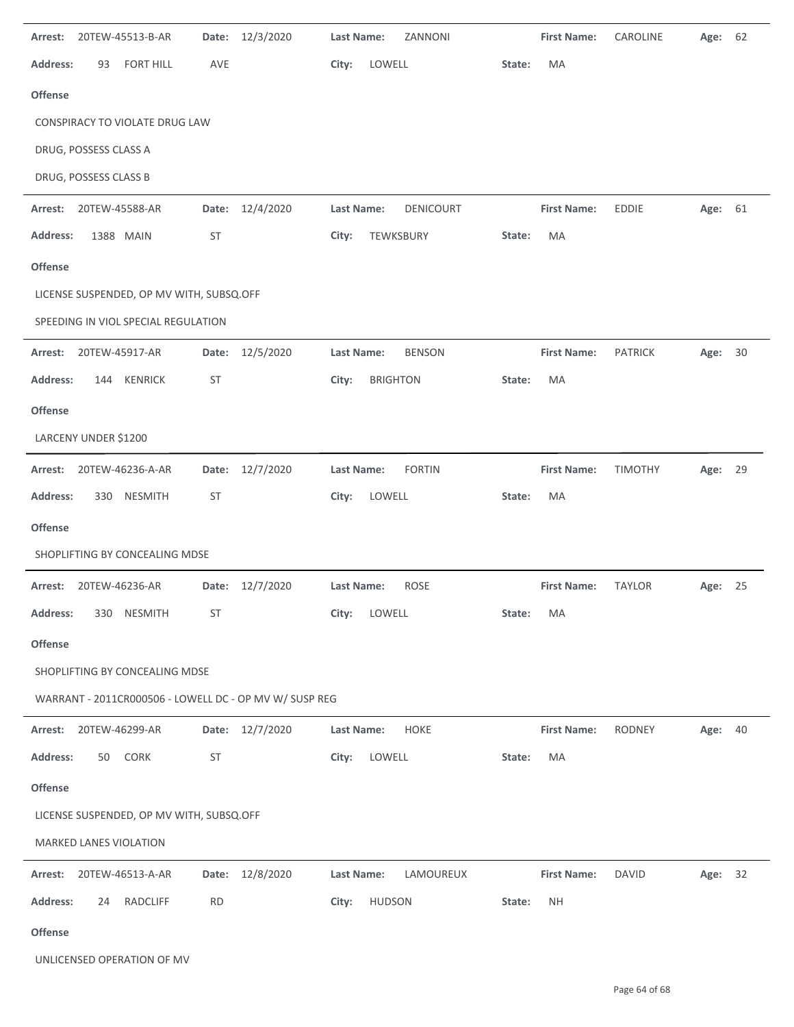| Arrest:         |                       | 20TEW-45513-B-AR                         | Date:     | 12/3/2020                                              | <b>Last Name:</b> |                 | ZANNONI       |        | <b>First Name:</b> | CAROLINE       | Age: | 62 |
|-----------------|-----------------------|------------------------------------------|-----------|--------------------------------------------------------|-------------------|-----------------|---------------|--------|--------------------|----------------|------|----|
| <b>Address:</b> | 93                    | <b>FORT HILL</b>                         | AVE       |                                                        | City:             | LOWELL          |               | State: | MA                 |                |      |    |
| Offense         |                       |                                          |           |                                                        |                   |                 |               |        |                    |                |      |    |
|                 |                       | CONSPIRACY TO VIOLATE DRUG LAW           |           |                                                        |                   |                 |               |        |                    |                |      |    |
|                 | DRUG, POSSESS CLASS A |                                          |           |                                                        |                   |                 |               |        |                    |                |      |    |
|                 | DRUG, POSSESS CLASS B |                                          |           |                                                        |                   |                 |               |        |                    |                |      |    |
| Arrest:         | 20TEW-45588-AR        |                                          | Date:     | 12/4/2020                                              | Last Name:        |                 | DENICOURT     |        | <b>First Name:</b> | <b>EDDIE</b>   | Age: | 61 |
| <b>Address:</b> |                       | 1388 MAIN                                | <b>ST</b> |                                                        | City:             | TEWKSBURY       |               | State: | MA                 |                |      |    |
| Offense         |                       |                                          |           |                                                        |                   |                 |               |        |                    |                |      |    |
|                 |                       | LICENSE SUSPENDED, OP MV WITH, SUBSQ.OFF |           |                                                        |                   |                 |               |        |                    |                |      |    |
|                 |                       | SPEEDING IN VIOL SPECIAL REGULATION      |           |                                                        |                   |                 |               |        |                    |                |      |    |
| Arrest:         | 20TEW-45917-AR        |                                          | Date:     | 12/5/2020                                              | <b>Last Name:</b> |                 | <b>BENSON</b> |        | <b>First Name:</b> | <b>PATRICK</b> | Age: | 30 |
| <b>Address:</b> |                       | 144 KENRICK                              | <b>ST</b> |                                                        | City:             | <b>BRIGHTON</b> |               | State: | МA                 |                |      |    |
| <b>Offense</b>  |                       |                                          |           |                                                        |                   |                 |               |        |                    |                |      |    |
|                 | LARCENY UNDER \$1200  |                                          |           |                                                        |                   |                 |               |        |                    |                |      |    |
| Arrest:         |                       | 20TEW-46236-A-AR                         | Date:     | 12/7/2020                                              | Last Name:        |                 | <b>FORTIN</b> |        | <b>First Name:</b> | <b>TIMOTHY</b> | Age: | 29 |
| Address:        | 330                   | <b>NESMITH</b>                           | <b>ST</b> |                                                        | City:             | LOWELL          |               | State: | MA                 |                |      |    |
| Offense         |                       |                                          |           |                                                        |                   |                 |               |        |                    |                |      |    |
|                 |                       | SHOPLIFTING BY CONCEALING MDSE           |           |                                                        |                   |                 |               |        |                    |                |      |    |
| Arrest:         | 20TEW-46236-AR        |                                          | Date:     | 12/7/2020                                              | Last Name:        |                 | <b>ROSE</b>   |        | <b>First Name:</b> | <b>TAYLOR</b>  | Age: | 25 |
| Address:        |                       | 330 NESMITH                              | ST        |                                                        | City:             | LOWELL          |               | State: | МA                 |                |      |    |
| Offense         |                       |                                          |           |                                                        |                   |                 |               |        |                    |                |      |    |
|                 |                       | SHOPLIFTING BY CONCEALING MDSE           |           |                                                        |                   |                 |               |        |                    |                |      |    |
|                 |                       |                                          |           | WARRANT - 2011CR000506 - LOWELL DC - OP MV W/ SUSP REG |                   |                 |               |        |                    |                |      |    |
| Arrest:         | 20TEW-46299-AR        |                                          | Date:     | 12/7/2020                                              | <b>Last Name:</b> |                 | HOKE          |        | <b>First Name:</b> | <b>RODNEY</b>  | Age: | 40 |
| <b>Address:</b> | 50                    | CORK                                     | <b>ST</b> |                                                        | City:             | LOWELL          |               | State: | МA                 |                |      |    |
| Offense         |                       |                                          |           |                                                        |                   |                 |               |        |                    |                |      |    |
|                 |                       | LICENSE SUSPENDED, OP MV WITH, SUBSQ.OFF |           |                                                        |                   |                 |               |        |                    |                |      |    |
|                 |                       | MARKED LANES VIOLATION                   |           |                                                        |                   |                 |               |        |                    |                |      |    |
| Arrest:         |                       | 20TEW-46513-A-AR                         |           | Date: 12/8/2020                                        | Last Name:        |                 | LAMOUREUX     |        | <b>First Name:</b> | <b>DAVID</b>   | Age: | 32 |
| <b>Address:</b> | 24                    | RADCLIFF                                 | <b>RD</b> |                                                        | City:             | <b>HUDSON</b>   |               | State: | NΗ                 |                |      |    |
| Offense         |                       |                                          |           |                                                        |                   |                 |               |        |                    |                |      |    |

UNLICENSED OPERATION OF MV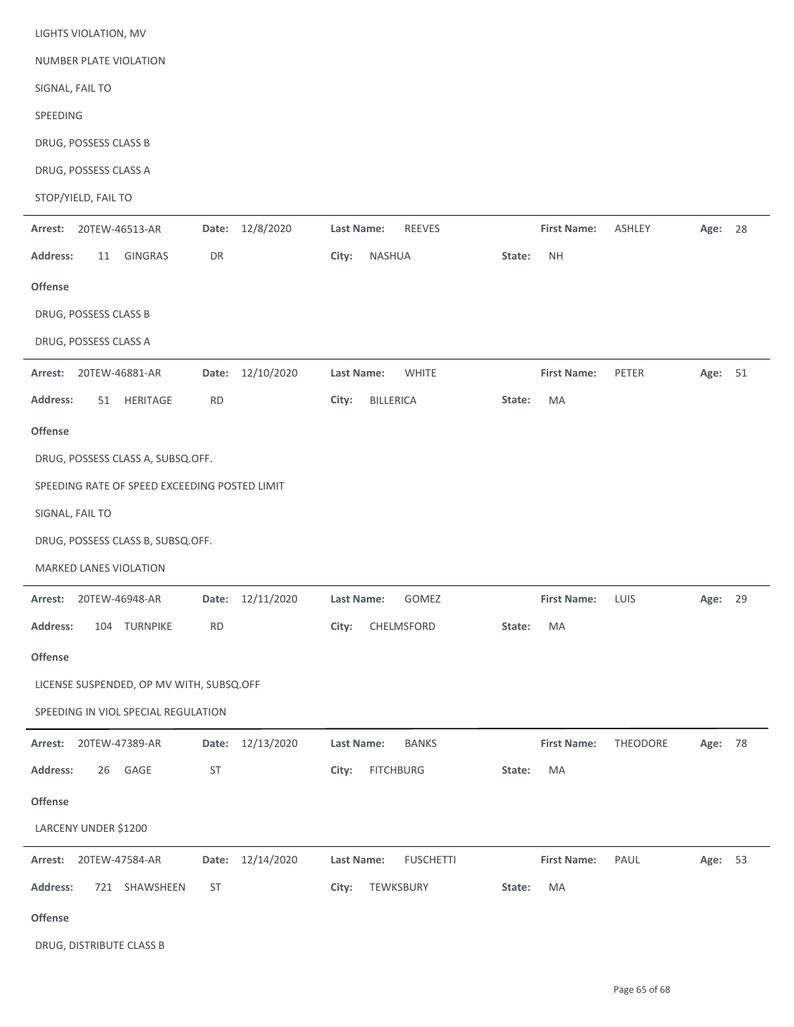| LIGHTS VIOLATION, MV                          |                    |                                    |                     |               |         |    |  |  |  |  |  |  |  |
|-----------------------------------------------|--------------------|------------------------------------|---------------------|---------------|---------|----|--|--|--|--|--|--|--|
| NUMBER PLATE VIOLATION                        |                    |                                    |                     |               |         |    |  |  |  |  |  |  |  |
| SIGNAL, FAIL TO                               |                    |                                    |                     |               |         |    |  |  |  |  |  |  |  |
| SPEEDING                                      |                    |                                    |                     |               |         |    |  |  |  |  |  |  |  |
| DRUG, POSSESS CLASS B                         |                    |                                    |                     |               |         |    |  |  |  |  |  |  |  |
| DRUG, POSSESS CLASS A                         |                    |                                    |                     |               |         |    |  |  |  |  |  |  |  |
| STOP/YIELD, FAIL TO                           |                    |                                    |                     |               |         |    |  |  |  |  |  |  |  |
| 20TEW-46513-AR<br>Arrest:                     | 12/8/2020<br>Date: | <b>Last Name:</b><br><b>REEVES</b> | <b>First Name:</b>  | <b>ASHLEY</b> | Age: 28 |    |  |  |  |  |  |  |  |
| GINGRAS<br>Address:<br>11                     | DR                 | NASHUA<br>City:                    | <b>NH</b><br>State: |               |         |    |  |  |  |  |  |  |  |
| Offense                                       |                    |                                    |                     |               |         |    |  |  |  |  |  |  |  |
| DRUG, POSSESS CLASS B                         |                    |                                    |                     |               |         |    |  |  |  |  |  |  |  |
| DRUG, POSSESS CLASS A                         |                    |                                    |                     |               |         |    |  |  |  |  |  |  |  |
| Arrest:<br>20TEW-46881-AR                     | Date: 12/10/2020   | <b>WHITE</b><br><b>Last Name:</b>  | <b>First Name:</b>  | PETER         | Age: 51 |    |  |  |  |  |  |  |  |
| <b>Address:</b><br>HERITAGE<br>51             | <b>RD</b>          | City:<br><b>BILLERICA</b>          | MA<br>State:        |               |         |    |  |  |  |  |  |  |  |
| Offense                                       |                    |                                    |                     |               |         |    |  |  |  |  |  |  |  |
| DRUG, POSSESS CLASS A, SUBSQ.OFF.             |                    |                                    |                     |               |         |    |  |  |  |  |  |  |  |
| SPEEDING RATE OF SPEED EXCEEDING POSTED LIMIT |                    |                                    |                     |               |         |    |  |  |  |  |  |  |  |
| SIGNAL, FAIL TO                               |                    |                                    |                     |               |         |    |  |  |  |  |  |  |  |
| DRUG, POSSESS CLASS B, SUBSQ.OFF.             |                    |                                    |                     |               |         |    |  |  |  |  |  |  |  |
| <b>MARKED LANES VIOLATION</b>                 |                    |                                    |                     |               |         |    |  |  |  |  |  |  |  |
| Arrest: 20TEW-46948-AR                        | Date: 12/11/2020   | GOMEZ<br>Last Name:                | First Name: LUIS    |               | Age:    | 29 |  |  |  |  |  |  |  |
| <b>Address:</b><br>104 TURNPIKE               | <b>RD</b>          | City:<br>CHELMSFORD                | State:<br>МA        |               |         |    |  |  |  |  |  |  |  |
| Offense                                       |                    |                                    |                     |               |         |    |  |  |  |  |  |  |  |
| LICENSE SUSPENDED, OP MV WITH, SUBSQ.OFF      |                    |                                    |                     |               |         |    |  |  |  |  |  |  |  |
| SPEEDING IN VIOL SPECIAL REGULATION           |                    |                                    |                     |               |         |    |  |  |  |  |  |  |  |
| 20TEW-47389-AR<br>Arrest:                     | Date: 12/13/2020   | Last Name:<br><b>BANKS</b>         | <b>First Name:</b>  | THEODORE      | Age: 78 |    |  |  |  |  |  |  |  |
| GAGE<br><b>Address:</b><br>26                 | <b>ST</b>          | City:<br><b>FITCHBURG</b>          | MA<br>State:        |               |         |    |  |  |  |  |  |  |  |
| Offense                                       |                    |                                    |                     |               |         |    |  |  |  |  |  |  |  |
| LARCENY UNDER \$1200                          |                    |                                    |                     |               |         |    |  |  |  |  |  |  |  |
| Arrest: 20TEW-47584-AR                        | Date: 12/14/2020   | Last Name:<br><b>FUSCHETTI</b>     | <b>First Name:</b>  | PAUL          | Age: 53 |    |  |  |  |  |  |  |  |
| Address:<br>721 SHAWSHEEN                     | <b>ST</b>          | City:<br>TEWKSBURY                 | State:<br>MA        |               |         |    |  |  |  |  |  |  |  |
| Offense                                       |                    |                                    |                     |               |         |    |  |  |  |  |  |  |  |

DRUG, DISTRIBUTE CLASS B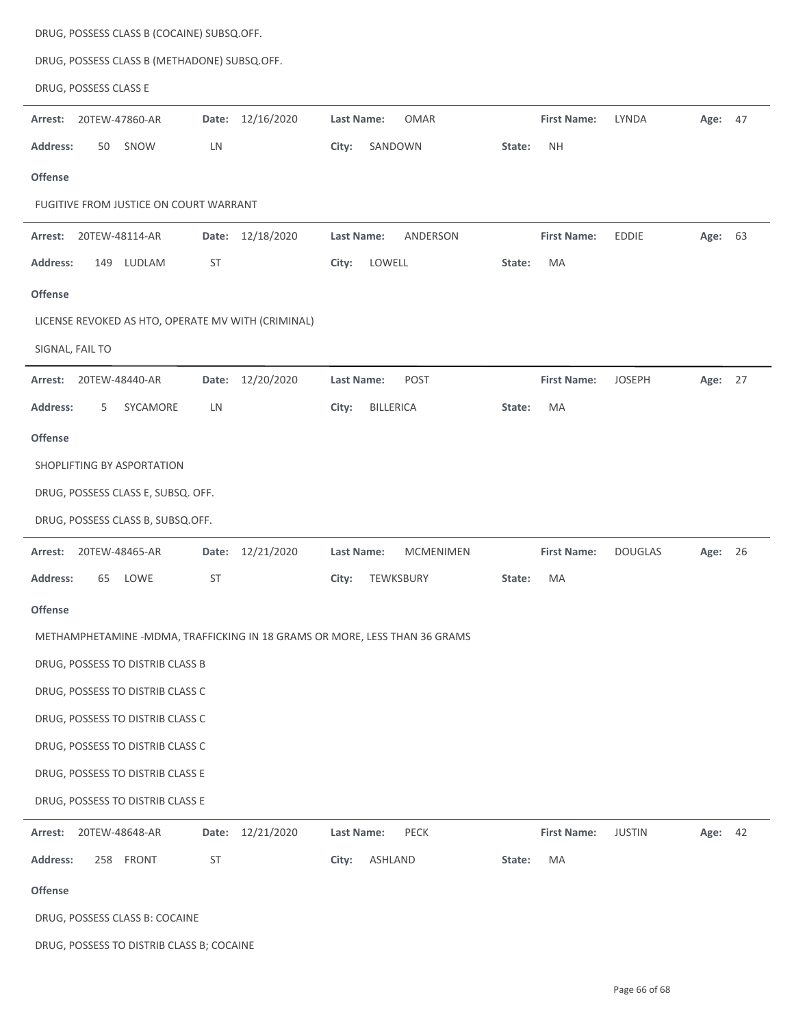|                 |                       | DRUG, POSSESS CLASS B (COCAINE) SUBSQ.OFF.   |           |                                                                            |                   |                  |                  |        |                    |                |         |    |
|-----------------|-----------------------|----------------------------------------------|-----------|----------------------------------------------------------------------------|-------------------|------------------|------------------|--------|--------------------|----------------|---------|----|
|                 |                       | DRUG, POSSESS CLASS B (METHADONE) SUBSQ.OFF. |           |                                                                            |                   |                  |                  |        |                    |                |         |    |
|                 | DRUG, POSSESS CLASS E |                                              |           |                                                                            |                   |                  |                  |        |                    |                |         |    |
| Arrest:         |                       | 20TEW-47860-AR                               | Date:     | 12/16/2020                                                                 | <b>Last Name:</b> |                  | <b>OMAR</b>      |        | <b>First Name:</b> | LYNDA          | Age: 47 |    |
| Address:        | 50                    | SNOW                                         | LN        |                                                                            | City:             |                  | SANDOWN          | State: | <b>NH</b>          |                |         |    |
| <b>Offense</b>  |                       |                                              |           |                                                                            |                   |                  |                  |        |                    |                |         |    |
|                 |                       | FUGITIVE FROM JUSTICE ON COURT WARRANT       |           |                                                                            |                   |                  |                  |        |                    |                |         |    |
| Arrest:         |                       | 20TEW-48114-AR                               | Date:     | 12/18/2020                                                                 | Last Name:        |                  | ANDERSON         |        | <b>First Name:</b> | <b>EDDIE</b>   | Age:    | 63 |
| Address:        | 149                   | LUDLAM                                       | <b>ST</b> |                                                                            | City:             | LOWELL           |                  | State: | MA                 |                |         |    |
| Offense         |                       |                                              |           |                                                                            |                   |                  |                  |        |                    |                |         |    |
|                 |                       |                                              |           | LICENSE REVOKED AS HTO, OPERATE MV WITH (CRIMINAL)                         |                   |                  |                  |        |                    |                |         |    |
|                 | SIGNAL, FAIL TO       |                                              |           |                                                                            |                   |                  |                  |        |                    |                |         |    |
| Arrest:         |                       | 20TEW-48440-AR                               | Date:     | 12/20/2020                                                                 | Last Name:        |                  | POST             |        | <b>First Name:</b> | <b>JOSEPH</b>  | Age: 27 |    |
| Address:        | 5                     | SYCAMORE                                     | LN        |                                                                            | City:             | <b>BILLERICA</b> |                  | State: | МA                 |                |         |    |
| <b>Offense</b>  |                       |                                              |           |                                                                            |                   |                  |                  |        |                    |                |         |    |
|                 |                       | SHOPLIFTING BY ASPORTATION                   |           |                                                                            |                   |                  |                  |        |                    |                |         |    |
|                 |                       | DRUG, POSSESS CLASS E, SUBSQ. OFF.           |           |                                                                            |                   |                  |                  |        |                    |                |         |    |
|                 |                       | DRUG, POSSESS CLASS B, SUBSQ.OFF.            |           |                                                                            |                   |                  |                  |        |                    |                |         |    |
| Arrest:         |                       | 20TEW-48465-AR                               |           | Date: 12/21/2020                                                           | Last Name:        |                  | <b>MCMENIMEN</b> |        | <b>First Name:</b> | <b>DOUGLAS</b> | Age: 26 |    |
| <b>Address:</b> | 65                    | LOWE                                         | <b>ST</b> |                                                                            | City:             |                  | TEWKSBURY        | State: | MA                 |                |         |    |
| Offense         |                       |                                              |           |                                                                            |                   |                  |                  |        |                    |                |         |    |
|                 |                       |                                              |           | METHAMPHETAMINE -MDMA, TRAFFICKING IN 18 GRAMS OR MORE, LESS THAN 36 GRAMS |                   |                  |                  |        |                    |                |         |    |
|                 |                       | DRUG, POSSESS TO DISTRIB CLASS B             |           |                                                                            |                   |                  |                  |        |                    |                |         |    |
|                 |                       | DRUG, POSSESS TO DISTRIB CLASS C             |           |                                                                            |                   |                  |                  |        |                    |                |         |    |
|                 |                       | DRUG, POSSESS TO DISTRIB CLASS C             |           |                                                                            |                   |                  |                  |        |                    |                |         |    |
|                 |                       | DRUG, POSSESS TO DISTRIB CLASS C             |           |                                                                            |                   |                  |                  |        |                    |                |         |    |
|                 |                       | DRUG, POSSESS TO DISTRIB CLASS E             |           |                                                                            |                   |                  |                  |        |                    |                |         |    |
|                 |                       | DRUG, POSSESS TO DISTRIB CLASS E             |           |                                                                            |                   |                  |                  |        |                    |                |         |    |
| Arrest:         |                       | 20TEW-48648-AR                               | Date:     | 12/21/2020                                                                 | Last Name:        |                  | <b>PECK</b>      |        | <b>First Name:</b> | <b>JUSTIN</b>  | Age: 42 |    |
| <b>Address:</b> |                       | 258 FRONT                                    | <b>ST</b> |                                                                            | City:             | ASHLAND          |                  | State: | MA                 |                |         |    |
| Offense         |                       |                                              |           |                                                                            |                   |                  |                  |        |                    |                |         |    |
|                 |                       | DRUG, POSSESS CLASS B: COCAINE               |           |                                                                            |                   |                  |                  |        |                    |                |         |    |
|                 |                       | DRUG, POSSESS TO DISTRIB CLASS B; COCAINE    |           |                                                                            |                   |                  |                  |        |                    |                |         |    |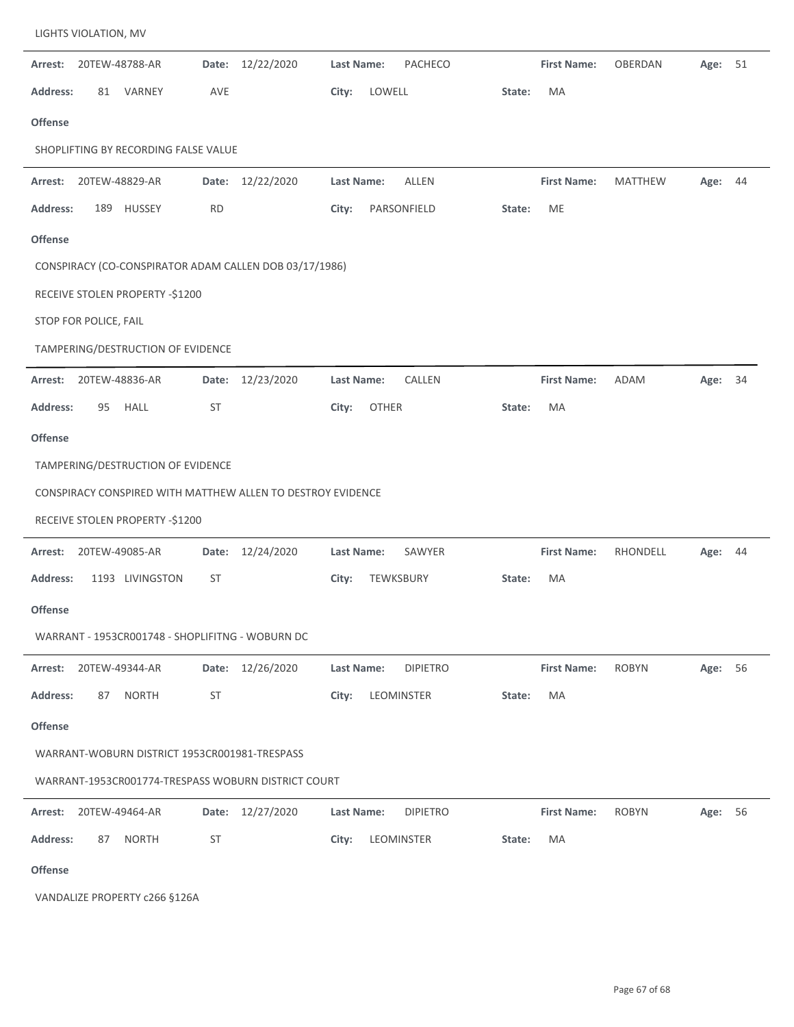| Arrest:         | 20TEW-48788-AR                                              |           | Date: 12/22/2020 | <b>Last Name:</b> | <b>PACHECO</b>  |        | <b>First Name:</b> | OBERDAN        | Age:    | 51 |
|-----------------|-------------------------------------------------------------|-----------|------------------|-------------------|-----------------|--------|--------------------|----------------|---------|----|
| <b>Address:</b> | VARNEY<br>81                                                | AVE       |                  | City:             | LOWELL          | State: | MA                 |                |         |    |
| <b>Offense</b>  |                                                             |           |                  |                   |                 |        |                    |                |         |    |
|                 | SHOPLIFTING BY RECORDING FALSE VALUE                        |           |                  |                   |                 |        |                    |                |         |    |
|                 | <b>Arrest: 20TEW-48829-AR</b>                               |           | Date: 12/22/2020 | Last Name:        | <b>ALLEN</b>    |        | <b>First Name:</b> | <b>MATTHEW</b> | Age: 44 |    |
| <b>Address:</b> | HUSSEY<br>189                                               | <b>RD</b> |                  | City:             | PARSONFIELD     | State: | ME                 |                |         |    |
| <b>Offense</b>  |                                                             |           |                  |                   |                 |        |                    |                |         |    |
|                 | CONSPIRACY (CO-CONSPIRATOR ADAM CALLEN DOB 03/17/1986)      |           |                  |                   |                 |        |                    |                |         |    |
|                 | RECEIVE STOLEN PROPERTY -\$1200                             |           |                  |                   |                 |        |                    |                |         |    |
|                 | STOP FOR POLICE, FAIL                                       |           |                  |                   |                 |        |                    |                |         |    |
|                 | TAMPERING/DESTRUCTION OF EVIDENCE                           |           |                  |                   |                 |        |                    |                |         |    |
| Arrest:         | 20TEW-48836-AR                                              |           | Date: 12/23/2020 | Last Name:        | CALLEN          |        | <b>First Name:</b> | ADAM           | Age:    | 34 |
| <b>Address:</b> | <b>HALL</b><br>95                                           | ST        |                  | City:             | <b>OTHER</b>    | State: | MA                 |                |         |    |
| <b>Offense</b>  |                                                             |           |                  |                   |                 |        |                    |                |         |    |
|                 | TAMPERING/DESTRUCTION OF EVIDENCE                           |           |                  |                   |                 |        |                    |                |         |    |
|                 | CONSPIRACY CONSPIRED WITH MATTHEW ALLEN TO DESTROY EVIDENCE |           |                  |                   |                 |        |                    |                |         |    |
|                 | RECEIVE STOLEN PROPERTY -\$1200                             |           |                  |                   |                 |        |                    |                |         |    |
| Arrest:         | 20TEW-49085-AR                                              |           | Date: 12/24/2020 | Last Name:        | SAWYER          |        | <b>First Name:</b> | RHONDELL       | Age: 44 |    |
| <b>Address:</b> | 1193 LIVINGSTON                                             | <b>ST</b> |                  | City:             | TEWKSBURY       | State: | MA                 |                |         |    |
| <b>Offense</b>  |                                                             |           |                  |                   |                 |        |                    |                |         |    |
|                 | WARRANT - 1953CR001748 - SHOPLIFITNG - WOBURN DC            |           |                  |                   |                 |        |                    |                |         |    |
|                 | Arrest: 20TEW-49344-AR                                      |           | Date: 12/26/2020 | Last Name:        | <b>DIPIETRO</b> |        | <b>First Name:</b> | <b>ROBYN</b>   | Age: 56 |    |
| <b>Address:</b> | <b>NORTH</b><br>87                                          | ST        |                  | City:             | LEOMINSTER      | State: | MA                 |                |         |    |
| Offense         |                                                             |           |                  |                   |                 |        |                    |                |         |    |
|                 | WARRANT-WOBURN DISTRICT 1953CR001981-TRESPASS               |           |                  |                   |                 |        |                    |                |         |    |
|                 | WARRANT-1953CR001774-TRESPASS WOBURN DISTRICT COURT         |           |                  |                   |                 |        |                    |                |         |    |
|                 | Arrest: 20TEW-49464-AR                                      |           | Date: 12/27/2020 | Last Name:        | <b>DIPIETRO</b> |        | <b>First Name:</b> | <b>ROBYN</b>   | Age: 56 |    |
| <b>Address:</b> | <b>NORTH</b><br>87                                          | ST        |                  | City:             | LEOMINSTER      | State: | MA                 |                |         |    |
| Offense         |                                                             |           |                  |                   |                 |        |                    |                |         |    |
|                 | VANDALIZE PROPERTY c266 §126A                               |           |                  |                   |                 |        |                    |                |         |    |

LIGHTS VIOLATION, MV